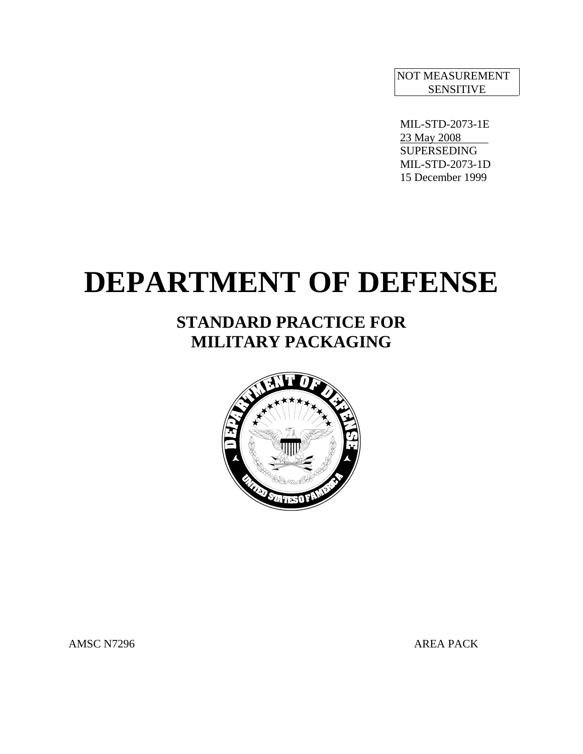NOT MEASUREMENT SENSITIVE

MIL-STD-2073-1E 23 May 2008 SUPERSEDING MIL-STD-2073-1D 15 December 1999

# <span id="page-0-0"></span>**DEPARTMENT OF DEFENSE**

## **STANDARD PRACTICE FOR MILITARY PACKAGING**



AMSC N7296 AREA PACK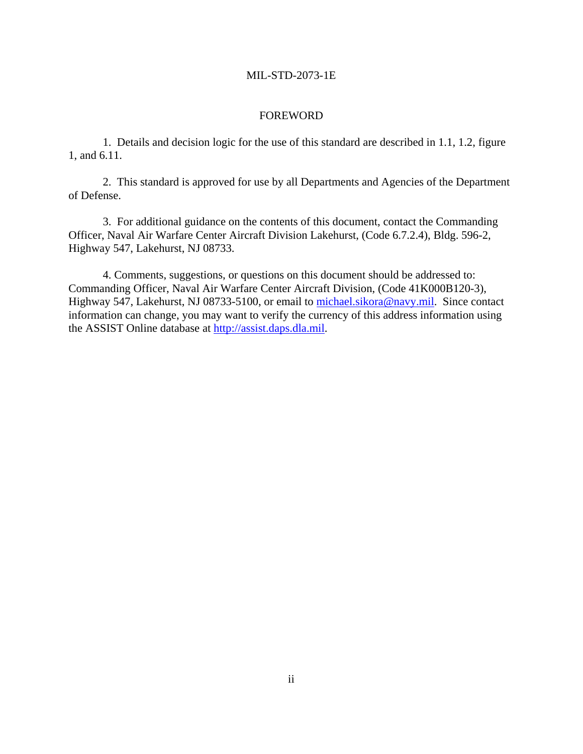#### FOREWORD

 1. Details and decision logic for the use of this standard are described in 1.1, 1.2, figure 1, and 6.11.

 2. This standard is approved for use by all Departments and Agencies of the Department of Defense.

 3. For additional guidance on the contents of this document, contact the Commanding Officer, Naval Air Warfare Center Aircraft Division Lakehurst, (Code 6.7.2.4), Bldg. 596-2, Highway 547, Lakehurst, NJ 08733.

4. Comments, suggestions, or questions on this document should be addressed to: Commanding Officer, Naval Air Warfare Center Aircraft Division, (Code 41K000B120-3), Highway 547, Lakehurst, NJ 08733-5100, or email to [michael.sikora@navy.mil](mailto:michael.sikora@navy.mil). Since contact information can change, you may want to verify the currency of this address information using the ASSIST Online database at [http://assist.daps.dla.mil](http://assist.daps.dla.mil/).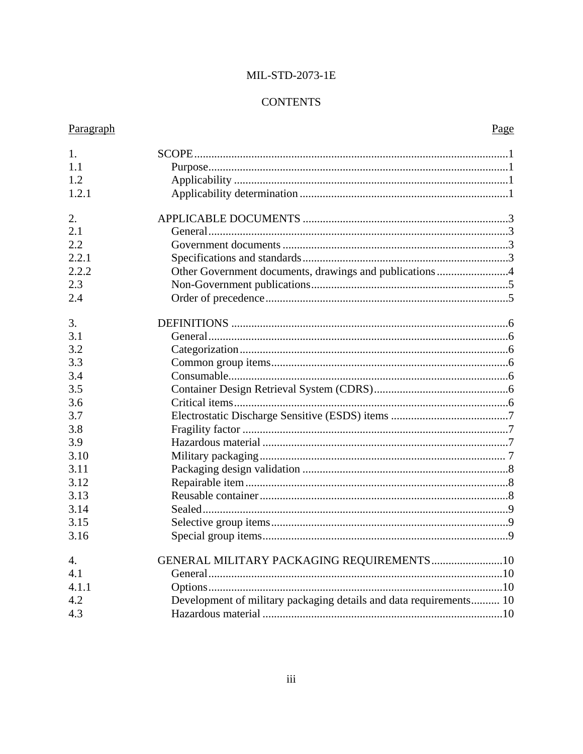### **CONTENTS**

### Paragraph

| 1.    |                                                                    |
|-------|--------------------------------------------------------------------|
| 1.1   |                                                                    |
| 1.2   |                                                                    |
| 1.2.1 |                                                                    |
| 2.    |                                                                    |
| 2.1   |                                                                    |
| 2.2   |                                                                    |
| 2.2.1 |                                                                    |
| 2.2.2 | Other Government documents, drawings and publications 4            |
| 2.3   |                                                                    |
| 2.4   |                                                                    |
| 3.    |                                                                    |
| 3.1   |                                                                    |
| 3.2   |                                                                    |
| 3.3   |                                                                    |
| 3.4   |                                                                    |
| 3.5   |                                                                    |
| 3.6   |                                                                    |
| 3.7   |                                                                    |
| 3.8   |                                                                    |
| 3.9   |                                                                    |
| 3.10  |                                                                    |
| 3.11  |                                                                    |
| 3.12  |                                                                    |
| 3.13  |                                                                    |
| 3.14  |                                                                    |
| 3.15  |                                                                    |
| 3.16  |                                                                    |
| 4.    | GENERAL MILITARY PACKAGING REQUIREMENTS10                          |
| 4.1   |                                                                    |
| 4.1.1 |                                                                    |
| 4.2   | Development of military packaging details and data requirements 10 |
| 4.3   |                                                                    |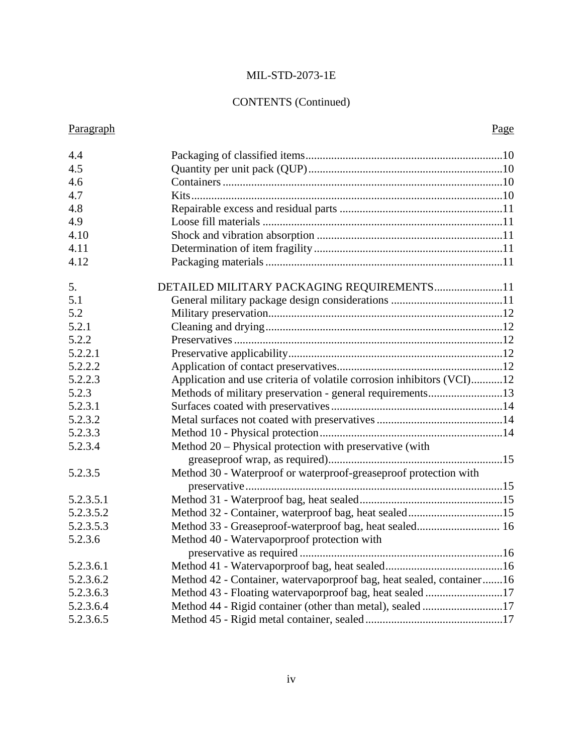### CONTENTS (Continued)

### Paragraph Page

| 4.4       |                                                                       |
|-----------|-----------------------------------------------------------------------|
| 4.5       |                                                                       |
| 4.6       |                                                                       |
| 4.7       |                                                                       |
| 4.8       |                                                                       |
| 4.9       |                                                                       |
| 4.10      |                                                                       |
| 4.11      |                                                                       |
| 4.12      |                                                                       |
| 5.        | DETAILED MILITARY PACKAGING REQUIREMENTS11                            |
| 5.1       |                                                                       |
| 5.2       |                                                                       |
| 5.2.1     |                                                                       |
| 5.2.2     |                                                                       |
| 5.2.2.1   |                                                                       |
| 5.2.2.2   |                                                                       |
| 5.2.2.3   | Application and use criteria of volatile corrosion inhibitors (VCI)12 |
| 5.2.3     | Methods of military preservation - general requirements13             |
| 5.2.3.1   |                                                                       |
| 5.2.3.2   |                                                                       |
| 5.2.3.3   |                                                                       |
| 5.2.3.4   | Method $20$ – Physical protection with preservative (with             |
|           |                                                                       |
| 5.2.3.5   | Method 30 - Waterproof or waterproof-greaseproof protection with      |
|           |                                                                       |
| 5.2.3.5.1 |                                                                       |
| 5.2.3.5.2 | Method 32 - Container, waterproof bag, heat sealed15                  |
| 5.2.3.5.3 | Method 33 - Greaseproof-waterproof bag, heat sealed 16                |
| 5.2.3.6   | Method 40 - Watervaporproof protection with                           |
|           |                                                                       |
| 5.2.3.6.1 |                                                                       |
| 5.2.3.6.2 | Method 42 - Container, watervaporproof bag, heat sealed, container16  |
| 5.2.3.6.3 | Method 43 - Floating watervaporproof bag, heat sealed 17              |
| 5.2.3.6.4 | Method 44 - Rigid container (other than metal), sealed 17             |
| 5.2.3.6.5 |                                                                       |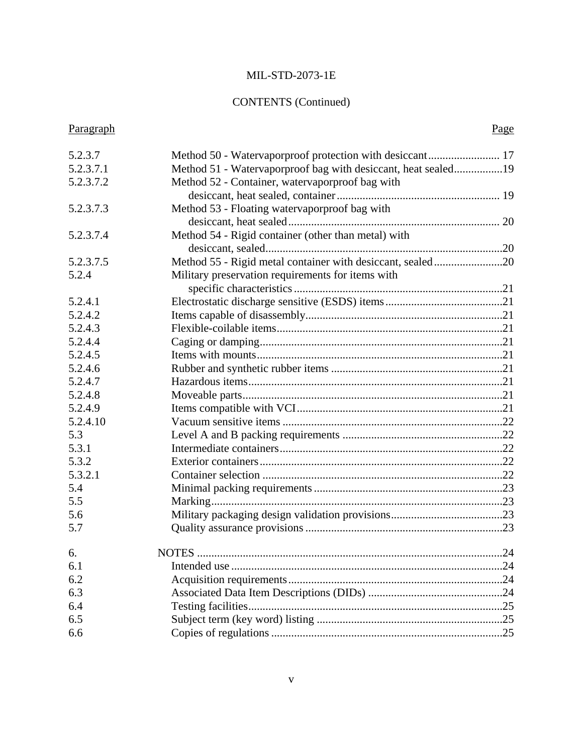### CONTENTS (Continued)

### Paragraph Page

| Method 51 - Watervaporproof bag with desiccant, heat sealed19<br>5.2.3.7.1<br>Method 52 - Container, watervaporproof bag with<br>5.2.3.7.2<br>Method 53 - Floating watervaporproof bag with<br>5.2.3.7.3<br>Method 54 - Rigid container (other than metal) with<br>5.2.3.7.4<br>Method 55 - Rigid metal container with desiccant, sealed20<br>5.2.3.7.5<br>Military preservation requirements for items with<br>5.2.4<br>5.2.4.1<br>5.2.4.2<br>5.2.4.3<br>5.2.4.4<br>5.2.4.5<br>5.2.4.6<br>5.2.4.7<br>5.2.4.8<br>5.2.4.9<br>5.2.4.10<br>5.3<br>5.3.1<br>5.3.2<br>5.3.2.1<br>5.4<br>5.5<br>5.6<br>5.7<br>6.<br>6.1<br>6.2<br>6.3<br>6.4<br>6.5<br>6.6 | 5.2.3.7 |  |
|------------------------------------------------------------------------------------------------------------------------------------------------------------------------------------------------------------------------------------------------------------------------------------------------------------------------------------------------------------------------------------------------------------------------------------------------------------------------------------------------------------------------------------------------------------------------------------------------------------------------------------------------------|---------|--|
|                                                                                                                                                                                                                                                                                                                                                                                                                                                                                                                                                                                                                                                      |         |  |
|                                                                                                                                                                                                                                                                                                                                                                                                                                                                                                                                                                                                                                                      |         |  |
|                                                                                                                                                                                                                                                                                                                                                                                                                                                                                                                                                                                                                                                      |         |  |
|                                                                                                                                                                                                                                                                                                                                                                                                                                                                                                                                                                                                                                                      |         |  |
|                                                                                                                                                                                                                                                                                                                                                                                                                                                                                                                                                                                                                                                      |         |  |
|                                                                                                                                                                                                                                                                                                                                                                                                                                                                                                                                                                                                                                                      |         |  |
|                                                                                                                                                                                                                                                                                                                                                                                                                                                                                                                                                                                                                                                      |         |  |
|                                                                                                                                                                                                                                                                                                                                                                                                                                                                                                                                                                                                                                                      |         |  |
|                                                                                                                                                                                                                                                                                                                                                                                                                                                                                                                                                                                                                                                      |         |  |
|                                                                                                                                                                                                                                                                                                                                                                                                                                                                                                                                                                                                                                                      |         |  |
|                                                                                                                                                                                                                                                                                                                                                                                                                                                                                                                                                                                                                                                      |         |  |
|                                                                                                                                                                                                                                                                                                                                                                                                                                                                                                                                                                                                                                                      |         |  |
|                                                                                                                                                                                                                                                                                                                                                                                                                                                                                                                                                                                                                                                      |         |  |
|                                                                                                                                                                                                                                                                                                                                                                                                                                                                                                                                                                                                                                                      |         |  |
|                                                                                                                                                                                                                                                                                                                                                                                                                                                                                                                                                                                                                                                      |         |  |
|                                                                                                                                                                                                                                                                                                                                                                                                                                                                                                                                                                                                                                                      |         |  |
|                                                                                                                                                                                                                                                                                                                                                                                                                                                                                                                                                                                                                                                      |         |  |
|                                                                                                                                                                                                                                                                                                                                                                                                                                                                                                                                                                                                                                                      |         |  |
|                                                                                                                                                                                                                                                                                                                                                                                                                                                                                                                                                                                                                                                      |         |  |
|                                                                                                                                                                                                                                                                                                                                                                                                                                                                                                                                                                                                                                                      |         |  |
|                                                                                                                                                                                                                                                                                                                                                                                                                                                                                                                                                                                                                                                      |         |  |
|                                                                                                                                                                                                                                                                                                                                                                                                                                                                                                                                                                                                                                                      |         |  |
|                                                                                                                                                                                                                                                                                                                                                                                                                                                                                                                                                                                                                                                      |         |  |
|                                                                                                                                                                                                                                                                                                                                                                                                                                                                                                                                                                                                                                                      |         |  |
|                                                                                                                                                                                                                                                                                                                                                                                                                                                                                                                                                                                                                                                      |         |  |
|                                                                                                                                                                                                                                                                                                                                                                                                                                                                                                                                                                                                                                                      |         |  |
|                                                                                                                                                                                                                                                                                                                                                                                                                                                                                                                                                                                                                                                      |         |  |
|                                                                                                                                                                                                                                                                                                                                                                                                                                                                                                                                                                                                                                                      |         |  |
|                                                                                                                                                                                                                                                                                                                                                                                                                                                                                                                                                                                                                                                      |         |  |
|                                                                                                                                                                                                                                                                                                                                                                                                                                                                                                                                                                                                                                                      |         |  |
|                                                                                                                                                                                                                                                                                                                                                                                                                                                                                                                                                                                                                                                      |         |  |
|                                                                                                                                                                                                                                                                                                                                                                                                                                                                                                                                                                                                                                                      |         |  |
|                                                                                                                                                                                                                                                                                                                                                                                                                                                                                                                                                                                                                                                      |         |  |
|                                                                                                                                                                                                                                                                                                                                                                                                                                                                                                                                                                                                                                                      |         |  |
|                                                                                                                                                                                                                                                                                                                                                                                                                                                                                                                                                                                                                                                      |         |  |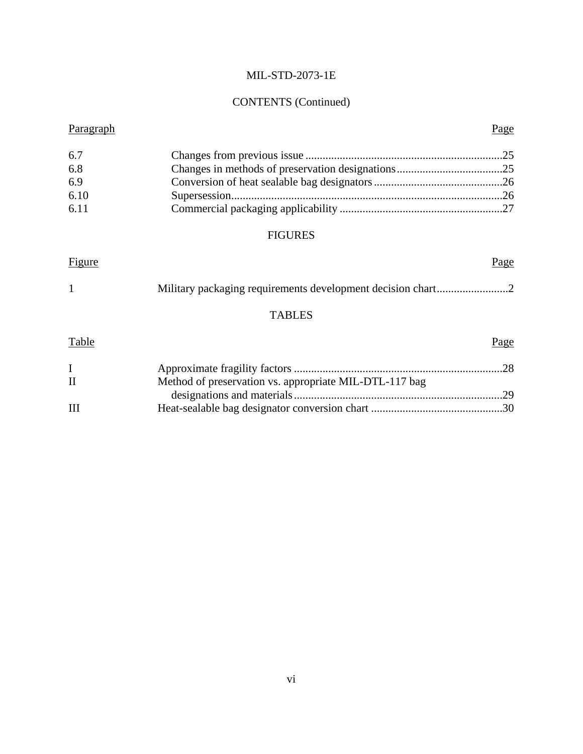### CONTENTS (Continued)

| Paragraph     |                                                        | Page        |
|---------------|--------------------------------------------------------|-------------|
| 6.7           |                                                        |             |
| 6.8           |                                                        |             |
| 6.9           |                                                        |             |
| 6.10          |                                                        |             |
| 6.11          |                                                        |             |
|               | <b>FIGURES</b>                                         |             |
| <b>Figure</b> |                                                        | <u>Page</u> |
| 1             |                                                        |             |
|               | <b>TABLES</b>                                          |             |
| Table         |                                                        | <u>Page</u> |
| $\mathbf I$   |                                                        | .28         |
| $\mathbf{I}$  | Method of preservation vs. appropriate MIL-DTL-117 bag |             |
|               |                                                        |             |
| III           |                                                        |             |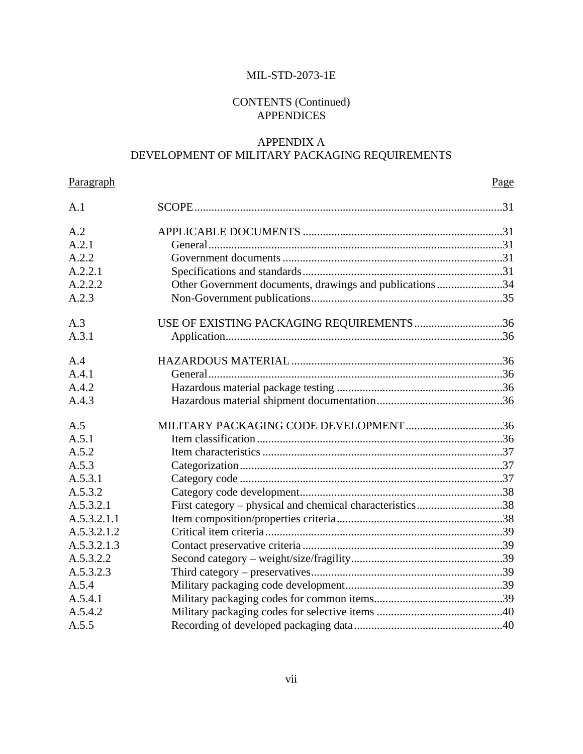### CONTENTS (Continued) APPENDICES

### APPENDIX A DEVELOPMENT OF MILITARY PACKAGING REQUIREMENTS

### Paragraph Page

| A.1         |                                                          |  |
|-------------|----------------------------------------------------------|--|
| A.2         |                                                          |  |
| A.2.1       |                                                          |  |
| A.2.2       |                                                          |  |
| A.2.2.1     |                                                          |  |
| A.2.2.2     | Other Government documents, drawings and publications 34 |  |
| A.2.3       |                                                          |  |
| A.3         | USE OF EXISTING PACKAGING REQUIREMENTS36                 |  |
| A.3.1       |                                                          |  |
| A.4         |                                                          |  |
| A.4.1       |                                                          |  |
| A.4.2       |                                                          |  |
| A.4.3       |                                                          |  |
| A.5         | MILITARY PACKAGING CODE DEVELOPMENT36                    |  |
| A.5.1       |                                                          |  |
| A.5.2       |                                                          |  |
| A.5.3       |                                                          |  |
| A.5.3.1     |                                                          |  |
| A.5.3.2     |                                                          |  |
| A.5.3.2.1   | First category – physical and chemical characteristics38 |  |
| A.5.3.2.1.1 |                                                          |  |
| A.5.3.2.1.2 |                                                          |  |
| A.5.3.2.1.3 |                                                          |  |
| A.5.3.2.2   |                                                          |  |
| A.5.3.2.3   |                                                          |  |
| A.5.4       |                                                          |  |
| A.5.4.1     |                                                          |  |
| A.5.4.2     |                                                          |  |
| A.5.5       |                                                          |  |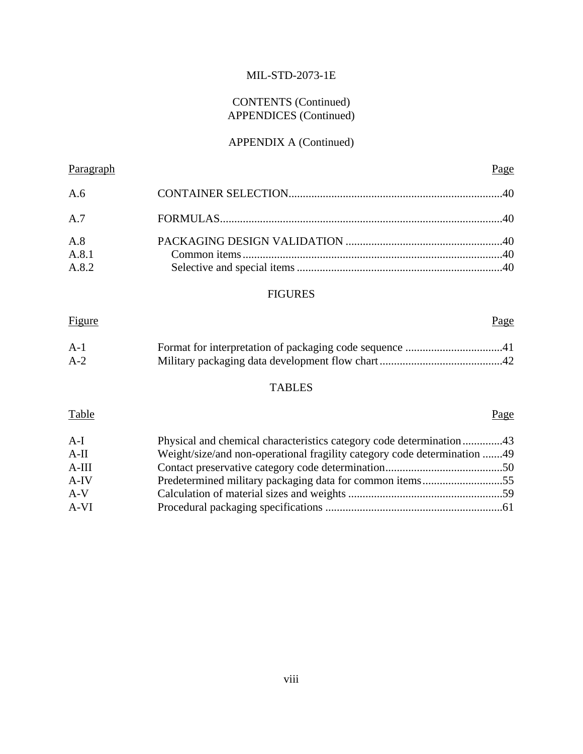### CONTENTS (Continued) APPENDICES (Continued)

### APPENDIX A (Continued)

| Paragraph             |                | Page |
|-----------------------|----------------|------|
| A.6                   |                |      |
| A.7                   |                |      |
| A.8<br>A.8.1<br>A.8.2 |                |      |
|                       | <b>FIGURES</b> |      |
| Figure                |                |      |

| $A-1$ |  |
|-------|--|
| $A-2$ |  |

### TABLES

| Table   |                                                                          | Page |
|---------|--------------------------------------------------------------------------|------|
| $A-I$   | Physical and chemical characteristics category code determination43      |      |
| $A-II$  | Weight/size/and non-operational fragility category code determination 49 |      |
| $A-III$ |                                                                          |      |
| $A-IV$  | Predetermined military packaging data for common items55                 |      |
| $A-V$   |                                                                          |      |
| $A-VI$  |                                                                          |      |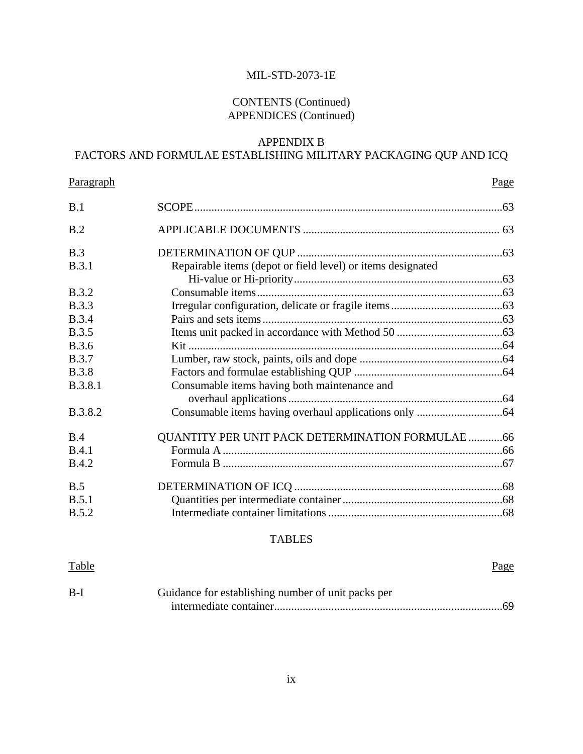### CONTENTS (Continued) APPENDICES (Continued)

### APPENDIX B FACTORS AND FORMULAE ESTABLISHING MILITARY PACKAGING QUP AND ICQ

### Paragraph Paragraph Page

| B.1          |                                                             |  |
|--------------|-------------------------------------------------------------|--|
| B.2          |                                                             |  |
| B.3          |                                                             |  |
| B.3.1        | Repairable items (depot or field level) or items designated |  |
|              |                                                             |  |
| <b>B.3.2</b> |                                                             |  |
| <b>B.3.3</b> |                                                             |  |
| <b>B.3.4</b> |                                                             |  |
| <b>B.3.5</b> |                                                             |  |
| <b>B.3.6</b> |                                                             |  |
| <b>B.3.7</b> |                                                             |  |
| <b>B.3.8</b> |                                                             |  |
| B.3.8.1      | Consumable items having both maintenance and                |  |
|              |                                                             |  |
| B.3.8.2      |                                                             |  |
| B.4          | <b>QUANTITY PER UNIT PACK DETERMINATION FORMULAE  66</b>    |  |
| B.4.1        |                                                             |  |
| <b>B.4.2</b> |                                                             |  |
| B.5          |                                                             |  |
| B.5.1        |                                                             |  |
| <b>B.5.2</b> |                                                             |  |
|              | <b>TABLES</b>                                               |  |

| $B-I$ | Guidance for establishing number of unit packs per |  |
|-------|----------------------------------------------------|--|
|       |                                                    |  |

Table Page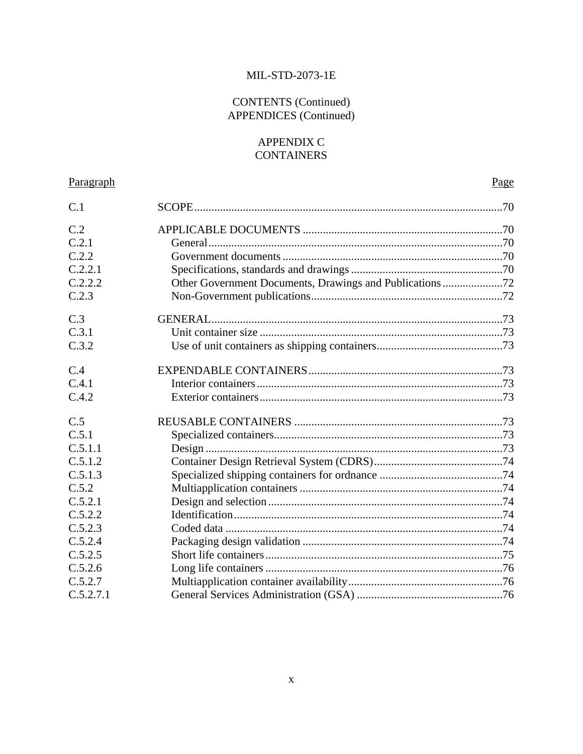### **CONTENTS** (Continued) **APPENDICES** (Continued)

### **APPENDIX C CONTAINERS**

### Paragraph

### Page

| C.1       |                                                         |  |
|-----------|---------------------------------------------------------|--|
| C.2       |                                                         |  |
| C.2.1     |                                                         |  |
| C.2.2     |                                                         |  |
| C.2.2.1   |                                                         |  |
| C.2.2.2   | Other Government Documents, Drawings and Publications72 |  |
| C.2.3     |                                                         |  |
| C.3       |                                                         |  |
| C.3.1     |                                                         |  |
| C.3.2     |                                                         |  |
| C.4       |                                                         |  |
| C.4.1     |                                                         |  |
| C.4.2     |                                                         |  |
| C.5       |                                                         |  |
| C.5.1     |                                                         |  |
| C.5.1.1   |                                                         |  |
| C.5.1.2   |                                                         |  |
| C.5.1.3   |                                                         |  |
| C.5.2     |                                                         |  |
| C.5.2.1   |                                                         |  |
| C.5.2.2   |                                                         |  |
| C.5.2.3   |                                                         |  |
| C.5.2.4   |                                                         |  |
| C.5.2.5   |                                                         |  |
| C.5.2.6   |                                                         |  |
| C.5.2.7   |                                                         |  |
| C.5.2.7.1 |                                                         |  |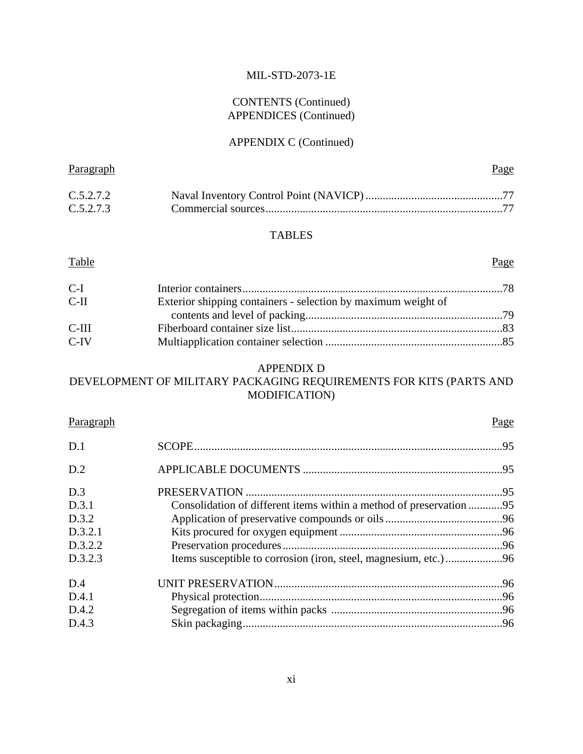### CONTENTS (Continued) APPENDICES (Continued)

#### APPENDIX C (Continued)

| <b>Paragraph</b> | Page |  |
|------------------|------|--|
| C.5.2.7.2        |      |  |
| C.5.2.7.3        |      |  |

#### TABLES

### Table Page C-I Interior containers..........................................................................................[.78](#page-95-0)  C-II Exterior shipping containers - selection by maximum weight of contents and level of packing....................................................................[.79](#page-96-0)  C-III Fiberboard container size list..........................................................................[83](#page-100-0)  C-IV Multiapplication container selection .............................................................[.85](#page-102-0)

#### APPENDIX D

### DEVELOPMENT OF MILITARY PACKAGING REQUIREMENTS FOR KITS (PARTS AND MODIFICATION)

| Paragraph |                                                                     | Page |
|-----------|---------------------------------------------------------------------|------|
| D.1       |                                                                     |      |
| D.2       |                                                                     |      |
| D.3       |                                                                     |      |
| D.3.1     | Consolidation of different items within a method of preservation 95 |      |
| D.3.2     |                                                                     |      |
| D.3.2.1   |                                                                     |      |
| D.3.2.2   |                                                                     |      |
| D.3.2.3   | Items susceptible to corrosion (iron, steel, magnesium, etc.)96     |      |
| D.4       |                                                                     |      |
| D.4.1     |                                                                     |      |
| D.4.2     |                                                                     |      |
| D.4.3     |                                                                     |      |
|           |                                                                     |      |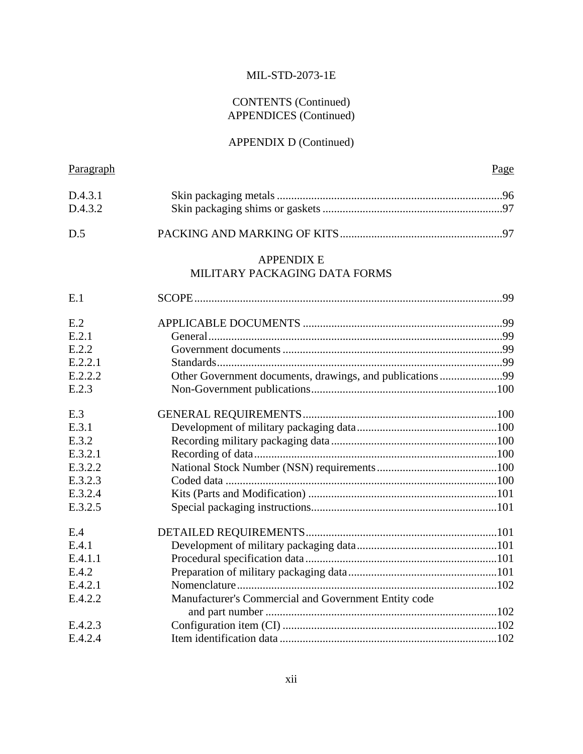### CONTENTS (Continued) APPENDICES (Continued)

### APPENDIX D (Continued)

| Paragraph          |                                                          | Page |
|--------------------|----------------------------------------------------------|------|
| D.4.3.1<br>D.4.3.2 |                                                          |      |
| D.5                |                                                          |      |
|                    | <b>APPENDIX E</b>                                        |      |
|                    | MILITARY PACKAGING DATA FORMS                            |      |
| E.1                |                                                          |      |
| E.2                |                                                          |      |
| E.2.1              |                                                          |      |
| E.2.2              |                                                          |      |
| E.2.2.1            |                                                          |      |
| E.2.2.2            | Other Government documents, drawings, and publications99 |      |
| E.2.3              |                                                          |      |
| E.3                |                                                          |      |
| E.3.1              |                                                          |      |
| E.3.2              |                                                          |      |
| E.3.2.1            |                                                          |      |
| E.3.2.2            |                                                          |      |
| E.3.2.3            |                                                          |      |
| E.3.2.4            |                                                          |      |
| E.3.2.5            |                                                          |      |
| E.4                |                                                          |      |
| E.4.1              |                                                          |      |
| E.4.1.1            |                                                          |      |
| E.4.2              |                                                          |      |
| E.4.2.1            |                                                          |      |
| E.4.2.2            | Manufacturer's Commercial and Government Entity code     |      |
|                    |                                                          |      |
| E.4.2.3            |                                                          |      |
| E.4.2.4            |                                                          |      |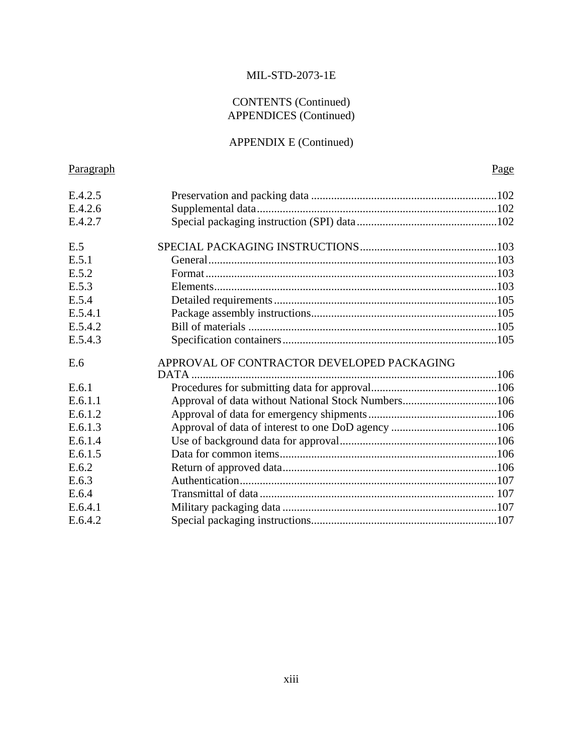#### CONTENTS (Continued) APPENDICES (Continued)

#### APPENDIX E (Continued)

### Paragraph Paragraph Page E.4.2.5 Preservation and packing data ................................................................[.102](#page-119-0)  E.4.2.6 Supplemental data...................................................................................[.102](#page-119-0)  E.4.2.7 Special packaging instruction (SPI) data................................................[.102](#page-119-0)  E.5 SPECIAL PACKAGING INSTRUCTIONS................................................[103](#page-120-0)  E.5.1 General.....................................................................................................[103](#page-120-0)  E.5.2 Format......................................................................................................[103](#page-120-0)  E.5.3 Elements..................................................................................................[.103](#page-120-0)  E.5.4 Detailed requirements .............................................................................[.105](#page-122-0)  E.5.4.1 Package assembly instructions.................................................................[105](#page-122-0)  E.5.4.2 Bill of materials ......................................................................................[.105](#page-122-0)  E.5.4.3 Specification containers..........................................................................[.105](#page-122-0)  E.6 APPROVAL OF CONTRACTOR DEVELOPED PACKAGING DATA ..........................................................................................................[.106](#page-123-0)  E.6.1 Procedures for submitting data for approval...........................................[.106](#page-123-0)  E.6.1.1 Approval of data without National Stock Numbers................................[.106](#page-123-0)  E.6.1.2 Approval of data for emergency shipments............................................[.106](#page-123-0)  E.6.1.3 Approval of data of interest to one DoD agency ....................................[.106](#page-123-0)  E.6.1.4 Use of background data for approval......................................................[.106](#page-123-0)  E.6.1.5 Data for common items...........................................................................[.106](#page-123-0)  E.6.2 Return of approved data..........................................................................[.106](#page-123-0)  E.6.3 Authentication.........................................................................................[.107](#page-124-0)  E.6.4 Transmittal of data .................................................................................. [107](#page-124-0)  E.6.4.1 Military packaging data ..........................................................................[.107](#page-124-0)  E.6.4.2 Special packaging instructions.................................................................[107](#page-124-0)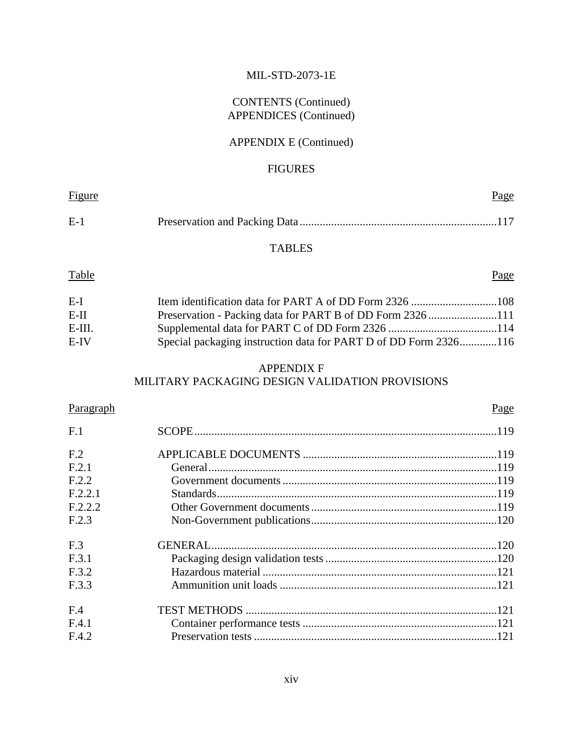### CONTENTS (Continued) APPENDICES (Continued)

### APPENDIX E (Continued)

#### FIGURES

| <b>Figure</b> | Page |
|---------------|------|
| $E-1$         |      |

### TABLES

| Table<br>the contract of the contract of the contract of | Page |
|----------------------------------------------------------|------|
|                                                          |      |

| $E-I$  |                                                                  |  |
|--------|------------------------------------------------------------------|--|
| $E-II$ |                                                                  |  |
| E-III. |                                                                  |  |
| E-IV   | Special packaging instruction data for PART D of DD Form 2326116 |  |

### APPENDIX F

### MILITARY PACKAGING DESIGN VALIDATION PROVISIONS

| Paragraph       | Page |
|-----------------|------|
| F <sub>.1</sub> |      |
| F <sub>12</sub> |      |
| F.2.1           |      |
| F.2.2           |      |
| F.2.2.1         |      |
| F.2.2.2         |      |
| F.2.3           |      |
| F.3             |      |
| F.3.1           |      |
| F.3.2           |      |
| F.3.3           |      |
| F.4             |      |
| F.4.1           |      |
| F.4.2           |      |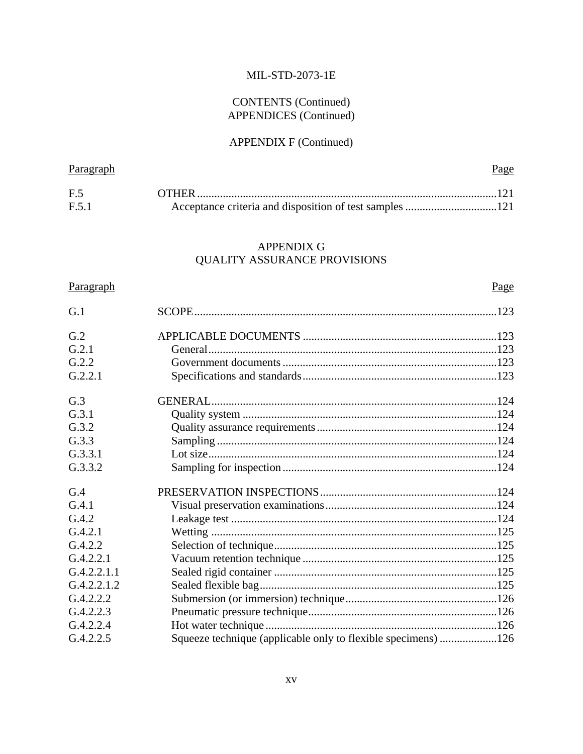### **CONTENTS** (Continued) **APPENDICES** (Continued)

### **APPENDIX F (Continued)**

| <b>Paragraph</b> | Page |
|------------------|------|
| F <sub>5</sub>   |      |
| F.5.1            |      |

### APPENDIX G **QUALITY ASSURANCE PROVISIONS**

### Paragraph

### Page

| G.1         |                                                               |  |
|-------------|---------------------------------------------------------------|--|
| G.2         |                                                               |  |
| G.2.1       |                                                               |  |
| G.2.2       |                                                               |  |
| G.2.2.1     |                                                               |  |
| G.3         |                                                               |  |
| G.3.1       |                                                               |  |
| G.3.2       |                                                               |  |
| G.3.3       |                                                               |  |
| G.3.3.1     |                                                               |  |
| G.3.3.2     |                                                               |  |
| G.4         |                                                               |  |
| G.4.1       |                                                               |  |
| G.4.2       |                                                               |  |
| G.4.2.1     |                                                               |  |
| G.4.2.2     |                                                               |  |
| G.4.2.2.1   |                                                               |  |
| G.4.2.2.1.1 |                                                               |  |
| G.4.2.2.1.2 |                                                               |  |
| G.4.2.2.2   |                                                               |  |
| G.4.2.2.3   |                                                               |  |
| G.4.2.2.4   |                                                               |  |
| G.4.2.2.5   | Squeeze technique (applicable only to flexible specimens) 126 |  |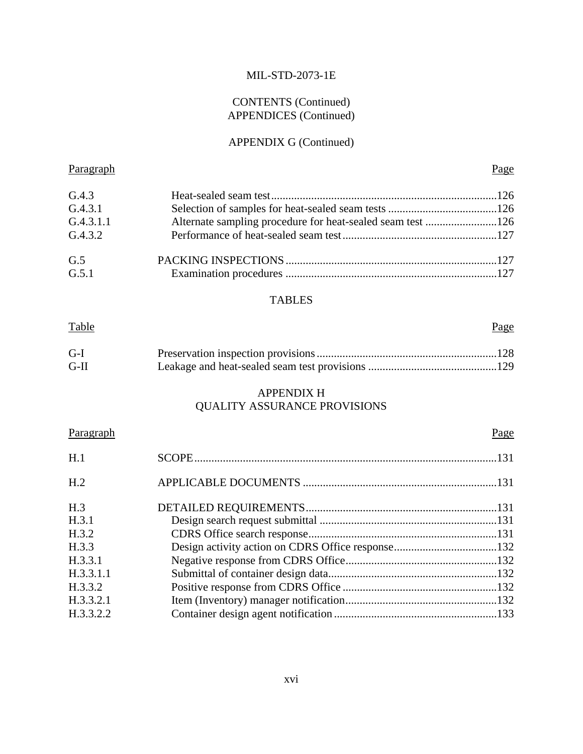### CONTENTS (Continued) APPENDICES (Continued)

### APPENDIX G (Continued)

| Paragraph                                                                                   | Page                                                       |
|---------------------------------------------------------------------------------------------|------------------------------------------------------------|
| G.4.3<br>G.4.3.1<br>G.4.3.1.1<br>G.4.3.2                                                    | Alternate sampling procedure for heat-sealed seam test 126 |
| G.5<br>G.5.1                                                                                |                                                            |
|                                                                                             | <b>TABLES</b>                                              |
| Table                                                                                       | Page                                                       |
| $G-I$<br>$G-II$                                                                             |                                                            |
|                                                                                             | <b>APPENDIX H</b><br><b>QUALITY ASSURANCE PROVISIONS</b>   |
| Paragraph                                                                                   | Page                                                       |
| H.1                                                                                         |                                                            |
| H <sub>.2</sub>                                                                             |                                                            |
| H.3<br>H.3.1<br>H.3.2<br>H.3.3<br>H.3.3.1<br>H.3.3.1.1<br>H.3.3.2<br>H.3.3.2.1<br>H.3.3.2.2 |                                                            |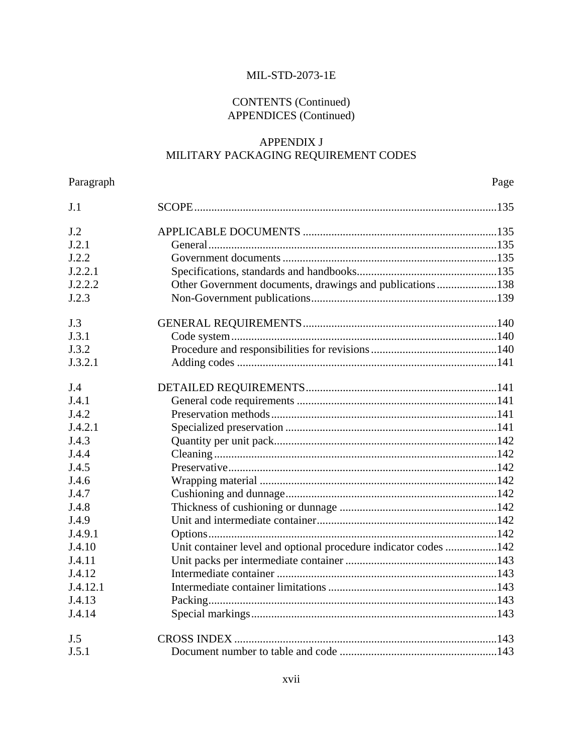### **CONTENTS** (Continued) **APPENDICES** (Continued)

### **APPENDIX J** MILITARY PACKAGING REQUIREMENT CODES

### Paragraph

Page

| J.1      |                                                                 |  |
|----------|-----------------------------------------------------------------|--|
| J.2      |                                                                 |  |
| J.2.1    |                                                                 |  |
| J.2.2    |                                                                 |  |
| J.2.2.1  |                                                                 |  |
| J.2.2.2  | Other Government documents, drawings and publications 138       |  |
| J.2.3    |                                                                 |  |
| J.3      |                                                                 |  |
| J.3.1    |                                                                 |  |
| J.3.2    |                                                                 |  |
| J.3.2.1  |                                                                 |  |
| J.4      |                                                                 |  |
| J.4.1    |                                                                 |  |
| J.4.2    |                                                                 |  |
| J.4.2.1  |                                                                 |  |
| J.4.3    |                                                                 |  |
| J.4.4    |                                                                 |  |
| J.4.5    |                                                                 |  |
| J.4.6    |                                                                 |  |
| J.4.7    |                                                                 |  |
| J.4.8    |                                                                 |  |
| J.4.9    |                                                                 |  |
| J.4.9.1  |                                                                 |  |
| J.4.10   | Unit container level and optional procedure indicator codes 142 |  |
| J.4.11   |                                                                 |  |
| J.4.12   |                                                                 |  |
| J.4.12.1 |                                                                 |  |
| J.4.13   |                                                                 |  |
| J.4.14   |                                                                 |  |
| J.5      |                                                                 |  |
| J.5.1    |                                                                 |  |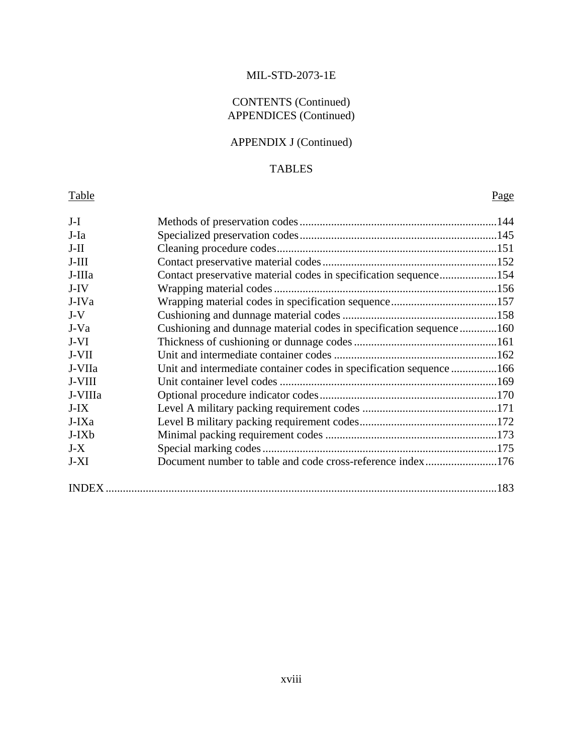### CONTENTS (Continued) APPENDICES (Continued)

### APPENDIX J (Continued)

### TABLES

#### Table Page

| $J-I$   |                                                                     |  |
|---------|---------------------------------------------------------------------|--|
| J-Ia    |                                                                     |  |
| $J-II$  |                                                                     |  |
| $J-III$ |                                                                     |  |
| J-IIIa  | Contact preservative material codes in specification sequence154    |  |
| J-IV    |                                                                     |  |
| J-IVa   |                                                                     |  |
| $J-V$   |                                                                     |  |
| $J-Va$  | Cushioning and dunnage material codes in specification sequence160  |  |
| J-VI    |                                                                     |  |
| J-VII   |                                                                     |  |
| J-VIIa  | Unit and intermediate container codes in specification sequence 166 |  |
| J-VIII  |                                                                     |  |
| J-VIIIa |                                                                     |  |
| $J-IX$  |                                                                     |  |
| J-IXa   |                                                                     |  |
| $J-IXb$ |                                                                     |  |
| $J-X$   |                                                                     |  |
| J-XI    | Document number to table and code cross-reference index176          |  |
|         |                                                                     |  |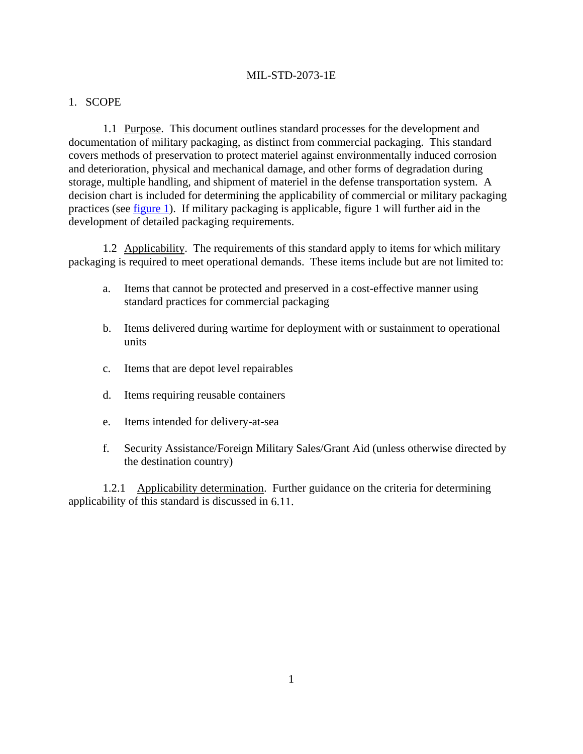#### <span id="page-18-0"></span>1. SCOPE

 1.1 Purpose. This document outlines standard processes for the development and documentation of military packaging, as distinct from commercial packaging. This standard covers methods of preservation to protect materiel against environmentally induced corrosion and deterioration, physical and mechanical damage, and other forms of degradation during storage, multiple handling, and shipment of materiel in the defense transportation system. A decision chart is included for determining the applicability of commercial or military packaging practices (see [figure 1\)](#page-19-0). If military packaging is applicable, figure 1 will further aid in the development of detailed packaging requirements.

 1.2 Applicability. The requirements of this standard apply to items for which military packaging is required to meet operational demands. These items include but are not limited to:

- a. Items that cannot be protected and preserved in a cost-effective manner using standard practices for commercial packaging
- b. Items delivered during wartime for deployment with or sustainment to operational units
- c. Items that are depot level repairables
- d. Items requiring reusable containers
- e. Items intended for delivery-at-sea
- f. Security Assistance/Foreign Military Sales/Grant Aid (unless otherwise directed by the destination country)

 1.2.1 Applicability determination. Further guidance on the criteria for determining applicability of this standard is discussed in [6.11.](#page-0-0)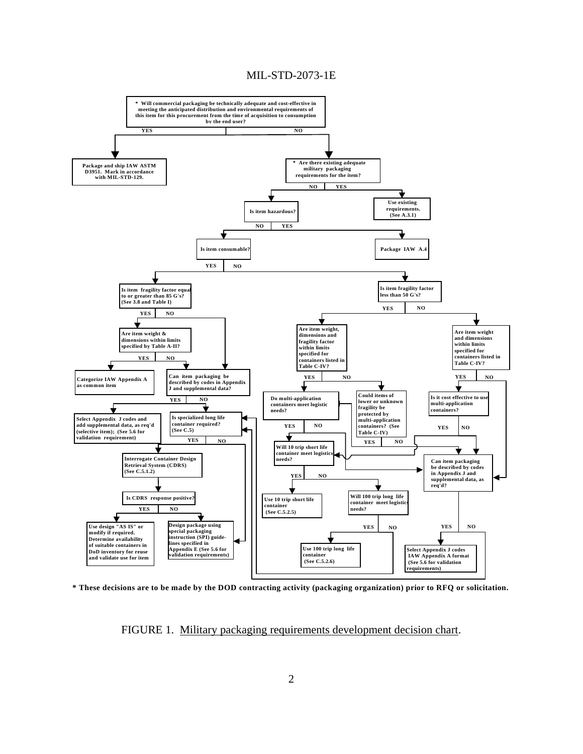<span id="page-19-0"></span>

**\* These decisions are to be made by the DOD contracting activity (packaging organization) prior to RFQ or solicitation.**

FIGURE 1. Military packaging requirements development decision chart.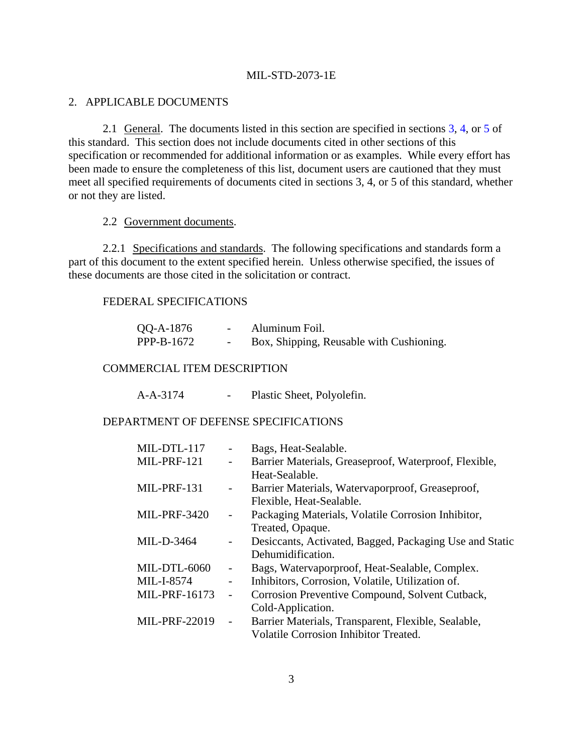#### <span id="page-20-0"></span>2. APPLICABLE DOCUMENTS

 2.1 General. The documents listed in this section are specified in sections [3](#page-23-0), [4](#page-27-0), or [5](#page-28-0) of this standard. This section does not include documents cited in other sections of this specification or recommended for additional information or as examples. While every effort has been made to ensure the completeness of this list, document users are cautioned that they must meet all specified requirements of documents cited in sections 3, 4, or 5 of this standard, whether or not they are listed.

#### 2.2 Government documents.

 2.2.1 Specifications and standards. The following specifications and standards form a part of this document to the extent specified herein. Unless otherwise specified, the issues of these documents are those cited in the solicitation or contract.

#### FEDERAL SPECIFICATIONS

| QQ-A-1876  | $\overline{\phantom{0}}$ | Aluminum Foil.                           |
|------------|--------------------------|------------------------------------------|
| PPP-B-1672 | $\overline{\phantom{0}}$ | Box, Shipping, Reusable with Cushioning. |

#### COMMERCIAL ITEM DESCRIPTION

A-A-3174 - Plastic Sheet, Polyolefin.

#### DEPARTMENT OF DEFENSE SPECIFICATIONS

| MIL-DTL-117         |                          | Bags, Heat-Sealable.                                    |
|---------------------|--------------------------|---------------------------------------------------------|
| MIL-PRF-121         | $\qquad \qquad -$        | Barrier Materials, Greaseproof, Waterproof, Flexible,   |
|                     |                          | Heat-Sealable.                                          |
| MIL-PRF-131         | $\sim$                   | Barrier Materials, Watervaporproof, Greaseproof,        |
|                     |                          | Flexible, Heat-Sealable.                                |
| <b>MIL-PRF-3420</b> | $\overline{\phantom{a}}$ | Packaging Materials, Volatile Corrosion Inhibitor,      |
|                     |                          | Treated, Opaque.                                        |
| MIL-D-3464          | $\overline{\phantom{a}}$ | Desiccants, Activated, Bagged, Packaging Use and Static |
|                     |                          | Dehumidification.                                       |
| MIL-DTL-6060        | $\overline{\phantom{a}}$ | Bags, Watervaporproof, Heat-Sealable, Complex.          |
| MIL-I-8574          |                          | Inhibitors, Corrosion, Volatile, Utilization of.        |
| MIL-PRF-16173       | $\overline{\phantom{a}}$ | Corrosion Preventive Compound, Solvent Cutback,         |
|                     |                          | Cold-Application.                                       |
| MIL-PRF-22019       | $\overline{\phantom{a}}$ | Barrier Materials, Transparent, Flexible, Sealable,     |
|                     |                          | <b>Volatile Corrosion Inhibitor Treated.</b>            |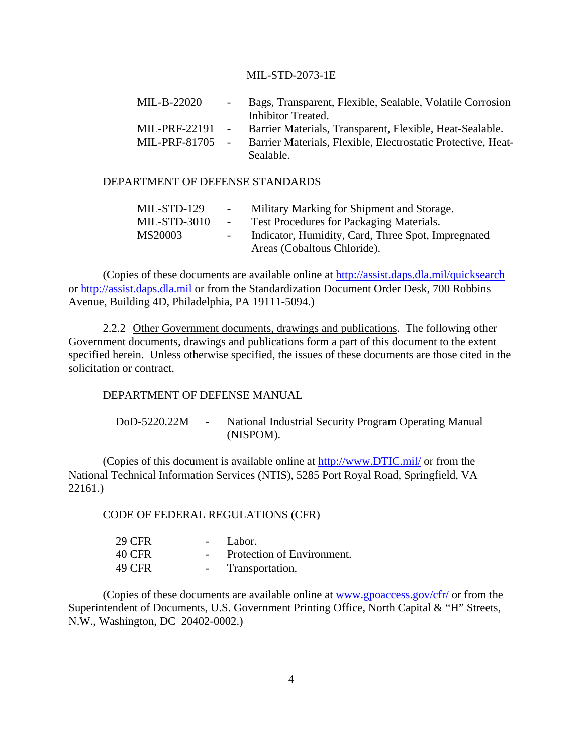<span id="page-21-0"></span>

| MIL-B-22020          | - Bags, Transparent, Flexible, Sealable, Volatile Corrosion              |
|----------------------|--------------------------------------------------------------------------|
|                      | Inhibitor Treated.                                                       |
|                      | MIL-PRF-22191 - Barrier Materials, Transparent, Flexible, Heat-Sealable. |
| $MI - PRF - 81705 -$ | Barrier Materials, Flexible, Electrostatic Protective, Heat-             |
|                      | Sealable.                                                                |

#### DEPARTMENT OF DEFENSE STANDARDS

| MIL-STD-129  | Military Marking for Shipment and Storage.         |
|--------------|----------------------------------------------------|
| MIL-STD-3010 | Test Procedures for Packaging Materials.           |
| MS20003      | Indicator, Humidity, Card, Three Spot, Impregnated |
|              | Areas (Cobaltous Chloride).                        |

 (Copies of these documents are available online at <http://assist.daps.dla.mil/quicksearch> or [http://assist.daps.dla.mil](http://assist.daps.dla.mil/) or from the Standardization Document Order Desk, 700 Robbins Avenue, Building 4D, Philadelphia, PA 19111-5094.)

 2.2.2 Other Government documents, drawings and publications. The following other Government documents, drawings and publications form a part of this document to the extent specified herein. Unless otherwise specified, the issues of these documents are those cited in the solicitation or contract.

DEPARTMENT OF DEFENSE MANUAL

 DoD-5220.22M - National Industrial Security Program Operating Manual (NISPOM).

 (Copies of this document is available online at [http://www.DTIC.mil/](http://www.dtic.mil/) or from the National Technical Information Services (NTIS), 5285 Port Royal Road, Springfield, VA 22161.)

CODE OF FEDERAL REGULATIONS (CFR)

| <b>29 CFR</b> | Labor.                     |
|---------------|----------------------------|
| 40 CFR        | Protection of Environment. |
| 49 CFR        | Transportation.            |

 (Copies of these documents are available online at [www.gpoaccess.gov/cfr/](http://www.gpoaccess.gov/cfr/about.html) or from the Superintendent of Documents, U.S. Government Printing Office, North Capital & "H" Streets, N.W., Washington, DC 20402-0002.)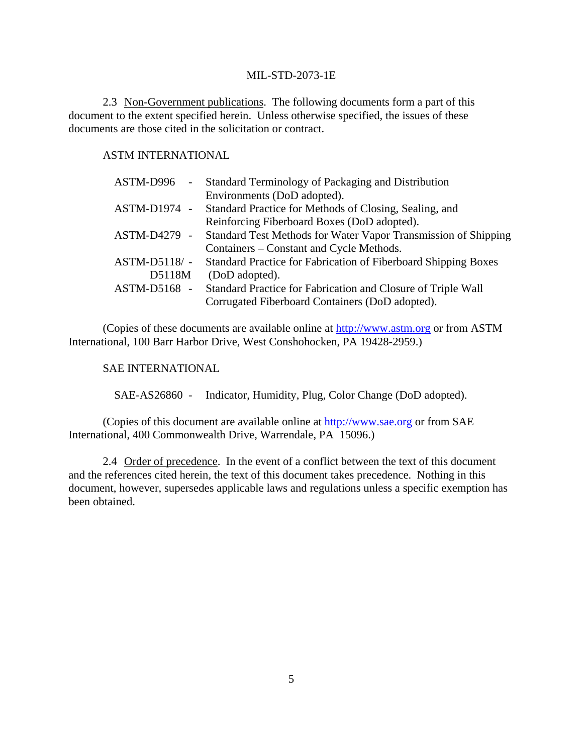<span id="page-22-0"></span> 2.3 Non-Government publications. The following documents form a part of this document to the extent specified herein. Unless otherwise specified, the issues of these documents are those cited in the solicitation or contract.

#### ASTM INTERNATIONAL

| ASTM-D996<br>$\sim$ | Standard Terminology of Packaging and Distribution             |
|---------------------|----------------------------------------------------------------|
|                     | Environments (DoD adopted).                                    |
| ASTM-D1974 -        | Standard Practice for Methods of Closing, Sealing, and         |
|                     | Reinforcing Fiberboard Boxes (DoD adopted).                    |
| ASTM-D4279 -        | Standard Test Methods for Water Vapor Transmission of Shipping |
|                     | Containers – Constant and Cycle Methods.                       |
| ASTM-D5118/-        | Standard Practice for Fabrication of Fiberboard Shipping Boxes |
| D5118M              | (DoD adopted).                                                 |
| ASTM-D5168 -        | Standard Practice for Fabrication and Closure of Triple Wall   |
|                     | Corrugated Fiberboard Containers (DoD adopted).                |

 (Copies of these documents are available online at [http://www.astm.org](http://www.astm.org/) or from ASTM International, 100 Barr Harbor Drive, West Conshohocken, PA 19428-2959.)

#### SAE INTERNATIONAL

SAE-AS26860 - Indicator, Humidity, Plug, Color Change (DoD adopted).

 (Copies of this document are available online at [http://www.sae.org](http://www.sae.org/) or from SAE International, 400 Commonwealth Drive, Warrendale, PA 15096.)

 2.4 Order of precedence. In the event of a conflict between the text of this document and the references cited herein, the text of this document takes precedence. Nothing in this document, however, supersedes applicable laws and regulations unless a specific exemption has been obtained.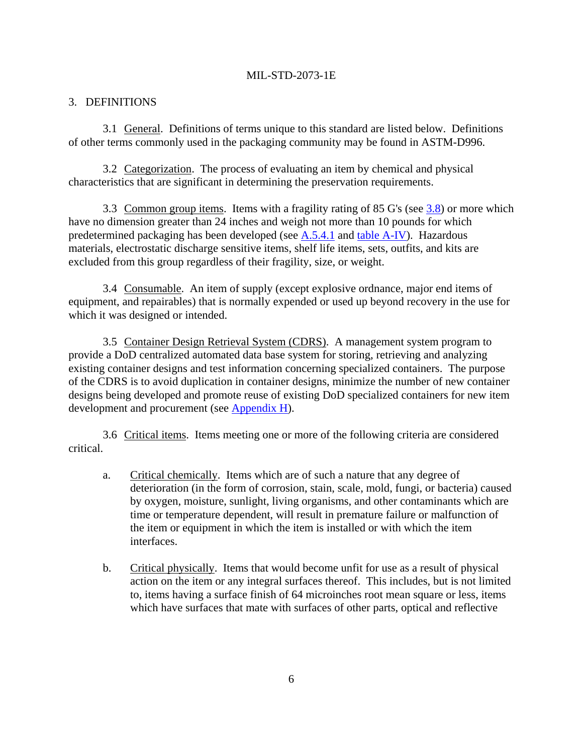#### <span id="page-23-0"></span>3. DEFINITIONS

 3.1 General. Definitions of terms unique to this standard are listed below. Definitions of other terms commonly used in the packaging community may be found in ASTM-D996.

 3.2 Categorization. The process of evaluating an item by chemical and physical characteristics that are significant in determining the preservation requirements.

 3.3 Common group items. Items with a fragility rating of 85 G's (see [3.8\)](#page-0-0) or more which have no dimension greater than 24 inches and weigh not more than 10 pounds for which predetermined packaging has been developed (see [A.5.4.1](#page-56-0) and [table A-IV\)](#page-72-0). Hazardous materials, electrostatic discharge sensitive items, shelf life items, sets, outfits, and kits are excluded from this group regardless of their fragility, size, or weight.

 3.4 Consumable. An item of supply (except explosive ordnance, major end items of equipment, and repairables) that is normally expended or used up beyond recovery in the use for which it was designed or intended.

 3.5 Container Design Retrieval System (CDRS). A management system program to provide a DoD centralized automated data base system for storing, retrieving and analyzing existing container designs and test information concerning specialized containers. The purpose of the CDRS is to avoid duplication in container designs, minimize the number of new container designs being developed and promote reuse of existing DoD specialized containers for new item development and procurement (see [Appendix H](#page-148-0)).

 3.6 Critical items. Items meeting one or more of the following criteria are considered critical.

- a. Critical chemically. Items which are of such a nature that any degree of deterioration (in the form of corrosion, stain, scale, mold, fungi, or bacteria) caused by oxygen, moisture, sunlight, living organisms, and other contaminants which are time or temperature dependent, will result in premature failure or malfunction of the item or equipment in which the item is installed or with which the item interfaces.
- b. Critical physically. Items that would become unfit for use as a result of physical action on the item or any integral surfaces thereof. This includes, but is not limited to, items having a surface finish of 64 microinches root mean square or less, items which have surfaces that mate with surfaces of other parts, optical and reflective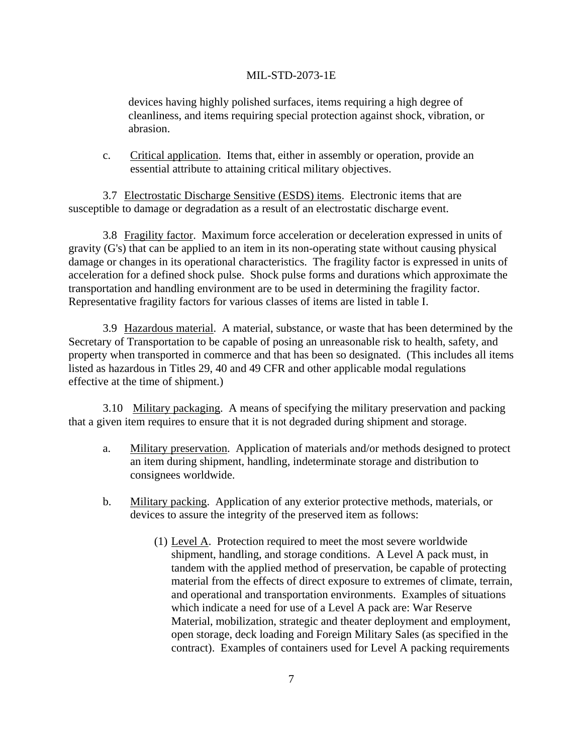<span id="page-24-0"></span>devices having highly polished surfaces, items requiring a high degree of cleanliness, and items requiring special protection against shock, vibration, or abrasion.

c. Critical application. Items that, either in assembly or operation, provide an essential attribute to attaining critical military objectives.

 3.7 Electrostatic Discharge Sensitive (ESDS) items. Electronic items that are susceptible to damage or degradation as a result of an electrostatic discharge event.

 3.8 Fragility factor. Maximum force acceleration or deceleration expressed in units of gravity (G's) that can be applied to an item in its non-operating state without causing physical damage or changes in its operational characteristics. The fragility factor is expressed in units of acceleration for a defined shock pulse. Shock pulse forms and durations which approximate the transportation and handling environment are to be used in determining the fragility factor. Representative fragility factors for various classes of items are listed in table I.

 3.9 Hazardous material. A material, substance, or waste that has been determined by the Secretary of Transportation to be capable of posing an unreasonable risk to health, safety, and property when transported in commerce and that has been so designated. (This includes all items listed as hazardous in Titles 29, 40 and 49 CFR and other applicable modal regulations effective at the time of shipment.)

 3.10 Military packaging. A means of specifying the military preservation and packing that a given item requires to ensure that it is not degraded during shipment and storage.

- a. Military preservation. Application of materials and/or methods designed to protect an item during shipment, handling, indeterminate storage and distribution to consignees worldwide.
- b. Military packing. Application of any exterior protective methods, materials, or devices to assure the integrity of the preserved item as follows:
	- (1) Level A. Protection required to meet the most severe worldwide shipment, handling, and storage conditions. A Level A pack must, in tandem with the applied method of preservation, be capable of protecting material from the effects of direct exposure to extremes of climate, terrain, and operational and transportation environments. Examples of situations which indicate a need for use of a Level A pack are: War Reserve Material, mobilization, strategic and theater deployment and employment, open storage, deck loading and Foreign Military Sales (as specified in the contract). Examples of containers used for Level A packing requirements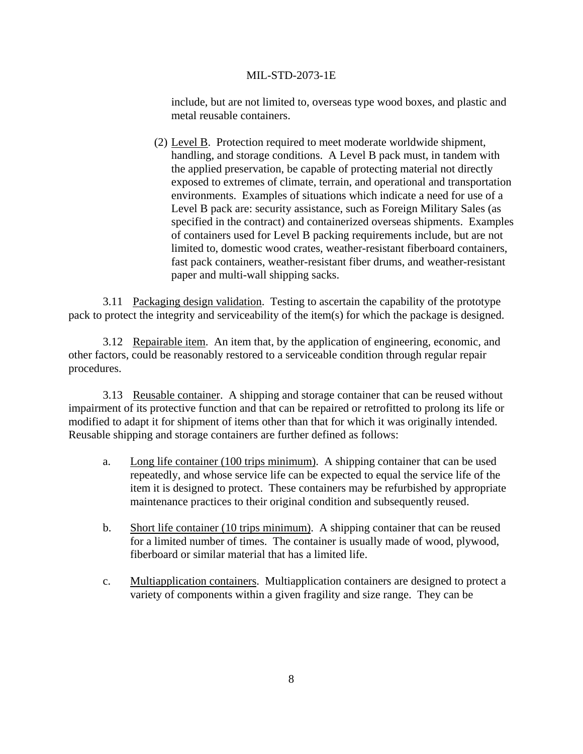<span id="page-25-0"></span>include, but are not limited to, overseas type wood boxes, and plastic and metal reusable containers.

(2) Level B. Protection required to meet moderate worldwide shipment, handling, and storage conditions. A Level B pack must, in tandem with the applied preservation, be capable of protecting material not directly exposed to extremes of climate, terrain, and operational and transportation environments. Examples of situations which indicate a need for use of a Level B pack are: security assistance, such as Foreign Military Sales (as specified in the contract) and containerized overseas shipments. Examples of containers used for Level B packing requirements include, but are not limited to, domestic wood crates, weather-resistant fiberboard containers, fast pack containers, weather-resistant fiber drums, and weather-resistant paper and multi-wall shipping sacks.

 3.11 Packaging design validation. Testing to ascertain the capability of the prototype pack to protect the integrity and serviceability of the item(s) for which the package is designed.

 3.12 Repairable item. An item that, by the application of engineering, economic, and other factors, could be reasonably restored to a serviceable condition through regular repair procedures.

 3.13 Reusable container. A shipping and storage container that can be reused without impairment of its protective function and that can be repaired or retrofitted to prolong its life or modified to adapt it for shipment of items other than that for which it was originally intended. Reusable shipping and storage containers are further defined as follows:

- a. Long life container (100 trips minimum). A shipping container that can be used repeatedly, and whose service life can be expected to equal the service life of the item it is designed to protect. These containers may be refurbished by appropriate maintenance practices to their original condition and subsequently reused.
- b. Short life container (10 trips minimum). A shipping container that can be reused for a limited number of times. The container is usually made of wood, plywood, fiberboard or similar material that has a limited life.
- c. Multiapplication containers. Multiapplication containers are designed to protect a variety of components within a given fragility and size range. They can be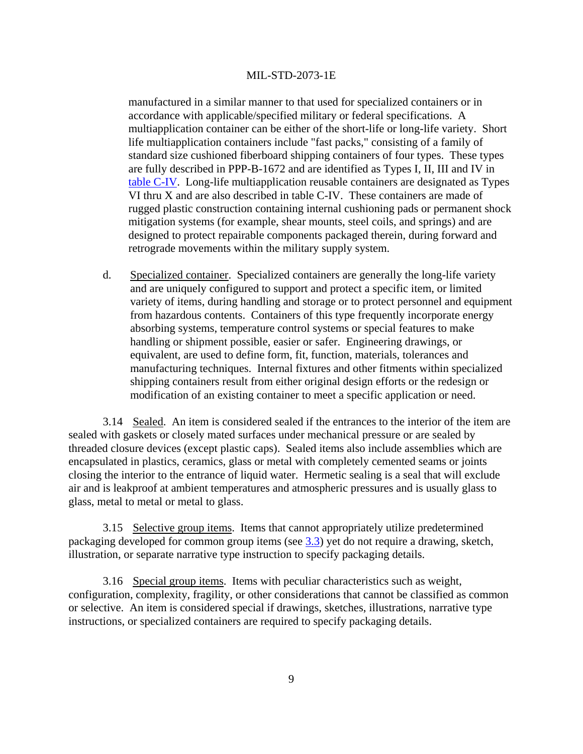<span id="page-26-0"></span>manufactured in a similar manner to that used for specialized containers or in accordance with applicable/specified military or federal specifications. A multiapplication container can be either of the short-life or long-life variety. Short life multiapplication containers include "fast packs," consisting of a family of standard size cushioned fiberboard shipping containers of four types. These types are fully described in PPP-B-1672 and are identified as Types I, II, III and IV in [table C-IV](#page-102-0). Long-life multiapplication reusable containers are designated as Types VI thru X and are also described in table C-IV. These containers are made of rugged plastic construction containing internal cushioning pads or permanent shock mitigation systems (for example, shear mounts, steel coils, and springs) and are designed to protect repairable components packaged therein, during forward and retrograde movements within the military supply system.

d. Specialized container. Specialized containers are generally the long-life variety and are uniquely configured to support and protect a specific item, or limited variety of items, during handling and storage or to protect personnel and equipment from hazardous contents. Containers of this type frequently incorporate energy absorbing systems, temperature control systems or special features to make handling or shipment possible, easier or safer. Engineering drawings, or equivalent, are used to define form, fit, function, materials, tolerances and manufacturing techniques. Internal fixtures and other fitments within specialized shipping containers result from either original design efforts or the redesign or modification of an existing container to meet a specific application or need.

 3.14 Sealed. An item is considered sealed if the entrances to the interior of the item are sealed with gaskets or closely mated surfaces under mechanical pressure or are sealed by threaded closure devices (except plastic caps). Sealed items also include assemblies which are encapsulated in plastics, ceramics, glass or metal with completely cemented seams or joints closing the interior to the entrance of liquid water. Hermetic sealing is a seal that will exclude air and is leakproof at ambient temperatures and atmospheric pressures and is usually glass to glass, metal to metal or metal to glass.

3.15 Selective group items. Items that cannot appropriately utilize predetermined packaging developed for common group items (see [3.3\)](#page-23-0) yet do not require a drawing, sketch, illustration, or separate narrative type instruction to specify packaging details.

 3.16 Special group items. Items with peculiar characteristics such as weight, configuration, complexity, fragility, or other considerations that cannot be classified as common or selective. An item is considered special if drawings, sketches, illustrations, narrative type instructions, or specialized containers are required to specify packaging details.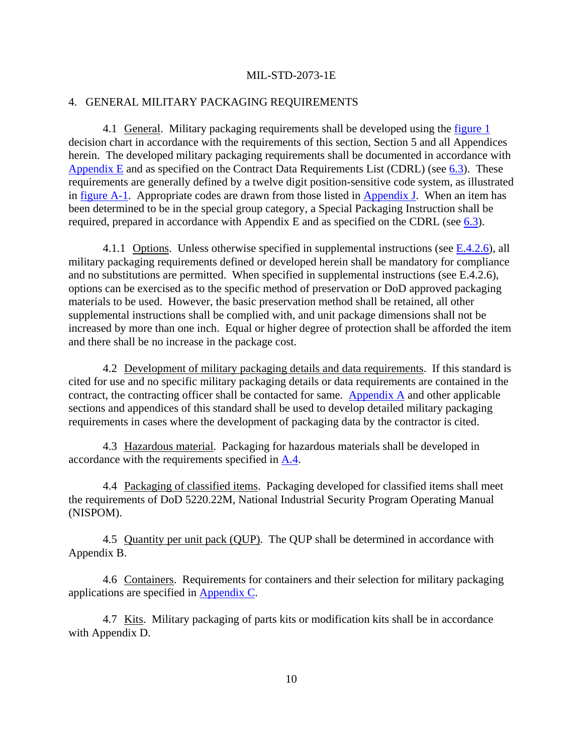#### <span id="page-27-0"></span>4. GENERAL MILITARY PACKAGING REQUIREMENTS

 4.1 General. Military packaging requirements shall be developed using the [figure 1](#page-19-0) decision chart in accordance with the requirements of this section, Section 5 and all Appendices herein. The developed military packaging requirements shall be documented in accordance with [Appendix E](#page-116-0) and as specified on the Contract Data Requirements List (CDRL) (see [6.3\)](#page-41-0). These requirements are generally defined by a twelve digit position-sensitive code system, as illustrated in [figure A-1.](#page-58-0) Appropriate codes are drawn from those listed in [Appendix J.](#page-152-0) When an item has been determined to be in the special group category, a Special Packaging Instruction shall be required, prepared in accordance with Appendix E and as specified on the CDRL (see [6.3](#page-41-0)).

4.1.1 Options. Unless otherwise specified in supplemental instructions (see [E.4.2.6\)](#page-119-0), all military packaging requirements defined or developed herein shall be mandatory for compliance and no substitutions are permitted. When specified in supplemental instructions (see E.4.2.6), options can be exercised as to the specific method of preservation or DoD approved packaging materials to be used. However, the basic preservation method shall be retained, all other supplemental instructions shall be complied with, and unit package dimensions shall not be increased by more than one inch. Equal or higher degree of protection shall be afforded the item and there shall be no increase in the package cost.

 4.2 Development of military packaging details and data requirements. If this standard is cited for use and no specific military packaging details or data requirements are contained in the contract, the contracting officer shall be contacted for same. [Appendix A](#page-48-0) and other applicable sections and appendices of this standard shall be used to develop detailed military packaging requirements in cases where the development of packaging data by the contractor is cited.

 4.3 Hazardous material. Packaging for hazardous materials shall be developed in accordance with the requirements specified in [A.4](#page-53-0).

 4.4 Packaging of classified items. Packaging developed for classified items shall meet the requirements of DoD 5220.22M, National Industrial Security Program Operating Manual (NISPOM).

 4.5 Quantity per unit pack (QUP). The QUP shall be determined in accordance with Appendix B.

 4.6 Containers. Requirements for containers and their selection for military packaging applications are specified in [Appendix C.](#page-87-0)

 4.7 Kits. Military packaging of parts kits or modification kits shall be in accordance with Appendix D.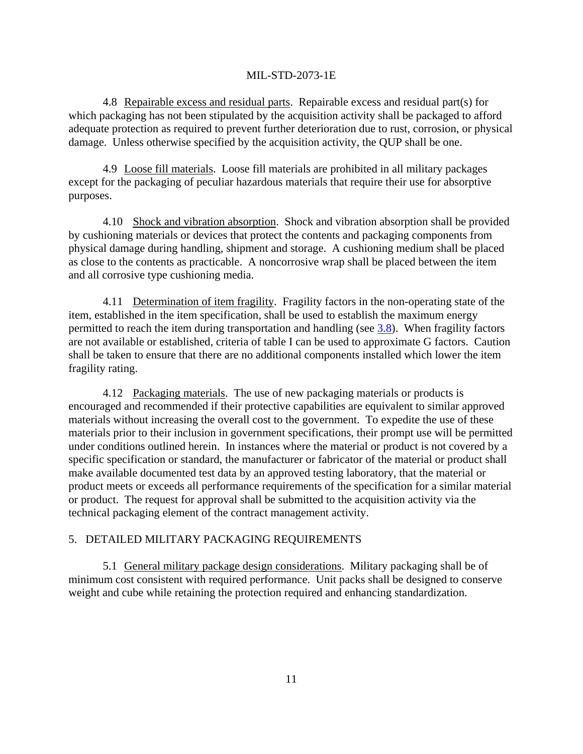<span id="page-28-0"></span> 4.8 Repairable excess and residual parts. Repairable excess and residual part(s) for which packaging has not been stipulated by the acquisition activity shall be packaged to afford adequate protection as required to prevent further deterioration due to rust, corrosion, or physical damage. Unless otherwise specified by the acquisition activity, the QUP shall be one.

 4.9 Loose fill materials. Loose fill materials are prohibited in all military packages except for the packaging of peculiar hazardous materials that require their use for absorptive purposes.

 4.10 Shock and vibration absorption. Shock and vibration absorption shall be provided by cushioning materials or devices that protect the contents and packaging components from physical damage during handling, shipment and storage. A cushioning medium shall be placed as close to the contents as practicable. A noncorrosive wrap shall be placed between the item and all corrosive type cushioning media.

 4.11 Determination of item fragility. Fragility factors in the non-operating state of the item, established in the item specification, shall be used to establish the maximum energy permitted to reach the item during transportation and handling (see [3.8](#page-0-0)). When fragility factors are not available or established, criteria of table I can be used to approximate G factors. Caution shall be taken to ensure that there are no additional components installed which lower the item fragility rating.

 4.12 Packaging materials. The use of new packaging materials or products is encouraged and recommended if their protective capabilities are equivalent to similar approved materials without increasing the overall cost to the government. To expedite the use of these materials prior to their inclusion in government specifications, their prompt use will be permitted under conditions outlined herein. In instances where the material or product is not covered by a specific specification or standard, the manufacturer or fabricator of the material or product shall make available documented test data by an approved testing laboratory, that the material or product meets or exceeds all performance requirements of the specification for a similar material or product. The request for approval shall be submitted to the acquisition activity via the technical packaging element of the contract management activity.

#### 5. DETAILED MILITARY PACKAGING REQUIREMENTS

 5.1 General military package design considerations. Military packaging shall be of minimum cost consistent with required performance. Unit packs shall be designed to conserve weight and cube while retaining the protection required and enhancing standardization.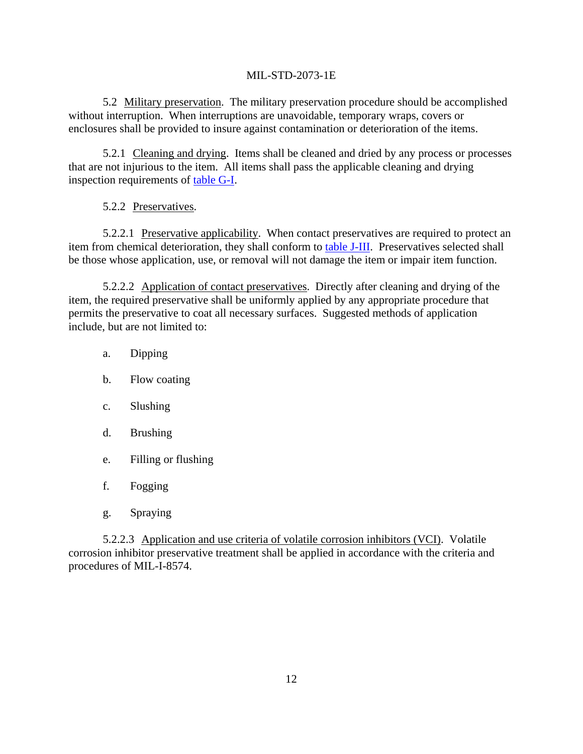<span id="page-29-0"></span> 5.2 Military preservation. The military preservation procedure should be accomplished without interruption. When interruptions are unavoidable, temporary wraps, covers or enclosures shall be provided to insure against contamination or deterioration of the items.

 5.2.1 Cleaning and drying. Items shall be cleaned and dried by any process or processes that are not injurious to the item. All items shall pass the applicable cleaning and drying inspection requirements of [table G-I](#page-145-0).

5.2.2 Preservatives.

 5.2.2.1 Preservative applicability. When contact preservatives are required to protect an item from chemical deterioration, they shall conform to [table J-III.](#page-169-0) Preservatives selected shall be those whose application, use, or removal will not damage the item or impair item function.

 5.2.2.2 Application of contact preservatives. Directly after cleaning and drying of the item, the required preservative shall be uniformly applied by any appropriate procedure that permits the preservative to coat all necessary surfaces. Suggested methods of application include, but are not limited to:

- a. Dipping
- b. Flow coating
- c. Slushing
- d. Brushing
- e. Filling or flushing
- f. Fogging
- g. Spraying

 5.2.2.3 Application and use criteria of volatile corrosion inhibitors (VCI). Volatile corrosion inhibitor preservative treatment shall be applied in accordance with the criteria and procedures of MIL-I-8574.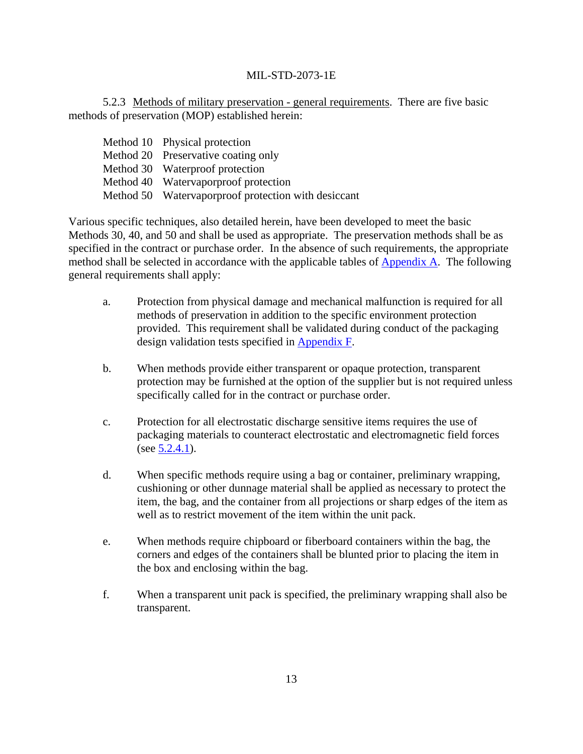<span id="page-30-0"></span> 5.2.3 Methods of military preservation - general requirements. There are five basic methods of preservation (MOP) established herein:

 Method 10 Physical protection Method 20 Preservative coating only Method 30 Waterproof protection Method 40 Watervaporproof protection Method 50 Watervaporproof protection with desiccant

Various specific techniques, also detailed herein, have been developed to meet the basic Methods 30, 40, and 50 and shall be used as appropriate. The preservation methods shall be as specified in the contract or purchase order. In the absence of such requirements, the appropriate method shall be selected in accordance with the applicable tables of  $\Delta$ ppendix  $\Delta$ . The following general requirements shall apply:

- a. Protection from physical damage and mechanical malfunction is required for all methods of preservation in addition to the specific environment protection provided. This requirement shall be validated during conduct of the packaging design validation tests specified in [Appendix F.](#page-136-0)
- b. When methods provide either transparent or opaque protection, transparent protection may be furnished at the option of the supplier but is not required unless specifically called for in the contract or purchase order.
- c. Protection for all electrostatic discharge sensitive items requires the use of packaging materials to counteract electrostatic and electromagnetic field forces (see  $5.2.4.1$ ).
- d. When specific methods require using a bag or container, preliminary wrapping, cushioning or other dunnage material shall be applied as necessary to protect the item, the bag, and the container from all projections or sharp edges of the item as well as to restrict movement of the item within the unit pack.
- e. When methods require chipboard or fiberboard containers within the bag, the corners and edges of the containers shall be blunted prior to placing the item in the box and enclosing within the bag.
- f. When a transparent unit pack is specified, the preliminary wrapping shall also be transparent.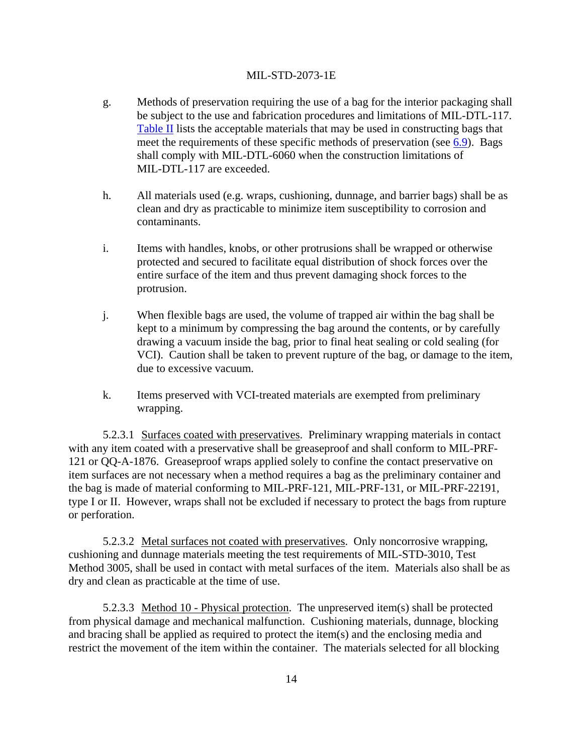- <span id="page-31-0"></span>g. Methods of preservation requiring the use of a bag for the interior packaging shall be subject to the use and fabrication procedures and limitations of MIL-DTL-117. [Table II](#page-46-0) lists the acceptable materials that may be used in constructing bags that meet the requirements of these specific methods of preservation (see  $6.9$ ). Bags shall comply with MIL-DTL-6060 when the construction limitations of MIL-DTL-117 are exceeded.
- h. All materials used (e.g. wraps, cushioning, dunnage, and barrier bags) shall be as clean and dry as practicable to minimize item susceptibility to corrosion and contaminants.
- i. Items with handles, knobs, or other protrusions shall be wrapped or otherwise protected and secured to facilitate equal distribution of shock forces over the entire surface of the item and thus prevent damaging shock forces to the protrusion.
- j. When flexible bags are used, the volume of trapped air within the bag shall be kept to a minimum by compressing the bag around the contents, or by carefully drawing a vacuum inside the bag, prior to final heat sealing or cold sealing (for VCI). Caution shall be taken to prevent rupture of the bag, or damage to the item, due to excessive vacuum.
- k. Items preserved with VCI-treated materials are exempted from preliminary wrapping.

 5.2.3.1 Surfaces coated with preservatives. Preliminary wrapping materials in contact with any item coated with a preservative shall be greaseproof and shall conform to MIL-PRF-121 or QQ-A-1876. Greaseproof wraps applied solely to confine the contact preservative on item surfaces are not necessary when a method requires a bag as the preliminary container and the bag is made of material conforming to MIL-PRF-121, MIL-PRF-131, or MIL-PRF-22191, type I or II. However, wraps shall not be excluded if necessary to protect the bags from rupture or perforation.

 5.2.3.2 Metal surfaces not coated with preservatives. Only noncorrosive wrapping, cushioning and dunnage materials meeting the test requirements of MIL-STD-3010, Test Method 3005, shall be used in contact with metal surfaces of the item. Materials also shall be as dry and clean as practicable at the time of use.

 5.2.3.3 Method 10 - Physical protection. The unpreserved item(s) shall be protected from physical damage and mechanical malfunction. Cushioning materials, dunnage, blocking and bracing shall be applied as required to protect the item(s) and the enclosing media and restrict the movement of the item within the container. The materials selected for all blocking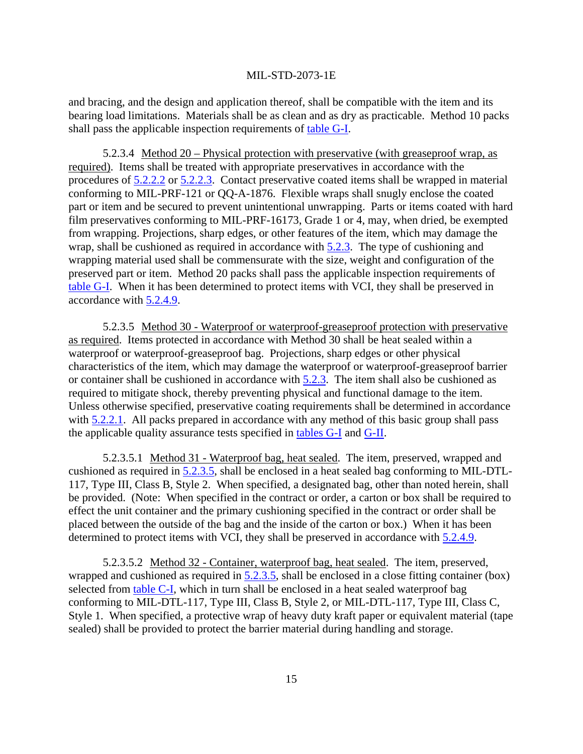<span id="page-32-0"></span>and bracing, and the design and application thereof, shall be compatible with the item and its bearing load limitations. Materials shall be as clean and as dry as practicable. Method 10 packs shall pass the applicable inspection requirements of [table G-I.](#page-145-0)

 5.2.3.4 Method 20 – Physical protection with preservative (with greaseproof wrap, as required). Items shall be treated with appropriate preservatives in accordance with the procedures of [5.2.2.2](#page-29-0) or [5.2.2.3.](#page-29-0) Contact preservative coated items shall be wrapped in material conforming to MIL-PRF-121 or QQ-A-1876. Flexible wraps shall snugly enclose the coated part or item and be secured to prevent unintentional unwrapping. Parts or items coated with hard film preservatives conforming to MIL-PRF-16173, Grade 1 or 4, may, when dried, be exempted from wrapping. Projections, sharp edges, or other features of the item, which may damage the wrap, shall be cushioned as required in accordance with [5.2.3.](#page-39-0) The type of cushioning and wrapping material used shall be commensurate with the size, weight and configuration of the preserved part or item. Method 20 packs shall pass the applicable inspection requirements of [table G-I](#page-145-0). When it has been determined to protect items with VCI, they shall be preserved in accordance with [5.2.4.9](#page-38-0).

 5.2.3.5 Method 30 - Waterproof or waterproof-greaseproof protection with preservative as required. Items protected in accordance with Method 30 shall be heat sealed within a waterproof or waterproof-greaseproof bag. Projections, sharp edges or other physical characteristics of the item, which may damage the waterproof or waterproof-greaseproof barrier or container shall be cushioned in accordance with [5.2.3](#page-39-0). The item shall also be cushioned as required to mitigate shock, thereby preventing physical and functional damage to the item. Unless otherwise specified, preservative coating requirements shall be determined in accordance with [5.2.2.1](#page-29-0). All packs prepared in accordance with any method of this basic group shall pass the applicable quality assurance tests specified in [tables G-I](#page-145-0) and [G-II](#page-146-0).

 5.2.3.5.1 Method 31 - Waterproof bag, heat sealed. The item, preserved, wrapped and cushioned as required in [5.2.3.5](#page-32-0), shall be enclosed in a heat sealed bag conforming to MIL-DTL-117, Type III, Class B, Style 2. When specified, a designated bag, other than noted herein, shall be provided. (Note: When specified in the contract or order, a carton or box shall be required to effect the unit container and the primary cushioning specified in the contract or order shall be placed between the outside of the bag and the inside of the carton or box.) When it has been determined to protect items with VCI, they shall be preserved in accordance with [5.2.4.9](#page-38-0).

 5.2.3.5.2 Method 32 - Container, waterproof bag, heat sealed. The item, preserved, wrapped and cushioned as required in [5.2.3.5,](#page-32-0) shall be enclosed in a close fitting container (box) selected from [table C-I](#page-95-0), which in turn shall be enclosed in a heat sealed waterproof bag conforming to MIL-DTL-117, Type III, Class B, Style 2, or MIL-DTL-117, Type III, Class C, Style 1. When specified, a protective wrap of heavy duty kraft paper or equivalent material (tape sealed) shall be provided to protect the barrier material during handling and storage.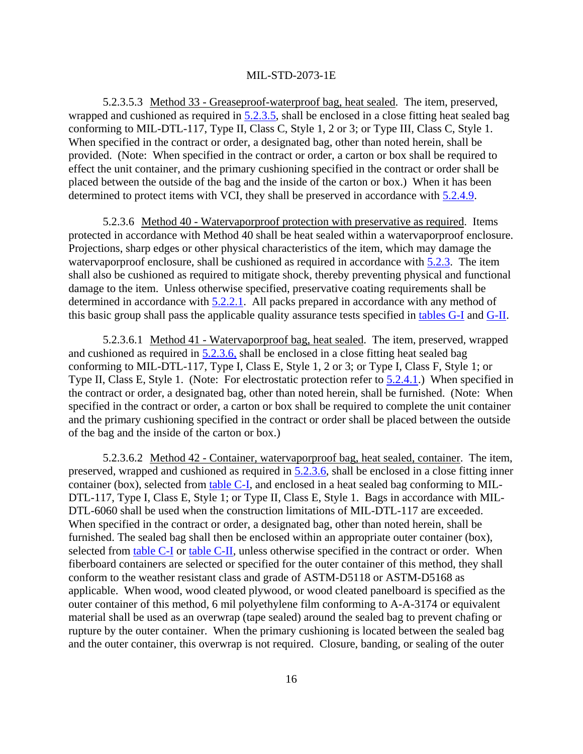<span id="page-33-0"></span> 5.2.3.5.3 Method 33 - Greaseproof-waterproof bag, heat sealed. The item, preserved, wrapped and cushioned as required in  $5.2.3.5$ , shall be enclosed in a close fitting heat sealed bag conforming to MIL-DTL-117, Type II, Class C, Style 1, 2 or 3; or Type III, Class C, Style 1. When specified in the contract or order, a designated bag, other than noted herein, shall be provided. (Note: When specified in the contract or order, a carton or box shall be required to effect the unit container, and the primary cushioning specified in the contract or order shall be placed between the outside of the bag and the inside of the carton or box.) When it has been determined to protect items with VCI, they shall be preserved in accordance with [5.2.4.9](#page-38-0).

 5.2.3.6 Method 40 - Watervaporproof protection with preservative as required. Items protected in accordance with Method 40 shall be heat sealed within a watervaporproof enclosure. Projections, sharp edges or other physical characteristics of the item, which may damage the watervaporproof enclosure, shall be cushioned as required in accordance with  $5.2.3$ . The item shall also be cushioned as required to mitigate shock, thereby preventing physical and functional damage to the item. Unless otherwise specified, preservative coating requirements shall be determined in accordance with [5.2.2.1.](#page-29-0) All packs prepared in accordance with any method of this basic group shall pass the applicable quality assurance tests specified in [tables G-I](#page-145-0) and [G-II.](#page-146-0)

 5.2.3.6.1 Method 41 - Watervaporproof bag, heat sealed. The item, preserved, wrapped and cushioned as required in [5.2.3.6,](#page-33-0) shall be enclosed in a close fitting heat sealed bag conforming to MIL-DTL-117, Type I, Class E, Style 1, 2 or 3; or Type I, Class F, Style 1; or Type II, Class E, Style 1. (Note: For electrostatic protection refer to [5.2.4.1](#page-38-0).) When specified in the contract or order, a designated bag, other than noted herein, shall be furnished. (Note: When specified in the contract or order, a carton or box shall be required to complete the unit container and the primary cushioning specified in the contract or order shall be placed between the outside of the bag and the inside of the carton or box.)

 5.2.3.6.2 Method 42 - Container, watervaporproof bag, heat sealed, container. The item, preserved, wrapped and cushioned as required in  $\frac{5.2.3.6}{5.2.3.6}$ , shall be enclosed in a close fitting inner container (box), selected from [table C-I](#page-95-0), and enclosed in a heat sealed bag conforming to MIL-DTL-117, Type I, Class E, Style 1; or Type II, Class E, Style 1. Bags in accordance with MIL-DTL-6060 shall be used when the construction limitations of MIL-DTL-117 are exceeded. When specified in the contract or order, a designated bag, other than noted herein, shall be furnished. The sealed bag shall then be enclosed within an appropriate outer container (box), selected from [table C-I](#page-95-0) or [table](#page-95-0) [C-II,](#page-96-0) unless otherwise specified in the contract or order. When fiberboard containers are selected or specified for the outer container of this method, they shall conform to the weather resistant class and grade of ASTM-D5118 or ASTM-D5168 as applicable. When wood, wood cleated plywood, or wood cleated panelboard is specified as the outer container of this method, 6 mil polyethylene film conforming to A-A-3174 or equivalent material shall be used as an overwrap (tape sealed) around the sealed bag to prevent chafing or rupture by the outer container. When the primary cushioning is located between the sealed bag and the outer container, this overwrap is not required. Closure, banding, or sealing of the outer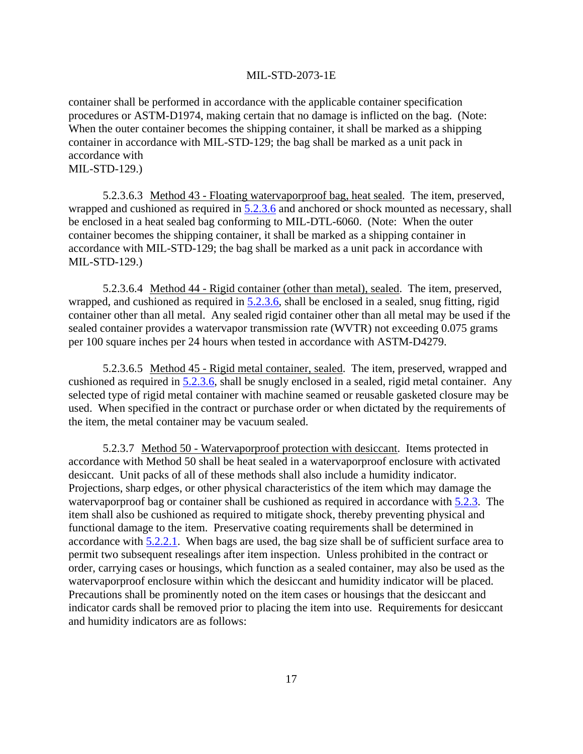<span id="page-34-0"></span>container shall be performed in accordance with the applicable container specification procedures or ASTM-D1974, making certain that no damage is inflicted on the bag. (Note: When the outer container becomes the shipping container, it shall be marked as a shipping container in accordance with MIL-STD-129; the bag shall be marked as a unit pack in accordance with

#### MIL-STD-129.)

 5.2.3.6.3 Method 43 - Floating watervaporproof bag, heat sealed. The item, preserved, wrapped and cushioned as required in [5.2.3.6](#page-33-0) and anchored or shock mounted as necessary, shall be enclosed in a heat sealed bag conforming to MIL-DTL-6060. (Note: When the outer container becomes the shipping container, it shall be marked as a shipping container in accordance with MIL-STD-129; the bag shall be marked as a unit pack in accordance with MIL-STD-129.)

 5.2.3.6.4 Method 44 - Rigid container (other than metal), sealed. The item, preserved, wrapped, and cushioned as required in  $5.2.3.6$ , shall be enclosed in a sealed, snug fitting, rigid container other than all metal. Any sealed rigid container other than all metal may be used if the sealed container provides a watervapor transmission rate (WVTR) not exceeding 0.075 grams per 100 square inches per 24 hours when tested in accordance with ASTM-D4279.

 5.2.3.6.5 Method 45 - Rigid metal container, sealed. The item, preserved, wrapped and cushioned as required in [5.2.3.6](#page-33-0), shall be snugly enclosed in a sealed, rigid metal container. Any selected type of rigid metal container with machine seamed or reusable gasketed closure may be used. When specified in the contract or purchase order or when dictated by the requirements of the item, the metal container may be vacuum sealed.

 5.2.3.7 Method 50 - Watervaporproof protection with desiccant. Items protected in accordance with Method 50 shall be heat sealed in a watervaporproof enclosure with activated desiccant. Unit packs of all of these methods shall also include a humidity indicator. Projections, sharp edges, or other physical characteristics of the item which may damage the watervaporproof bag or container shall be cushioned as required in accordance with [5.2.3.](#page-30-0) The item shall also be cushioned as required to mitigate shock, thereby preventing physical and functional damage to the item. Preservative coating requirements shall be determined in accordance with [5.2.2.1](#page-29-0). When bags are used, the bag size shall be of sufficient surface area to permit two subsequent resealings after item inspection. Unless prohibited in the contract or order, carrying cases or housings, which function as a sealed container, may also be used as the watervaporproof enclosure within which the desiccant and humidity indicator will be placed. Precautions shall be prominently noted on the item cases or housings that the desiccant and indicator cards shall be removed prior to placing the item into use. Requirements for desiccant and humidity indicators are as follows: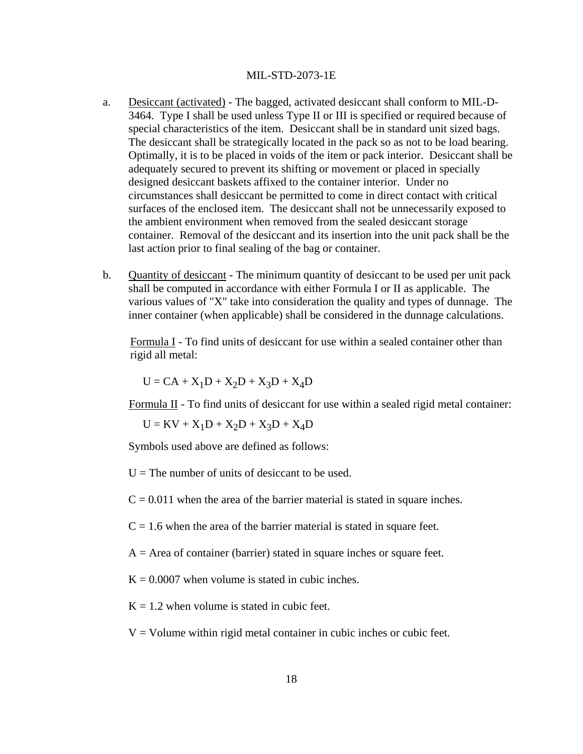- a. Desiccant (activated) The bagged, activated desiccant shall conform to MIL-D-3464. Type I shall be used unless Type II or III is specified or required because of special characteristics of the item. Desiccant shall be in standard unit sized bags. The desiccant shall be strategically located in the pack so as not to be load bearing. Optimally, it is to be placed in voids of the item or pack interior. Desiccant shall be adequately secured to prevent its shifting or movement or placed in specially designed desiccant baskets affixed to the container interior. Under no circumstances shall desiccant be permitted to come in direct contact with critical surfaces of the enclosed item. The desiccant shall not be unnecessarily exposed to the ambient environment when removed from the sealed desiccant storage container. Removal of the desiccant and its insertion into the unit pack shall be the last action prior to final sealing of the bag or container.
- b. Quantity of desiccant The minimum quantity of desiccant to be used per unit pack shall be computed in accordance with either Formula I or II as applicable. The various values of "X" take into consideration the quality and types of dunnage. The inner container (when applicable) shall be considered in the dunnage calculations.

Formula I - To find units of desiccant for use within a sealed container other than rigid all metal:

 $U = CA + X_1D + X_2D + X_3D + X_4D$ 

Formula II - To find units of desiccant for use within a sealed rigid metal container:

$$
U = KV + X_1D + X_2D + X_3D + X_4D
$$

Symbols used above are defined as follows:

 $U =$ The number of units of desiccant to be used.

 $C = 0.011$  when the area of the barrier material is stated in square inches.

 $C = 1.6$  when the area of the barrier material is stated in square feet.

 $A =$  Area of container (barrier) stated in square inches or square feet.

 $K = 0.0007$  when volume is stated in cubic inches.

 $K = 1.2$  when volume is stated in cubic feet.

 $V =$  Volume within rigid metal container in cubic inches or cubic feet.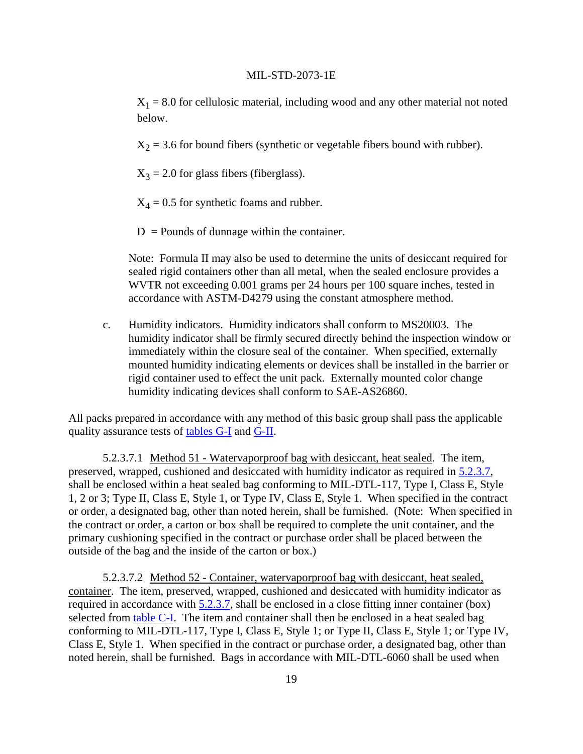$X_1 = 8.0$  for cellulosic material, including wood and any other material not noted below.

 $X_2 = 3.6$  for bound fibers (synthetic or vegetable fibers bound with rubber).

 $X_3 = 2.0$  for glass fibers (fiberglass).

 $X_4 = 0.5$  for synthetic foams and rubber.

 $D =$  Pounds of dunnage within the container.

Note: Formula II may also be used to determine the units of desiccant required for sealed rigid containers other than all metal, when the sealed enclosure provides a WVTR not exceeding 0.001 grams per 24 hours per 100 square inches, tested in accordance with ASTM-D4279 using the constant atmosphere method.

c. Humidity indicators. Humidity indicators shall conform to MS20003. The humidity indicator shall be firmly secured directly behind the inspection window or immediately within the closure seal of the container. When specified, externally mounted humidity indicating elements or devices shall be installed in the barrier or rigid container used to effect the unit pack. Externally mounted color change humidity indicating devices shall conform to SAE-AS26860.

All packs prepared in accordance with any method of this basic group shall pass the applicable quality assurance tests of [tables G-I](#page-145-0) and [G-II](#page-146-0).

 5.2.3.7.1 Method 51 - Watervaporproof bag with desiccant, heat sealed. The item, preserved, wrapped, cushioned and desiccated with humidity indicator as required in [5.2.3.7](#page-34-0), shall be enclosed within a heat sealed bag conforming to MIL-DTL-117, Type I, Class E, Style 1, 2 or 3; Type II, Class E, Style 1, or Type IV, Class E, Style 1. When specified in the contract or order, a designated bag, other than noted herein, shall be furnished. (Note: When specified in the contract or order, a carton or box shall be required to complete the unit container, and the primary cushioning specified in the contract or purchase order shall be placed between the outside of the bag and the inside of the carton or box.)

 5.2.3.7.2 Method 52 - Container, watervaporproof bag with desiccant, heat sealed, container. The item, preserved, wrapped, cushioned and desiccated with humidity indicator as required in accordance with [5.2.3.7,](#page-34-0) shall be enclosed in a close fitting inner container (box) selected from [table C-I](#page-95-0). The item and container shall then be enclosed in a heat sealed bag conforming to MIL-DTL-117, Type I, Class E, Style 1; or Type II, Class E, Style 1; or Type IV, Class E, Style 1. When specified in the contract or purchase order, a designated bag, other than noted herein, shall be furnished. Bags in accordance with MIL-DTL-6060 shall be used when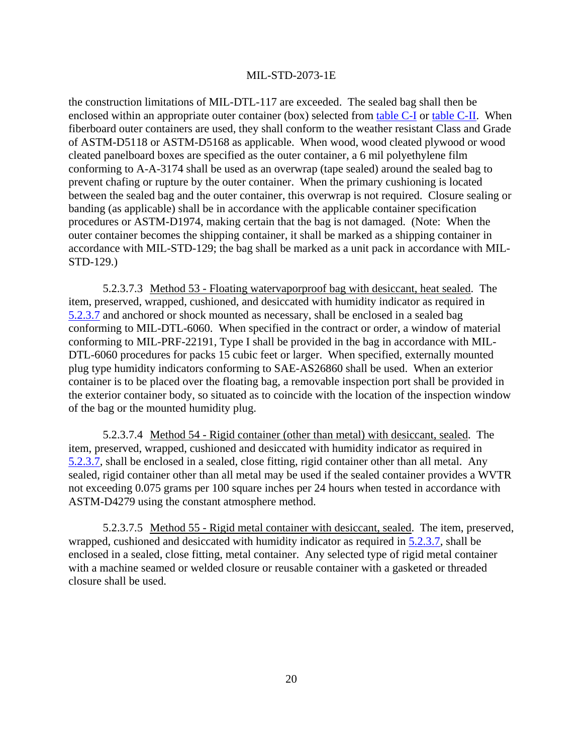the construction limitations of MIL-DTL-117 are exceeded. The sealed bag shall then be enclosed within an appropriate outer container (box) selected from [table C-I](#page-95-0) or [table](#page-95-0) [C-II](#page-96-0). When fiberboard outer containers are used, they shall conform to the weather resistant Class and Grade of ASTM-D5118 or ASTM-D5168 as applicable. When wood, wood cleated plywood or wood cleated panelboard boxes are specified as the outer container, a 6 mil polyethylene film conforming to A-A-3174 shall be used as an overwrap (tape sealed) around the sealed bag to prevent chafing or rupture by the outer container. When the primary cushioning is located between the sealed bag and the outer container, this overwrap is not required. Closure sealing or banding (as applicable) shall be in accordance with the applicable container specification procedures or ASTM-D1974, making certain that the bag is not damaged. (Note: When the outer container becomes the shipping container, it shall be marked as a shipping container in accordance with MIL-STD-129; the bag shall be marked as a unit pack in accordance with MIL-STD-129.)

 5.2.3.7.3 Method 53 - Floating watervaporproof bag with desiccant, heat sealed. The item, preserved, wrapped, cushioned, and desiccated with humidity indicator as required in [5.2.3.7](#page-34-0) and anchored or shock mounted as necessary, shall be enclosed in a sealed bag conforming to MIL-DTL-6060. When specified in the contract or order, a window of material conforming to MIL-PRF-22191, Type I shall be provided in the bag in accordance with MIL-DTL-6060 procedures for packs 15 cubic feet or larger. When specified, externally mounted plug type humidity indicators conforming to SAE-AS26860 shall be used. When an exterior container is to be placed over the floating bag, a removable inspection port shall be provided in the exterior container body, so situated as to coincide with the location of the inspection window of the bag or the mounted humidity plug.

 5.2.3.7.4 Method 54 - Rigid container (other than metal) with desiccant, sealed. The item, preserved, wrapped, cushioned and desiccated with humidity indicator as required in [5.2.3.7](#page-34-0), shall be enclosed in a sealed, close fitting, rigid container other than all metal. Any sealed, rigid container other than all metal may be used if the sealed container provides a WVTR not exceeding 0.075 grams per 100 square inches per 24 hours when tested in accordance with ASTM-D4279 using the constant atmosphere method.

 5.2.3.7.5 Method 55 - Rigid metal container with desiccant, sealed. The item, preserved, wrapped, cushioned and desiccated with humidity indicator as required in [5.2.3.7](#page-34-0), shall be enclosed in a sealed, close fitting, metal container. Any selected type of rigid metal container with a machine seamed or welded closure or reusable container with a gasketed or threaded closure shall be used.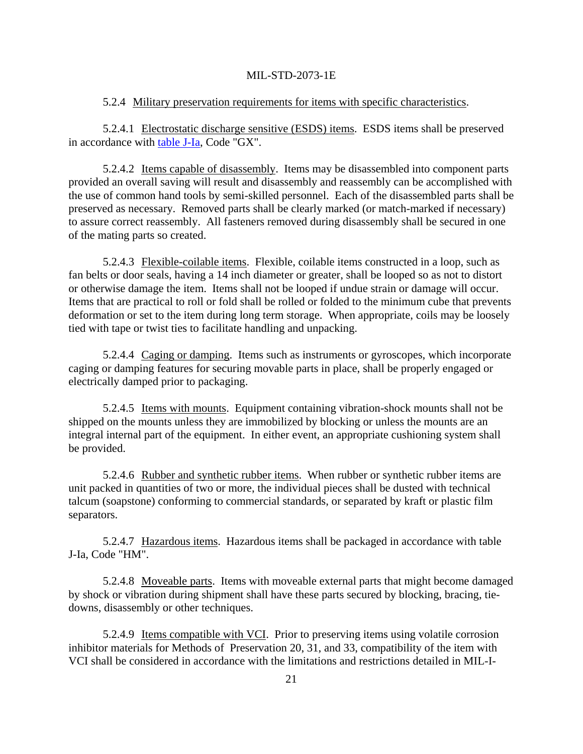#### 5.2.4 Military preservation requirements for items with specific characteristics.

 5.2.4.1 Electrostatic discharge sensitive (ESDS) items. ESDS items shall be preserved in accordance with [table J-Ia](#page-162-0), Code "GX".

 5.2.4.2 Items capable of disassembly. Items may be disassembled into component parts provided an overall saving will result and disassembly and reassembly can be accomplished with the use of common hand tools by semi-skilled personnel. Each of the disassembled parts shall be preserved as necessary. Removed parts shall be clearly marked (or match-marked if necessary) to assure correct reassembly. All fasteners removed during disassembly shall be secured in one of the mating parts so created.

 5.2.4.3 Flexible-coilable items. Flexible, coilable items constructed in a loop, such as fan belts or door seals, having a 14 inch diameter or greater, shall be looped so as not to distort or otherwise damage the item. Items shall not be looped if undue strain or damage will occur. Items that are practical to roll or fold shall be rolled or folded to the minimum cube that prevents deformation or set to the item during long term storage. When appropriate, coils may be loosely tied with tape or twist ties to facilitate handling and unpacking.

 5.2.4.4 Caging or damping. Items such as instruments or gyroscopes, which incorporate caging or damping features for securing movable parts in place, shall be properly engaged or electrically damped prior to packaging.

 5.2.4.5 Items with mounts. Equipment containing vibration-shock mounts shall not be shipped on the mounts unless they are immobilized by blocking or unless the mounts are an integral internal part of the equipment. In either event, an appropriate cushioning system shall be provided.

 5.2.4.6 Rubber and synthetic rubber items. When rubber or synthetic rubber items are unit packed in quantities of two or more, the individual pieces shall be dusted with technical talcum (soapstone) conforming to commercial standards, or separated by kraft or plastic film separators.

 5.2.4.7 Hazardous items. Hazardous items shall be packaged in accordance with table J-Ia, Code "HM".

 5.2.4.8 Moveable parts. Items with moveable external parts that might become damaged by shock or vibration during shipment shall have these parts secured by blocking, bracing, tiedowns, disassembly or other techniques.

 5.2.4.9 Items compatible with VCI. Prior to preserving items using volatile corrosion inhibitor materials for Methods of Preservation 20, 31, and 33, compatibility of the item with VCI shall be considered in accordance with the limitations and restrictions detailed in MIL-I-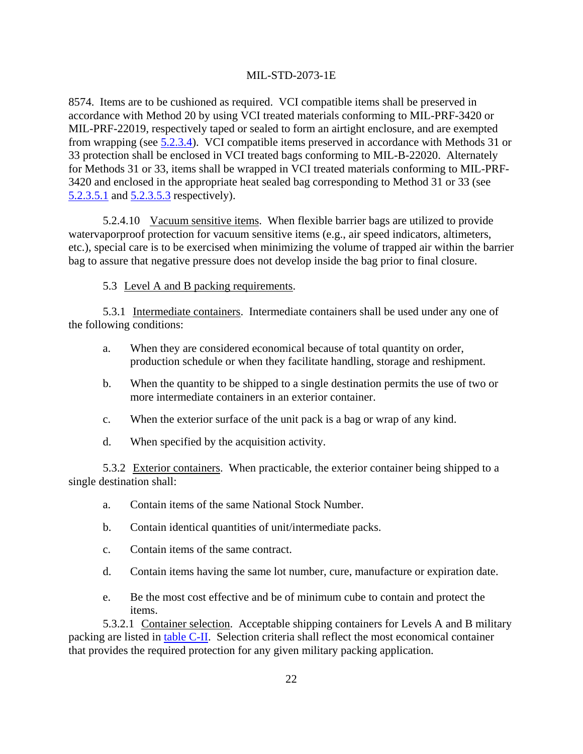<span id="page-39-0"></span>8574. Items are to be cushioned as required. VCI compatible items shall be preserved in accordance with Method 20 by using VCI treated materials conforming to MIL-PRF-3420 or MIL-PRF-22019, respectively taped or sealed to form an airtight enclosure, and are exempted from wrapping (see [5.2.3.4\)](#page-32-0). VCI compatible items preserved in accordance with Methods 31 or 33 protection shall be enclosed in VCI treated bags conforming to MIL-B-22020. Alternately for Methods 31 or 33, items shall be wrapped in VCI treated materials conforming to MIL-PRF-3420 and enclosed in the appropriate heat sealed bag corresponding to Method 31 or 33 (see [5.2.3.5.1](#page-32-0) and [5.2.3.5.3](#page-33-0) respectively).

 5.2.4.10 Vacuum sensitive items. When flexible barrier bags are utilized to provide watervaporproof protection for vacuum sensitive items (e.g., air speed indicators, altimeters, etc.), special care is to be exercised when minimizing the volume of trapped air within the barrier bag to assure that negative pressure does not develop inside the bag prior to final closure.

5.3 Level A and B packing requirements.

 5.3.1 Intermediate containers. Intermediate containers shall be used under any one of the following conditions:

- a. When they are considered economical because of total quantity on order, production schedule or when they facilitate handling, storage and reshipment.
- b. When the quantity to be shipped to a single destination permits the use of two or more intermediate containers in an exterior container.
- c. When the exterior surface of the unit pack is a bag or wrap of any kind.
- d. When specified by the acquisition activity.

 5.3.2 Exterior containers. When practicable, the exterior container being shipped to a single destination shall:

- a. Contain items of the same National Stock Number.
- b. Contain identical quantities of unit/intermediate packs.
- c. Contain items of the same contract.
- d. Contain items having the same lot number, cure, manufacture or expiration date.
- e. Be the most cost effective and be of minimum cube to contain and protect the items.

 5.3.2.1 Container selection. Acceptable shipping containers for Levels A and B military packing are listed in [table C-II.](#page-96-0) Selection criteria shall reflect the most economical container that provides the required protection for any given military packing application.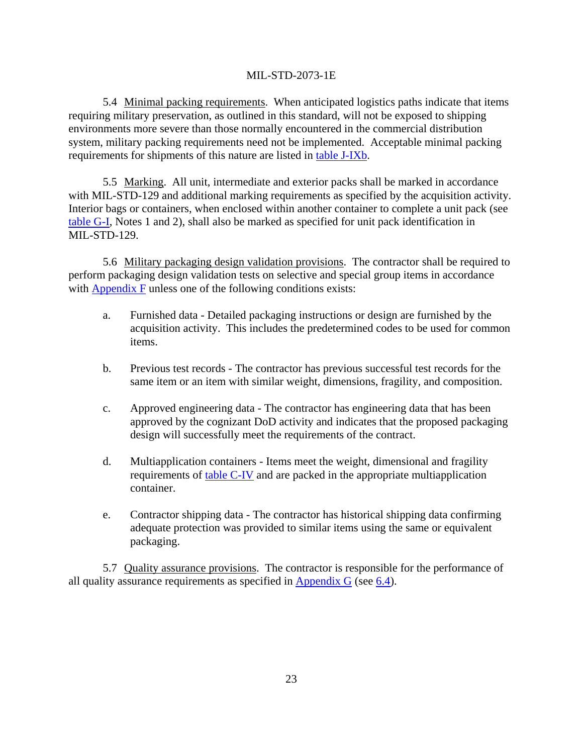<span id="page-40-0"></span> 5.4 Minimal packing requirements. When anticipated logistics paths indicate that items requiring military preservation, as outlined in this standard, will not be exposed to shipping environments more severe than those normally encountered in the commercial distribution system, military packing requirements need not be implemented. Acceptable minimal packing requirements for shipments of this nature are listed in [table J-IXb.](#page-190-0)

 5.5 Marking. All unit, intermediate and exterior packs shall be marked in accordance with MIL-STD-129 and additional marking requirements as specified by the acquisition activity. Interior bags or containers, when enclosed within another container to complete a unit pack (see [table G-I](#page-145-0), Notes 1 and 2), shall also be marked as specified for unit pack identification in MIL-STD-129.

 5.6 Military packaging design validation provisions. The contractor shall be required to perform packaging design validation tests on selective and special group items in accordance with [Appendix F](#page-136-0) unless one of the following conditions exists:

- a. Furnished data Detailed packaging instructions or design are furnished by the acquisition activity. This includes the predetermined codes to be used for common items.
- b. Previous test records The contractor has previous successful test records for the same item or an item with similar weight, dimensions, fragility, and composition.
- c. Approved engineering data The contractor has engineering data that has been approved by the cognizant DoD activity and indicates that the proposed packaging design will successfully meet the requirements of the contract.
- d. Multiapplication containers Items meet the weight, dimensional and fragility requirements of [table C-IV](#page-102-0) and are packed in the appropriate multiapplication container.
- e. Contractor shipping data The contractor has historical shipping data confirming adequate protection was provided to similar items using the same or equivalent packaging.

 5.7 Quality assurance provisions. The contractor is responsible for the performance of all quality assurance requirements as specified in [Appendix G](#page-140-0) (see [6.4](#page-42-0)).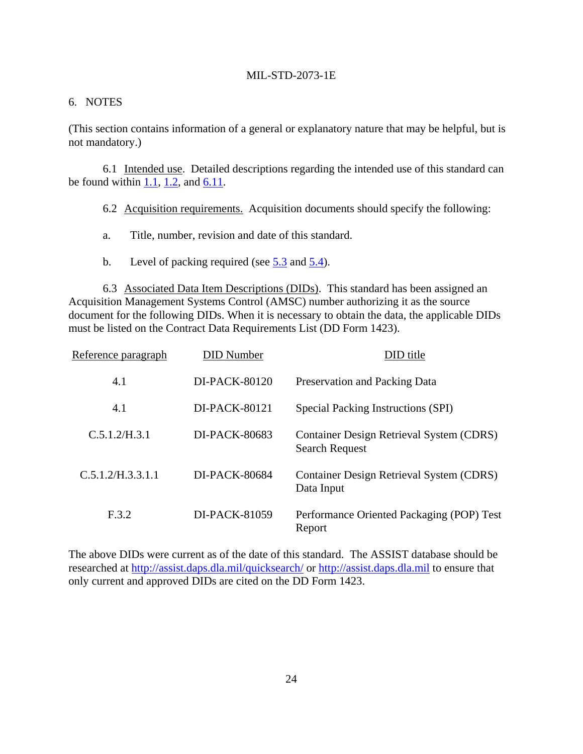#### 6. NOTES

(This section contains information of a general or explanatory nature that may be helpful, but is not mandatory.)

 6.1 Intended use. Detailed descriptions regarding the intended use of this standard can be found within [1.1](#page-18-0), [1.2](#page-18-0), and [6.11](#page-0-0).

- 6.2 Acquisition requirements. Acquisition documents should specify the following:
- a. Title, number, revision and date of this standard.
- b. Level of packing required (see  $\frac{5.3}{2}$  and  $\frac{5.4}{2}$ ).

 6.3 Associated Data Item Descriptions (DIDs). This standard has been assigned an Acquisition Management Systems Control (AMSC) number authorizing it as the source document for the following DIDs. When it is necessary to obtain the data, the applicable DIDs must be listed on the Contract Data Requirements List (DD Form 1423).

| Reference paragraph | <b>DID</b> Number    | ID title                                                          |
|---------------------|----------------------|-------------------------------------------------------------------|
| 4.1                 | <b>DI-PACK-80120</b> | Preservation and Packing Data                                     |
| 4.1                 | DI-PACK-80121        | Special Packing Instructions (SPI)                                |
| C.5.1.2/H.3.1       | DI-PACK-80683        | Container Design Retrieval System (CDRS)<br><b>Search Request</b> |
| C.5.1.2/H.3.3.1.1   | DI-PACK-80684        | Container Design Retrieval System (CDRS)<br>Data Input            |
| F.3.2               | DI-PACK-81059        | Performance Oriented Packaging (POP) Test<br>Report               |

The above DIDs were current as of the date of this standard. The ASSIST database should be researched at<http://assist.daps.dla.mil/quicksearch/>or [http://assist.daps.dla.mil](http://assist.daps.dla.mil/) to ensure that only current and approved DIDs are cited on the DD Form 1423.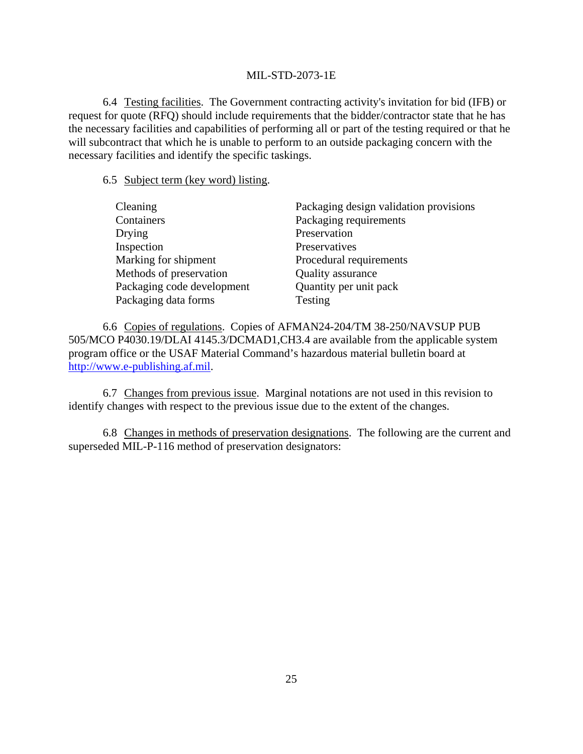<span id="page-42-0"></span> 6.4 Testing facilities. The Government contracting activity's invitation for bid (IFB) or request for quote (RFQ) should include requirements that the bidder/contractor state that he has the necessary facilities and capabilities of performing all or part of the testing required or that he will subcontract that which he is unable to perform to an outside packaging concern with the necessary facilities and identify the specific taskings.

#### 6.5 Subject term (key word) listing.

| Cleaning                   | Packaging design validation provisions |
|----------------------------|----------------------------------------|
| Containers                 | Packaging requirements                 |
| Drying                     | Preservation                           |
| Inspection                 | Preservatives                          |
| Marking for shipment       | Procedural requirements                |
| Methods of preservation    | Quality assurance                      |
| Packaging code development | Quantity per unit pack                 |
| Packaging data forms       | Testing                                |

 6.6 Copies of regulations. Copies of AFMAN24-204/TM 38-250/NAVSUP PUB 505/MCO P4030.19/DLAI 4145.3/DCMAD1,CH3.4 are available from the applicable system program office or the USAF Material Command's hazardous material bulletin board at [http://www.e-publishing.af.mil](http://www.e-publishing.af.mil/).

 6.7 Changes from previous issue. Marginal notations are not used in this revision to identify changes with respect to the previous issue due to the extent of the changes.

 6.8 Changes in methods of preservation designations. The following are the current and superseded MIL-P-116 method of preservation designators: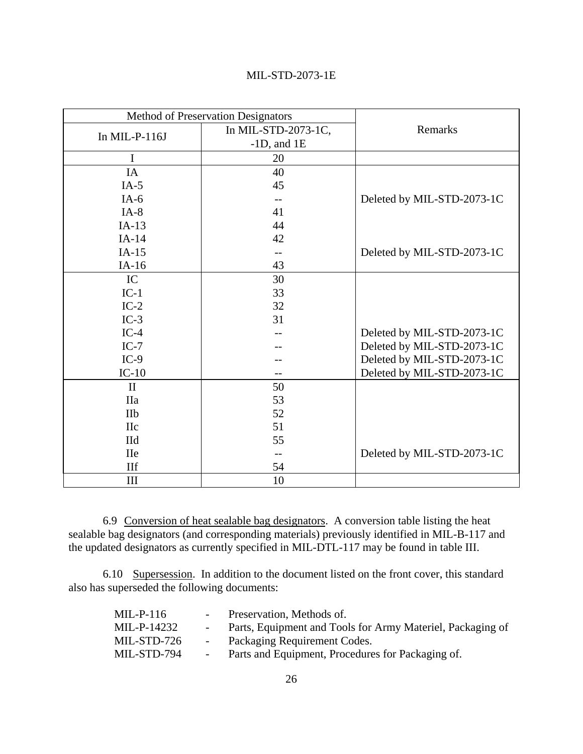| Method of Preservation Designators |                     |                            |
|------------------------------------|---------------------|----------------------------|
|                                    | In MIL-STD-2073-1C, | Remarks                    |
| In MIL-P- $116J$                   | $-1D$ , and $1E$    |                            |
| $\mathbf I$                        | 20                  |                            |
| IA                                 | 40                  |                            |
| $IA-5$                             | 45                  |                            |
| $IA-6$                             | --                  | Deleted by MIL-STD-2073-1C |
| $IA-8$                             | 41                  |                            |
| $IA-13$                            | 44                  |                            |
| $IA-14$                            | 42                  |                            |
| $IA-15$                            |                     | Deleted by MIL-STD-2073-1C |
| $IA-16$                            | 43                  |                            |
| IC                                 | 30                  |                            |
| $IC-1$                             | 33                  |                            |
| $IC-2$                             | 32                  |                            |
| $IC-3$                             | 31                  |                            |
| $IC-4$                             |                     | Deleted by MIL-STD-2073-1C |
| $IC-7$                             |                     | Deleted by MIL-STD-2073-1C |
| $IC-9$                             |                     | Deleted by MIL-STD-2073-1C |
| $IC-10$                            |                     | Deleted by MIL-STD-2073-1C |
| $\mathbf{I}$                       | 50                  |                            |
| <b>IIa</b>                         | 53                  |                            |
| IIb                                | 52                  |                            |
| <b>IIc</b>                         | 51                  |                            |
| <b>IId</b>                         | 55                  |                            |
| <b>IIe</b>                         |                     | Deleted by MIL-STD-2073-1C |
| <b>IIf</b>                         | 54                  |                            |
| III                                | 10                  |                            |

 6.9 Conversion of heat sealable bag designators. A conversion table listing the heat sealable bag designators (and corresponding materials) previously identified in MIL-B-117 and the updated designators as currently specified in MIL-DTL-117 may be found in table III.

 6.10 Supersession. In addition to the document listed on the front cover, this standard also has superseded the following documents:

| $MIL-P-116$ | Preservation, Methods of.                                    |
|-------------|--------------------------------------------------------------|
| MIL-P-14232 | - Parts, Equipment and Tools for Army Materiel, Packaging of |
| MIL-STD-726 | - Packaging Requirement Codes.                               |
| MIL-STD-794 | Parts and Equipment, Procedures for Packaging of.            |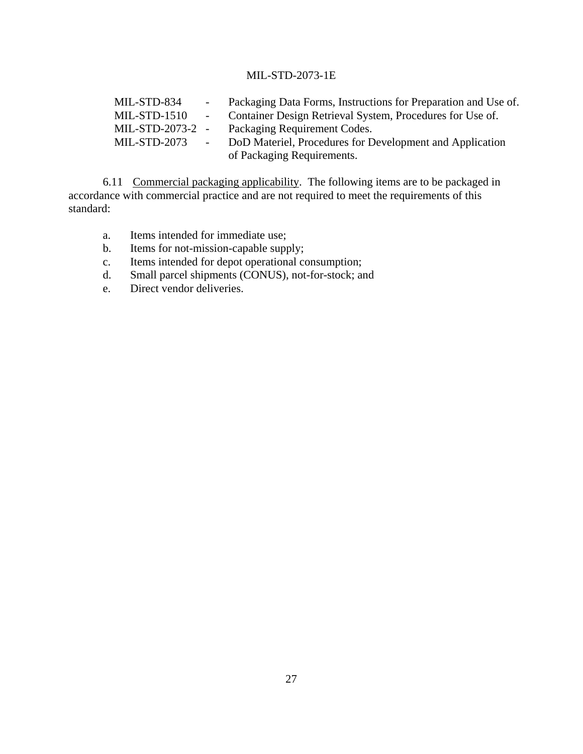| MIL-STD-834      | - Packaging Data Forms, Instructions for Preparation and Use of. |
|------------------|------------------------------------------------------------------|
| $MIL-STD-1510$   | - Container Design Retrieval System, Procedures for Use of.      |
| MIL-STD-2073-2 - | Packaging Requirement Codes.                                     |
| $MIL-STD-2073$   | DoD Materiel, Procedures for Development and Application         |
|                  | of Packaging Requirements.                                       |

 6.11 Commercial packaging applicability. The following items are to be packaged in accordance with commercial practice and are not required to meet the requirements of this standard:

- a. Items intended for immediate use;
- b. Items for not-mission-capable supply;
- c. Items intended for depot operational consumption;
- d. Small parcel shipments (CONUS), not-for-stock; and
- e. Direct vendor deliveries.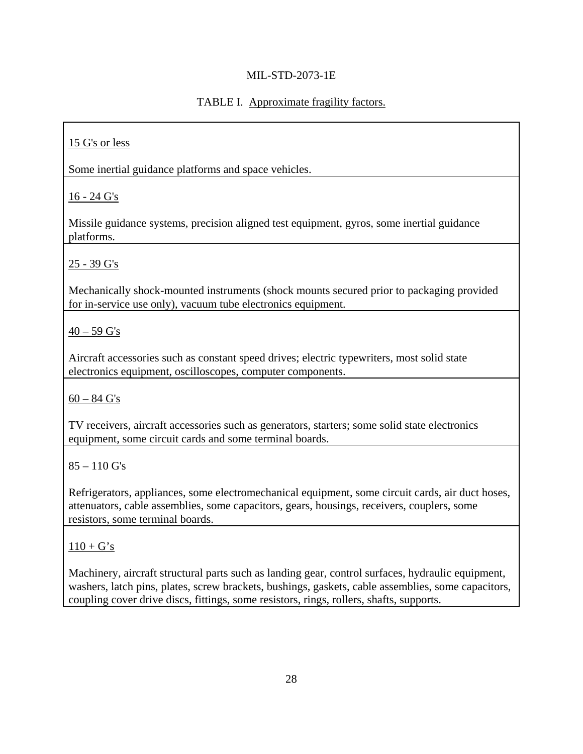### TABLE I. Approximate fragility factors.

### 15 G's or less

Some inertial guidance platforms and space vehicles.

### 16 - 24 G's

Missile guidance systems, precision aligned test equipment, gyros, some inertial guidance platforms.

### 25 - 39 G's

Mechanically shock-mounted instruments (shock mounts secured prior to packaging provided for in-service use only), vacuum tube electronics equipment.

### $40 - 59$  G's

Aircraft accessories such as constant speed drives; electric typewriters, most solid state electronics equipment, oscilloscopes, computer components.

### $60 - 84$  G's

TV receivers, aircraft accessories such as generators, starters; some solid state electronics equipment, some circuit cards and some terminal boards.

### $85 - 110$  G's

Refrigerators, appliances, some electromechanical equipment, some circuit cards, air duct hoses, attenuators, cable assemblies, some capacitors, gears, housings, receivers, couplers, some resistors, some terminal boards.

### $110 + G's$

Machinery, aircraft structural parts such as landing gear, control surfaces, hydraulic equipment, washers, latch pins, plates, screw brackets, bushings, gaskets, cable assemblies, some capacitors, coupling cover drive discs, fittings, some resistors, rings, rollers, shafts, supports.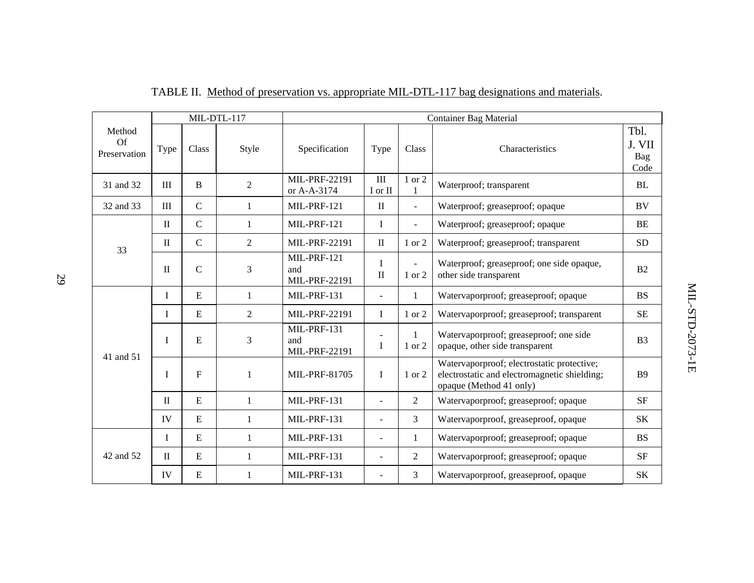|                                      | MIL-DTL-117                         |               | <b>Container Bag Material</b>       |                                                                          |                          |                                                                     |                                                                                                                       |                               |  |
|--------------------------------------|-------------------------------------|---------------|-------------------------------------|--------------------------------------------------------------------------|--------------------------|---------------------------------------------------------------------|-----------------------------------------------------------------------------------------------------------------------|-------------------------------|--|
| Method<br>$\Omega$ f<br>Preservation | <b>Type</b>                         | Class         | Style                               | Specification                                                            | Type                     | Class                                                               | Characteristics                                                                                                       | Tbl.<br>J. VII<br>Bag<br>Code |  |
| 31 and 32                            | III                                 | B             | $\overline{2}$                      | <b>MIL-PRF-22191</b><br>or A-A-3174                                      | $\rm III$<br>I or II     | 1 or 2<br>1                                                         | Waterproof; transparent                                                                                               | <b>BL</b>                     |  |
| 32 and 33                            | III                                 | $\mathsf{C}$  | 1                                   | MIL-PRF-121                                                              | $\mathbf{H}$             | $\mathcal{L}$                                                       | Waterproof; greaseproof; opaque                                                                                       | <b>BV</b>                     |  |
|                                      | $\mathbf{I}$                        | $\mathsf{C}$  | $\mathbf{1}$                        | MIL-PRF-121                                                              | $\mathbf I$              | $\blacksquare$                                                      | Waterproof; greaseproof; opaque                                                                                       | BE                            |  |
| 33                                   | $\rm II$                            | $\mathcal{C}$ | $\overline{2}$                      | MIL-PRF-22191                                                            | $\mathbf{I}$             | 1 or 2                                                              | Waterproof; greaseproof; transparent                                                                                  | <b>SD</b>                     |  |
| $\mathbf C$<br>3<br>$\mathbf{I}$     |                                     |               | MIL-PRF-121<br>and<br>MIL-PRF-22191 | $\mathbf{I}$<br>$\rm II$                                                 | 1 or 2                   | Waterproof; greaseproof; one side opaque,<br>other side transparent | B <sub>2</sub>                                                                                                        |                               |  |
|                                      | $\mathbf I$                         | E             | 1                                   | MIL-PRF-131                                                              | $\equiv$                 | 1                                                                   | Watervaporproof; greaseproof; opaque                                                                                  | <b>BS</b>                     |  |
|                                      | $\bf{I}$                            | E             | 2                                   | MIL-PRF-22191                                                            | $\mathbf I$              | 1 or 2                                                              | Watervaporproof; greaseproof; transparent                                                                             | <b>SE</b>                     |  |
| E<br>3<br>T<br>41 and 51             | MIL-PRF-131<br>and<br>MIL-PRF-22191 | $\mathbf I$   | 1 or 2                              | Watervaporproof; greaseproof; one side<br>opaque, other side transparent | B <sub>3</sub>           |                                                                     |                                                                                                                       |                               |  |
|                                      | I                                   | F             | $\mathbf{1}$                        | MIL-PRF-81705                                                            | $\mathbf{I}$             | 1 or 2                                                              | Watervaporproof; electrostatic protective;<br>electrostatic and electromagnetic shielding;<br>opaque (Method 41 only) | <b>B</b> 9                    |  |
|                                      | $\mathbf{I}$                        | $\mathbf E$   | $\mathbf{1}$                        | MIL-PRF-131                                                              | ÷.                       | $\overline{2}$                                                      | Watervaporproof; greaseproof; opaque                                                                                  | <b>SF</b>                     |  |
|                                      | IV                                  | $\mathbf E$   | 1                                   | MIL-PRF-131                                                              | ÷                        | 3                                                                   | Watervaporproof, greaseproof, opaque                                                                                  | <b>SK</b>                     |  |
|                                      | $\mathbf I$                         | E             | 1                                   | MIL-PRF-131                                                              | ÷                        | $\mathbf{1}$                                                        | Watervaporproof; greaseproof; opaque                                                                                  | <b>BS</b>                     |  |
| 42 and 52                            | $\mathbf{I}$                        | E             | $\mathbf{1}$                        | MIL-PRF-131                                                              | $\overline{\phantom{0}}$ | $\overline{2}$                                                      | Watervaporproof; greaseproof; opaque                                                                                  | <b>SF</b>                     |  |
|                                      | IV                                  | E             | $\mathbf{1}$                        | MIL-PRF-131                                                              | $\overline{a}$           | 3                                                                   | Watervaporproof, greaseproof, opaque                                                                                  | <b>SK</b>                     |  |

|  |  |  | TABLE II. Method of preservation vs. appropriate MIL-DTL-117 bag designations and materials. |
|--|--|--|----------------------------------------------------------------------------------------------|
|  |  |  |                                                                                              |

**MIL-STD-2073-1E** MIL-STD-2073-1E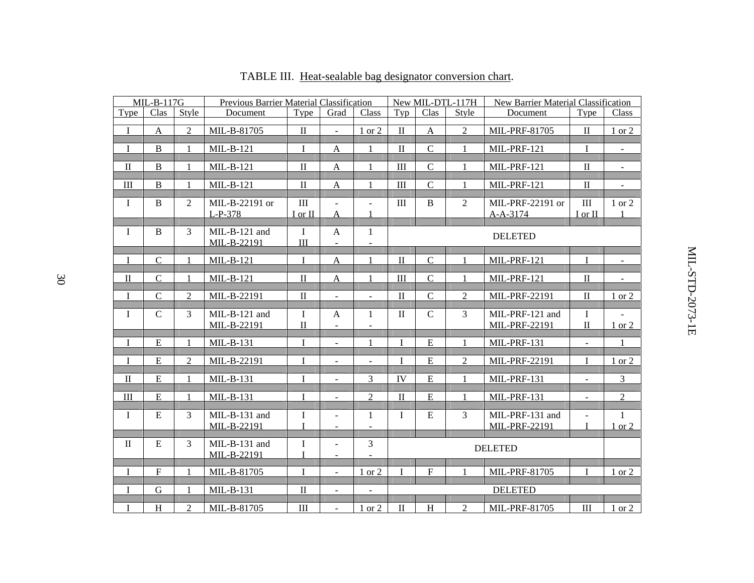|              | $MIL-B-117G$              |                | Previous Barrier Material Classification |                    |                                          |                          |              |               | New MIL-DTL-117H | New Barrier Material Classification |                |                          |
|--------------|---------------------------|----------------|------------------------------------------|--------------------|------------------------------------------|--------------------------|--------------|---------------|------------------|-------------------------------------|----------------|--------------------------|
| Type         | Clas                      | Style          | Document                                 | Type               | Grad                                     | Class                    | Typ          | Clas          | Style            | Document                            | Type           | Class                    |
| $\mathbf I$  | $\mathbf{A}$              | $\overline{2}$ | MIL-B-81705                              | $\rm II$           | $\overline{a}$                           | $1$ or $2$               | $\rm II$     | $\mathbf{A}$  | $\overline{2}$   | MIL-PRF-81705                       | $\rm II$       | 1 or 2                   |
|              |                           | 1              |                                          | $\mathbf{I}$       |                                          | $\mathbf{1}$             |              | $\mathsf{C}$  | $\mathbf{1}$     |                                     | $\mathbf{I}$   |                          |
| T            | $\, {\bf B}$              |                | MIL-B-121                                |                    | A                                        |                          | $\rm II$     |               |                  | MIL-PRF-121                         |                |                          |
| $\mathbf{I}$ | $\bf{B}$                  |                | MIL-B-121                                | $\rm II$           | A                                        |                          | III          | $\mathcal{C}$ |                  | MIL-PRF-121                         | $\mathbf{I}$   | $\overline{\phantom{a}}$ |
| III          | $\bf{B}$                  |                | MIL-B-121                                | $\rm II$           | A                                        | 1                        | III          | $\mathcal{C}$ |                  | MIL-PRF-121                         | $\mathbf{I}$   | $\equiv$                 |
|              |                           |                |                                          |                    |                                          |                          |              |               |                  |                                     |                |                          |
| $\mathbf I$  | $\bf{B}$                  | $\overline{2}$ | MIL-B-22191 or<br>$L-P-378$              | III<br>I or II     | $\overline{\phantom{a}}$<br>$\mathbf{A}$ | 1                        | III          | B             | $\overline{2}$   | MIL-PRF-22191 or<br>$A-A-3174$      | III<br>I or II | 1 or 2                   |
|              |                           |                |                                          |                    |                                          |                          |              |               |                  |                                     |                |                          |
| $\mathbf I$  | $\bf{B}$                  | $\mathfrak{Z}$ | MIL-B-121 and                            | $\mathbf I$        | $\mathbf{A}$                             | $\mathbf{1}$             |              |               |                  | <b>DELETED</b>                      |                |                          |
|              |                           |                | MIL-B-22191                              | $\rm III$          | $\overline{\phantom{a}}$                 |                          |              |               |                  |                                     |                |                          |
| Т            | $\mathcal{C}$             |                | MIL-B-121                                | L                  | A                                        | 1                        | $\rm II$     | $\mathsf{C}$  |                  | MIL-PRF-121                         |                |                          |
| $\mathbf{I}$ | $\mathbf C$               |                | $MIL-B-121$                              | $\mathbf{I}$       | A                                        | 1                        | Ш            | $\mathcal{C}$ |                  | MIL-PRF-121                         | $\mathbf{I}$   | $\blacksquare$           |
|              | $\mathbf C$               | 2              | MIL-B-22191                              | $\mathbf{I}$       | $\blacksquare$                           | $\blacksquare$           | $\mathbf{I}$ | $\mathcal{C}$ | 2                | MIL-PRF-22191                       | $\mathbf{I}$   | 1 or 2                   |
|              |                           |                |                                          |                    |                                          |                          |              |               |                  |                                     |                |                          |
| $\bf{I}$     | $\mathsf{C}$              | 3              | MIL-B-121 and                            | $\mathbf{I}$       | A                                        | 1                        | $\mathbf{I}$ | $\mathcal{C}$ | 3                | MIL-PRF-121 and                     | $\mathbf{I}$   |                          |
|              |                           |                | MIL-B-22191                              | $\rm II$           | $\overline{\phantom{a}}$                 | $\blacksquare$           |              |               |                  | <b>MIL-PRF-22191</b>                | $\mathbf{I}$   | $1$ or $2$               |
| L            | ${\bf E}$                 | 1              | $MIL-B-131$                              | T                  | $\blacksquare$                           | 1                        | $\mathbf I$  | E             | -1               | MIL-PRF-131                         | $\blacksquare$ | 1                        |
| $\mathbf{I}$ | ${\bf E}$                 | $\overline{2}$ | MIL-B-22191                              | L                  | $\overline{\phantom{a}}$                 | $\blacksquare$           | T            | ${\bf E}$     | 2                | <b>MIL-PRF-22191</b>                | $\mathbf{I}$   | 1 or 2                   |
| $\mathbf{I}$ | E                         |                | $MIL-B-131$                              | Т                  | $\overline{\phantom{a}}$                 | 3                        | IV           | E             |                  | MIL-PRF-131                         |                | 3                        |
| III          | E                         |                | $MIL-B-131$                              | T                  | $\blacksquare$                           | 2                        | $\mathbf{I}$ | E             |                  | MIL-PRF-131                         | $\blacksquare$ | $\overline{2}$           |
|              |                           |                |                                          |                    |                                          |                          |              |               |                  |                                     |                |                          |
| $\bf{I}$     | E                         | 3              | MIL-B-131 and                            | I                  | $\blacksquare$                           | 1                        | L            | E             | 3                | MIL-PRF-131 and                     | ÷,             | $\mathbf{1}$             |
|              |                           |                | MIL-B-22191                              | L                  | $\overline{\phantom{a}}$                 | $\overline{\phantom{a}}$ |              |               |                  | MIL-PRF-22191                       |                | $1$ or $2$               |
| $\mathbf{I}$ | E                         | $\overline{3}$ | MIL-B-131 and                            | $\mathbf{I}$       | $\blacksquare$                           | 3                        |              |               |                  | <b>DELETED</b>                      |                |                          |
|              |                           |                | MIL-B-22191                              | T                  | $\overline{\phantom{a}}$                 | $\blacksquare$           |              |               |                  |                                     |                |                          |
| I            | $\boldsymbol{\mathrm{F}}$ | $\mathbf{1}$   | MIL-B-81705                              | $\mathbf{I}$       | $\blacksquare$                           | 1 or 2                   |              | $\mathbf F$   |                  | MIL-PRF-81705                       |                | 1 or 2                   |
| I            | ${\bf G}$                 | 1              | MIL-B-131                                | $\rm II$           |                                          |                          |              |               |                  | <b>DELETED</b>                      |                |                          |
|              |                           |                |                                          |                    |                                          |                          |              |               |                  |                                     |                |                          |
|              | H                         | $\overline{2}$ | MIL-B-81705                              | $\mathop{\rm III}$ | $\blacksquare$                           | 1 or 2                   | $\mathbf{I}$ | H             | $\overline{2}$   | MIL-PRF-81705                       | III            | 1 or 2                   |

# TABLE III. Heat-sealable bag designator conversion chart.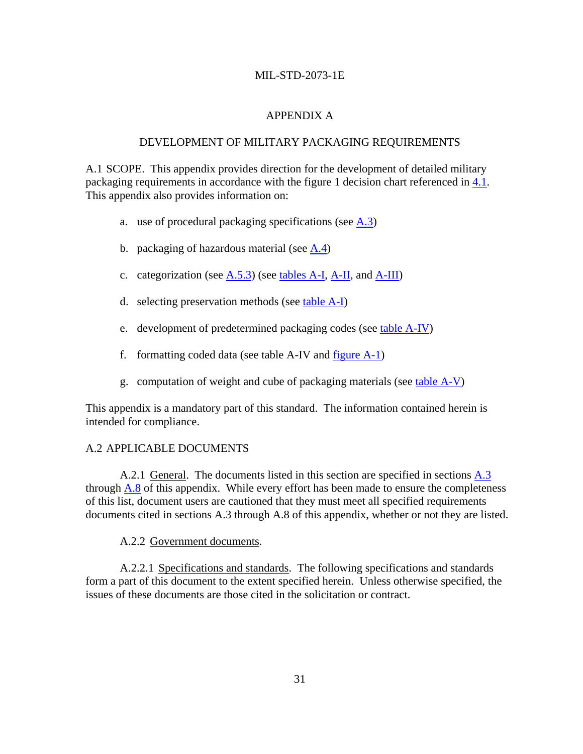#### APPENDIX A

#### DEVELOPMENT OF MILITARY PACKAGING REQUIREMENTS

A.1 SCOPE. This appendix provides direction for the development of detailed military packaging requirements in accordance with the figure 1 decision chart referenced in [4.1](#page-27-0). This appendix also provides information on:

- a. use of procedural packaging specifications (see  $\overline{A.3}$ )
- b. packaging of hazardous material (see [A.4](#page-53-0))
- c. categorization (see  $\overline{A.5.3}$  $\overline{A.5.3}$  $\overline{A.5.3}$ ) (see [tables A-I](#page-60-0), [A-II](#page-66-0), and [A-III](#page-67-0))
- d. selecting preservation methods (see [table A-I](#page-60-0))
- e. development of predetermined packaging codes (see [table A-IV](#page-72-0))
- f. formatting coded data (see table A-IV and [figure A-1](#page-58-0))
- g. computation of weight and cube of packaging materials (see [table A-V](#page-76-0))

This appendix is a mandatory part of this standard. The information contained herein is intended for compliance.

#### A.2 APPLICABLE DOCUMENTS

 A.2.1 General. The documents listed in this section are specified in sections [A.3](#page-53-0) through [A.8](#page-57-0) of this appendix. While every effort has been made to ensure the completeness of this list, document users are cautioned that they must meet all specified requirements documents cited in sections A.3 through A.8 of this appendix, whether or not they are listed.

#### A.2.2 Government documents.

 A.2.2.1 Specifications and standards. The following specifications and standards form a part of this document to the extent specified herein. Unless otherwise specified, the issues of these documents are those cited in the solicitation or contract.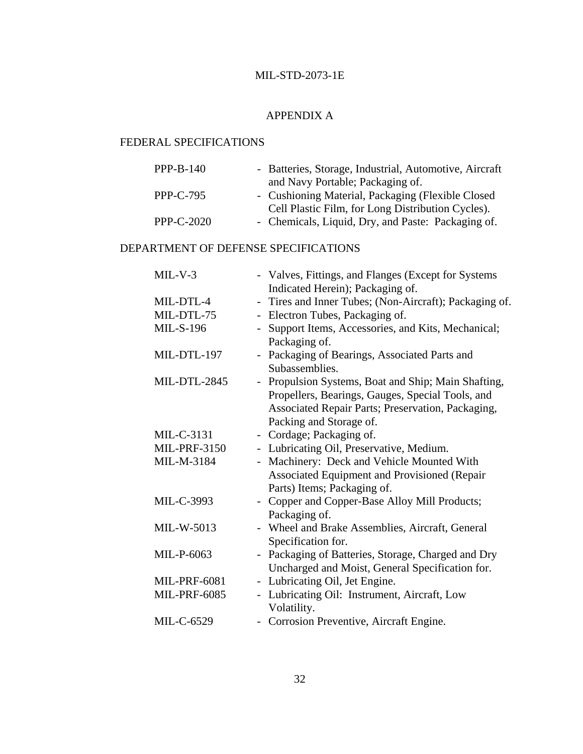### APPENDIX A

### FEDERAL SPECIFICATIONS

| - Batteries, Storage, Industrial, Automotive, Aircraft |
|--------------------------------------------------------|
| and Navy Portable; Packaging of.                       |
| - Cushioning Material, Packaging (Flexible Closed)     |
| Cell Plastic Film, for Long Distribution Cycles).      |
| - Chemicals, Liquid, Dry, and Paste: Packaging of.     |
|                                                        |

### DEPARTMENT OF DEFENSE SPECIFICATIONS

| $MIL-V-3$           | - Valves, Fittings, and Flanges (Except for Systems)<br>Indicated Herein); Packaging of. |
|---------------------|------------------------------------------------------------------------------------------|
|                     | - Tires and Inner Tubes; (Non-Aircraft); Packaging of.                                   |
|                     | - Electron Tubes, Packaging of.                                                          |
|                     |                                                                                          |
|                     | Support Items, Accessories, and Kits, Mechanical;<br>Packaging of.                       |
| MIL-DTL-197         | Packaging of Bearings, Associated Parts and                                              |
|                     | Subassemblies.                                                                           |
| <b>MIL-DTL-2845</b> | - Propulsion Systems, Boat and Ship; Main Shafting,                                      |
|                     | Propellers, Bearings, Gauges, Special Tools, and                                         |
|                     | Associated Repair Parts; Preservation, Packaging,                                        |
|                     | Packing and Storage of.                                                                  |
| MIL-C-3131          | - Cordage; Packaging of.                                                                 |
| <b>MIL-PRF-3150</b> | - Lubricating Oil, Preservative, Medium.                                                 |
| MIL-M-3184          | - Machinery: Deck and Vehicle Mounted With                                               |
|                     | Associated Equipment and Provisioned (Repair                                             |
|                     | Parts) Items; Packaging of.                                                              |
| MIL-C-3993          | - Copper and Copper-Base Alloy Mill Products;                                            |
|                     | Packaging of.                                                                            |
| MIL-W-5013          | - Wheel and Brake Assemblies, Aircraft, General                                          |
|                     | Specification for.                                                                       |
| MIL-P-6063          | - Packaging of Batteries, Storage, Charged and Dry                                       |
|                     | Uncharged and Moist, General Specification for.                                          |
| <b>MIL-PRF-6081</b> | - Lubricating Oil, Jet Engine.                                                           |
| <b>MIL-PRF-6085</b> | - Lubricating Oil: Instrument, Aircraft, Low                                             |
|                     | Volatility.                                                                              |
| MIL-C-6529          | - Corrosion Preventive, Aircraft Engine.                                                 |
|                     | MIL-DTL-4<br>MIL-DTL-75<br><b>MIL-S-196</b>                                              |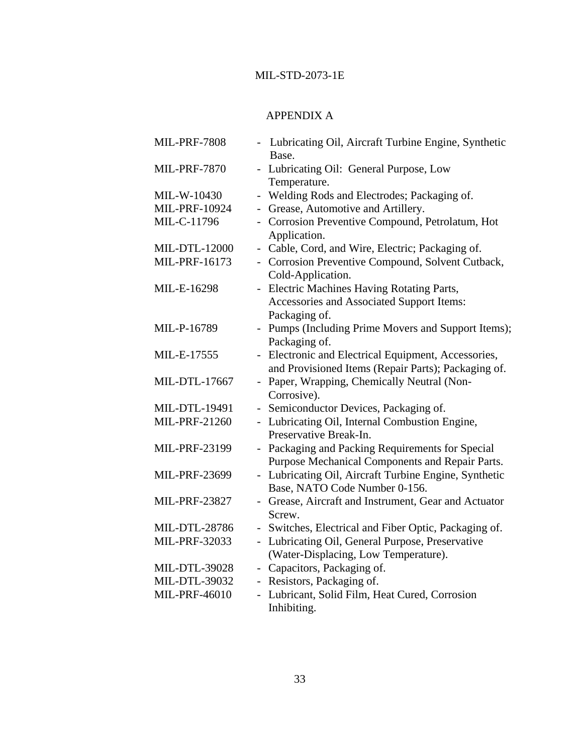### APPENDIX A

| <b>MIL-PRF-7808</b>  |                          | - Lubricating Oil, Aircraft Turbine Engine, Synthetic<br>Base.                                             |
|----------------------|--------------------------|------------------------------------------------------------------------------------------------------------|
| <b>MIL-PRF-7870</b>  |                          | - Lubricating Oil: General Purpose, Low<br>Temperature.                                                    |
| MIL-W-10430          |                          | - Welding Rods and Electrodes; Packaging of.                                                               |
| MIL-PRF-10924        |                          | Grease, Automotive and Artillery.                                                                          |
| MIL-C-11796          |                          | Corrosion Preventive Compound, Petrolatum, Hot<br>Application.                                             |
| <b>MIL-DTL-12000</b> |                          | - Cable, Cord, and Wire, Electric; Packaging of.                                                           |
| MIL-PRF-16173        |                          | - Corrosion Preventive Compound, Solvent Cutback,<br>Cold-Application.                                     |
| MIL-E-16298          |                          | Electric Machines Having Rotating Parts,                                                                   |
|                      |                          | Accessories and Associated Support Items:                                                                  |
|                      |                          | Packaging of.                                                                                              |
| MIL-P-16789          |                          | - Pumps (Including Prime Movers and Support Items);                                                        |
|                      |                          | Packaging of.                                                                                              |
| MIL-E-17555          |                          | - Electronic and Electrical Equipment, Accessories,<br>and Provisioned Items (Repair Parts); Packaging of. |
| MIL-DTL-17667        |                          | Paper, Wrapping, Chemically Neutral (Non-                                                                  |
|                      |                          | Corrosive).                                                                                                |
| MIL-DTL-19491        | $\overline{\phantom{0}}$ | Semiconductor Devices, Packaging of.                                                                       |
| MIL-PRF-21260        |                          | - Lubricating Oil, Internal Combustion Engine,                                                             |
|                      |                          | Preservative Break-In.                                                                                     |
| MIL-PRF-23199        |                          | - Packaging and Packing Requirements for Special                                                           |
|                      |                          | Purpose Mechanical Components and Repair Parts.                                                            |
| MIL-PRF-23699        |                          | - Lubricating Oil, Aircraft Turbine Engine, Synthetic                                                      |
|                      |                          | Base, NATO Code Number 0-156.                                                                              |
| <b>MIL-PRF-23827</b> | $\overline{\phantom{0}}$ | Grease, Aircraft and Instrument, Gear and Actuator                                                         |
|                      |                          | Screw.                                                                                                     |
| MIL-DTL-28786        | $\blacksquare$           | Switches, Electrical and Fiber Optic, Packaging of.                                                        |
| MIL-PRF-32033        |                          | - Lubricating Oil, General Purpose, Preservative                                                           |
|                      |                          | (Water-Displacing, Low Temperature).                                                                       |
| MIL-DTL-39028        |                          | - Capacitors, Packaging of.                                                                                |
| MIL-DTL-39032        |                          | - Resistors, Packaging of.                                                                                 |
| MIL-PRF-46010        |                          | Lubricant, Solid Film, Heat Cured, Corrosion                                                               |
|                      |                          | Inhibiting.                                                                                                |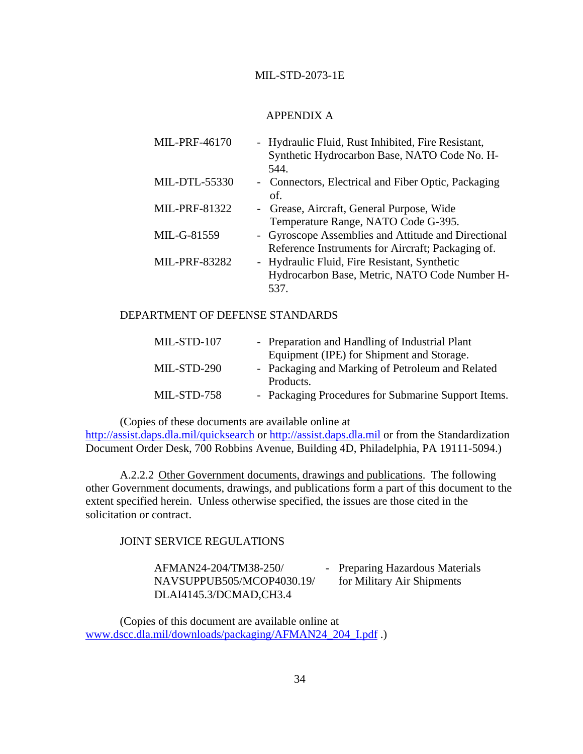#### APPENDIX A

| MIL-PRF-46170        | - Hydraulic Fluid, Rust Inhibited, Fire Resistant,<br>Synthetic Hydrocarbon Base, NATO Code No. H-<br>544. |
|----------------------|------------------------------------------------------------------------------------------------------------|
| <b>MIL-DTL-55330</b> | - Connectors, Electrical and Fiber Optic, Packaging<br>of.                                                 |
| <b>MIL-PRF-81322</b> | - Grease, Aircraft, General Purpose, Wide<br>Temperature Range, NATO Code G-395.                           |
| MIL-G-81559          | - Gyroscope Assemblies and Attitude and Directional<br>Reference Instruments for Aircraft; Packaging of.   |
| <b>MIL-PRF-83282</b> | - Hydraulic Fluid, Fire Resistant, Synthetic<br>Hydrocarbon Base, Metric, NATO Code Number H-<br>537.      |

#### DEPARTMENT OF DEFENSE STANDARDS

| MIL-STD-107 | - Preparation and Handling of Industrial Plant      |
|-------------|-----------------------------------------------------|
|             | Equipment (IPE) for Shipment and Storage.           |
| MIL-STD-290 | - Packaging and Marking of Petroleum and Related    |
|             | Products.                                           |
| MIL-STD-758 | - Packaging Procedures for Submarine Support Items. |

(Copies of these documents are available online at

<http://assist.daps.dla.mil/quicksearch> or [http://assist.daps.dla.mil](http://assist.daps.dla.mil/) or from the Standardization Document Order Desk, 700 Robbins Avenue, Building 4D, Philadelphia, PA 19111-5094.)

 A.2.2.2 Other Government documents, drawings and publications. The following other Government documents, drawings, and publications form a part of this document to the extent specified herein. Unless otherwise specified, the issues are those cited in the solicitation or contract.

JOINT SERVICE REGULATIONS

 AFMAN24-204/TM38-250/ - Preparing Hazardous Materials NAVSUPPUB505/MCOP4030.19/ for Military Air Shipments DLAI4145.3/DCMAD,CH3.4

 (Copies of this document are available online at [www.dscc.dla.mil/downloads/packaging/AFMAN24\\_204\\_I.pdf](http://www.dscc.dla.mil/downloads/packaging/AFMAN24_204_I.pdf) .)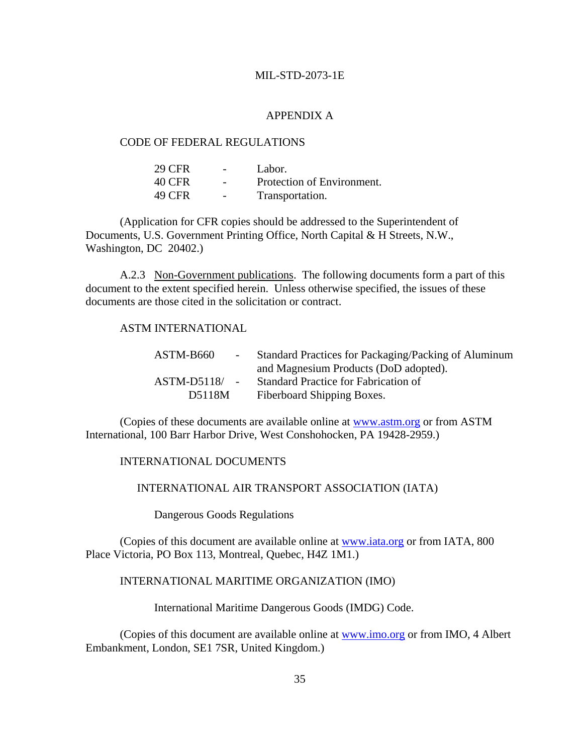#### APPENDIX A

#### CODE OF FEDERAL REGULATIONS

| <b>29 CFR</b> | $\sim$ $\sim$ | Labor.                     |
|---------------|---------------|----------------------------|
| 40 CFR        | $\sim$        | Protection of Environment. |
| 49 CFR        | $\sim$        | Transportation.            |

 (Application for CFR copies should be addressed to the Superintendent of Documents, U.S. Government Printing Office, North Capital & H Streets, N.W., Washington, DC 20402.)

A.2.3 Non-Government publications. The following documents form a part of this document to the extent specified herein. Unless otherwise specified, the issues of these documents are those cited in the solicitation or contract.

#### ASTM INTERNATIONAL

| ASTM-B660   | Standard Practices for Packaging/Packing of Aluminum |
|-------------|------------------------------------------------------|
|             | and Magnesium Products (DoD adopted).                |
| ASTM-D5118/ | Standard Practice for Fabrication of                 |
| D5118M      | Fiberboard Shipping Boxes.                           |

 (Copies of these documents are available online at [www.astm.org](http://www.astm.org/) or from ASTM International, 100 Barr Harbor Drive, West Conshohocken, PA 19428-2959.)

#### INTERNATIONAL DOCUMENTS

#### INTERNATIONAL AIR TRANSPORT ASSOCIATION (IATA)

Dangerous Goods Regulations

 (Copies of this document are available online at [www.iata.org](http://www.iata.org/) or from IATA, 800 Place Victoria, PO Box 113, Montreal, Quebec, H4Z 1M1.)

#### INTERNATIONAL MARITIME ORGANIZATION (IMO)

International Maritime Dangerous Goods (IMDG) Code.

 (Copies of this document are available online at [www.imo.org](http://www.imo.org/) or from IMO, 4 Albert Embankment, London, SE1 7SR, United Kingdom.)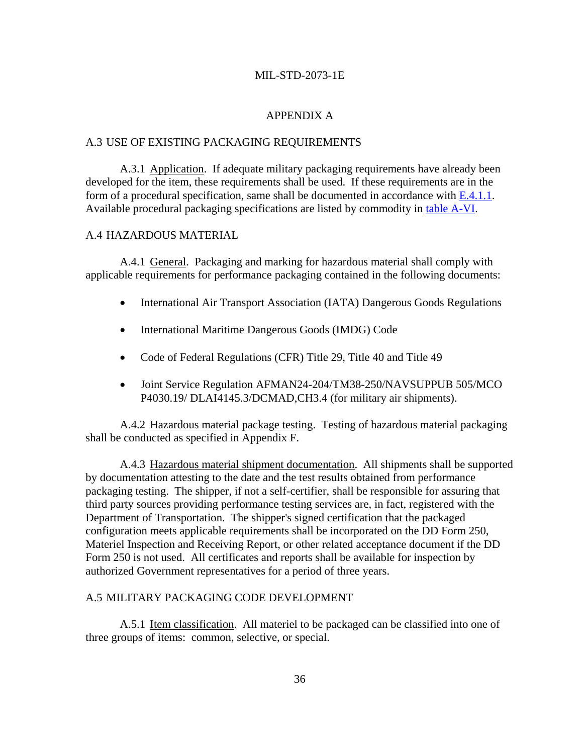#### APPENDIX A

#### <span id="page-53-0"></span>A.3 USE OF EXISTING PACKAGING REQUIREMENTS

 A.3.1 Application. If adequate military packaging requirements have already been developed for the item, these requirements shall be used. If these requirements are in the form of a procedural specification, same shall be documented in accordance with  $E.4.1.1$ . Available procedural packaging specifications are listed by commodity in [table A-VI](#page-78-0).

#### A.4 HAZARDOUS MATERIAL

 A.4.1 General. Packaging and marking for hazardous material shall comply with applicable requirements for performance packaging contained in the following documents:

- International Air Transport Association (IATA) Dangerous Goods Regulations
- International Maritime Dangerous Goods (IMDG) Code
- Code of Federal Regulations (CFR) Title 29, Title 40 and Title 49
- Joint Service Regulation AFMAN24-204/TM38-250/NAVSUPPUB 505/MCO P4030.19/ DLAI4145.3/DCMAD,CH3.4 (for military air shipments).

 A.4.2 Hazardous material package testing. Testing of hazardous material packaging shall be conducted as specified in Appendix F.

 A.4.3 Hazardous material shipment documentation. All shipments shall be supported by documentation attesting to the date and the test results obtained from performance packaging testing. The shipper, if not a self-certifier, shall be responsible for assuring that third party sources providing performance testing services are, in fact, registered with the Department of Transportation. The shipper's signed certification that the packaged configuration meets applicable requirements shall be incorporated on the DD Form 250, Materiel Inspection and Receiving Report, or other related acceptance document if the DD Form 250 is not used. All certificates and reports shall be available for inspection by authorized Government representatives for a period of three years.

#### A.5 MILITARY PACKAGING CODE DEVELOPMENT

 A.5.1 Item classification. All materiel to be packaged can be classified into one of three groups of items: common, selective, or special.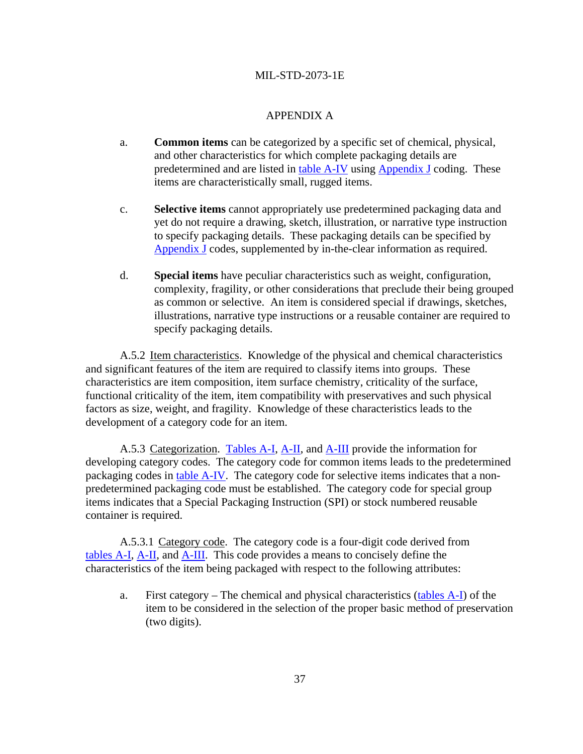#### APPENDIX A

- <span id="page-54-0"></span>a. **Common items** can be categorized by a specific set of chemical, physical, and other characteristics for which complete packaging details are predetermined and are listed in [table A-IV](#page-72-0) using [Appendix J](#page-152-0) coding. These items are characteristically small, rugged items.
- c. **Selective items** cannot appropriately use predetermined packaging data and yet do not require a drawing, sketch, illustration, or narrative type instruction to specify packaging details. These packaging details can be specified by [Appendix J](#page-152-0) codes, supplemented by in-the-clear information as required.
- d. **Special items** have peculiar characteristics such as weight, configuration, complexity, fragility, or other considerations that preclude their being grouped as common or selective. An item is considered special if drawings, sketches, illustrations, narrative type instructions or a reusable container are required to specify packaging details.

 A.5.2 Item characteristics. Knowledge of the physical and chemical characteristics and significant features of the item are required to classify items into groups. These characteristics are item composition, item surface chemistry, criticality of the surface, functional criticality of the item, item compatibility with preservatives and such physical factors as size, weight, and fragility. Knowledge of these characteristics leads to the development of a category code for an item.

 A.5.3 Categorization. [Tables A-I](#page-60-0), [A-II,](#page-66-0) and [A-III](#page-67-0) provide the information for developing category codes. The category code for common items leads to the predetermined packaging codes in [table A-IV.](#page-72-0) The category code for selective items indicates that a nonpredetermined packaging code must be established. The category code for special group items indicates that a Special Packaging Instruction (SPI) or stock numbered reusable container is required.

 A.5.3.1 Category code. The category code is a four-digit code derived from [tables A-I,](#page-60-0) [A-II](#page-66-0), and [A-III.](#page-67-0) This code provides a means to concisely define the characteristics of the item being packaged with respect to the following attributes:

a. First category – The chemical and physical characteristics ([tables A-I\)](#page-60-0) of the item to be considered in the selection of the proper basic method of preservation (two digits).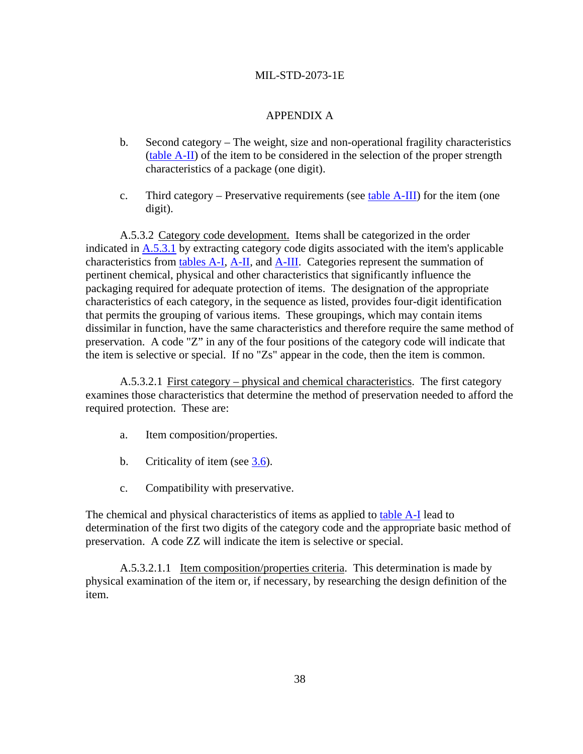#### APPENDIX A

- b. Second category The weight, size and non-operational fragility characteristics ([table A-II](#page-66-0)) of the item to be considered in the selection of the proper strength characteristics of a package (one digit).
- c. Third category Preservative requirements (see table  $A-III$ ) for the item (one digit).

 A.5.3.2 Category code development. Items shall be categorized in the order indicated in [A.5.3.1](#page-54-0) by extracting category code digits associated with the item's applicable characteristics from [tables A-I,](#page-60-0) [A-II,](#page-66-0) and [A-III.](#page-67-0) Categories represent the summation of pertinent chemical, physical and other characteristics that significantly influence the packaging required for adequate protection of items. The designation of the appropriate characteristics of each category, in the sequence as listed, provides four-digit identification that permits the grouping of various items. These groupings, which may contain items dissimilar in function, have the same characteristics and therefore require the same method of preservation. A code "Z" in any of the four positions of the category code will indicate that the item is selective or special. If no "Zs" appear in the code, then the item is common.

 A.5.3.2.1 First category – physical and chemical characteristics. The first category examines those characteristics that determine the method of preservation needed to afford the required protection. These are:

- a. Item composition/properties.
- b. Criticality of item (see [3.6](#page-23-0)).
- c. Compatibility with preservative.

The chemical and physical characteristics of items as applied to [table A-I](#page-60-0) lead to determination of the first two digits of the category code and the appropriate basic method of preservation. A code ZZ will indicate the item is selective or special.

A.5.3.2.1.1 Item composition/properties criteria. This determination is made by physical examination of the item or, if necessary, by researching the design definition of the item.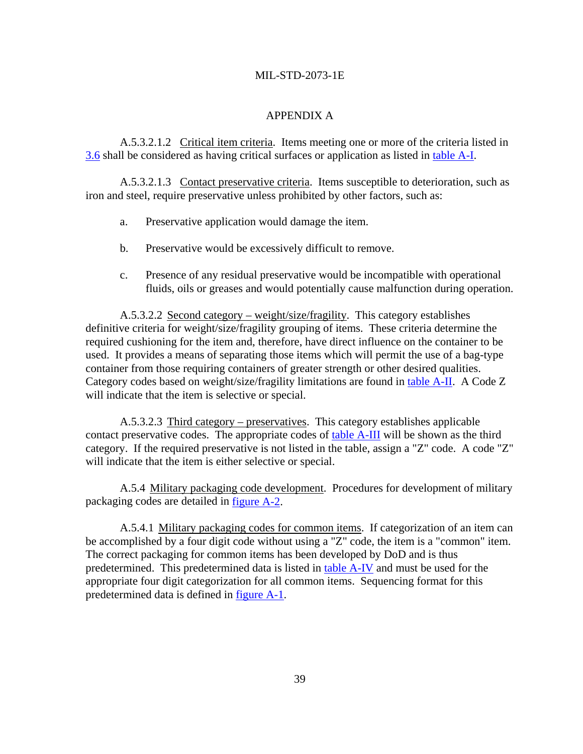#### APPENDIX A

 A.5.3.2.1.2 Critical item criteria. Items meeting one or more of the criteria listed in [3.6](#page-23-0) shall be considered as having critical surfaces or application as listed in [table A-I.](#page-60-0)

 A.5.3.2.1.3 Contact preservative criteria. Items susceptible to deterioration, such as iron and steel, require preservative unless prohibited by other factors, such as:

- a. Preservative application would damage the item.
- b. Preservative would be excessively difficult to remove.
- c. Presence of any residual preservative would be incompatible with operational fluids, oils or greases and would potentially cause malfunction during operation.

 A.5.3.2.2 Second category – weight/size/fragility. This category establishes definitive criteria for weight/size/fragility grouping of items. These criteria determine the required cushioning for the item and, therefore, have direct influence on the container to be used. It provides a means of separating those items which will permit the use of a bag-type container from those requiring containers of greater strength or other desired qualities. Category codes based on weight/size/fragility limitations are found in [table A-II](#page-66-0). A Code Z will indicate that the item is selective or special.

 A.5.3.2.3 Third category – preservatives. This category establishes applicable contact preservative codes. The appropriate codes of [table A-III](#page-67-0) will be shown as the third category. If the required preservative is not listed in the table, assign a "Z" code. A code "Z" will indicate that the item is either selective or special.

 A.5.4 Military packaging code development. Procedures for development of military packaging codes are detailed in <u>[figure A-2](#page-59-0)</u>.

 A.5.4.1 Military packaging codes for common items. If categorization of an item can be accomplished by a four digit code without using a "Z" code, the item is a "common" item. The correct packaging for common items has been developed by DoD and is thus predetermined. This predetermined data is listed in [table A-IV](#page-72-0) and must be used for the appropriate four digit categorization for all common items. Sequencing format for this predetermined data is defined in [figure A-1](#page-58-0).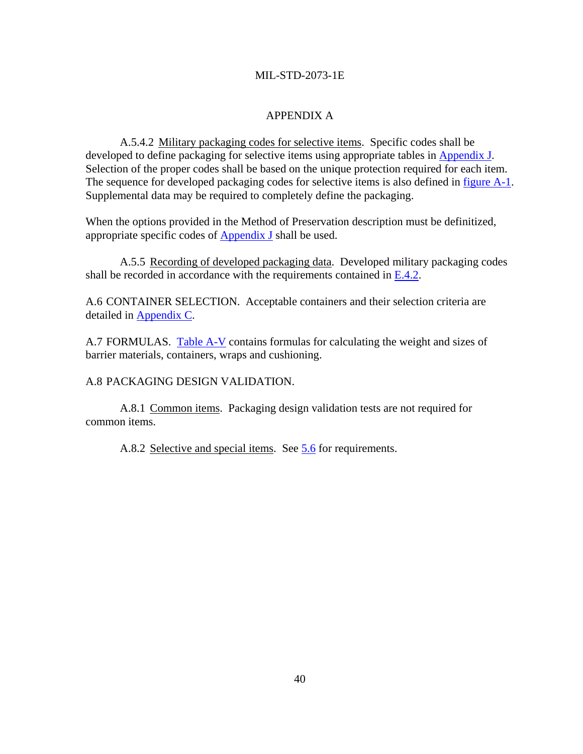#### APPENDIX A

<span id="page-57-0"></span> A.5.4.2 Military packaging codes for selective items. Specific codes shall be developed to define packaging for selective items using appropriate tables in **Appendix J**. Selection of the proper codes shall be based on the unique protection required for each item. The sequence for developed packaging codes for selective items is also defined in [figure A-1.](#page-58-0) Supplemental data may be required to completely define the packaging.

When the options provided in the Method of Preservation description must be definitized, appropriate specific codes of **Appendix J** shall be used.

A.5.5 Recording of developed packaging data. Developed military packaging codes shall be recorded in accordance with the requirements contained in  $E.4.2$ .

A.6 CONTAINER SELECTION. Acceptable containers and their selection criteria are detailed in [Appendix C.](#page-87-0)

A.7 FORMULAS. [Table A-V](#page-76-0) contains formulas for calculating the weight and sizes of barrier materials, containers, wraps and cushioning.

#### A.8 PACKAGING DESIGN VALIDATION.

 A.8.1 Common items. Packaging design validation tests are not required for common items.

A.8.2 Selective and special items. See [5.6](#page-40-0) for requirements.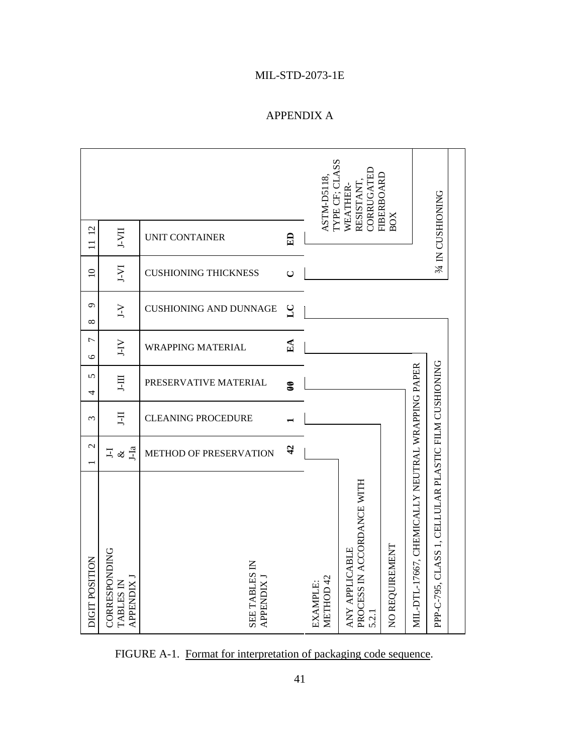### APPENDIX A

<span id="page-58-0"></span>

| <b>DIGIT POSITION</b>                                        | $\mathcal{L}$          | $\epsilon$                | 5<br>4                | $\overline{ }$<br>$\circ$ | $\sigma$<br>$\infty$          | $\overline{10}$             | $\overline{2}$<br>Ξ   |                                            |
|--------------------------------------------------------------|------------------------|---------------------------|-----------------------|---------------------------|-------------------------------|-----------------------------|-----------------------|--------------------------------------------|
| CORRESPONDING<br><b>APPENDIX J</b><br>TABLES IN              | $J-Ia$<br>$\Xi$ &      | Η                         | <b>HH</b>             | NF1                       | $Y-I$                         | IV-U                        | I-VII                 |                                            |
| <b>SEE TABLES IN</b><br><b>APPENDIX J</b>                    | METHOD OF PRESERVATION | <b>CLEANING PROCEDURE</b> | PRESERVATIVE MATERIAL | <b>WRAPPING MATERIAL</b>  | <b>CUSHIONING AND DUNNAGE</b> | <b>CUSHIONING THICKNESS</b> | <b>UNIT CONTAINER</b> |                                            |
|                                                              | $\boldsymbol{d}$       |                           | S                     | $E\Lambda$                | S                             | $\cup$                      | ED                    |                                            |
| METHOD <sub>42</sub><br>EXAMPLE:                             |                        |                           |                       |                           |                               |                             |                       | TYPE CF; CLASS<br>ASTM-D5118,              |
| PROCESS IN ACCORDANCE WITH<br><b>ANY APPLICABLE</b><br>5.2.1 |                        |                           |                       |                           |                               |                             |                       | CORRUGATED<br><b>RESISTANT</b><br>WEATHER- |
| NO REQUIREMENT                                               |                        |                           |                       |                           |                               |                             | <b>BOX</b>            | FIBERBOARD                                 |
| MIL-DTL-17667, CHEMICALLY NEUTRAL WRAPPING PAPER             |                        |                           |                       |                           |                               |                             |                       |                                            |
| PPP-C-795, CLASS 1, CELLULAR PLASTIC FILM CUSHIONING         |                        |                           |                       |                           |                               |                             | 3⁄4 IN CUSHIONING     |                                            |
|                                                              |                        |                           |                       |                           |                               |                             |                       |                                            |

FIGURE A-1. Format for interpretation of packaging code sequence.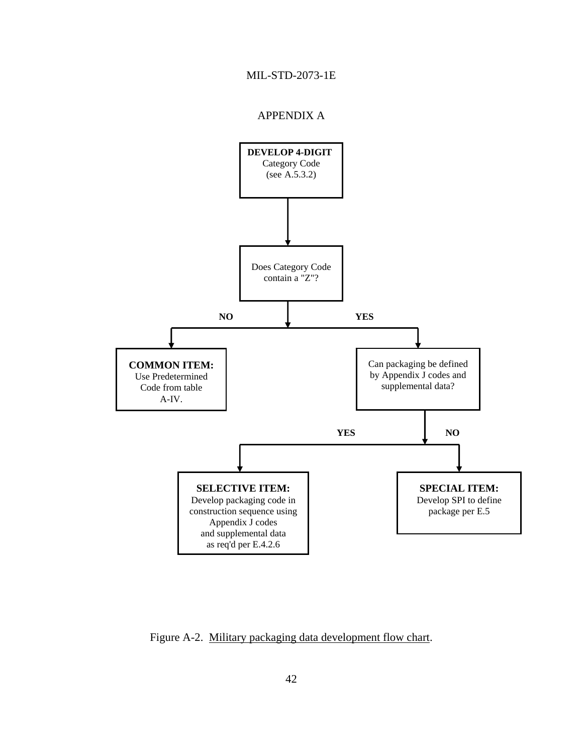#### APPENDIX A

<span id="page-59-0"></span>

Figure A-2. Military packaging data development flow chart.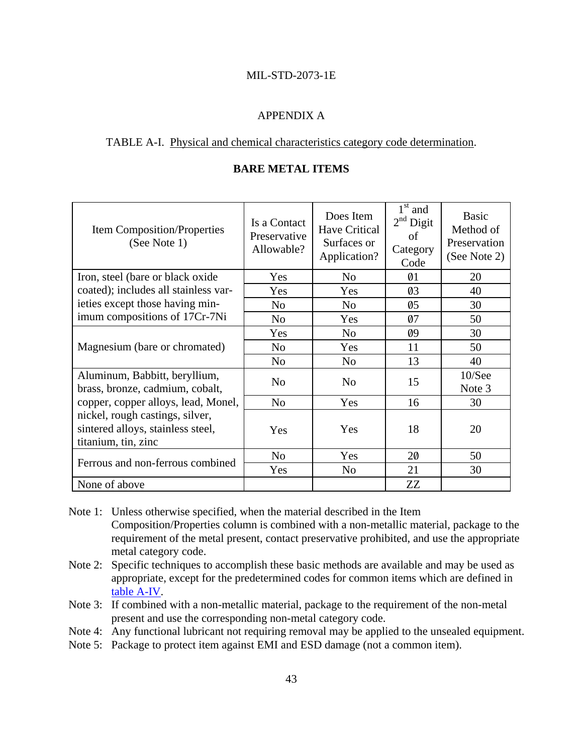#### APPENDIX A

#### <span id="page-60-0"></span>TABLE A-I. Physical and chemical characteristics category code determination.

| <b>BARE METAL ITEMS</b> |
|-------------------------|
|-------------------------|

| <b>Item Composition/Properties</b><br>(See Note 1)                                          | Is a Contact<br>Preservative<br>Allowable? | Does Item<br>Have Critical<br>Surfaces or<br>Application? | $1st$ and<br>$2nd$ Digit<br>of<br>Category<br>Code | Basic<br>Method of<br>Preservation<br>(See Note 2) |
|---------------------------------------------------------------------------------------------|--------------------------------------------|-----------------------------------------------------------|----------------------------------------------------|----------------------------------------------------|
| Iron, steel (bare or black oxide)                                                           | Yes                                        | N <sub>o</sub>                                            | $\emptyset$ 1                                      | 20                                                 |
| coated); includes all stainless var-                                                        | Yes                                        | Yes                                                       | 03                                                 | 40                                                 |
| ieties except those having min-                                                             | N <sub>0</sub>                             | N <sub>0</sub>                                            | 05                                                 | 30                                                 |
| imum compositions of 17Cr-7Ni                                                               | N <sub>o</sub>                             | Yes                                                       | 07                                                 | 50                                                 |
| Magnesium (bare or chromated)                                                               | Yes                                        | N <sub>o</sub>                                            | 09                                                 | 30                                                 |
|                                                                                             | N <sub>o</sub>                             | Yes                                                       | 11                                                 | 50                                                 |
|                                                                                             | N <sub>o</sub>                             | N <sub>o</sub>                                            | 13                                                 | 40                                                 |
| Aluminum, Babbitt, beryllium,<br>brass, bronze, cadmium, cobalt,                            | N <sub>o</sub>                             | N <sub>0</sub>                                            | 15                                                 | 10/See<br>Note 3                                   |
| copper, copper alloys, lead, Monel,                                                         | N <sub>o</sub>                             | Yes                                                       | 16                                                 | 30                                                 |
| nickel, rough castings, silver,<br>sintered alloys, stainless steel,<br>titanium, tin, zinc | Yes                                        | Yes                                                       | 18                                                 | 20                                                 |
| Ferrous and non-ferrous combined                                                            | N <sub>0</sub>                             | Yes                                                       | 20                                                 | 50                                                 |
|                                                                                             | Yes                                        | No                                                        | 21                                                 | 30                                                 |
| None of above                                                                               |                                            |                                                           | ZZ                                                 |                                                    |

Note 1: Unless otherwise specified, when the material described in the Item Composition/Properties column is combined with a non-metallic material, package to the requirement of the metal present, contact preservative prohibited, and use the appropriate metal category code.

Note 2: Specific techniques to accomplish these basic methods are available and may be used as appropriate, except for the predetermined codes for common items which are defined in [table A-IV.](#page-72-0)

- Note 3: If combined with a non-metallic material, package to the requirement of the non-metal present and use the corresponding non-metal category code.
- Note 4: Any functional lubricant not requiring removal may be applied to the unsealed equipment.
- Note 5: Package to protect item against EMI and ESD damage (not a common item).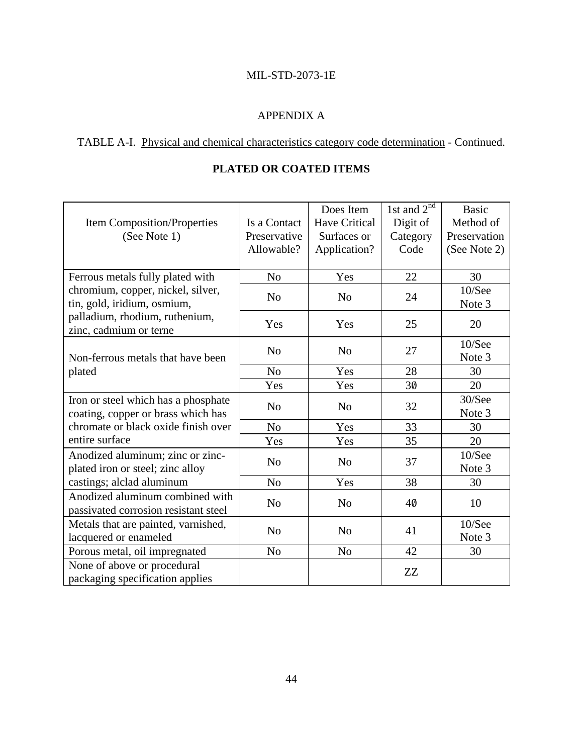### APPENDIX A

### TABLE A-I. Physical and chemical characteristics category code determination - Continued.

|                                      |                | Does Item            | 1st and $2^{n\overline{d}}$ | <b>Basic</b> |
|--------------------------------------|----------------|----------------------|-----------------------------|--------------|
| <b>Item Composition/Properties</b>   | Is a Contact   | <b>Have Critical</b> | Digit of                    | Method of    |
| (See Note 1)                         | Preservative   | Surfaces or          | Category                    | Preservation |
|                                      | Allowable?     | Application?         | Code                        | (See Note 2) |
|                                      |                |                      |                             |              |
| Ferrous metals fully plated with     | N <sub>o</sub> | Yes                  | 22                          | 30           |
| chromium, copper, nickel, silver,    |                |                      |                             | 10/See       |
| tin, gold, iridium, osmium,          | N <sub>o</sub> | N <sub>o</sub>       | 24                          | Note 3       |
| palladium, rhodium, ruthenium,       |                |                      | 25                          |              |
| zinc, cadmium or terne               | Yes            | Yes                  |                             | 20           |
|                                      | N <sub>o</sub> | N <sub>o</sub>       | 27                          | 10/See       |
| Non-ferrous metals that have been    |                |                      |                             | Note 3       |
| plated                               | N <sub>o</sub> | Yes                  | 28                          | 30           |
|                                      | Yes            | Yes                  | 30                          | 20           |
| Iron or steel which has a phosphate  | N <sub>o</sub> | N <sub>o</sub>       | 32                          | 30/See       |
| coating, copper or brass which has   |                |                      |                             | Note 3       |
| chromate or black oxide finish over  | N <sub>o</sub> | Yes                  | 33                          | 30           |
| entire surface                       | Yes            | Yes                  | 35                          | 20           |
| Anodized aluminum; zinc or zinc-     |                |                      |                             | 10/See       |
| plated iron or steel; zinc alloy     | N <sub>o</sub> | N <sub>o</sub>       | 37                          | Note 3       |
| castings; alclad aluminum            | N <sub>o</sub> | Yes                  | 38                          | 30           |
| Anodized aluminum combined with      |                |                      |                             |              |
| passivated corrosion resistant steel | N <sub>o</sub> | N <sub>0</sub>       | 40                          | 10           |
| Metals that are painted, varnished,  | N <sub>o</sub> | N <sub>o</sub>       | 41                          | 10/See       |
| lacquered or enameled                |                |                      |                             | Note 3       |
| Porous metal, oil impregnated        | N <sub>o</sub> | N <sub>o</sub>       | 42                          | 30           |
| None of above or procedural          |                |                      | <b>ZZ</b>                   |              |
| packaging specification applies      |                |                      |                             |              |

### **PLATED OR COATED ITEMS**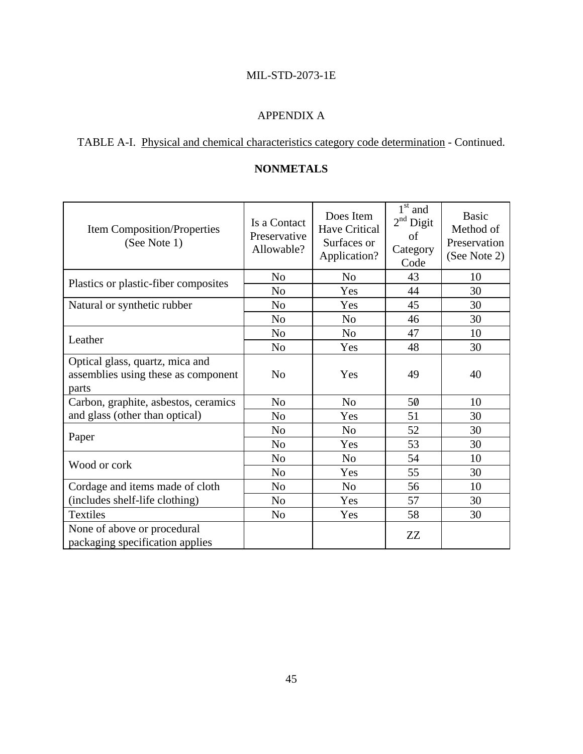### APPENDIX A

### TABLE A-I. Physical and chemical characteristics category code determination - Continued.

### **NONMETALS**

| <b>Item Composition/Properties</b><br>(See Note 1)                              | Is a Contact<br>Preservative<br>Allowable? | Does Item<br>Have Critical<br>Surfaces or<br>Application? | $1st$ and<br>$2nd$ Digit<br>of<br>Category<br>Code | <b>Basic</b><br>Method of<br>Preservation<br>(See Note 2) |
|---------------------------------------------------------------------------------|--------------------------------------------|-----------------------------------------------------------|----------------------------------------------------|-----------------------------------------------------------|
| Plastics or plastic-fiber composites                                            | N <sub>o</sub>                             | N <sub>o</sub>                                            | 43                                                 | 10                                                        |
|                                                                                 | No                                         | Yes                                                       | 44                                                 | 30                                                        |
| Natural or synthetic rubber                                                     | N <sub>o</sub>                             | Yes                                                       | 45                                                 | 30                                                        |
|                                                                                 | N <sub>o</sub>                             | N <sub>o</sub>                                            | 46                                                 | 30                                                        |
|                                                                                 | N <sub>o</sub>                             | N <sub>o</sub>                                            | 47                                                 | 10                                                        |
| Leather                                                                         | N <sub>o</sub>                             | Yes                                                       | 48                                                 | 30                                                        |
| Optical glass, quartz, mica and<br>assemblies using these as component<br>parts | N <sub>o</sub>                             | Yes                                                       | 49                                                 | 40                                                        |
| Carbon, graphite, asbestos, ceramics                                            | N <sub>0</sub>                             | N <sub>0</sub>                                            | 50                                                 | 10                                                        |
| and glass (other than optical)                                                  | N <sub>o</sub>                             | Yes                                                       | 51                                                 | 30                                                        |
|                                                                                 | N <sub>o</sub>                             | N <sub>o</sub>                                            | 52                                                 | 30                                                        |
| Paper                                                                           | N <sub>o</sub>                             | Yes                                                       | 53                                                 | 30                                                        |
| Wood or cork                                                                    | N <sub>o</sub>                             | N <sub>o</sub>                                            | 54                                                 | 10                                                        |
|                                                                                 | N <sub>o</sub>                             | Yes                                                       | 55                                                 | 30                                                        |
| Cordage and items made of cloth                                                 | N <sub>o</sub>                             | N <sub>o</sub>                                            | 56                                                 | 10                                                        |
| (includes shelf-life clothing)                                                  | N <sub>o</sub>                             | Yes                                                       | 57                                                 | 30                                                        |
| <b>Textiles</b>                                                                 | N <sub>o</sub>                             | Yes                                                       | 58                                                 | 30                                                        |
| None of above or procedural<br>packaging specification applies                  |                                            |                                                           | ZZ                                                 |                                                           |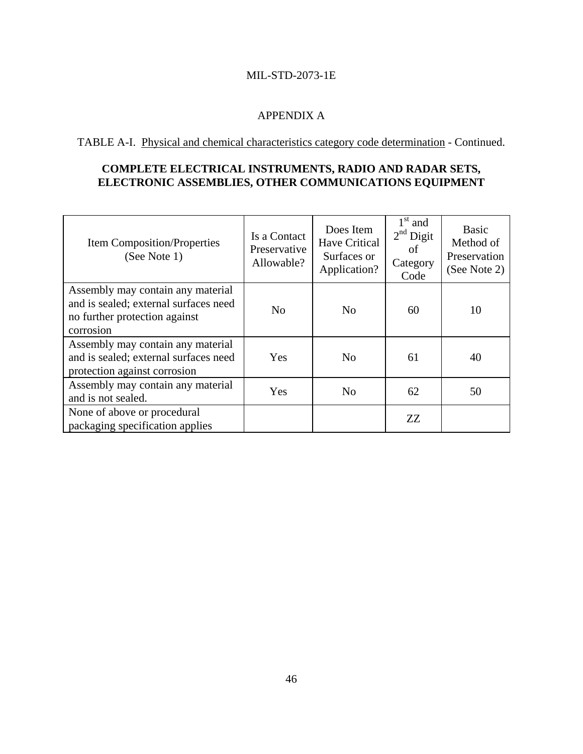#### APPENDIX A

#### TABLE A-I. Physical and chemical characteristics category code determination - Continued.

#### **COMPLETE ELECTRICAL INSTRUMENTS, RADIO AND RADAR SETS, ELECTRONIC ASSEMBLIES, OTHER COMMUNICATIONS EQUIPMENT**

| <b>Item Composition/Properties</b><br>(See Note 1)                                                                       | Is a Contact<br>Preservative<br>Allowable? | Does Item<br><b>Have Critical</b><br>Surfaces or<br>Application? | $1st$ and<br>$2nd$ Digit<br>of<br>Category<br>Code | <b>Basic</b><br>Method of<br>Preservation<br>(See Note 2) |
|--------------------------------------------------------------------------------------------------------------------------|--------------------------------------------|------------------------------------------------------------------|----------------------------------------------------|-----------------------------------------------------------|
| Assembly may contain any material<br>and is sealed; external surfaces need<br>no further protection against<br>corrosion | N <sub>o</sub>                             | N <sub>o</sub>                                                   | 60                                                 | 10                                                        |
| Assembly may contain any material<br>and is sealed; external surfaces need<br>protection against corrosion               | Yes                                        | N <sub>0</sub>                                                   | 61                                                 | 40                                                        |
| Assembly may contain any material<br>and is not sealed.                                                                  | Yes                                        | N <sub>o</sub>                                                   | 62                                                 | 50                                                        |
| None of above or procedural<br>packaging specification applies                                                           |                                            |                                                                  | ZZ                                                 |                                                           |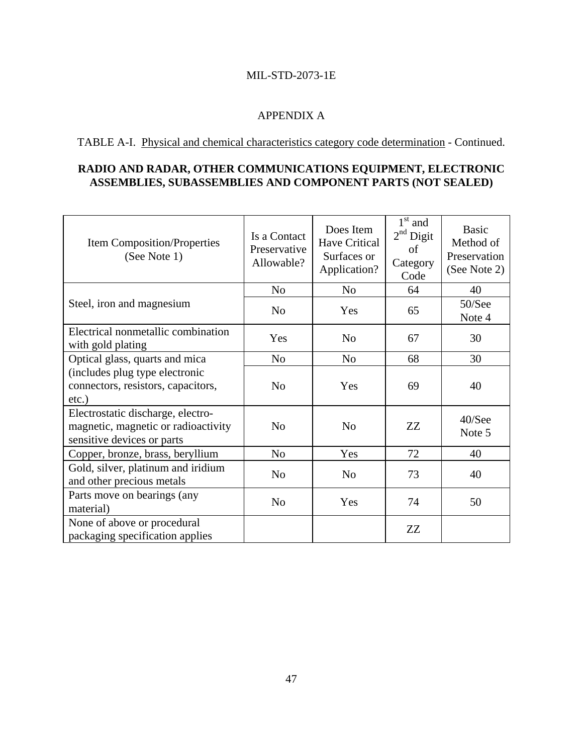#### APPENDIX A

#### TABLE A-I. Physical and chemical characteristics category code determination - Continued.

#### **RADIO AND RADAR, OTHER COMMUNICATIONS EQUIPMENT, ELECTRONIC ASSEMBLIES, SUBASSEMBLIES AND COMPONENT PARTS (NOT SEALED)**

| <b>Item Composition/Properties</b><br>(See Note 1)                                                     | Is a Contact<br>Preservative<br>Allowable? | Does Item<br><b>Have Critical</b><br>Surfaces or<br>Application? | $1st$ and<br>$2nd$ Digit<br>of<br>Category<br>Code | <b>Basic</b><br>Method of<br>Preservation<br>(See Note 2) |
|--------------------------------------------------------------------------------------------------------|--------------------------------------------|------------------------------------------------------------------|----------------------------------------------------|-----------------------------------------------------------|
|                                                                                                        | N <sub>o</sub>                             | N <sub>o</sub>                                                   | 64                                                 | 40                                                        |
| Steel, iron and magnesium                                                                              | N <sub>o</sub>                             | Yes                                                              | 65                                                 | 50/See<br>Note 4                                          |
| Electrical nonmetallic combination<br>with gold plating                                                | Yes                                        | N <sub>o</sub>                                                   | 67                                                 | 30                                                        |
| Optical glass, quarts and mica                                                                         | N <sub>o</sub>                             | N <sub>o</sub>                                                   | 68                                                 | 30                                                        |
| (includes plug type electronic<br>connectors, resistors, capacitors,<br>$etc.$ )                       | N <sub>o</sub>                             | Yes                                                              | 69                                                 | 40                                                        |
| Electrostatic discharge, electro-<br>magnetic, magnetic or radioactivity<br>sensitive devices or parts | N <sub>o</sub>                             | N <sub>o</sub>                                                   | ZZ                                                 | 40/See<br>Note 5                                          |
| Copper, bronze, brass, beryllium                                                                       | N <sub>o</sub>                             | Yes                                                              | 72                                                 | 40                                                        |
| Gold, silver, platinum and iridium<br>and other precious metals                                        | N <sub>o</sub>                             | N <sub>o</sub>                                                   | 73                                                 | 40                                                        |
| Parts move on bearings (any<br>material)                                                               | N <sub>o</sub>                             | Yes                                                              | 74                                                 | 50                                                        |
| None of above or procedural<br>packaging specification applies                                         |                                            |                                                                  | ZZ                                                 |                                                           |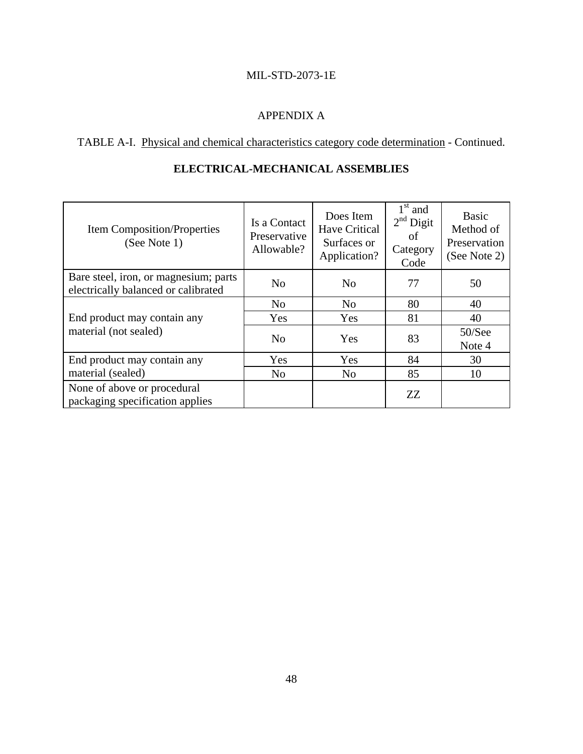### APPENDIX A

### TABLE A-I. Physical and chemical characteristics category code determination - Continued.

| <b>Item Composition/Properties</b><br>(See Note 1)                           | Is a Contact<br>Preservative<br>Allowable? | Does Item<br><b>Have Critical</b><br>Surfaces or<br>Application? | $1st$ and<br>$2nd$ Digit<br>οf<br>Category<br>Code | <b>Basic</b><br>Method of<br>Preservation<br>(See Note 2) |
|------------------------------------------------------------------------------|--------------------------------------------|------------------------------------------------------------------|----------------------------------------------------|-----------------------------------------------------------|
| Bare steel, iron, or magnesium; parts<br>electrically balanced or calibrated | N <sub>o</sub>                             | N <sub>o</sub>                                                   | 77                                                 | 50                                                        |
|                                                                              | N <sub>o</sub>                             | N <sub>o</sub>                                                   | 80                                                 | 40                                                        |
| End product may contain any                                                  | <b>Yes</b>                                 | Yes                                                              | 81                                                 | 40                                                        |
| material (not sealed)                                                        | N <sub>o</sub>                             | Yes                                                              | 83                                                 | 50/See<br>Note 4                                          |
| End product may contain any                                                  | Yes                                        | Yes                                                              | 84                                                 | 30                                                        |
| material (sealed)                                                            | N <sub>o</sub>                             | N <sub>o</sub>                                                   | 85                                                 | 10                                                        |
| None of above or procedural<br>packaging specification applies               |                                            |                                                                  | ZZ                                                 |                                                           |

### **ELECTRICAL-MECHANICAL ASSEMBLIES**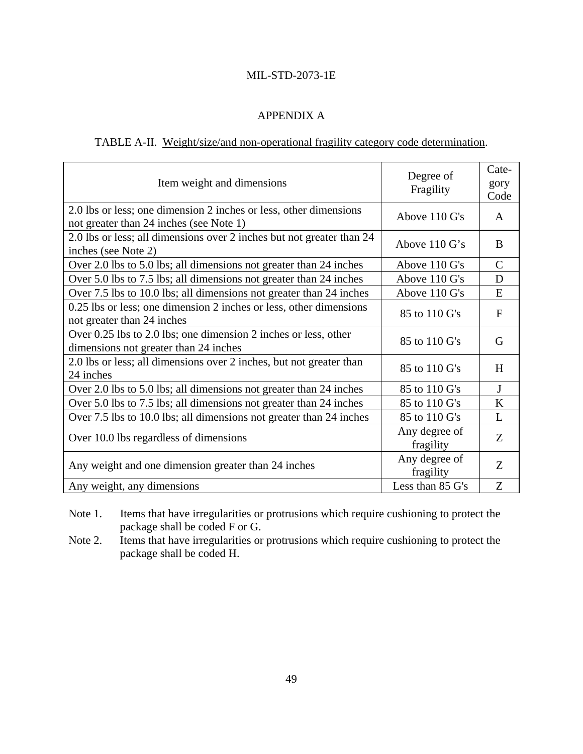### APPENDIX A

## <span id="page-66-0"></span>TABLE A-II. Weight/size/and non-operational fragility category code determination.

| Item weight and dimensions                                                                                   | Degree of<br>Fragility     | Cate-<br>gory<br>Code |
|--------------------------------------------------------------------------------------------------------------|----------------------------|-----------------------|
| 2.0 lbs or less; one dimension 2 inches or less, other dimensions<br>not greater than 24 inches (see Note 1) | Above 110 G's              | A                     |
| 2.0 lbs or less; all dimensions over 2 inches but not greater than 24<br>inches (see Note 2)                 | Above 110 G's              | B                     |
| Over 2.0 lbs to 5.0 lbs; all dimensions not greater than 24 inches                                           | Above 110 G's              | $\mathsf{C}$          |
| Over 5.0 lbs to 7.5 lbs; all dimensions not greater than 24 inches                                           | Above 110 G's              | D                     |
| Over 7.5 lbs to 10.0 lbs; all dimensions not greater than 24 inches                                          | Above 110 G's              | E                     |
| 0.25 lbs or less; one dimension 2 inches or less, other dimensions<br>not greater than 24 inches             | 85 to 110 G's              | $\mathbf{F}$          |
| Over 0.25 lbs to 2.0 lbs; one dimension 2 inches or less, other<br>dimensions not greater than 24 inches     | 85 to 110 G's              | G                     |
| 2.0 lbs or less; all dimensions over 2 inches, but not greater than<br>24 inches                             | 85 to 110 G's              | H                     |
| Over 2.0 lbs to 5.0 lbs; all dimensions not greater than 24 inches                                           | 85 to 110 G's              | $\mathbf{J}$          |
| Over 5.0 lbs to 7.5 lbs; all dimensions not greater than 24 inches                                           | 85 to 110 G's              | K                     |
| Over 7.5 lbs to 10.0 lbs; all dimensions not greater than 24 inches                                          | 85 to 110 G's              | L                     |
| Over 10.0 lbs regardless of dimensions                                                                       | Any degree of<br>fragility | Z                     |
| Any weight and one dimension greater than 24 inches                                                          | Any degree of<br>fragility | Z                     |
| Any weight, any dimensions                                                                                   | Less than 85 G's           | Z                     |

Note 1. Items that have irregularities or protrusions which require cushioning to protect the package shall be coded F or G.

Note 2. Items that have irregularities or protrusions which require cushioning to protect the package shall be coded H.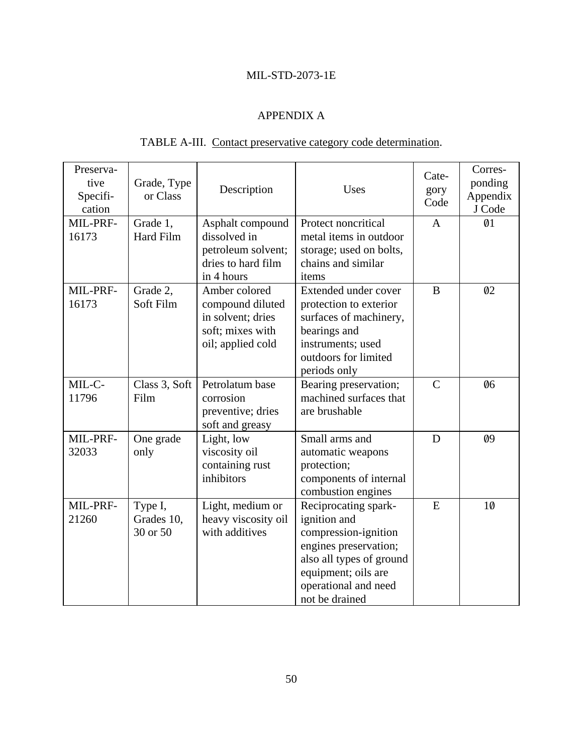### APPENDIX A

# TABLE A-III. Contact preservative category code determination.

<span id="page-67-0"></span>

| Preserva-<br>tive<br>Specifi-<br>cation | Grade, Type<br>or Class           | Description                                                                                     | Uses                                                                                                                                                                               | Cate-<br>gory<br>Code | Corres-<br>ponding<br>Appendix<br>J Code |
|-----------------------------------------|-----------------------------------|-------------------------------------------------------------------------------------------------|------------------------------------------------------------------------------------------------------------------------------------------------------------------------------------|-----------------------|------------------------------------------|
| MIL-PRF-<br>16173                       | Grade 1,<br>Hard Film             | Asphalt compound<br>dissolved in<br>petroleum solvent;<br>dries to hard film<br>in 4 hours      | Protect noncritical<br>metal items in outdoor<br>storage; used on bolts,<br>chains and similar<br>items                                                                            | A                     | $\omega$ 1                               |
| MIL-PRF-<br>16173                       | Grade 2,<br>Soft Film             | Amber colored<br>compound diluted<br>in solvent; dries<br>soft; mixes with<br>oil; applied cold | Extended under cover<br>protection to exterior<br>surfaces of machinery,<br>bearings and<br>instruments; used<br>outdoors for limited<br>periods only                              | B                     | 02                                       |
| MIL-C-<br>11796                         | Class 3, Soft<br>Film             | Petrolatum base<br>corrosion<br>preventive; dries<br>soft and greasy                            | Bearing preservation;<br>machined surfaces that<br>are brushable                                                                                                                   | $\mathcal{C}$         | 06                                       |
| MIL-PRF-<br>32033                       | One grade<br>only                 | Light, low<br>viscosity oil<br>containing rust<br>inhibitors                                    | Small arms and<br>automatic weapons<br>protection;<br>components of internal<br>combustion engines                                                                                 | D                     | 09                                       |
| MIL-PRF-<br>21260                       | Type I,<br>Grades 10,<br>30 or 50 | Light, medium or<br>heavy viscosity oil<br>with additives                                       | Reciprocating spark-<br>ignition and<br>compression-ignition<br>engines preservation;<br>also all types of ground<br>equipment; oils are<br>operational and need<br>not be drained | E                     | 10                                       |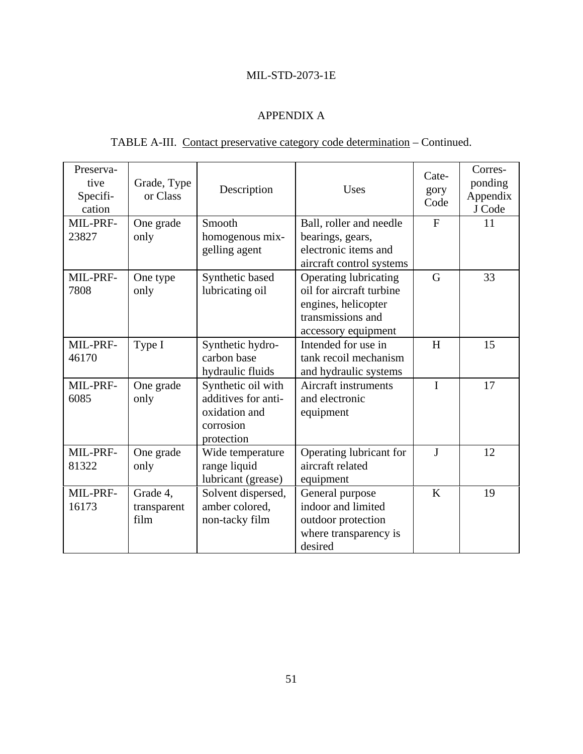### APPENDIX A

## TABLE A-III. Contact preservative category code determination – Continued.

| Preserva-<br>tive<br>Specifi-<br>cation | Grade, Type<br>or Class         | Description                                                                           | Uses                                                                                                                        | Cate-<br>gory<br>Code | Corres-<br>ponding<br>Appendix<br>J Code |
|-----------------------------------------|---------------------------------|---------------------------------------------------------------------------------------|-----------------------------------------------------------------------------------------------------------------------------|-----------------------|------------------------------------------|
| MIL-PRF-<br>23827                       | One grade<br>only               | Smooth<br>homogenous mix-<br>gelling agent                                            | Ball, roller and needle<br>bearings, gears,<br>electronic items and                                                         | $\mathbf{F}$          | 11                                       |
|                                         |                                 |                                                                                       | aircraft control systems                                                                                                    |                       |                                          |
| MIL-PRF-<br>7808                        | One type<br>only                | Synthetic based<br>lubricating oil                                                    | <b>Operating lubricating</b><br>oil for aircraft turbine<br>engines, helicopter<br>transmissions and<br>accessory equipment | G                     | 33                                       |
| MIL-PRF-<br>46170                       | Type I                          | Synthetic hydro-<br>carbon base<br>hydraulic fluids                                   | Intended for use in<br>tank recoil mechanism<br>and hydraulic systems                                                       | H                     | 15                                       |
| MIL-PRF-<br>6085                        | One grade<br>only               | Synthetic oil with<br>additives for anti-<br>oxidation and<br>corrosion<br>protection | <b>Aircraft instruments</b><br>and electronic<br>equipment                                                                  | <sup>T</sup>          | 17                                       |
| MIL-PRF-<br>81322                       | One grade<br>only               | Wide temperature<br>range liquid<br>lubricant (grease)                                | Operating lubricant for<br>aircraft related<br>equipment                                                                    | J                     | 12                                       |
| MIL-PRF-<br>16173                       | Grade 4,<br>transparent<br>film | Solvent dispersed,<br>amber colored,<br>non-tacky film                                | General purpose<br>indoor and limited<br>outdoor protection<br>where transparency is<br>desired                             | K                     | 19                                       |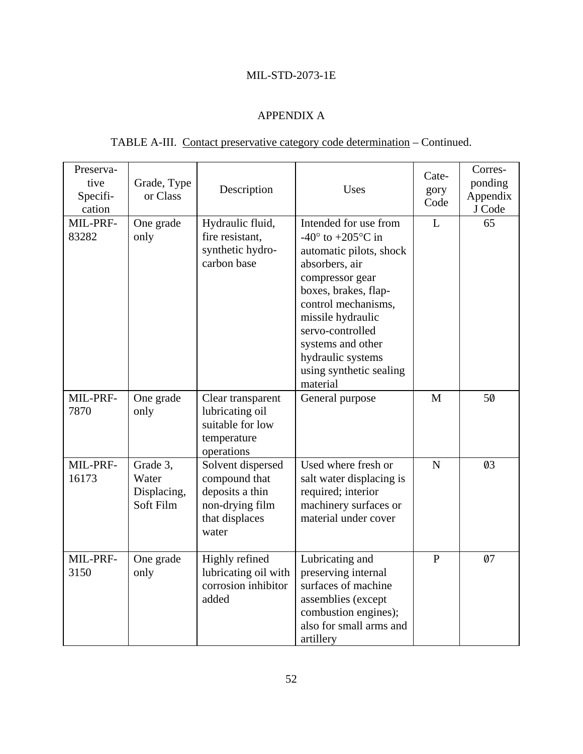### APPENDIX A

# TABLE A-III. Contact preservative category code determination – Continued.

| Preserva-<br>tive<br>Specifi-<br>cation | Grade, Type<br>or Class                       | Description                                                                                         | Uses                                                                                                                                                                                                                                                                                                   | Cate-<br>gory<br>Code | Corres-<br>ponding<br>Appendix<br>J Code |
|-----------------------------------------|-----------------------------------------------|-----------------------------------------------------------------------------------------------------|--------------------------------------------------------------------------------------------------------------------------------------------------------------------------------------------------------------------------------------------------------------------------------------------------------|-----------------------|------------------------------------------|
| MIL-PRF-<br>83282                       | One grade<br>only                             | Hydraulic fluid,<br>fire resistant,<br>synthetic hydro-<br>carbon base                              | Intended for use from<br>$-40^{\circ}$ to $+205^{\circ}$ C in<br>automatic pilots, shock<br>absorbers, air<br>compressor gear<br>boxes, brakes, flap-<br>control mechanisms,<br>missile hydraulic<br>servo-controlled<br>systems and other<br>hydraulic systems<br>using synthetic sealing<br>material | L                     | 65                                       |
| MIL-PRF-<br>7870                        | One grade<br>only                             | Clear transparent<br>lubricating oil<br>suitable for low<br>temperature<br>operations               | General purpose                                                                                                                                                                                                                                                                                        | $\mathbf{M}$          | 50                                       |
| MIL-PRF-<br>16173                       | Grade 3,<br>Water<br>Displacing,<br>Soft Film | Solvent dispersed<br>compound that<br>deposits a thin<br>non-drying film<br>that displaces<br>water | Used where fresh or<br>salt water displacing is<br>required; interior<br>machinery surfaces or<br>material under cover                                                                                                                                                                                 | $\overline{N}$        | 03                                       |
| MIL-PRF-<br>3150                        | One grade<br>only                             | Highly refined<br>lubricating oil with<br>corrosion inhibitor<br>added                              | Lubricating and<br>preserving internal<br>surfaces of machine<br>assemblies (except<br>combustion engines);<br>also for small arms and<br>artillery                                                                                                                                                    | $\mathbf{P}$          | 07                                       |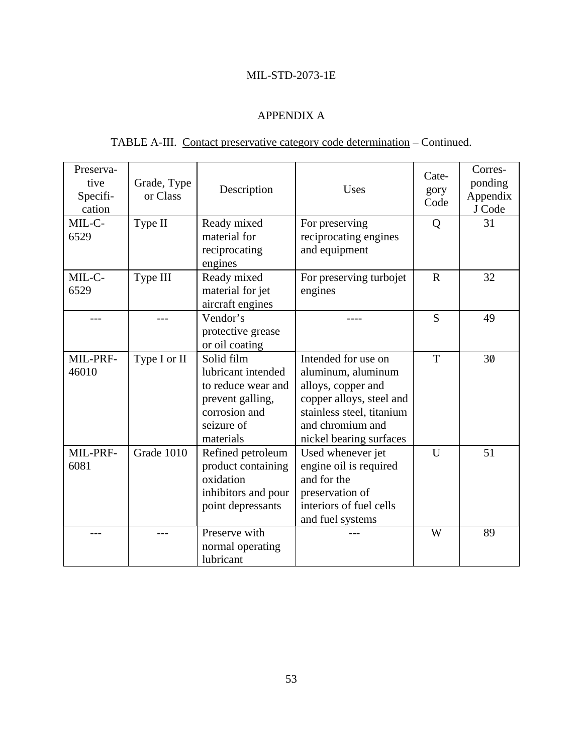## APPENDIX A

## TABLE A-III. Contact preservative category code determination – Continued.

| Preserva-<br>tive<br>Specifi-<br>cation | Grade, Type<br>or Class | Description                                                                                                            | Uses                                                                                                                                                                    | Cate-<br>gory<br>Code | Corres-<br>ponding<br>Appendix<br>J Code |
|-----------------------------------------|-------------------------|------------------------------------------------------------------------------------------------------------------------|-------------------------------------------------------------------------------------------------------------------------------------------------------------------------|-----------------------|------------------------------------------|
| MIL-C-<br>6529                          | Type II                 | Ready mixed<br>material for<br>reciprocating<br>engines                                                                | For preserving<br>reciprocating engines<br>and equipment                                                                                                                | Q                     | 31                                       |
| MIL-C-<br>6529                          | Type III                | Ready mixed<br>material for jet<br>aircraft engines                                                                    | For preserving turbojet<br>engines                                                                                                                                      | $\mathbf R$           | 32                                       |
|                                         |                         | Vendor's<br>protective grease<br>or oil coating                                                                        |                                                                                                                                                                         | S                     | 49                                       |
| MIL-PRF-<br>46010                       | Type I or II            | Solid film<br>lubricant intended<br>to reduce wear and<br>prevent galling,<br>corrosion and<br>seizure of<br>materials | Intended for use on<br>aluminum, aluminum<br>alloys, copper and<br>copper alloys, steel and<br>stainless steel, titanium<br>and chromium and<br>nickel bearing surfaces | T                     | 30                                       |
| MIL-PRF-<br>6081                        | Grade 1010              | Refined petroleum<br>product containing<br>oxidation<br>inhibitors and pour<br>point depressants                       | Used whenever jet<br>engine oil is required<br>and for the<br>preservation of<br>interiors of fuel cells<br>and fuel systems                                            | U                     | 51                                       |
|                                         |                         | Preserve with<br>normal operating<br>lubricant                                                                         |                                                                                                                                                                         | W                     | 89                                       |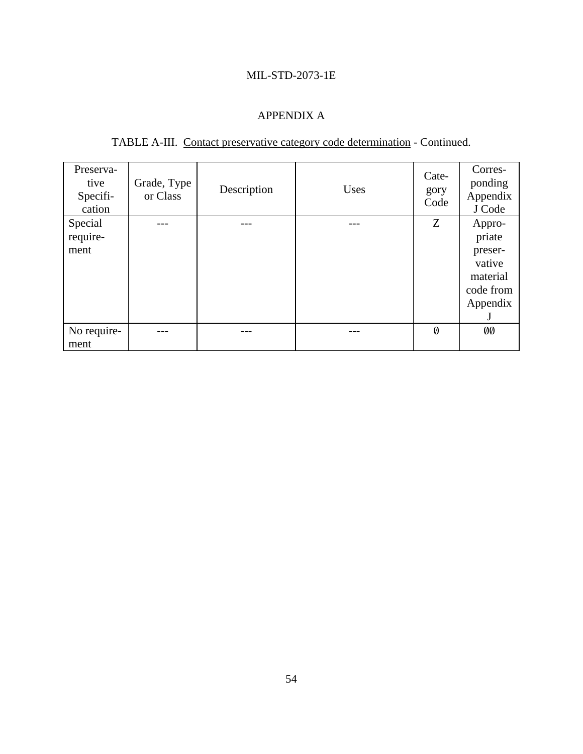### APPENDIX A

# TABLE A-III. Contact preservative category code determination - Continued.

| Preserva-<br>tive<br>Specifi-<br>cation | Grade, Type<br>or Class | Description | Uses | Cate-<br>gory<br>Code | Corres-<br>ponding<br>Appendix<br>J Code                                   |
|-----------------------------------------|-------------------------|-------------|------|-----------------------|----------------------------------------------------------------------------|
| Special<br>require-<br>ment             |                         |             |      | Z                     | Appro-<br>priate<br>preser-<br>vative<br>material<br>code from<br>Appendix |
| No require-<br>ment                     |                         |             |      | $\emptyset$           | ØØ                                                                         |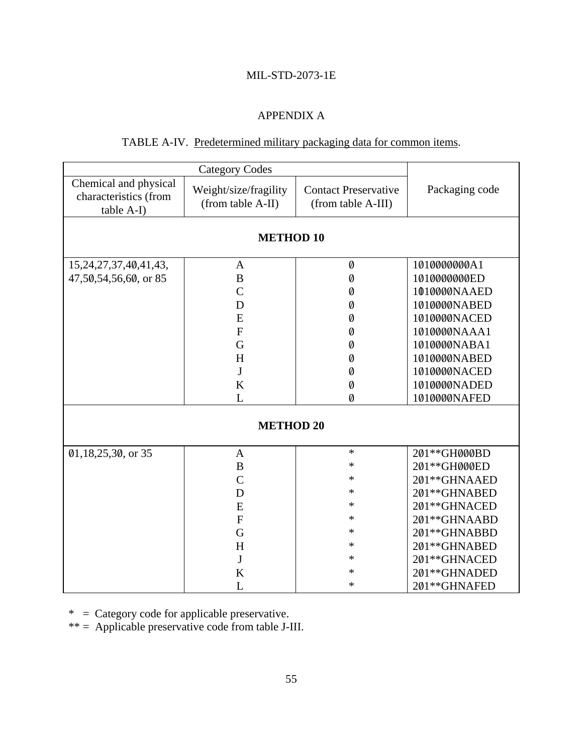# APPENDIX A

### TABLE A-IV. Predetermined military packaging data for common items.

| Chemical and physical<br>characteristics (from<br>table A-I) | Weight/size/fragility<br>(from table A-II) | <b>Contact Preservative</b><br>(from table A-III) | Packaging code |  |
|--------------------------------------------------------------|--------------------------------------------|---------------------------------------------------|----------------|--|
|                                                              | <b>METHOD 10</b>                           |                                                   |                |  |
| 15, 24, 27, 37, 40, 41, 43,                                  | A                                          | Ø                                                 | 1010000000A1   |  |
| 47,50,54,56,60, or 85                                        | $\mathbf B$                                | Ø                                                 | 1010000000ED   |  |
|                                                              | $\mathcal{C}$                              | Ø                                                 | 1010000NAAED   |  |
|                                                              | D                                          | Ø                                                 | 1010000NABED   |  |
|                                                              | E                                          | Ø                                                 | 1010000NACED   |  |
|                                                              | $\mathbf F$                                | Ø                                                 | 1010000NAAA1   |  |
|                                                              | G                                          | Ø                                                 | 1010000NABA1   |  |
|                                                              | H                                          | Ø                                                 | 1010000NABED   |  |
|                                                              | $\mathbf J$                                | Ø                                                 | 1010000NACED   |  |
|                                                              | $\bf K$                                    | Ø                                                 | 1010000NADED   |  |
|                                                              | L                                          | Ø                                                 | 1010000NAFED   |  |
| <b>METHOD 20</b>                                             |                                            |                                                   |                |  |
| 01,18,25,30, or 35                                           | $\mathbf{A}$                               | $\ast$                                            | 201**GH000BD   |  |
|                                                              | B                                          | *                                                 | 201**GH000ED   |  |
|                                                              | $\mathcal{C}$                              | $\ast$                                            | 201**GHNAAED   |  |
|                                                              | D                                          | *                                                 | 201**GHNABED   |  |
|                                                              | E                                          | *                                                 | 201**GHNACED   |  |
|                                                              | $\mathbf{F}$                               | *                                                 | 201**GHNAABD   |  |
|                                                              | G                                          | *                                                 | 201**GHNABBD   |  |
|                                                              | H                                          | *                                                 | 201**GHNABED   |  |
|                                                              | $\mathbf{J}$                               | $\ast$                                            | 201**GHNACED   |  |
|                                                              | K                                          | *                                                 | 201**GHNADED   |  |
|                                                              | L                                          | $\ast$                                            | 201**GHNAFED   |  |

 $*$  = Category code for applicable preservative.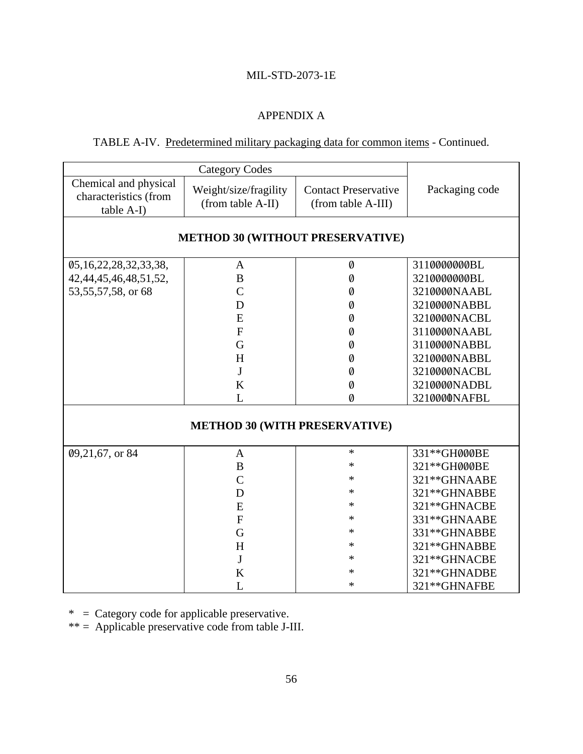### APPENDIX A

### TABLE A-IV. Predetermined military packaging data for common items - Continued.

| Chemical and physical<br>characteristics (from<br>table A-I) | Weight/size/fragility<br>(from table A-II) | <b>Contact Preservative</b><br>(from table A-III) | Packaging code |  |
|--------------------------------------------------------------|--------------------------------------------|---------------------------------------------------|----------------|--|
|                                                              | <b>METHOD 30 (WITHOUT PRESERVATIVE)</b>    |                                                   |                |  |
| 05, 16, 22, 28, 32, 33, 38,                                  | A                                          | $\emptyset$                                       | 3110000000BL   |  |
| 42, 44, 45, 46, 48, 51, 52,                                  | B                                          | Ø                                                 | 3210000000BL   |  |
| 53, 55, 57, 58, or 68                                        | $\mathbf C$                                | Ø                                                 | 3210000NAABL   |  |
|                                                              | D                                          | Ø                                                 | 3210000NABBL   |  |
|                                                              | E                                          | $\emptyset$                                       | 3210000NACBL   |  |
|                                                              | $\mathbf F$                                | Ø                                                 | 3110000NAABL   |  |
|                                                              | G                                          | Ø                                                 | 3110000NABBL   |  |
|                                                              | H                                          | Ø                                                 | 3210000NABBL   |  |
|                                                              | $\mathbf J$                                | Ø                                                 | 3210000NACBL   |  |
|                                                              | $\bf K$                                    | Ø                                                 | 3210000NADBL   |  |
|                                                              | L                                          | Ø                                                 | 3210000NAFBL   |  |
| <b>METHOD 30 (WITH PRESERVATIVE)</b>                         |                                            |                                                   |                |  |
| 09,21,67, or 84                                              | $\mathbf{A}$                               | $\ast$                                            | 331**GH000BE   |  |
|                                                              | B                                          | $\ast$                                            | 321**GH000BE   |  |
|                                                              | $\mathcal{C}$                              | $\ast$                                            | 321**GHNAABE   |  |
|                                                              | D                                          | *                                                 | 321**GHNABBE   |  |
|                                                              | E                                          | *                                                 | 321**GHNACBE   |  |
|                                                              | $\mathbf{F}$                               | *                                                 | 331**GHNAABE   |  |
|                                                              | G                                          | *                                                 | 331**GHNABBE   |  |
|                                                              | H                                          | *                                                 | 321**GHNABBE   |  |
|                                                              | J                                          | $\ast$                                            | 321**GHNACBE   |  |
|                                                              | K                                          | *                                                 | 321**GHNADBE   |  |
|                                                              | L                                          | $\ast$                                            | 321**GHNAFBE   |  |

 $*$  = Category code for applicable preservative.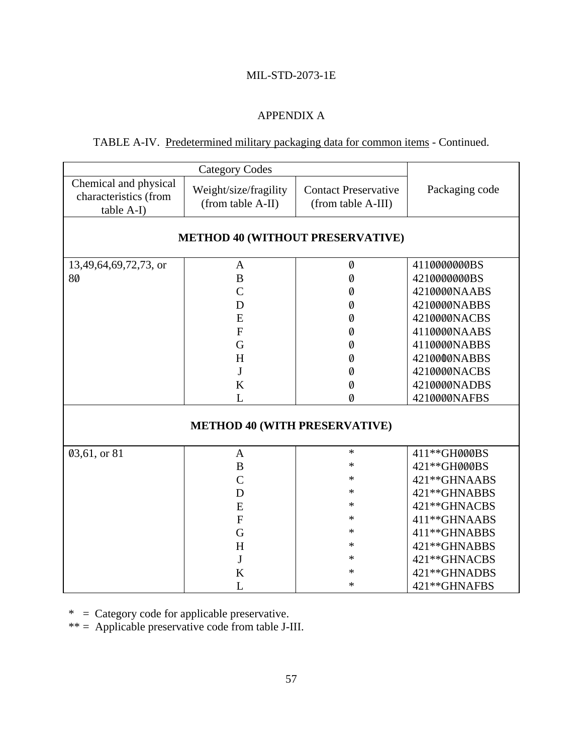### APPENDIX A

### TABLE A-IV. Predetermined military packaging data for common items - Continued.

| <b>Category Codes</b>                                        |                                            |                                                   |                |  |  |
|--------------------------------------------------------------|--------------------------------------------|---------------------------------------------------|----------------|--|--|
| Chemical and physical<br>characteristics (from<br>table A-I) | Weight/size/fragility<br>(from table A-II) | <b>Contact Preservative</b><br>(from table A-III) | Packaging code |  |  |
|                                                              | <b>METHOD 40 (WITHOUT PRESERVATIVE)</b>    |                                                   |                |  |  |
| 13,49,64,69,72,73, or                                        | A                                          | Ø                                                 | 4110000000BS   |  |  |
| 80                                                           | $\bf{B}$                                   | $\emptyset$                                       | 4210000000BS   |  |  |
|                                                              | $\mathcal{C}$                              | Ø                                                 | 4210000NAABS   |  |  |
|                                                              | D                                          | Ø                                                 | 4210000NABBS   |  |  |
|                                                              | E                                          | $\emptyset$                                       | 4210000NACBS   |  |  |
|                                                              | $\mathbf F$                                | $\emptyset$                                       | 4110000NAABS   |  |  |
|                                                              | G                                          | Ø                                                 | 4110000NABBS   |  |  |
|                                                              | H                                          | $\emptyset$                                       | 4210000NABBS   |  |  |
|                                                              | J                                          | Ø                                                 | 4210000NACBS   |  |  |
|                                                              | $\bf K$                                    | Ø                                                 | 4210000NADBS   |  |  |
|                                                              | L                                          | Ø                                                 | 4210000NAFBS   |  |  |
|                                                              | <b>METHOD 40 (WITH PRESERVATIVE)</b>       |                                                   |                |  |  |
| 03,61, or 81                                                 | $\mathbf{A}$                               | $\ast$                                            | 411**GH000BS   |  |  |
|                                                              | B                                          | $\ast$                                            | 421**GH000BS   |  |  |
|                                                              | $\mathcal{C}$                              | $\ast$                                            | 421**GHNAABS   |  |  |
|                                                              | D                                          | $\ast$                                            | 421**GHNABBS   |  |  |
|                                                              | E                                          | $\ast$                                            | 421**GHNACBS   |  |  |
|                                                              | $\mathbf F$                                | $\ast$                                            | 411**GHNAABS   |  |  |
|                                                              | G                                          | $\ast$                                            | 411**GHNABBS   |  |  |
|                                                              | H                                          | $\ast$                                            | 421**GHNABBS   |  |  |
|                                                              | $\bf J$                                    | $\ast$                                            | 421**GHNACBS   |  |  |
|                                                              | K                                          | $\ast$                                            | 421**GHNADBS   |  |  |
|                                                              | L                                          | $\ast$                                            | 421**GHNAFBS   |  |  |

 $*$  = Category code for applicable preservative.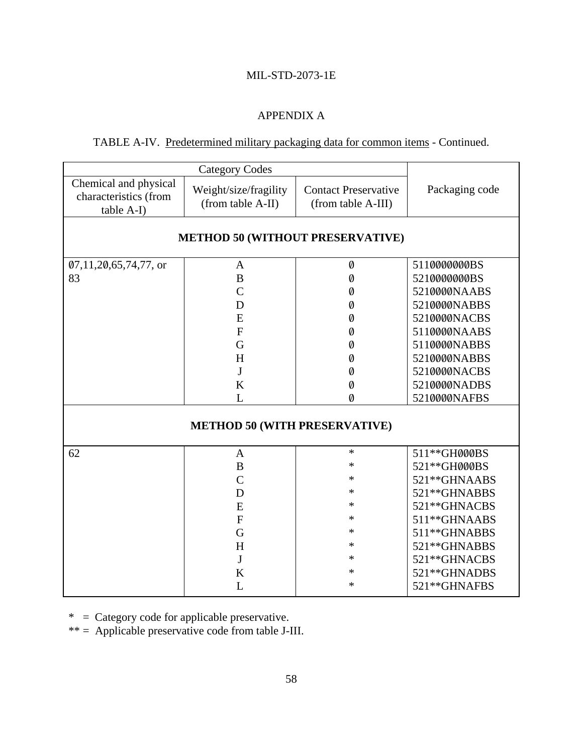### APPENDIX A

### TABLE A-IV. Predetermined military packaging data for common items - Continued.

| Chemical and physical<br>characteristics (from<br>table A-I) | Weight/size/fragility<br>(from table A-II) | <b>Contact Preservative</b><br>(from table A-III) | Packaging code |  |
|--------------------------------------------------------------|--------------------------------------------|---------------------------------------------------|----------------|--|
|                                                              | <b>METHOD 50 (WITHOUT PRESERVATIVE)</b>    |                                                   |                |  |
| $07,11,20,65,74,77$ , or                                     | A                                          | $\emptyset$                                       | 5110000000BS   |  |
| 83                                                           | $\bf{B}$                                   | $\emptyset$                                       | 5210000000BS   |  |
|                                                              | $\overline{C}$                             | $\emptyset$                                       | 5210000NAABS   |  |
|                                                              | D                                          | $\emptyset$                                       | 5210000NABBS   |  |
|                                                              | E                                          | $\emptyset$                                       | 5210000NACBS   |  |
|                                                              | $\mathbf{F}$                               | $\emptyset$                                       | 5110000NAABS   |  |
|                                                              | G                                          | $\emptyset$                                       | 5110000NABBS   |  |
|                                                              | H                                          | $\emptyset$                                       | 5210000NABBS   |  |
|                                                              | $\mathbf{J}$                               | Ø                                                 | 5210000NACBS   |  |
|                                                              | $\bf K$                                    | Ø                                                 | 5210000NADBS   |  |
|                                                              | L                                          | $\emptyset$                                       | 5210000NAFBS   |  |
| <b>METHOD 50 (WITH PRESERVATIVE)</b>                         |                                            |                                                   |                |  |
| 62                                                           | $\mathbf{A}$                               | $\ast$                                            | 511**GH000BS   |  |
|                                                              | $\bf{B}$                                   | $\ast$                                            | 521**GH000BS   |  |
|                                                              | $\mathcal{C}$                              | *                                                 | 521**GHNAABS   |  |
|                                                              | D                                          | $\ast$                                            | 521**GHNABBS   |  |
|                                                              | E                                          | $\ast$                                            | 521**GHNACBS   |  |
|                                                              | $\overline{F}$                             | $\ast$                                            | 511**GHNAABS   |  |
|                                                              | G                                          | *                                                 | 511**GHNABBS   |  |
|                                                              | H                                          | *                                                 | 521**GHNABBS   |  |
|                                                              | J                                          | *                                                 | 521**GHNACBS   |  |
|                                                              | K                                          | *                                                 | 521**GHNADBS   |  |
|                                                              | L                                          | $\ast$                                            | 521**GHNAFBS   |  |

 $*$  = Category code for applicable preservative.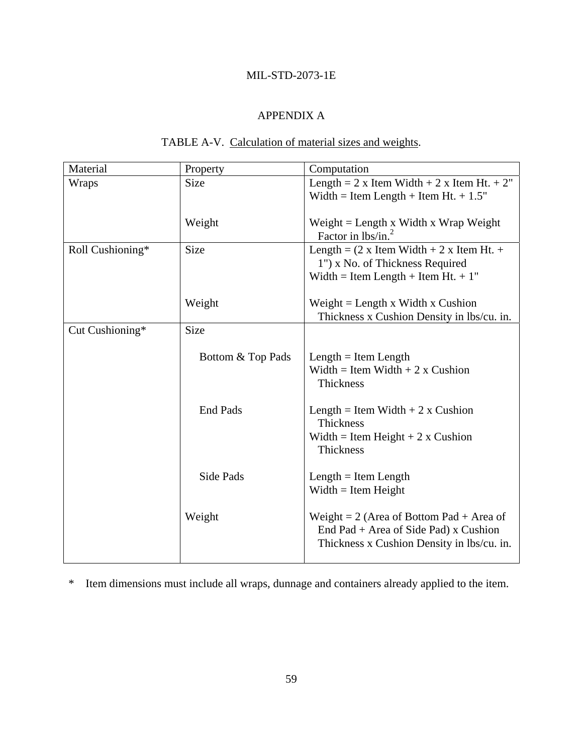### APPENDIX A

### TABLE A-V. Calculation of material sizes and weights.

| Material         | Property          | Computation                                                                                                                       |
|------------------|-------------------|-----------------------------------------------------------------------------------------------------------------------------------|
| Wraps            | <b>Size</b>       | Length = $2 \times$ Item Width + $2 \times$ Item Ht. + $2$ "<br>Width = Item Length + Item Ht. $+ 1.5"$                           |
|                  | Weight            | Weight = Length $x$ Width $x$ Wrap Weight<br>Factor in $lbs/in.2$                                                                 |
| Roll Cushioning* | Size              | Length = $(2 \times$ Item Width + $2 \times$ Item Ht. +                                                                           |
|                  |                   | 1") x No. of Thickness Required                                                                                                   |
|                  |                   | Width = Item Length + Item Ht. $+1$ "                                                                                             |
|                  | Weight            | Weight = Length $x$ Width $x$ Cushion<br>Thickness x Cushion Density in lbs/cu. in.                                               |
| Cut Cushioning*  | <b>Size</b>       |                                                                                                                                   |
|                  | Bottom & Top Pads | $Length = Item Length$<br>Width = Item Width + $2 \times$ Cushion<br>Thickness                                                    |
|                  | <b>End Pads</b>   | Length = Item Width + 2 x Cushion<br>Thickness                                                                                    |
|                  |                   | Width = Item Height + $2 \times$ Cushion<br>Thickness                                                                             |
|                  |                   |                                                                                                                                   |
|                  | Side Pads         | $Length = Item Length$                                                                                                            |
|                  |                   | $Width = Item Height$                                                                                                             |
|                  | Weight            | Weight = $2$ (Area of Bottom Pad + Area of<br>End Pad + Area of Side Pad) x Cushion<br>Thickness x Cushion Density in lbs/cu. in. |

\* Item dimensions must include all wraps, dunnage and containers already applied to the item.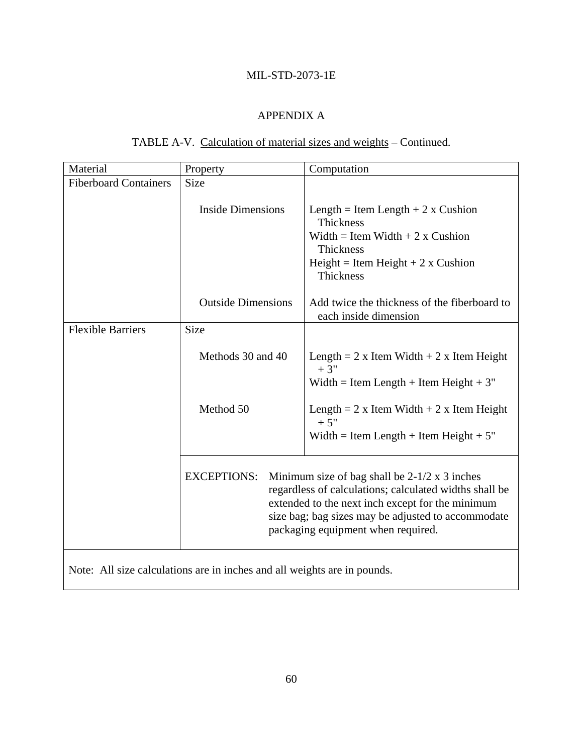### APPENDIX A

# TABLE A-V. Calculation of material sizes and weights – Continued.

| Material                     | Property                                                                 | Computation                                                                                                                                                                                                                                                    |
|------------------------------|--------------------------------------------------------------------------|----------------------------------------------------------------------------------------------------------------------------------------------------------------------------------------------------------------------------------------------------------------|
| <b>Fiberboard Containers</b> | <b>Size</b>                                                              |                                                                                                                                                                                                                                                                |
|                              | <b>Inside Dimensions</b>                                                 | Length = Item Length + $2 \times$ Cushion<br><b>Thickness</b><br>Width = Item Width + $2 \times$ Cushion<br><b>Thickness</b><br>Height = Item Height + $2 \times$ Cushion<br>Thickness                                                                         |
|                              | <b>Outside Dimensions</b>                                                | Add twice the thickness of the fiberboard to<br>each inside dimension                                                                                                                                                                                          |
| <b>Flexible Barriers</b>     | <b>Size</b>                                                              |                                                                                                                                                                                                                                                                |
|                              | Methods 30 and 40                                                        | Length = $2 \times$ Item Width + $2 \times$ Item Height<br>$+3"$<br>Width = Item Length + Item Height + $3"$                                                                                                                                                   |
|                              | Method 50                                                                | Length = $2 \times$ Item Width + $2 \times$ Item Height<br>$+5"$<br>Width = Item Length + Item Height + $5"$                                                                                                                                                   |
|                              | <b>EXCEPTIONS:</b>                                                       | Minimum size of bag shall be $2-1/2 \times 3$ inches<br>regardless of calculations; calculated widths shall be<br>extended to the next inch except for the minimum<br>size bag; bag sizes may be adjusted to accommodate<br>packaging equipment when required. |
|                              | Note: All size calculations are in inches and all weights are in pounds. |                                                                                                                                                                                                                                                                |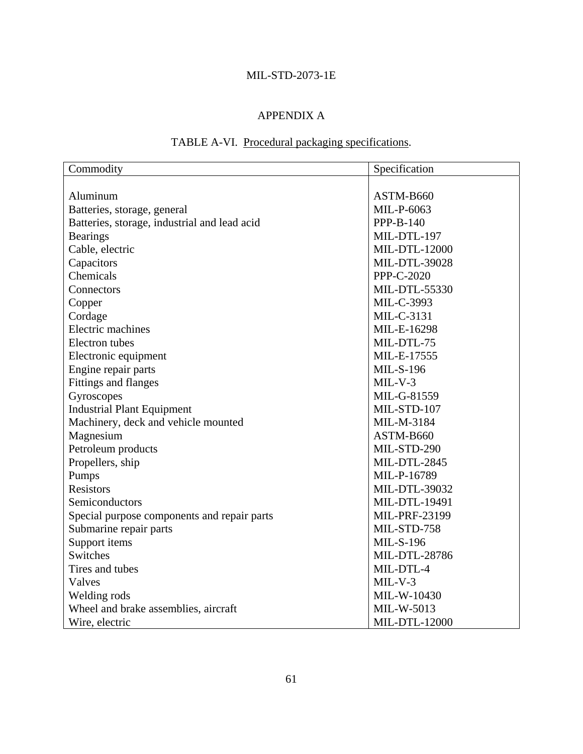# APPENDIX A

# TABLE A-VI. Procedural packaging specifications.

| Commodity                                    | Specification        |
|----------------------------------------------|----------------------|
|                                              |                      |
| Aluminum                                     | ASTM-B660            |
| Batteries, storage, general                  | MIL-P-6063           |
| Batteries, storage, industrial and lead acid | PPP-B-140            |
| <b>Bearings</b>                              | MIL-DTL-197          |
| Cable, electric                              | <b>MIL-DTL-12000</b> |
| Capacitors                                   | MIL-DTL-39028        |
| Chemicals                                    | PPP-C-2020           |
| Connectors                                   | MIL-DTL-55330        |
| Copper                                       | MIL-C-3993           |
| Cordage                                      | MIL-C-3131           |
| Electric machines                            | MIL-E-16298          |
| <b>Electron</b> tubes                        | MIL-DTL-75           |
| Electronic equipment                         | MIL-E-17555          |
| Engine repair parts                          | <b>MIL-S-196</b>     |
| Fittings and flanges                         | $MIL-V-3$            |
| Gyroscopes                                   | MIL-G-81559          |
| <b>Industrial Plant Equipment</b>            | MIL-STD-107          |
| Machinery, deck and vehicle mounted          | MIL-M-3184           |
| Magnesium                                    | ASTM-B660            |
| Petroleum products                           | MIL-STD-290          |
| Propellers, ship                             | MIL-DTL-2845         |
| Pumps                                        | MIL-P-16789          |
| <b>Resistors</b>                             | MIL-DTL-39032        |
| Semiconductors                               | MIL-DTL-19491        |
| Special purpose components and repair parts  | MIL-PRF-23199        |
| Submarine repair parts                       | MIL-STD-758          |
| Support items                                | <b>MIL-S-196</b>     |
| <b>Switches</b>                              | MIL-DTL-28786        |
| Tires and tubes                              | MIL-DTL-4            |
| Valves                                       | $MIL-V-3$            |
| Welding rods                                 | MIL-W-10430          |
| Wheel and brake assemblies, aircraft         | MIL-W-5013           |
| Wire, electric                               | <b>MIL-DTL-12000</b> |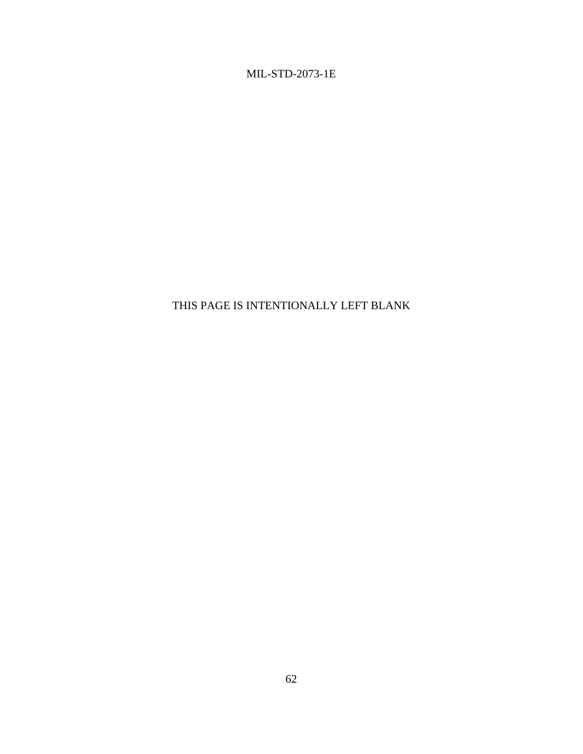### THIS PAGE IS INTENTIONALLY LEFT BLANK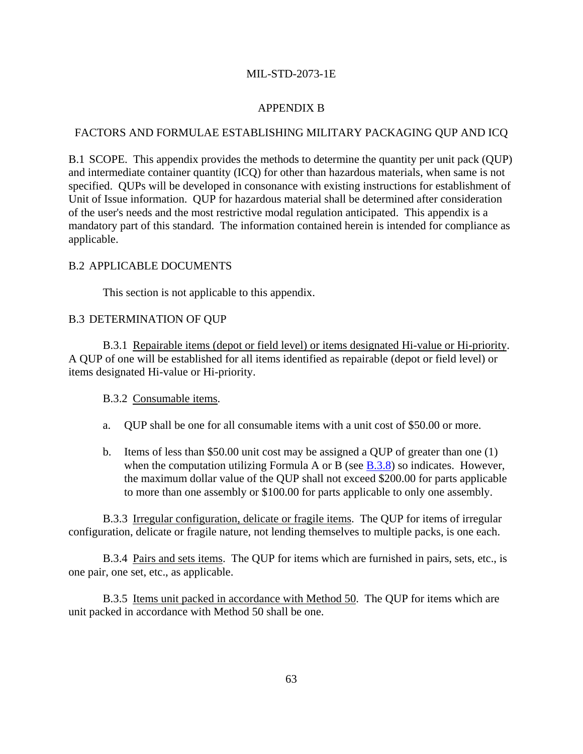### APPENDIX B

#### FACTORS AND FORMULAE ESTABLISHING MILITARY PACKAGING QUP AND ICQ

B.1 SCOPE. This appendix provides the methods to determine the quantity per unit pack (QUP) and intermediate container quantity (ICQ) for other than hazardous materials, when same is not specified. QUPs will be developed in consonance with existing instructions for establishment of Unit of Issue information. QUP for hazardous material shall be determined after consideration of the user's needs and the most restrictive modal regulation anticipated. This appendix is a mandatory part of this standard. The information contained herein is intended for compliance as applicable.

#### B.2 APPLICABLE DOCUMENTS

This section is not applicable to this appendix.

#### B.3 DETERMINATION OF QUP

 B.3.1 Repairable items (depot or field level) or items designated Hi-value or Hi-priority. A QUP of one will be established for all items identified as repairable (depot or field level) or items designated Hi-value or Hi-priority.

#### B.3.2 Consumable items.

- a. QUP shall be one for all consumable items with a unit cost of \$50.00 or more.
- b. Items of less than \$50.00 unit cost may be assigned a QUP of greater than one (1) when the computation utilizing Formula A or B (see  $\underline{B.3.8}$ ) so indicates. However, the maximum dollar value of the QUP shall not exceed \$200.00 for parts applicable to more than one assembly or \$100.00 for parts applicable to only one assembly.

 B.3.3 Irregular configuration, delicate or fragile items. The QUP for items of irregular configuration, delicate or fragile nature, not lending themselves to multiple packs, is one each.

B.3.4 Pairs and sets items. The QUP for items which are furnished in pairs, sets, etc., is one pair, one set, etc., as applicable.

 B.3.5 Items unit packed in accordance with Method 50. The QUP for items which are unit packed in accordance with Method 50 shall be one.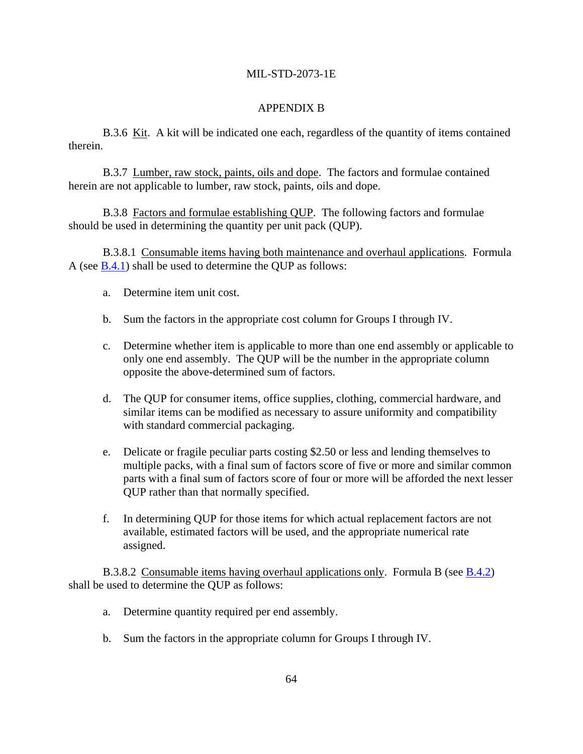#### APPENDIX B

<span id="page-81-0"></span> B.3.6 Kit. A kit will be indicated one each, regardless of the quantity of items contained therein.

 B.3.7 Lumber, raw stock, paints, oils and dope. The factors and formulae contained herein are not applicable to lumber, raw stock, paints, oils and dope.

 B.3.8 Factors and formulae establishing QUP. The following factors and formulae should be used in determining the quantity per unit pack (QUP).

 B.3.8.1 Consumable items having both maintenance and overhaul applications. Formula A (see [B.4.1](#page-83-0)) shall be used to determine the QUP as follows:

- a. Determine item unit cost.
- b. Sum the factors in the appropriate cost column for Groups I through IV.
- c. Determine whether item is applicable to more than one end assembly or applicable to only one end assembly. The QUP will be the number in the appropriate column opposite the above-determined sum of factors.
- d. The QUP for consumer items, office supplies, clothing, commercial hardware, and similar items can be modified as necessary to assure uniformity and compatibility with standard commercial packaging.
- e. Delicate or fragile peculiar parts costing \$2.50 or less and lending themselves to multiple packs, with a final sum of factors score of five or more and similar common parts with a final sum of factors score of four or more will be afforded the next lesser QUP rather than that normally specified.
- f. In determining QUP for those items for which actual replacement factors are not available, estimated factors will be used, and the appropriate numerical rate assigned.

 B.3.8.2 Consumable items having overhaul applications only. Formula B (see [B.4.2\)](#page-84-0) shall be used to determine the QUP as follows:

- a. Determine quantity required per end assembly.
- b. Sum the factors in the appropriate column for Groups I through IV.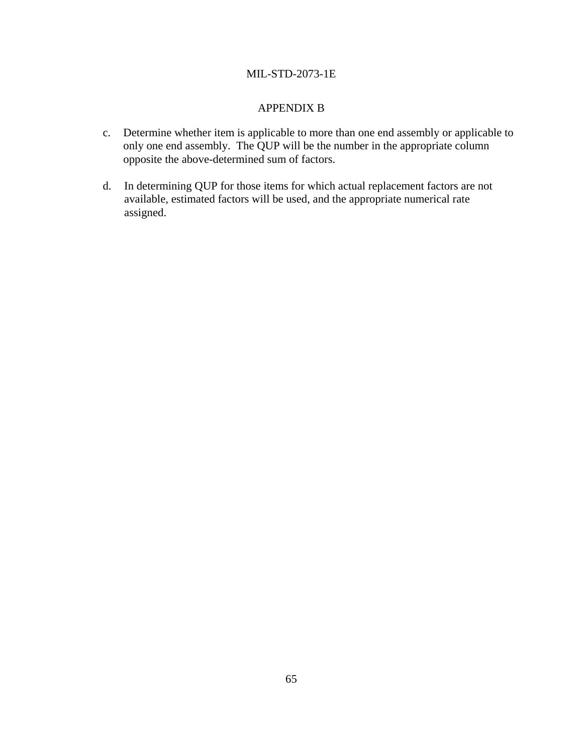#### APPENDIX B

- c. Determine whether item is applicable to more than one end assembly or applicable to only one end assembly. The QUP will be the number in the appropriate column opposite the above-determined sum of factors.
- d. In determining QUP for those items for which actual replacement factors are not available, estimated factors will be used, and the appropriate numerical rate assigned.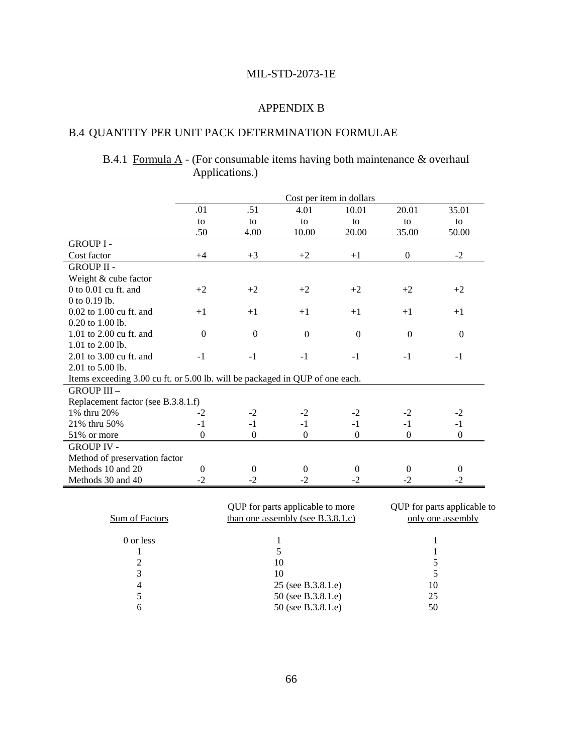### APPENDIX B

# <span id="page-83-0"></span>B.4 QUANTITY PER UNIT PACK DETERMINATION FORMULAE

## B.4.1 Formula  $\overline{A}$  - (For consumable items having both maintenance & overhaul Applications.)

|                                                                              |              |                  |              | Cost per item in dollars |                |                |
|------------------------------------------------------------------------------|--------------|------------------|--------------|--------------------------|----------------|----------------|
|                                                                              | .01          | .51              | 4.01         | 10.01                    | 20.01          | 35.01          |
|                                                                              | to           | to               | to           | to                       | to             | to             |
|                                                                              | .50          | 4.00             | 10.00        | 20.00                    | 35.00          | 50.00          |
| <b>GROUP I-</b>                                                              |              |                  |              |                          |                |                |
| Cost factor                                                                  | $+4$         | $+3$             | $+2$         | $+1$                     | $\theta$       | $-2$           |
| <b>GROUP II -</b>                                                            |              |                  |              |                          |                |                |
| Weight & cube factor                                                         |              |                  |              |                          |                |                |
| $0$ to $0.01$ cu ft. and                                                     | $+2$         | $+2$             | $+2$         | $+2$                     | $+2$           | $+2$           |
| 0 to 0.19 lb.                                                                |              |                  |              |                          |                |                |
| $0.02$ to $1.00$ cu ft. and                                                  | $+1$         | $+1$             | $+1$         | $+1$                     | $+1$           | $+1$           |
| $0.20$ to $1.00$ lb.                                                         |              |                  |              |                          |                |                |
| 1.01 to 2.00 cu ft. and                                                      | $\mathbf{0}$ | $\boldsymbol{0}$ | $\mathbf{0}$ | $\theta$                 | $\overline{0}$ | $\overline{0}$ |
| 1.01 to 2.00 lb.                                                             |              |                  |              |                          |                |                |
| $2.01$ to $3.00$ cu ft. and                                                  | $-1$         | $-1$             | $-1$         | $-1$                     | $-1$           | $-1$           |
| 2.01 to 5.00 lb.                                                             |              |                  |              |                          |                |                |
| Items exceeding 3.00 cu ft. or 5.00 lb. will be packaged in QUP of one each. |              |                  |              |                          |                |                |
| GROUP III -                                                                  |              |                  |              |                          |                |                |
| Replacement factor (see B.3.8.1.f)                                           |              |                  |              |                          |                |                |
| 1% thru 20%                                                                  | $-2$         | $-2$             | $-2$         | $-2$                     | $-2$           | $-2$           |
| 21% thru 50%                                                                 | $-1$         | $-1$             | $-1$         | $-1$                     | $-1$           | $-1$           |
| 51% or more                                                                  | $\mathbf{0}$ | $\mathbf{0}$     | $\Omega$     | $\overline{0}$           | $\Omega$       | $\theta$       |
| <b>GROUP IV -</b>                                                            |              |                  |              |                          |                |                |
| Method of preservation factor                                                |              |                  |              |                          |                |                |
| Methods 10 and 20                                                            | $\theta$     | $\theta$         | $\Omega$     | $\overline{0}$           | $\left($       | $\theta$       |
| Methods 30 and 40                                                            | $-2$         | $-2$             | $-2$         | $-2$                     | $-2$           | $-2$           |

| Sum of Factors | QUP for parts applicable to more<br>than one assembly (see $B.3.8.1.c$ ) | QUP for parts applicable to<br>only one assembly |
|----------------|--------------------------------------------------------------------------|--------------------------------------------------|
| 0 or less      |                                                                          |                                                  |
|                |                                                                          |                                                  |
|                | 10                                                                       |                                                  |
| 3              | 10                                                                       |                                                  |
| 4              | 25 (see B.3.8.1.e)                                                       | 10                                               |
|                | 50 (see B.3.8.1.e)                                                       | 25                                               |
| 6              | 50 (see B.3.8.1.e)                                                       | 50                                               |
|                |                                                                          |                                                  |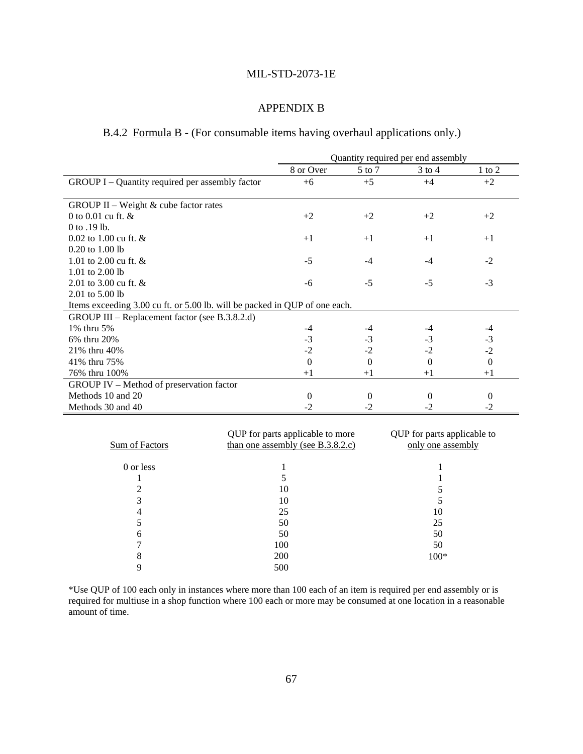#### APPENDIX B

### <span id="page-84-0"></span>B.4.2 Formula B - (For consumable items having overhaul applications only.)

|                                                                            |              |          | Quantity required per end assembly |            |
|----------------------------------------------------------------------------|--------------|----------|------------------------------------|------------|
|                                                                            | 8 or Over    | 5 to 7   | $3$ to 4                           | $1$ to $2$ |
| GROUP I – Quantity required per assembly factor                            | $+6$         | $+5$     | $+4$                               | $+2$       |
|                                                                            |              |          |                                    |            |
| GROUP II – Weight $&$ cube factor rates                                    |              |          |                                    |            |
| 0 to 0.01 cu ft. $&$                                                       | $+2$         | $+2$     | $+2$                               | $+2$       |
| 0 to .19 lb.                                                               |              |          |                                    |            |
| 0.02 to 1.00 cu ft. $&$                                                    | $+1$         | $+1$     | $+1$                               | $+1$       |
| $0.20$ to $1.00$ lb                                                        |              |          |                                    |            |
| 1.01 to 2.00 cu ft. $&$                                                    | $-5$         | $-4$     | -4                                 | $-2$       |
| 1.01 to $2.00$ lb                                                          |              |          |                                    |            |
| 2.01 to 3.00 cu ft. $&$                                                    | -6           | $-5$     | $-5$                               | $-3$       |
| $2.01$ to $5.00$ lb                                                        |              |          |                                    |            |
| Items exceeding 3.00 cu ft. or 5.00 lb. will be packed in QUP of one each. |              |          |                                    |            |
| GROUP III – Replacement factor (see B.3.8.2.d)                             |              |          |                                    |            |
| 1% thru 5%                                                                 | $-4$         | -4       | $-4$                               | $-4$       |
| 6% thru 20%                                                                | $-3$         | $-3$     | $-3$                               | $-3$       |
| 21% thru 40%                                                               | $-2$         | $-2$     | $-2$                               | $-2$       |
| 41% thru 75%                                                               | $\mathbf{0}$ | $\Omega$ | $\Omega$                           | $\Omega$   |
| 76% thru 100%                                                              | $+1$         | $+1$     | $+1$                               | $+1$       |
| GROUP IV - Method of preservation factor                                   |              |          |                                    |            |
| Methods 10 and 20                                                          | 0            | 0        | $\Omega$                           | $\Omega$   |
| Methods 30 and 40                                                          | $-2$         | -2       | $-2$                               | $-2$       |

|                | QUP for parts applicable to more  | QUP for parts applicable to |
|----------------|-----------------------------------|-----------------------------|
| Sum of Factors | than one assembly (see B.3.8.2.c) | only one assembly           |
| 0 or less      |                                   |                             |
|                |                                   |                             |
|                | 10                                |                             |
| 3              | 10                                |                             |
| 4              | 25                                | 10                          |
|                | 50                                | 25                          |
| 6              | 50                                | 50                          |
|                | 100                               | 50                          |
| 8              | 200                               | $100*$                      |
| 9              | 500                               |                             |

\*Use QUP of 100 each only in instances where more than 100 each of an item is required per end assembly or is required for multiuse in a shop function where 100 each or more may be consumed at one location in a reasonable amount of time.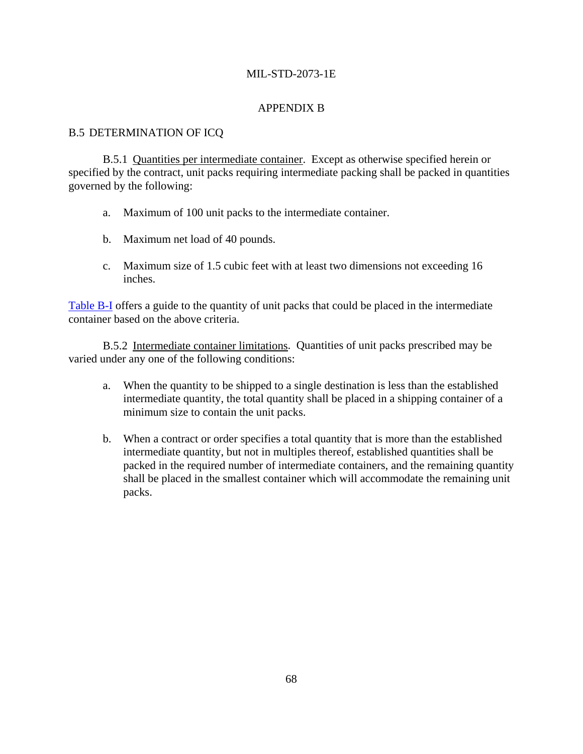#### APPENDIX B

#### B.5 DETERMINATION OF ICQ

 B.5.1 Quantities per intermediate container. Except as otherwise specified herein or specified by the contract, unit packs requiring intermediate packing shall be packed in quantities governed by the following:

- a. Maximum of 100 unit packs to the intermediate container.
- b. Maximum net load of 40 pounds.
- c. Maximum size of 1.5 cubic feet with at least two dimensions not exceeding 16 inches.

[Table B-I](#page-86-0) offers a guide to the quantity of unit packs that could be placed in the intermediate container based on the above criteria.

 B.5.2 Intermediate container limitations. Quantities of unit packs prescribed may be varied under any one of the following conditions:

- a. When the quantity to be shipped to a single destination is less than the established intermediate quantity, the total quantity shall be placed in a shipping container of a minimum size to contain the unit packs.
- b. When a contract or order specifies a total quantity that is more than the established intermediate quantity, but not in multiples thereof, established quantities shall be packed in the required number of intermediate containers, and the remaining quantity shall be placed in the smallest container which will accommodate the remaining unit packs.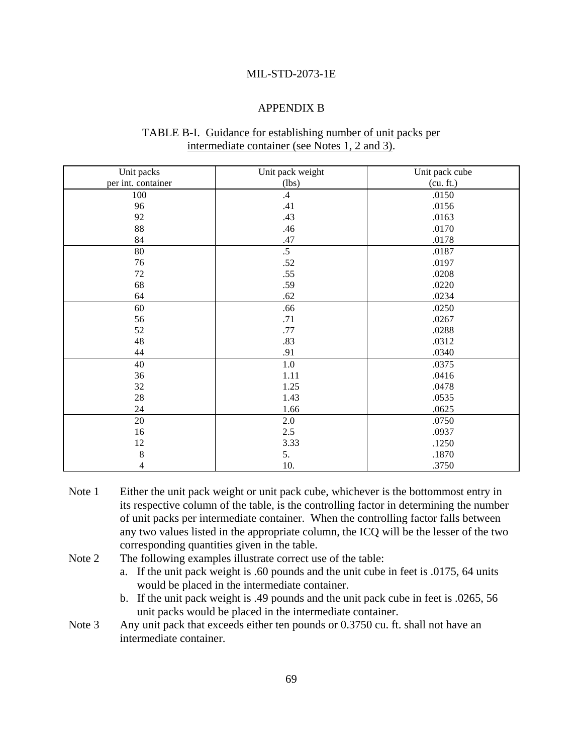#### APPENDIX B

#### TABLE B-I. Guidance for establishing number of unit packs per intermediate container (see Notes 1, 2 and 3).

<span id="page-86-0"></span>

| Unit packs         | Unit pack weight | Unit pack cube |
|--------------------|------------------|----------------|
| per int. container | (lbs)            | (cu. ft.)      |
| 100                | .4               | .0150          |
| 96                 | .41              | .0156          |
| 92                 | .43              | .0163          |
| 88                 | .46              | .0170          |
| 84                 | .47              | .0178          |
| 80                 | $.5\,$           | .0187          |
| 76                 | .52              | .0197          |
| $72\,$             | .55              | .0208          |
| 68                 | .59              | .0220          |
| 64                 | .62              | .0234          |
| 60                 | .66              | .0250          |
| 56                 | .71              | .0267          |
| 52                 | .77              | .0288          |
| 48                 | .83              | .0312          |
| $44$               | .91              | .0340          |
| 40                 | $1.0\,$          | .0375          |
| 36                 | 1.11             | .0416          |
| 32                 | 1.25             | .0478          |
| $28\,$             | 1.43             | .0535          |
| 24                 | 1.66             | .0625          |
| 20                 | 2.0              | .0750          |
| 16                 | 2.5              | .0937          |
| 12                 | 3.33             | .1250          |
| $\,8\,$            | 5.               | .1870          |
| 4                  | 10.              | .3750          |

- Note 1 Either the unit pack weight or unit pack cube, whichever is the bottommost entry in its respective column of the table, is the controlling factor in determining the number of unit packs per intermediate container. When the controlling factor falls between any two values listed in the appropriate column, the ICQ will be the lesser of the two corresponding quantities given in the table.
- Note 2 The following examples illustrate correct use of the table:
	- a. If the unit pack weight is .60 pounds and the unit cube in feet is .0175, 64 units would be placed in the intermediate container.
	- b. If the unit pack weight is .49 pounds and the unit pack cube in feet is .0265, 56 unit packs would be placed in the intermediate container.
- Note 3 Any unit pack that exceeds either ten pounds or 0.3750 cu. ft. shall not have an intermediate container.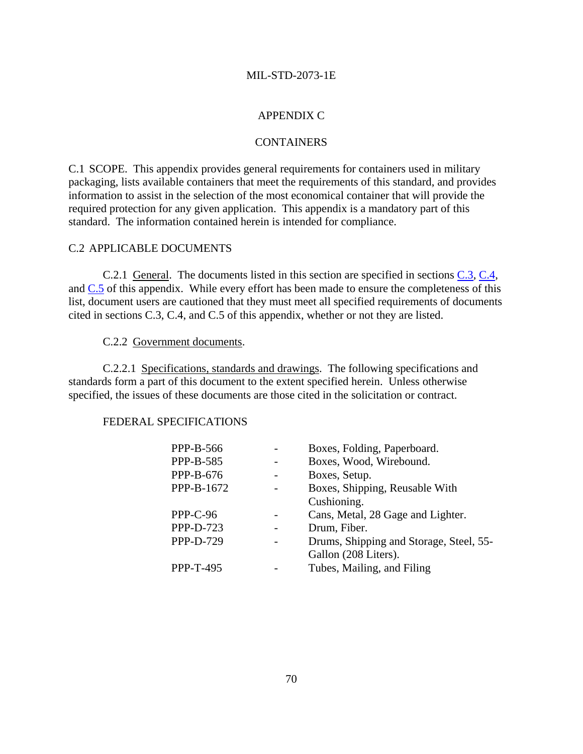#### APPENDIX C

#### **CONTAINERS**

C.1 SCOPE. This appendix provides general requirements for containers used in military packaging, lists available containers that meet the requirements of this standard, and provides information to assist in the selection of the most economical container that will provide the required protection for any given application. This appendix is a mandatory part of this standard. The information contained herein is intended for compliance.

#### C.2 APPLICABLE DOCUMENTS

 C.2.1 General. The documents listed in this section are specified in sections [C.3](#page-90-0), [C.4](#page-90-0), and [C.5](#page-90-0) of this appendix. While every effort has been made to ensure the completeness of this list, document users are cautioned that they must meet all specified requirements of documents cited in sections C.3, C.4, and C.5 of this appendix, whether or not they are listed.

#### C.2.2 Government documents.

 C.2.2.1 Specifications, standards and drawings. The following specifications and standards form a part of this document to the extent specified herein. Unless otherwise specified, the issues of these documents are those cited in the solicitation or contract.

#### FEDERAL SPECIFICATIONS

| <b>PPP-B-566</b> | $\qquad \qquad -$            | Boxes, Folding, Paperboard.             |
|------------------|------------------------------|-----------------------------------------|
| <b>PPP-B-585</b> | $\overline{\phantom{a}}$     | Boxes, Wood, Wirebound.                 |
| PPP-B-676        | $\qquad \qquad \blacksquare$ | Boxes, Setup.                           |
| PPP-B-1672       | $\overline{a}$               | Boxes, Shipping, Reusable With          |
|                  |                              | Cushioning.                             |
| $PPP-C-96$       | $\qquad \qquad \blacksquare$ | Cans, Metal, 28 Gage and Lighter.       |
| PPP-D-723        | $\qquad \qquad -$            | Drum, Fiber.                            |
| PPP-D-729        | $\overline{\phantom{a}}$     | Drums, Shipping and Storage, Steel, 55- |
|                  |                              | Gallon (208 Liters).                    |
| <b>PPP-T-495</b> | $\overline{\phantom{a}}$     | Tubes, Mailing, and Filing              |
|                  |                              |                                         |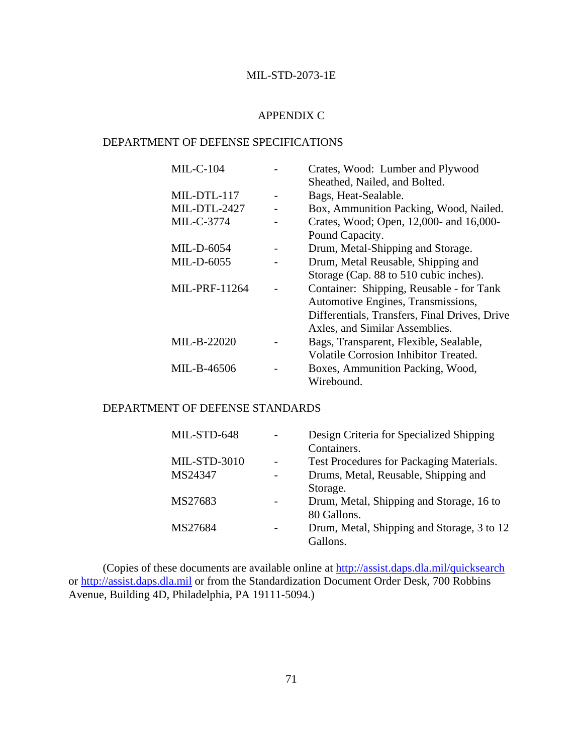#### APPENDIX C

#### DEPARTMENT OF DEFENSE SPECIFICATIONS

| $MIL-C-104$          | Crates, Wood: Lumber and Plywood              |
|----------------------|-----------------------------------------------|
|                      | Sheathed, Nailed, and Bolted.                 |
| MIL-DTL-117          | Bags, Heat-Sealable.                          |
| MIL-DTL-2427         | Box, Ammunition Packing, Wood, Nailed.        |
| MIL-C-3774           | Crates, Wood; Open, 12,000- and 16,000-       |
|                      | Pound Capacity.                               |
| MIL-D-6054           | Drum, Metal-Shipping and Storage.             |
| MIL-D-6055           | Drum, Metal Reusable, Shipping and            |
|                      | Storage (Cap. 88 to 510 cubic inches).        |
| <b>MIL-PRF-11264</b> | Container: Shipping, Reusable - for Tank      |
|                      | Automotive Engines, Transmissions,            |
|                      | Differentials, Transfers, Final Drives, Drive |
|                      | Axles, and Similar Assemblies.                |
| MIL-B-22020          | Bags, Transparent, Flexible, Sealable,        |
|                      | <b>Volatile Corrosion Inhibitor Treated.</b>  |
| MIL-B-46506          | Boxes, Ammunition Packing, Wood,              |
|                      | Wirebound.                                    |

### DEPARTMENT OF DEFENSE STANDARDS

| MIL-STD-648         | $\qquad \qquad -$        | Design Criteria for Specialized Shipping   |
|---------------------|--------------------------|--------------------------------------------|
|                     |                          | Containers.                                |
| <b>MIL-STD-3010</b> | $\overline{\phantom{a}}$ | Test Procedures for Packaging Materials.   |
| MS24347             | $\overline{\phantom{a}}$ | Drums, Metal, Reusable, Shipping and       |
|                     |                          | Storage.                                   |
| MS27683             |                          | Drum, Metal, Shipping and Storage, 16 to   |
|                     |                          | 80 Gallons.                                |
| MS27684             |                          | Drum, Metal, Shipping and Storage, 3 to 12 |
|                     |                          | Gallons.                                   |
|                     |                          |                                            |

 (Copies of these documents are available online at <http://assist.daps.dla.mil/quicksearch> or [http://assist.daps.dla.mil](http://assist.daps.dla.mil/) or from the Standardization Document Order Desk, 700 Robbins Avenue, Building 4D, Philadelphia, PA 19111-5094.)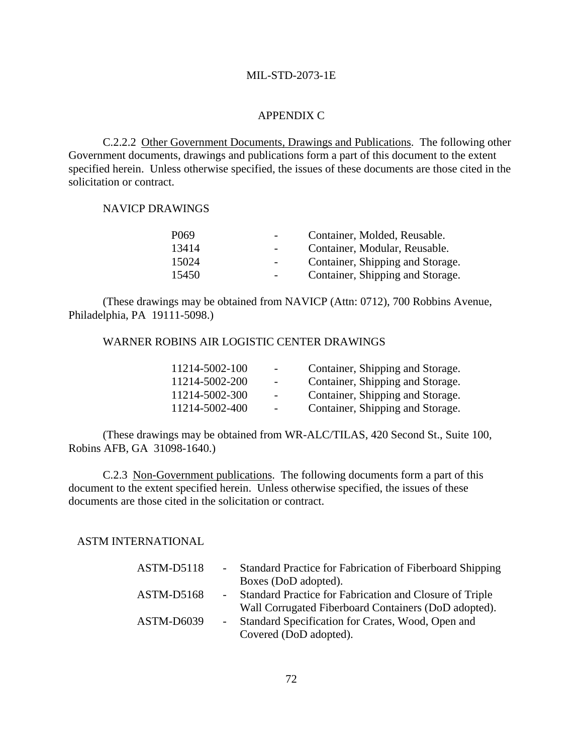#### APPENDIX C

 C.2.2.2 Other Government Documents, Drawings and Publications. The following other Government documents, drawings and publications form a part of this document to the extent specified herein. Unless otherwise specified, the issues of these documents are those cited in the solicitation or contract.

#### NAVICP DRAWINGS

| P <sub>069</sub> | $\sim$           | Container, Molded, Reusable.     |
|------------------|------------------|----------------------------------|
| 13414            | $\sim$ 100 $\mu$ | Container, Modular, Reusable.    |
| 15024            | $ -$             | Container, Shipping and Storage. |
| 15450            | $\sim$           | Container, Shipping and Storage. |
|                  |                  |                                  |

 (These drawings may be obtained from NAVICP (Attn: 0712), 700 Robbins Avenue, Philadelphia, PA 19111-5098.)

### WARNER ROBINS AIR LOGISTIC CENTER DRAWINGS

| $\sim$ | Container, Shipping and Storage. |
|--------|----------------------------------|
| $\sim$ | Container, Shipping and Storage. |
| $-$    | Container, Shipping and Storage. |
| $\sim$ | Container, Shipping and Storage. |
|        |                                  |

 (These drawings may be obtained from WR-ALC/TILAS, 420 Second St., Suite 100, Robins AFB, GA 31098-1640.)

 C.2.3 Non-Government publications. The following documents form a part of this document to the extent specified herein. Unless otherwise specified, the issues of these documents are those cited in the solicitation or contract.

ASTM INTERNATIONAL

| $ASTM-D5118$ | - Standard Practice for Fabrication of Fiberboard Shipping |
|--------------|------------------------------------------------------------|
|              | Boxes (DoD adopted).                                       |
| $ASTM-D5168$ | - Standard Practice for Fabrication and Closure of Triple  |
|              | Wall Corrugated Fiberboard Containers (DoD adopted).       |
| ASTM-D6039   | Standard Specification for Crates, Wood, Open and          |
|              | Covered (DoD adopted).                                     |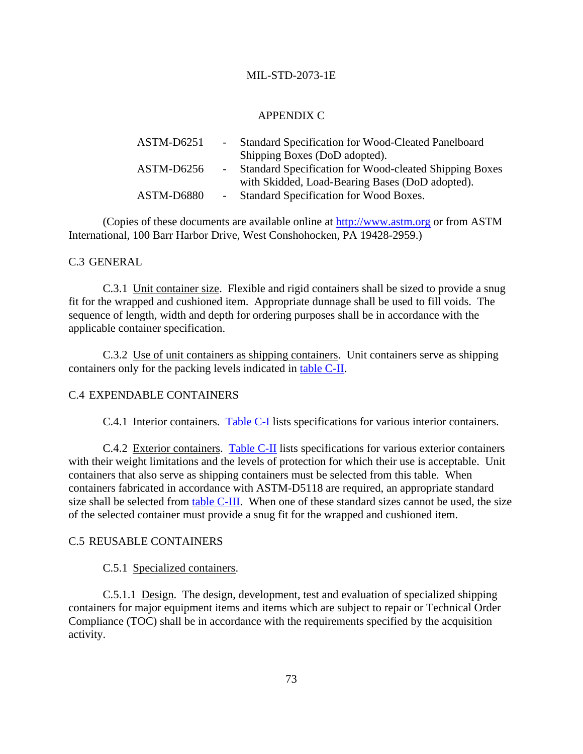#### APPENDIX C

<span id="page-90-0"></span>

| $ASTM-D6251$ | Standard Specification for Wood-Cleated Panelboard       |
|--------------|----------------------------------------------------------|
|              | Shipping Boxes (DoD adopted).                            |
| ASTM-D6256   | - Standard Specification for Wood-cleated Shipping Boxes |
|              | with Skidded, Load-Bearing Bases (DoD adopted).          |
| ASTM-D6880   | - Standard Specification for Wood Boxes.                 |
|              |                                                          |

 (Copies of these documents are available online at [http://www.astm.org](http://www.astm.org/) or from ASTM International, 100 Barr Harbor Drive, West Conshohocken, PA 19428-2959.)

#### C.3 GENERAL

 C.3.1 Unit container size. Flexible and rigid containers shall be sized to provide a snug fit for the wrapped and cushioned item. Appropriate dunnage shall be used to fill voids. The sequence of length, width and depth for ordering purposes shall be in accordance with the applicable container specification.

 C.3.2 Use of unit containers as shipping containers. Unit containers serve as shipping containers only for the packing levels indicated in [table C-II.](#page-96-0)

#### C.4 EXPENDABLE CONTAINERS

C.4.1 Interior containers. [Table C-I](#page-95-0) lists specifications for various interior containers.

C.4.2 Exterior containers. [Table C-II](#page-96-0) lists specifications for various exterior containers with their weight limitations and the levels of protection for which their use is acceptable. Unit containers that also serve as shipping containers must be selected from this table. When containers fabricated in accordance with ASTM-D5118 are required, an appropriate standard size shall be selected from [table C-III](#page-100-0). When one of these standard sizes cannot be used, the size of the selected container must provide a snug fit for the wrapped and cushioned item.

#### C.5 REUSABLE CONTAINERS

#### C.5.1 Specialized containers.

 C.5.1.1 Design. The design, development, test and evaluation of specialized shipping containers for major equipment items and items which are subject to repair or Technical Order Compliance (TOC) shall be in accordance with the requirements specified by the acquisition activity.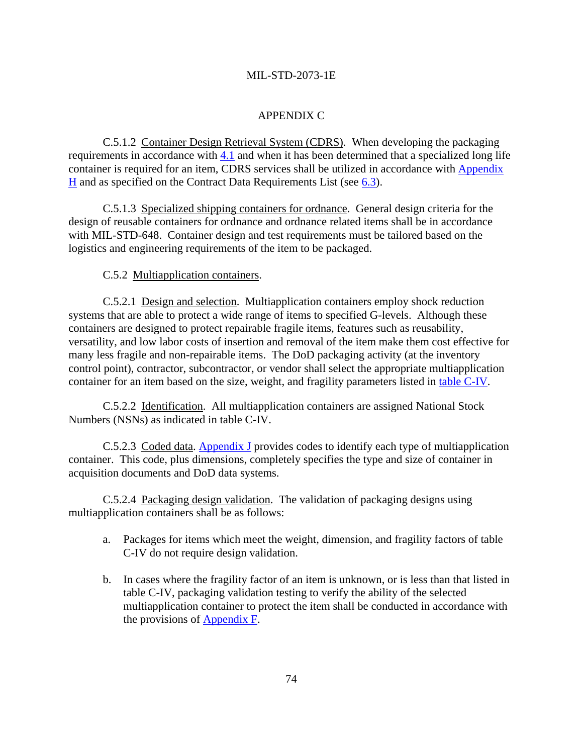#### APPENDIX C

 C.5.1.2 Container Design Retrieval System (CDRS). When developing the packaging requirements in accordance with [4.1](#page-27-0) and when it has been determined that a specialized long life container is required for an item, CDRS services shall be utilized in accordance with [Appendix](#page-148-0)  [H](#page-148-0) and as specified on the Contract Data Requirements List (see [6.3\)](#page-41-0).

 C.5.1.3 Specialized shipping containers for ordnance. General design criteria for the design of reusable containers for ordnance and ordnance related items shall be in accordance with MIL-STD-648. Container design and test requirements must be tailored based on the logistics and engineering requirements of the item to be packaged.

#### C.5.2 Multiapplication containers.

 C.5.2.1 Design and selection. Multiapplication containers employ shock reduction systems that are able to protect a wide range of items to specified G-levels. Although these containers are designed to protect repairable fragile items, features such as reusability, versatility, and low labor costs of insertion and removal of the item make them cost effective for many less fragile and non-repairable items. The DoD packaging activity (at the inventory control point), contractor, subcontractor, or vendor shall select the appropriate multiapplication container for an item based on the size, weight, and fragility parameters listed in [table C-IV](#page-102-0).

 C.5.2.2 Identification. All multiapplication containers are assigned National Stock Numbers (NSNs) as indicated in table C-IV.

C.5.2.3 Coded data. [Appendix J](#page-152-0) provides codes to identify each type of multiapplication container. This code, plus dimensions, completely specifies the type and size of container in acquisition documents and DoD data systems.

 C.5.2.4 Packaging design validation. The validation of packaging designs using multiapplication containers shall be as follows:

- a. Packages for items which meet the weight, dimension, and fragility factors of table C-IV do not require design validation.
- b. In cases where the fragility factor of an item is unknown, or is less than that listed in table C-IV, packaging validation testing to verify the ability of the selected multiapplication container to protect the item shall be conducted in accordance with the provisions of [Appendix F](#page-136-0).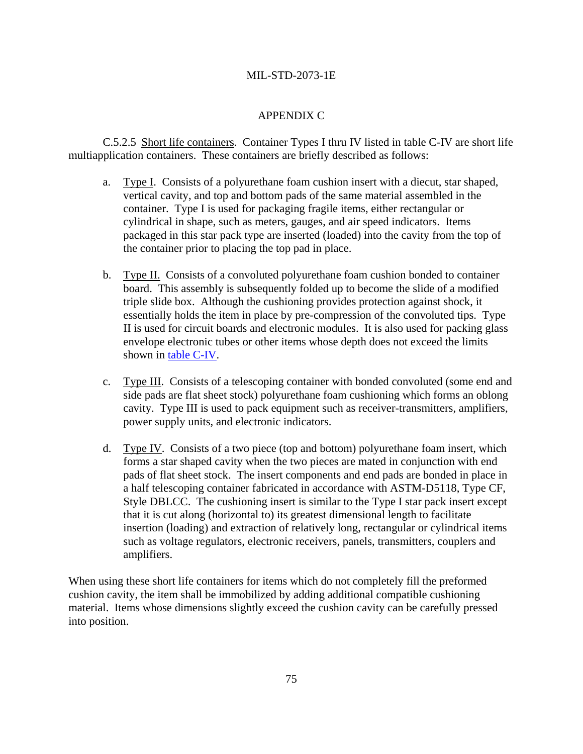#### APPENDIX C

 C.5.2.5 Short life containers. Container Types I thru IV listed in table C-IV are short life multiapplication containers. These containers are briefly described as follows:

- a. Type I. Consists of a polyurethane foam cushion insert with a diecut, star shaped, vertical cavity, and top and bottom pads of the same material assembled in the container. Type I is used for packaging fragile items, either rectangular or cylindrical in shape, such as meters, gauges, and air speed indicators. Items packaged in this star pack type are inserted (loaded) into the cavity from the top of the container prior to placing the top pad in place.
- b. Type II. Consists of a convoluted polyurethane foam cushion bonded to container board. This assembly is subsequently folded up to become the slide of a modified triple slide box. Although the cushioning provides protection against shock, it essentially holds the item in place by pre-compression of the convoluted tips. Type II is used for circuit boards and electronic modules. It is also used for packing glass envelope electronic tubes or other items whose depth does not exceed the limits shown in [table C-IV](#page-102-0).
- c. Type III. Consists of a telescoping container with bonded convoluted (some end and side pads are flat sheet stock) polyurethane foam cushioning which forms an oblong cavity. Type III is used to pack equipment such as receiver-transmitters, amplifiers, power supply units, and electronic indicators.
- d. Type IV. Consists of a two piece (top and bottom) polyurethane foam insert, which forms a star shaped cavity when the two pieces are mated in conjunction with end pads of flat sheet stock. The insert components and end pads are bonded in place in a half telescoping container fabricated in accordance with ASTM-D5118, Type CF, Style DBLCC. The cushioning insert is similar to the Type I star pack insert except that it is cut along (horizontal to) its greatest dimensional length to facilitate insertion (loading) and extraction of relatively long, rectangular or cylindrical items such as voltage regulators, electronic receivers, panels, transmitters, couplers and amplifiers.

When using these short life containers for items which do not completely fill the preformed cushion cavity, the item shall be immobilized by adding additional compatible cushioning material. Items whose dimensions slightly exceed the cushion cavity can be carefully pressed into position.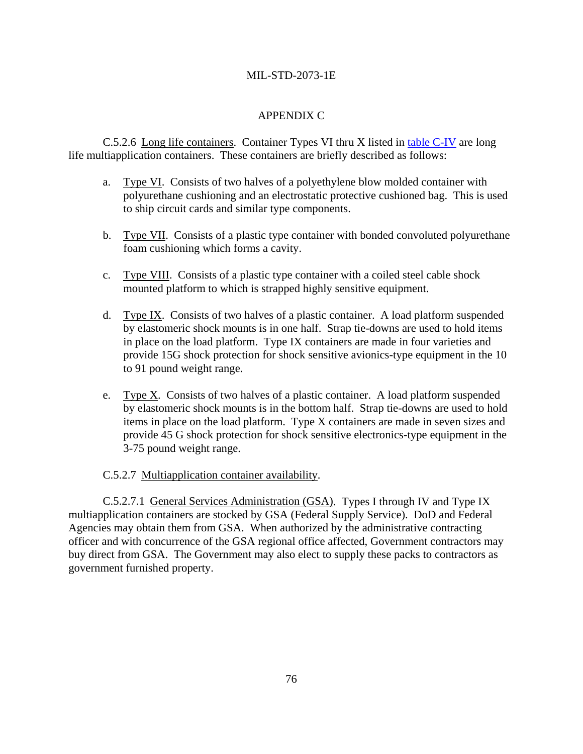### APPENDIX C

 C.5.2.6 Long life containers. Container Types VI thru X listed in [table C-IV](#page-102-0) are long life multiapplication containers. These containers are briefly described as follows:

- a. Type VI. Consists of two halves of a polyethylene blow molded container with polyurethane cushioning and an electrostatic protective cushioned bag. This is used to ship circuit cards and similar type components.
- b. Type VII. Consists of a plastic type container with bonded convoluted polyurethane foam cushioning which forms a cavity.
- c. Type VIII. Consists of a plastic type container with a coiled steel cable shock mounted platform to which is strapped highly sensitive equipment.
- d. Type IX. Consists of two halves of a plastic container. A load platform suspended by elastomeric shock mounts is in one half. Strap tie-downs are used to hold items in place on the load platform. Type IX containers are made in four varieties and provide 15G shock protection for shock sensitive avionics-type equipment in the 10 to 91 pound weight range.
- e. Type X. Consists of two halves of a plastic container. A load platform suspended by elastomeric shock mounts is in the bottom half. Strap tie-downs are used to hold items in place on the load platform. Type X containers are made in seven sizes and provide 45 G shock protection for shock sensitive electronics-type equipment in the 3-75 pound weight range.

### C.5.2.7 Multiapplication container availability.

 C.5.2.7.1 General Services Administration (GSA). Types I through IV and Type IX multiapplication containers are stocked by GSA (Federal Supply Service). DoD and Federal Agencies may obtain them from GSA. When authorized by the administrative contracting officer and with concurrence of the GSA regional office affected, Government contractors may buy direct from GSA. The Government may also elect to supply these packs to contractors as government furnished property.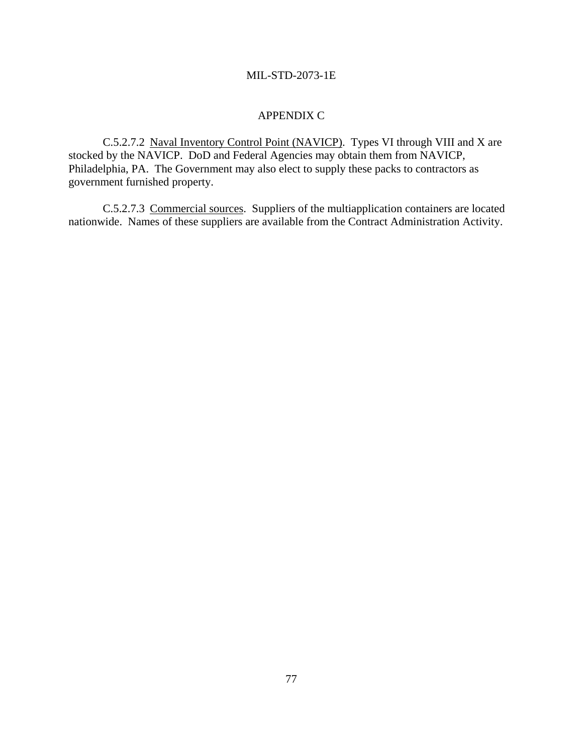#### APPENDIX C

 C.5.2.7.2 Naval Inventory Control Point (NAVICP). Types VI through VIII and X are stocked by the NAVICP. DoD and Federal Agencies may obtain them from NAVICP, Philadelphia, PA. The Government may also elect to supply these packs to contractors as government furnished property.

 C.5.2.7.3 Commercial sources. Suppliers of the multiapplication containers are located nationwide. Names of these suppliers are available from the Contract Administration Activity.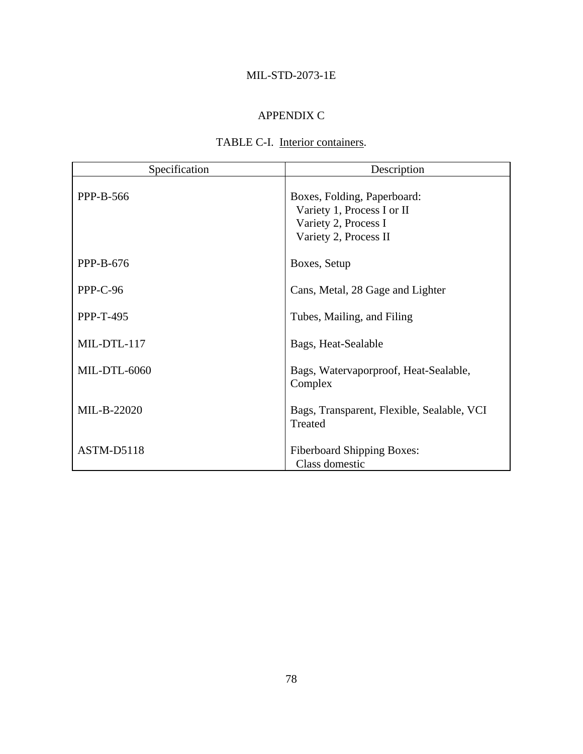# APPENDIX C

# TABLE C-I. Interior containers.

<span id="page-95-0"></span>

| Specification       | Description                                                                                                |  |  |
|---------------------|------------------------------------------------------------------------------------------------------------|--|--|
| PPP-B-566           | Boxes, Folding, Paperboard:<br>Variety 1, Process I or II<br>Variety 2, Process I<br>Variety 2, Process II |  |  |
| PPP-B-676           | Boxes, Setup                                                                                               |  |  |
| PPP-C-96            | Cans, Metal, 28 Gage and Lighter                                                                           |  |  |
| <b>PPP-T-495</b>    | Tubes, Mailing, and Filing                                                                                 |  |  |
| MIL-DTL-117         | Bags, Heat-Sealable                                                                                        |  |  |
| <b>MIL-DTL-6060</b> | Bags, Watervaporproof, Heat-Sealable,<br>Complex                                                           |  |  |
| MIL-B-22020         | Bags, Transparent, Flexible, Sealable, VCI<br>Treated                                                      |  |  |
| ASTM-D5118          | <b>Fiberboard Shipping Boxes:</b><br>Class domestic                                                        |  |  |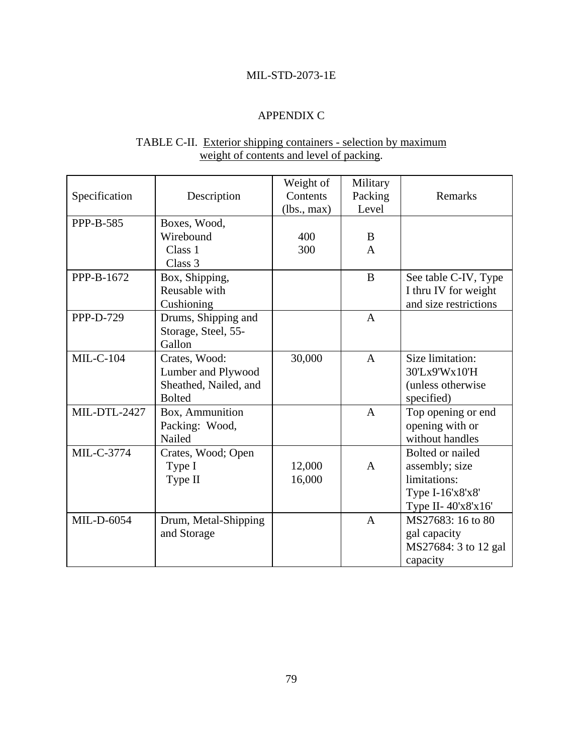# APPENDIX C

#### TABLE C-II. Exterior shipping containers - selection by maximum weight of contents and level of packing.

<span id="page-96-0"></span>

| Specification    | Description           | Weight of<br>Contents | Military<br>Packing | Remarks               |
|------------------|-----------------------|-----------------------|---------------------|-----------------------|
|                  |                       | (lbs., max)           | Level               |                       |
| <b>PPP-B-585</b> | Boxes, Wood,          |                       |                     |                       |
|                  | Wirebound             | 400                   | B                   |                       |
|                  | Class 1               | 300                   | $\mathsf{A}$        |                       |
|                  | Class 3               |                       |                     |                       |
| PPP-B-1672       | Box, Shipping,        |                       | B                   | See table C-IV, Type  |
|                  | Reusable with         |                       |                     | I thru IV for weight  |
|                  | Cushioning            |                       |                     | and size restrictions |
| PPP-D-729        | Drums, Shipping and   |                       | $\mathbf{A}$        |                       |
|                  | Storage, Steel, 55-   |                       |                     |                       |
|                  | Gallon                |                       |                     |                       |
| $MIL-C-104$      | Crates, Wood:         | 30,000                | $\mathbf{A}$        | Size limitation:      |
|                  | Lumber and Plywood    |                       |                     | 30'Lx9'Wx10'H         |
|                  | Sheathed, Nailed, and |                       |                     | (unless otherwise     |
|                  | <b>Bolted</b>         |                       |                     | specified)            |
| MIL-DTL-2427     | Box, Ammunition       |                       | $\overline{A}$      | Top opening or end    |
|                  | Packing: Wood,        |                       |                     | opening with or       |
|                  | Nailed                |                       |                     | without handles       |
| MIL-C-3774       | Crates, Wood; Open    |                       |                     | Bolted or nailed      |
|                  | Type I                | 12,000                | A                   | assembly; size        |
|                  | Type II               | 16,000                |                     | limitations:          |
|                  |                       |                       |                     | Type I-16'x8'x8'      |
|                  |                       |                       |                     | Type II-40'x8'x16'    |
| MIL-D-6054       | Drum, Metal-Shipping  |                       | $\overline{A}$      | MS27683: 16 to 80     |
|                  | and Storage           |                       |                     | gal capacity          |
|                  |                       |                       |                     | MS27684: 3 to 12 gal  |
|                  |                       |                       |                     | capacity              |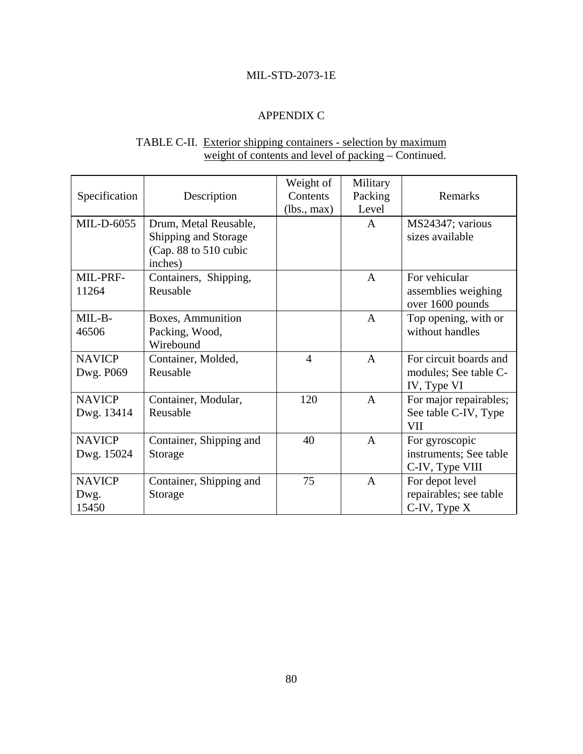### APPENDIX C

# TABLE C-II. Exterior shipping containers - selection by maximum weight of contents and level of packing – Continued.

| Specification<br>MIL-D-6055    | Description<br>Drum, Metal Reusable,                     | Weight of<br>Contents<br>(lbs., max) | Military<br>Packing<br>Level<br>A | Remarks<br>MS24347; various                                    |
|--------------------------------|----------------------------------------------------------|--------------------------------------|-----------------------------------|----------------------------------------------------------------|
|                                | Shipping and Storage<br>(Cap. 88 to 510 cubic<br>inches) |                                      |                                   | sizes available                                                |
| MIL-PRF-<br>11264              | Containers, Shipping,<br>Reusable                        |                                      | $\mathsf{A}$                      | For vehicular<br>assemblies weighing<br>over 1600 pounds       |
| MIL-B-<br>46506                | Boxes, Ammunition<br>Packing, Wood,<br>Wirebound         |                                      | A                                 | Top opening, with or<br>without handles                        |
| <b>NAVICP</b><br>Dwg. P069     | Container, Molded,<br>Reusable                           | $\overline{4}$                       | $\mathbf{A}$                      | For circuit boards and<br>modules; See table C-<br>IV, Type VI |
| <b>NAVICP</b><br>Dwg. 13414    | Container, Modular,<br>Reusable                          | 120                                  | $\mathbf{A}$                      | For major repairables;<br>See table C-IV, Type<br>VII          |
| <b>NAVICP</b><br>Dwg. 15024    | Container, Shipping and<br>Storage                       | 40                                   | $\mathbf{A}$                      | For gyroscopic<br>instruments; See table<br>C-IV, Type VIII    |
| <b>NAVICP</b><br>Dwg.<br>15450 | Container, Shipping and<br>Storage                       | 75                                   | $\mathbf{A}$                      | For depot level<br>repairables; see table<br>C-IV, Type X      |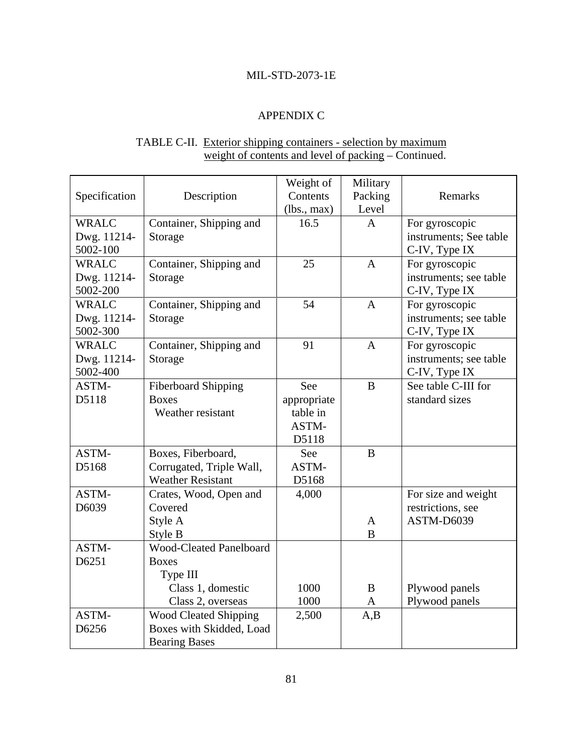### APPENDIX C

# TABLE C-II. Exterior shipping containers - selection by maximum weight of contents and level of packing – Continued.

|               |                                | Weight of   | Military       |                        |
|---------------|--------------------------------|-------------|----------------|------------------------|
| Specification | Description                    | Contents    | Packing        | Remarks                |
|               |                                | (lbs., max) | Level          |                        |
| <b>WRALC</b>  | Container, Shipping and        | 16.5        | A              | For gyroscopic         |
| Dwg. 11214-   | Storage                        |             |                | instruments; See table |
| 5002-100      |                                |             |                | C-IV, Type IX          |
| <b>WRALC</b>  | Container, Shipping and        | 25          | $\overline{A}$ | For gyroscopic         |
| Dwg. 11214-   | Storage                        |             |                | instruments; see table |
| 5002-200      |                                |             |                | C-IV, Type IX          |
| <b>WRALC</b>  | Container, Shipping and        | 54          | $\mathbf{A}$   | For gyroscopic         |
| Dwg. 11214-   | Storage                        |             |                | instruments; see table |
| 5002-300      |                                |             |                | C-IV, Type IX          |
| <b>WRALC</b>  | Container, Shipping and        | 91          | $\overline{A}$ | For gyroscopic         |
| Dwg. 11214-   | Storage                        |             |                | instruments; see table |
| 5002-400      |                                |             |                | C-IV, Type IX          |
| ASTM-         | <b>Fiberboard Shipping</b>     | See         | $\mathbf{B}$   | See table C-III for    |
| D5118         | <b>Boxes</b>                   | appropriate |                | standard sizes         |
|               | Weather resistant              | table in    |                |                        |
|               |                                | ASTM-       |                |                        |
|               |                                | D5118       |                |                        |
| ASTM-         | Boxes, Fiberboard,             | See         | B              |                        |
| D5168         | Corrugated, Triple Wall,       | ASTM-       |                |                        |
|               | <b>Weather Resistant</b>       | D5168       |                |                        |
| ASTM-         | Crates, Wood, Open and         | 4,000       |                | For size and weight    |
| D6039         | Covered                        |             |                | restrictions, see      |
|               | Style A                        |             | $\mathbf{A}$   | ASTM-D6039             |
|               | Style B                        |             | B              |                        |
| ASTM-         | <b>Wood-Cleated Panelboard</b> |             |                |                        |
| D6251         | <b>Boxes</b>                   |             |                |                        |
|               | Type III                       |             |                |                        |
|               | Class 1, domestic              | 1000        | $\bf{B}$       | Plywood panels         |
|               | Class 2, overseas              | 1000        | A              | Plywood panels         |
| ASTM-         | <b>Wood Cleated Shipping</b>   | 2,500       | A,B            |                        |
| D6256         | Boxes with Skidded, Load       |             |                |                        |
|               | <b>Bearing Bases</b>           |             |                |                        |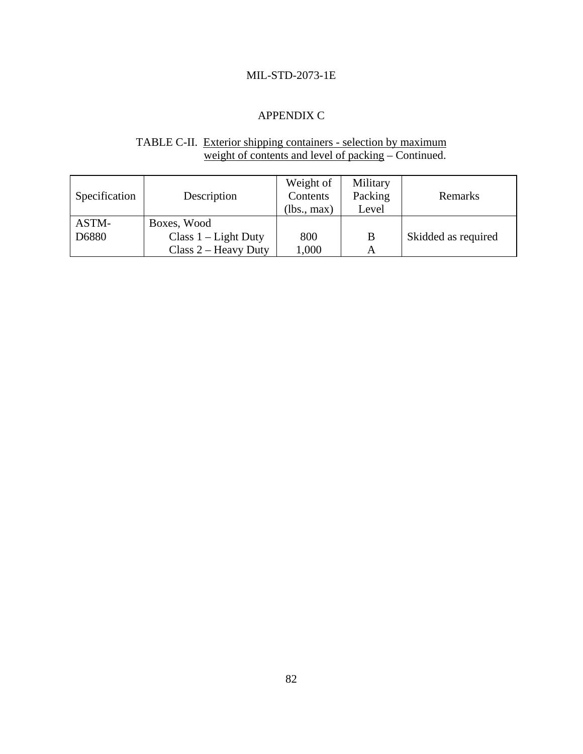### APPENDIX C

# TABLE C-II. Exterior shipping containers - selection by maximum weight of contents and level of packing – Continued.

| Specification | Description            | Weight of<br>Contents<br>(lbs., max) | Military<br>Packing<br>Level | Remarks             |
|---------------|------------------------|--------------------------------------|------------------------------|---------------------|
| ASTM-         | Boxes, Wood            |                                      |                              |                     |
| D6880         | Class $1 - Light Duty$ | 800                                  | B                            | Skidded as required |
|               | Class $2$ – Heavy Duty | 000,1                                | A                            |                     |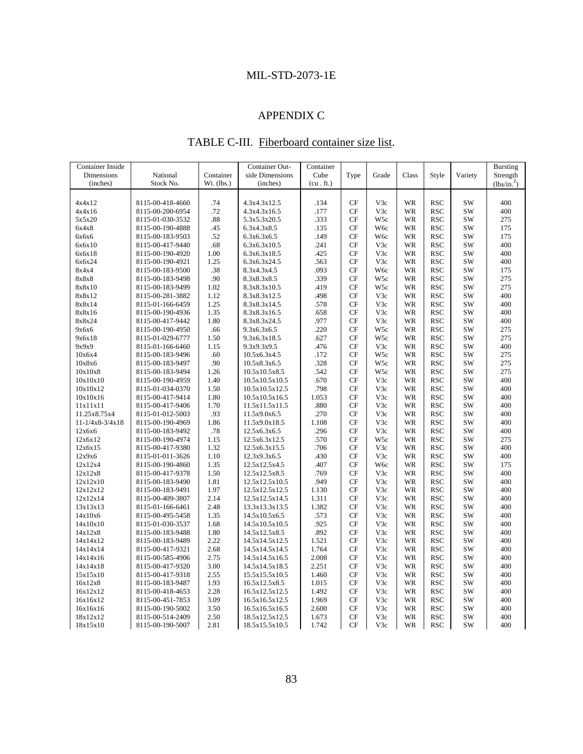# APPENDIX C

# TABLE C-III. Fiberboard container size list.

<span id="page-100-0"></span>

| Container Inside      |                  |              | Container Out-  | Container    |      |                 |           |            |           | <b>Bursting</b>         |
|-----------------------|------------------|--------------|-----------------|--------------|------|-----------------|-----------|------------|-----------|-------------------------|
| Dimensions            | National         | Container    | side Dimensions | Cube         | Type | Grade           | Class     | Style      | Variety   | Strength                |
| (inches)              | Stock No.        | $Wt.$ (lbs.) | (inches)        | $(cu$ . ft.) |      |                 |           |            |           | (lbs/in. <sup>2</sup> ) |
|                       |                  |              |                 |              |      |                 |           |            |           |                         |
| 4x4x12                | 8115-00-418-4660 | .74          | 4.3x4.3x12.5    | .134         | CF   | V3c             | <b>WR</b> | <b>RSC</b> | <b>SW</b> | 400                     |
| 4x4x16                | 8115-00-200-6954 | .72          | 4.3x4.3x16.5    | .177         | CF   | V3c             | <b>WR</b> | <b>RSC</b> | SW        | 400                     |
| 5x5x20                | 8115-01-030-3532 | .88          | 5.3x5.3x20.5    | .333         | CF   | W <sub>5c</sub> | <b>WR</b> | <b>RSC</b> | <b>SW</b> | 275                     |
| 6x4x8                 | 8115-00-190-4888 | .45          | 6.3x4.3x8.5     | .135         | CF   | W6c             | WR        | <b>RSC</b> | <b>SW</b> | 175                     |
| 6x6x6                 | 8115-00-183-9503 | .52          | 6.3x6.3x6.5     | .149         | CF   | W <sub>6c</sub> | WR        | <b>RSC</b> | <b>SW</b> | 175                     |
| 6x6x10                | 8115-00-417-9440 | .68          | 6.3x6.3x10.5    | .241         | CF   | V3c             | <b>WR</b> | <b>RSC</b> | <b>SW</b> | 400                     |
| 6x6x18                | 8115-00-190-4920 | 1.00         | 6.3x6.3x18.5    | .425         | CF   | V3c             | WR        | <b>RSC</b> | SW        | 400                     |
| 6x6x24                | 8115-00-190-4921 | 1.25         | 6.3x6.3x24.5    | .563         | CF   | V3c             | <b>WR</b> | <b>RSC</b> | <b>SW</b> | 400                     |
| 8x4x4                 | 8115-00-183-9500 | .38          | 8.3x4.3x4.5     | .093         | CF   | W6c             | <b>WR</b> | <b>RSC</b> | <b>SW</b> | 175                     |
| 8x8x8                 | 8115-00-183-9498 | .90          | 8.3x8.3x8.5     | .339         | CF   | W5c             | WR        | <b>RSC</b> | SW        | 275                     |
| 8x8x10                | 8115-00-183-9499 | 1.02         | 8.3x8.3x10.5    | .419         | CF   | W <sub>5c</sub> | WR        | <b>RSC</b> | SW        | 275                     |
| 8x8x12                | 8115-00-281-3882 | 1.12         | 8.3x8.3x12.5    | .498         | CF   | V3c             | WR        | <b>RSC</b> | <b>SW</b> | 400                     |
| 8x8x14                | 8115-01-166-6459 | 1.25         | 8.3x8.3x14.5    | .578         | CF   | V3c             | WR        | <b>RSC</b> | SW        | 400                     |
| 8x8x16                | 8115-00-190-4936 | 1.35         | 8.3x8.3x16.5    | .658         | CF   | V3c             | <b>WR</b> | <b>RSC</b> | SW        | 400                     |
| 8x8x24                | 8115-00-417-9442 | 1.80         | 8.3x8.3x24.5    | .977         | CF   | V3c             | WR        | <b>RSC</b> | <b>SW</b> | 400                     |
| 9x6x6                 | 8115-00-190-4950 | .66          | 9.3x6.3x6.5     | .220         | CF   | W <sub>5c</sub> | WR        | <b>RSC</b> | <b>SW</b> | 275                     |
| 9x6x18                | 8115-01-029-6777 | 1.50         | 9.3x6.3x18.5    | .627         | CF   | W5c             | WR        | <b>RSC</b> | SW        | 275                     |
| 9x9x9                 | 8115-01-166-6460 | 1.15         | 9.3x9.3x9.5     | .476         | CF   | V3c             | WR        | <b>RSC</b> | <b>SW</b> | 400                     |
| 10x6x4                | 8115-00-183-9496 | .60          | 10.5x6.3x4.5    | .172         | CF   | W <sub>5c</sub> | WR        | <b>RSC</b> | <b>SW</b> | 275                     |
| 10x8x6                | 8115-00-183-9497 | .90          | 10.5x8.3x6.5    | .328         | CF   | W <sub>5c</sub> | WR        | <b>RSC</b> | <b>SW</b> | 275                     |
| 10x10x8               | 8115-00-183-9494 | 1.26         | 10.5x10.5x8.5   | .542         | CF   | W5c             | WR        | <b>RSC</b> | <b>SW</b> | 275                     |
| 10x10x10              | 8115-00-190-4959 | 1.40         | 10.5x10.5x10.5  | .670         | CF   | V3c             | WR        | <b>RSC</b> | <b>SW</b> | 400                     |
| 10x10x12              | 8115-01-034-0370 | 1.50         | 10.5x10.5x12.5  | .798         | CF   | V3c             | WR        | <b>RSC</b> | SW        | 400                     |
| 10x10x16              | 8115-00-417-9414 | 1.80         | 10.5x10.5x16.5  | 1.053        | CF   | V3c             | <b>WR</b> | <b>RSC</b> | <b>SW</b> | 400                     |
| 11x11x11              | 8115-00-417-9406 | 1.70         | 11.5x11.5x11.5  | .880         | CF   | V3c             | <b>WR</b> | <b>RSC</b> | SW        | 400                     |
| 11.25x8.75x4          | 8115-01-012-5003 | .93          | 11.5x9.0x6.5    | .270         | CF   | V3c             | WR        | <b>RSC</b> | <b>SW</b> | 400                     |
| $11 - 1/4x8 - 3/4x18$ | 8115-00-190-4969 | 1.86         | 11.5x9.0x18.5   | 1.108        | CF   | V3c             | WR        | <b>RSC</b> | <b>SW</b> | 400                     |
| 12x6x6                | 8115-00-183-9492 | .78          | 12.5x6.3x6.5    | .296         | CF   | V3c             | <b>WR</b> | <b>RSC</b> | <b>SW</b> | 400                     |
| 12x6x12               | 8115-00-190-4974 | 1.15         | 12.5x6.3x12.5   | .570         | CF   | W <sub>5c</sub> | WR        | <b>RSC</b> | <b>SW</b> | 275                     |
| 12x6x15               | 8115-00-417-9380 | 1.32         | 12.5x6.3x15.5   | .706         | CF   | V3c             | <b>WR</b> | <b>RSC</b> | <b>SW</b> | 400                     |
| 12x9x6                | 8115-01-011-3626 | 1.10         | 12.3x9.3x6.5    | .430         | CF   | V3c             | WR        | <b>RSC</b> | <b>SW</b> | 400                     |
| 12x12x4               | 8115-00-190-4860 | 1.35         | 12.5x12.5x4.5   | .407         | CF   | W6c             | WR        | <b>RSC</b> | <b>SW</b> | 175                     |
| 12x12x8               | 8115-00-417-9378 | 1.50         | 12.5x12.5x8.5   | .769         | CF   | V3c             | WR        | <b>RSC</b> | <b>SW</b> | 400                     |
| 12x12x10              | 8115-00-183-9490 | 1.81         | 12.5x12.5x10.5  | .949         | CF   | V3c             | WR        | <b>RSC</b> | SW        | 400                     |
| 12x12x12              | 8115-00-183-9491 | 1.97         | 12.5x12.5x12.5  | 1.130        | CF   | V3c             | <b>WR</b> | <b>RSC</b> | <b>SW</b> | 400                     |
| 12x12x14              | 8115-00-409-3807 | 2.14         | 12.5x12.5x14.5  | 1.311        | CF   | $_{\rm V3c}$    | WR        | <b>RSC</b> | <b>SW</b> | 400                     |
| 13x13x13              | 8115-01-166-6461 | 2.48         | 13.3x13.3x13.5  | 1.382        | CF   | V3c             | WR        | <b>RSC</b> | <b>SW</b> | 400                     |
| 14x10x6               | 8115-00-495-5458 | 1.35         | 14.5x10.5x6.5   | .573         | CF   | V3c             | <b>WR</b> | <b>RSC</b> | <b>SW</b> | 400                     |
| 14x10x10              | 8115-01-030-3537 | 1.68         | 14.5x10.5x10.5  | .925         | CF   | V3c             | WR        | <b>RSC</b> | SW        | 400                     |
| 14x12x8               | 8115-00-183-9488 | 1.80         | 14.5x12.5x8.5   | .892         | CF   | V3c             | <b>WR</b> | <b>RSC</b> | <b>SW</b> | 400                     |
| 14x14x12              | 8115-00-183-9489 | 2.22         | 14.5x14.5x12.5  | 1.521        | CF   | V3c             | <b>WR</b> | <b>RSC</b> | <b>SW</b> | 400                     |
| 14x14x14              | 8115-00-417-9321 | 2.68         | 14.5x14.5x14.5  | 1.764        | CF   | V3c             | WR        | <b>RSC</b> | <b>SW</b> | 400                     |
| 14x14x16              | 8115-00-585-4906 | 2.75         | 14.5x14.5x16.5  | 2.008        | CF   | V3c             | WR        | <b>RSC</b> | <b>SW</b> | 400                     |
| 14x14x18              | 8115-00-417-9320 | 3.00         | 14.5x14.5x18.5  | 2.251        | CF   | V3c             | <b>WR</b> | <b>RSC</b> | <b>SW</b> | 400                     |
| 15x15x10              | 8115-00-417-9318 | 2.55         | 15.5x15.5x10.5  | 1.460        | CF   | $_{\rm V3c}$    | WR        | <b>RSC</b> | SW        | 400                     |
| 16x12x8               | 8115-00-183-9487 | 1.93         | 16.5x12.5x8.5   | 1.015        | CF   | V3c             | <b>WR</b> | <b>RSC</b> | <b>SW</b> | 400                     |
| 16x12x12              | 8115-00-418-4653 | 2.28         | 16.5x12.5x12.5  | 1.492        | CF   | V3c             | WR        | <b>RSC</b> | <b>SW</b> | 400                     |
| 16x16x12              | 8115-00-451-7853 | 3.09         | 16.5x16.5x12.5  | 1.969        | CF   | V3c             | WR        | <b>RSC</b> | <b>SW</b> | 400                     |
| 16x16x16              | 8115-00-190-5002 | 3.50         | 16.5x16.5x16.5  | 2.600        | CF   | V3c             | WR        | RSC        | SW        | 400                     |
| 18x12x12              | 8115-00-514-2409 | 2.50         | 18.5x12.5x12.5  | 1.673        | CF   | V3c             | WR        | <b>RSC</b> | <b>SW</b> | 400                     |
| 18x15x10              | 8115-00-190-5007 | 2.81         | 18.5x15.5x10.5  | 1.742        | CF   | V3c             | WR        | <b>RSC</b> | <b>SW</b> | 400                     |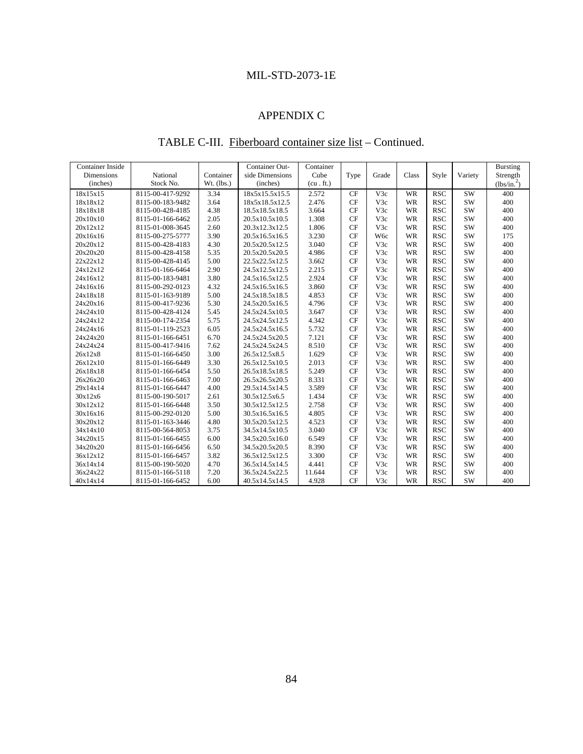## APPENDIX C

# TABLE C-III. Fiberboard container size list – Continued.

| <b>Container Inside</b> |                  |              | Container Out-  | Container    |           |                 |           |            |           | <b>Bursting</b>         |
|-------------------------|------------------|--------------|-----------------|--------------|-----------|-----------------|-----------|------------|-----------|-------------------------|
| <b>Dimensions</b>       | National         | Container    | side Dimensions | Cube         | Type      | Grade           | Class     | Style      | Variety   | Strength                |
| (inches)                | Stock No.        | $Wt.$ (lbs.) | (inches)        | $(cu$ . ft.) |           |                 |           |            |           | (lbs/in. <sup>2</sup> ) |
| 18x15x15                | 8115-00-417-9292 | 3.34         | 18x5x15.5x15.5  | 2.572        | CF        | V3c             | <b>WR</b> | <b>RSC</b> | <b>SW</b> | 400                     |
| 18x18x12                | 8115-00-183-9482 | 3.64         | 18x5x18.5x12.5  | 2.476        | CF        | V3c             | <b>WR</b> | <b>RSC</b> | <b>SW</b> | 400                     |
| 18x18x18                | 8115-00-428-4185 | 4.38         | 18.5x18.5x18.5  | 3.664        | CF        | V3c             | <b>WR</b> | <b>RSC</b> | <b>SW</b> | 400                     |
| 20x10x10                | 8115-01-166-6462 | 2.05         | 20.5x10.5x10.5  | 1.308        | CF        | V3c             | WR        | <b>RSC</b> | <b>SW</b> | 400                     |
| 20x12x12                | 8115-01-008-3645 | 2.60         | 20.3x12.3x12.5  | 1.806        | CF        | V3c             | WR        | <b>RSC</b> | <b>SW</b> | 400                     |
| 20x16x16                | 8115-00-275-5777 | 3.90         | 20.5x16.5x16.5  | 3.230        | CF        | W <sub>6c</sub> | WR        | <b>RSC</b> | <b>SW</b> | 175                     |
| 20x20x12                | 8115-00-428-4183 | 4.30         | 20.5x20.5x12.5  | 3.040        | CF        | V3c             | WR        | <b>RSC</b> | <b>SW</b> | 400                     |
| 20x20x20                | 8115-00-428-4158 | 5.35         | 20.5x20.5x20.5  | 4.986        | CF        | V3c             | WR        | <b>RSC</b> | <b>SW</b> | 400                     |
| 22x22x12                | 8115-00-428-4145 | 5.00         | 22.5x22.5x12.5  | 3.662        | CF        | V3c             | <b>WR</b> | <b>RSC</b> | <b>SW</b> | 400                     |
| 24x12x12                | 8115-01-166-6464 | 2.90         | 24.5x12.5x12.5  | 2.215        | CF        | V3c             | <b>WR</b> | <b>RSC</b> | <b>SW</b> | 400                     |
| 24x16x12                | 8115-00-183-9481 | 3.80         | 24.5x16.5x12.5  | 2.924        | CF        | V3c             | WR        | <b>RSC</b> | SW        | 400                     |
| 24x16x16                | 8115-00-292-0123 | 4.32         | 24.5x16.5x16.5  | 3.860        | CF        | V3c             | <b>WR</b> | <b>RSC</b> | <b>SW</b> | 400                     |
| 24x18x18                | 8115-01-163-9189 | 5.00         | 24.5x18.5x18.5  | 4.853        | CF        | V3c             | <b>WR</b> | <b>RSC</b> | <b>SW</b> | 400                     |
| 24x20x16                | 8115-00-417-9236 | 5.30         | 24.5x20.5x16.5  | 4.796        | CF        | V3c             | <b>WR</b> | <b>RSC</b> | <b>SW</b> | 400                     |
| 24x24x10                | 8115-00-428-4124 | 5.45         | 24.5x24.5x10.5  | 3.647        | CF        | V3c             | <b>WR</b> | <b>RSC</b> | <b>SW</b> | 400                     |
| 24x24x12                | 8115-00-174-2354 | 5.75         | 24.5x24.5x12.5  | 4.342        | CF        | V3c             | <b>WR</b> | <b>RSC</b> | <b>SW</b> | 400                     |
| 24x24x16                | 8115-01-119-2523 | 6.05         | 24.5x24.5x16.5  | 5.732        | CF        | V3c             | WR        | <b>RSC</b> | <b>SW</b> | 400                     |
| 24x24x20                | 8115-01-166-6451 | 6.70         | 24.5x24.5x20.5  | 7.121        | CF        | V3c             | WR        | <b>RSC</b> | <b>SW</b> | 400                     |
| 24x24x24                | 8115-00-417-9416 | 7.62         | 24.5x24.5x24.5  | 8.510        | CF        | V3c             | WR        | <b>RSC</b> | <b>SW</b> | 400                     |
| 26x12x8                 | 8115-01-166-6450 | 3.00         | 26.5x12.5x8.5   | 1.629        | CF        | V3c             | WR        | <b>RSC</b> | <b>SW</b> | 400                     |
| 26x12x10                | 8115-01-166-6449 | 3.30         | 26.5x12.5x10.5  | 2.013        | CF        | V3c             | <b>WR</b> | <b>RSC</b> | <b>SW</b> | 400                     |
| 26x18x18                | 8115-01-166-6454 | 5.50         | 26.5x18.5x18.5  | 5.249        | CF        | V3c             | <b>WR</b> | <b>RSC</b> | <b>SW</b> | 400                     |
| 26x26x20                | 8115-01-166-6463 | 7.00         | 26.5x26.5x20.5  | 8.331        | CF        | V3c             | <b>WR</b> | <b>RSC</b> | <b>SW</b> | 400                     |
| 29x14x14                | 8115-01-166-6447 | 4.00         | 29.5x14.5x14.5  | 3.589        | CF        | V3c             | <b>WR</b> | <b>RSC</b> | <b>SW</b> | 400                     |
| 30x12x6                 | 8115-00-190-5017 | 2.61         | 30.5x12.5x6.5   | 1.434        | <b>CF</b> | V3c             | WR        | <b>RSC</b> | <b>SW</b> | 400                     |
| 30x12x12                | 8115-01-166-6448 | 3.50         | 30.5x12.5x12.5  | 2.758        | CF        | V3c             | WR        | <b>RSC</b> | <b>SW</b> | 400                     |
| 30x16x16                | 8115-00-292-0120 | 5.00         | 30.5x16.5x16.5  | 4.805        | CF        | V3c             | WR        | <b>RSC</b> | <b>SW</b> | 400                     |
| 30x20x12                | 8115-01-163-3446 | 4.80         | 30.5x20.5x12.5  | 4.523        | CF        | V3c             | <b>WR</b> | <b>RSC</b> | <b>SW</b> | 400                     |
| 34x14x10                | 8115-00-564-8053 | 3.75         | 34.5x14.5x10.5  | 3.040        | CF        | V3c             | WR        | <b>RSC</b> | <b>SW</b> | 400                     |
| 34x20x15                | 8115-01-166-6455 | 6.00         | 34.5x20.5x16.0  | 6.549        | CF        | V3c             | WR        | <b>RSC</b> | <b>SW</b> | 400                     |
| 34x20x20                | 8115-01-166-6456 | 6.50         | 34.5x20.5x20.5  | 8.390        | CF        | V3c             | WR        | <b>RSC</b> | <b>SW</b> | 400                     |
| 36x12x12                | 8115-01-166-6457 | 3.82         | 36.5x12.5x12.5  | 3.300        | CF        | V3c             | WR        | <b>RSC</b> | <b>SW</b> | 400                     |
| 36x14x14                | 8115-00-190-5020 | 4.70         | 36.5x14.5x14.5  | 4.441        | CF        | V3c             | WR        | <b>RSC</b> | <b>SW</b> | 400                     |
| 36x24x22                | 8115-01-166-5118 | 7.20         | 36.5x24.5x22.5  | 11.644       | CF        | V3c             | WR        | <b>RSC</b> | <b>SW</b> | 400                     |
| 40x14x14                | 8115-01-166-6452 | 6.00         | 40.5x14.5x14.5  | 4.928        | CF        | V3c             | WR        | <b>RSC</b> | <b>SW</b> | 400                     |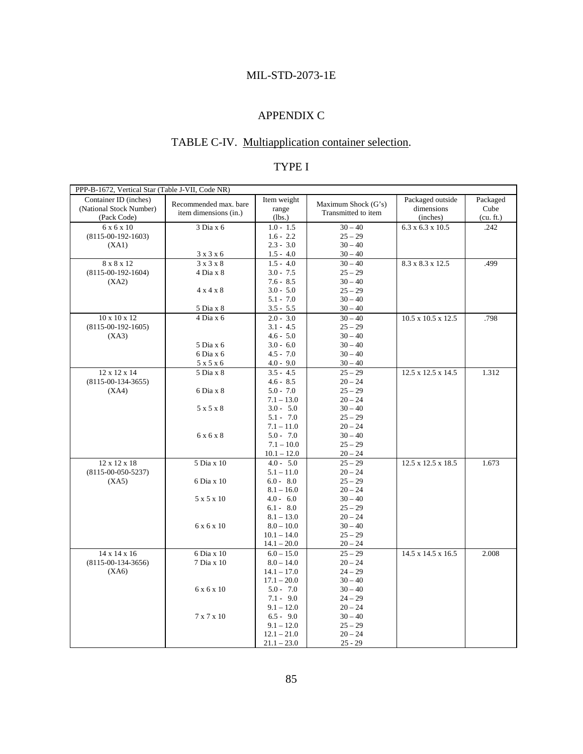# APPENDIX C

# TABLE C-IV. Multiapplication container selection.

# TYPE I

<span id="page-102-0"></span>

| PPP-B-1672, Vertical Star (Table J-VII, Code NR) |                       |               |                     |                                |           |
|--------------------------------------------------|-----------------------|---------------|---------------------|--------------------------------|-----------|
| Container ID (inches)                            |                       | Item weight   |                     | Packaged outside               | Packaged  |
| (National Stock Number)                          | Recommended max. bare | range         | Maximum Shock (G's) | dimensions                     | Cube      |
| (Pack Code)                                      | item dimensions (in.) | (lbs.)        | Transmitted to item | (inches)                       | (cu. ft.) |
| 6 x 6 x 10                                       | 3 Dia x 6             | $1.0 - 1.5$   | $30 - 40$           | $6.3 \times 6.3 \times 10.5$   | .242      |
| $(8115-00-192-1603)$                             |                       | $1.6 - 2.2$   | $25 - 29$           |                                |           |
| (XA1)                                            |                       | $2.3 - 3.0$   | $30 - 40$           |                                |           |
|                                                  | 3x3x6                 | $1.5 - 4.0$   | $30 - 40$           |                                |           |
| 8 x 8 x 12                                       | $3 \times 3 \times 8$ | $1.5 - 4.0$   | $30 - 40$           | 8.3 x 8.3 x 12.5               | .499      |
| $(8115-00-192-1604)$                             | 4 Dia x 8             | $3.0 - 7.5$   | $25 - 29$           |                                |           |
| (XA2)                                            |                       | $7.6 - 8.5$   | $30 - 40$           |                                |           |
|                                                  | 4x4x8                 | $3.0 - 5.0$   | $25 - 29$           |                                |           |
|                                                  |                       | $5.1 - 7.0$   | $30 - 40$           |                                |           |
|                                                  | 5 Dia x 8             | $3.5 - 5.5$   | $30 - 40$           |                                |           |
| 10 x 10 x 12                                     | $4$ Dia x $6$         | $2.0 - 3.0$   | $30 - 40$           | $10.5 \times 10.5 \times 12.5$ | .798      |
| $(8115-00-192-1605)$                             |                       | $3.1 - 4.5$   | $25 - 29$           |                                |           |
| (XA3)                                            |                       | $4.6 - 5.0$   | $30 - 40$           |                                |           |
|                                                  | 5 Dia x 6             | $3.0 - 6.0$   | $30 - 40$           |                                |           |
|                                                  | 6 Dia x 6             | $4.5 - 7.0$   | $30 - 40$           |                                |           |
|                                                  | 5 x 5 x 6             | $4.0 - 9.0$   | $30 - 40$           |                                |           |
| 12 x 12 x 14                                     | 5 Dia x 8             | $3.5 - 4.5$   | $25 - 29$           | 12.5 x 12.5 x 14.5             | 1.312     |
| $(8115-00-134-3655)$                             |                       | $4.6 - 8.5$   | $20 - 24$           |                                |           |
| (XA4)                                            | 6 Dia x 8             | $5.0 - 7.0$   | $25 - 29$           |                                |           |
|                                                  |                       | $7.1 - 13.0$  | $20 - 24$           |                                |           |
|                                                  | 5 x 5 x 8             | $3.0 - 5.0$   | $30 - 40$           |                                |           |
|                                                  |                       | $5.1 - 7.0$   | $25 - 29$           |                                |           |
|                                                  |                       | $7.1 - 11.0$  | $20 - 24$           |                                |           |
|                                                  | 6 x 6 x 8             | $5.0 - 7.0$   | $30 - 40$           |                                |           |
|                                                  |                       | $7.1 - 10.0$  | $25 - 29$           |                                |           |
|                                                  |                       | $10.1 - 12.0$ | $20 - 24$           |                                |           |
| 12 x 12 x 18                                     | 5 Dia x 10            | $4.0 - 5.0$   | $25 - 29$           | 12.5 x 12.5 x 18.5             | 1.673     |
| $(8115 - 00 - 050 - 5237)$                       |                       | $5.1 - 11.0$  | $20 - 24$           |                                |           |
| (XA5)                                            | 6 Dia x 10            | $6.0 - 8.0$   | $25 - 29$           |                                |           |
|                                                  |                       | $8.1 - 16.0$  | $20 - 24$           |                                |           |
|                                                  | 5 x 5 x 10            | $4.0 - 6.0$   | $30 - 40$           |                                |           |
|                                                  |                       | $6.1 - 8.0$   | $25 - 29$           |                                |           |
|                                                  |                       | $8.1 - 13.0$  | $20 - 24$           |                                |           |
|                                                  | 6 x 6 x 10            | $8.0 - 10.0$  | $30 - 40$           |                                |           |
|                                                  |                       | $10.1 - 14.0$ | $25 - 29$           |                                |           |
|                                                  |                       | $14.1 - 20.0$ | $20 - 24$           |                                |           |
| 14 x 14 x 16                                     | 6 Dia x 10            | $6.0 - 15.0$  | $25 - 29$           | 14.5 x 14.5 x 16.5             | 2.008     |
| $(8115-00-134-3656)$                             | 7 Dia x 10            | $8.0 - 14.0$  | $20 - 24$           |                                |           |
| (XA6)                                            |                       | $14.1 - 17.0$ | $24 - 29$           |                                |           |
|                                                  |                       | $17.1 - 20.0$ | $30 - 40$           |                                |           |
|                                                  | 6 x 6 x 10            | $5.0 - 7.0$   | $30 - 40$           |                                |           |
|                                                  |                       | $7.1 - 9.0$   | $24 - 29$           |                                |           |
|                                                  |                       | $9.1 - 12.0$  | $20 - 24$           |                                |           |
|                                                  | 7 x 7 x 10            | $6.5 - 9.0$   | $30 - 40$           |                                |           |
|                                                  |                       | $9.1 - 12.0$  | $25 - 29$           |                                |           |
|                                                  |                       | $12.1 - 21.0$ | $20 - 24$           |                                |           |
|                                                  |                       | $21.1 - 23.0$ | $25 - 29$           |                                |           |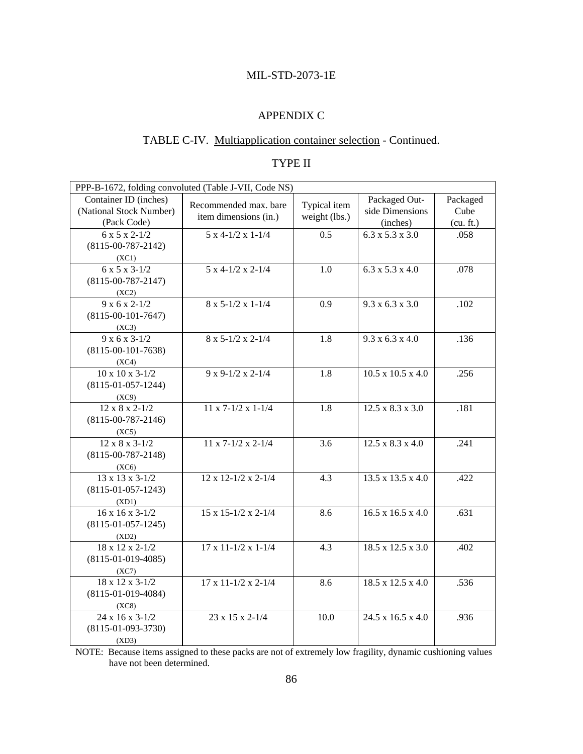### APPENDIX C

### TABLE C-IV. Multiapplication container selection - Continued.

### TYPE II

|                               | PPP-B-1672, folding convoluted (Table J-VII, Code NS) |               |                               |           |
|-------------------------------|-------------------------------------------------------|---------------|-------------------------------|-----------|
| Container ID (inches)         | Recommended max. bare                                 | Typical item  | Packaged Out-                 | Packaged  |
| (National Stock Number)       | item dimensions (in.)                                 | weight (lbs.) | side Dimensions               | Cube      |
| (Pack Code)                   |                                                       |               | (inches)                      | (cu. ft.) |
| $6 \times 5 \times 2 - 1/2$   | $5 x 4-1/2 x 1-1/4$                                   | 0.5           | $6.3 \times 5.3 \times 3.0$   | .058      |
| $(8115 - 00 - 787 - 2142)$    |                                                       |               |                               |           |
| (XC1)                         |                                                       |               |                               |           |
| $6 \times 5 \times 3 - 1/2$   | $5 x 4-1/2 x 2-1/4$                                   | 1.0           | $6.3 \times 5.3 \times 4.0$   | .078      |
| $(8115 - 00 - 787 - 2147)$    |                                                       |               |                               |           |
| (XC2)                         |                                                       |               |                               |           |
| $9 \times 6 \times 2 - 1/2$   | $8 \times 5 - 1/2 \times 1 - 1/4$                     | 0.9           | $9.3 \times 6.3 \times 3.0$   | .102      |
| $(8115 - 00 - 101 - 7647)$    |                                                       |               |                               |           |
| (XC3)                         |                                                       |               |                               |           |
| $9 \times 6 \times 3 - 1/2$   | 8 x 5-1/2 x 2-1/4                                     | 1.8           | $9.3 \times 6.3 \times 4.0$   | .136      |
| $(8115 - 00 - 101 - 7638)$    |                                                       |               |                               |           |
| (XC4)                         |                                                       |               |                               |           |
| $10 \times 10 \times 3 - 1/2$ | $9 \times 9 - 1/2 \times 2 - 1/4$                     | 1.8           | $10.5 \times 10.5 \times 4.0$ | .256      |
| $(8115-01-057-1244)$          |                                                       |               |                               |           |
| (XC9)                         |                                                       |               |                               |           |
| $12 \times 8 \times 2 - 1/2$  | $11 \times 7 - 1/2 \times 1 - 1/4$                    | 1.8           | $12.5 \times 8.3 \times 3.0$  | .181      |
| $(8115 - 00 - 787 - 2146)$    |                                                       |               |                               |           |
| (XC5)                         |                                                       |               |                               |           |
| $12 \times 8 \times 3 - 1/2$  | $11 \times 7 - 1/2 \times 2 - 1/4$                    | 3.6           | $12.5 \times 8.3 \times 4.0$  | .241      |
| $(8115 - 00 - 787 - 2148)$    |                                                       |               |                               |           |
| (XC6)                         |                                                       |               |                               |           |
| 13 x 13 x 3-1/2               | $12 \times 12 - 1/2 \times 2 - 1/4$                   | 4.3           | 13.5 x 13.5 x 4.0             | .422      |
| $(8115-01-057-1243)$          |                                                       |               |                               |           |
| (XD1)                         |                                                       |               |                               |           |
| $16 \times 16 \times 3 - 1/2$ | 15 x 15-1/2 x 2-1/4                                   | 8.6           | $16.5 \times 16.5 \times 4.0$ | .631      |
| $(8115-01-057-1245)$          |                                                       |               |                               |           |
| (XD2)                         |                                                       |               |                               |           |
| 18 x 12 x 2-1/2               | $17 \times 11 - 1/2 \times 1 - 1/4$                   | 4.3           | 18.5 x 12.5 x 3.0             | .402      |
| $(8115-01-019-4085)$          |                                                       |               |                               |           |
| (XC7)                         |                                                       |               |                               |           |
| 18 x 12 x 3-1/2               | $17 \times 11 - 1/2 \times 2 - 1/4$                   | 8.6           | $18.5 \times 12.5 \times 4.0$ | .536      |
| $(8115-01-019-4084)$          |                                                       |               |                               |           |
| (XC8)                         |                                                       |               |                               |           |
| 24 x 16 x 3-1/2               | 23 x 15 x 2-1/4                                       | 10.0          | 24.5 x 16.5 x 4.0             | .936      |
| $(8115 - 01 - 093 - 3730)$    |                                                       |               |                               |           |
| (XD3)                         |                                                       |               |                               |           |

NOTE: Because items assigned to these packs are not of extremely low fragility, dynamic cushioning values have not been determined.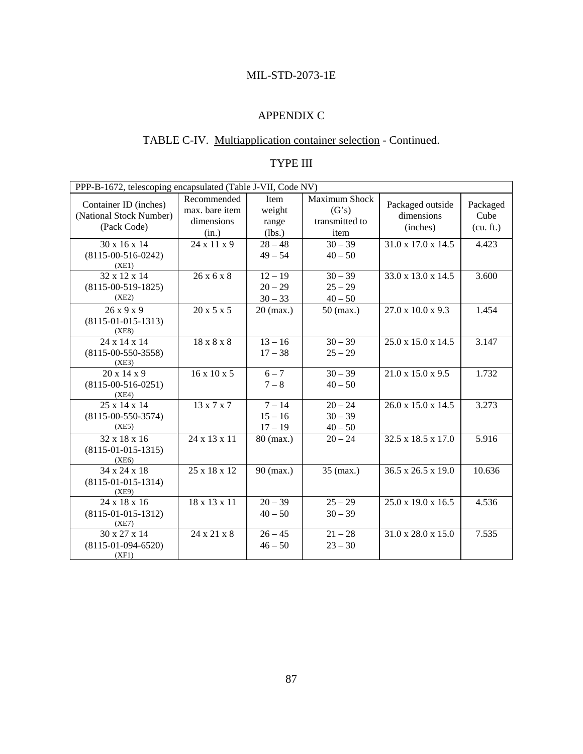# APPENDIX C

# TABLE C-IV. Multiapplication container selection - Continued.

# TYPE III

| PPP-B-1672, telescoping encapsulated (Table J-VII, Code NV)     |                                                      |                                          |                                                  |                                            |                               |  |  |
|-----------------------------------------------------------------|------------------------------------------------------|------------------------------------------|--------------------------------------------------|--------------------------------------------|-------------------------------|--|--|
| Container ID (inches)<br>(National Stock Number)<br>(Pack Code) | Recommended<br>max. bare item<br>dimensions<br>(in.) | <b>Item</b><br>weight<br>range<br>(lbs.) | Maximum Shock<br>(G's)<br>transmitted to<br>item | Packaged outside<br>dimensions<br>(inches) | Packaged<br>Cube<br>(cu. ft.) |  |  |
| 30 x 16 x 14<br>$(8115-00-516-0242)$<br>(XE1)                   | 24 x 11 x 9                                          | $28 - 48$<br>$49 - 54$                   | $30 - 39$<br>$40 - 50$                           | 31.0 x 17.0 x 14.5                         | 4.423                         |  |  |
| 32 x 12 x 14<br>$(8115-00-519-1825)$<br>(XE2)                   | 26x6x8                                               | $12 - 19$<br>$20 - 29$<br>$30 - 33$      | $30 - 39$<br>$25 - 29$<br>$40 - 50$              | 33.0 x 13.0 x 14.5                         | 3.600                         |  |  |
| 26 x 9 x 9<br>$(8115-01-015-1313)$<br>(XE8)                     | 20x5x5                                               | $20$ (max.)                              | $50$ (max.)                                      | 27.0 x 10.0 x 9.3                          | 1.454                         |  |  |
| 24 x 14 x 14<br>$(8115 - 00 - 550 - 3558)$<br>(XE3)             | 18 x 8 x 8                                           | $13 - 16$<br>$17 - 38$                   | $30 - 39$<br>$25 - 29$                           | 25.0 x 15.0 x 14.5                         | 3.147                         |  |  |
| 20 x 14 x 9<br>$(8115-00-516-0251)$<br>(XE4)                    | $16 \times 10 \times 5$                              | $6 - 7$<br>$7 - 8$                       | $30 - 39$<br>$40 - 50$                           | $21.0 \times 15.0 \times 9.5$              | 1.732                         |  |  |
| $25 \times 14 \times 14$<br>$(8115 - 00 - 550 - 3574)$<br>(XE5) | 13 x 7 x 7                                           | $7 - 14$<br>$15 - 16$<br>$17 - 19$       | $20 - 24$<br>$30 - 39$<br>$40 - 50$              | 26.0 x 15.0 x 14.5                         | 3.273                         |  |  |
| 32 x 18 x 16<br>$(8115-01-015-1315)$<br>(XE6)                   | 24 x 13 x 11                                         | 80 (max.)                                | $20 - 24$                                        | 32.5 x 18.5 x 17.0                         | 5.916                         |  |  |
| 34 x 24 x 18<br>$(8115-01-015-1314)$<br>(XE9)                   | 25 x 18 x 12                                         | 90 (max.)                                | $35$ (max.)                                      | 36.5 x 26.5 x 19.0                         | 10.636                        |  |  |
| 24 x 18 x 16<br>$(8115-01-015-1312)$<br>(XE7)                   | 18 x 13 x 11                                         | $20 - 39$<br>$40 - 50$                   | $25 - 29$<br>$30 - 39$                           | 25.0 x 19.0 x 16.5                         | 4.536                         |  |  |
| 30 x 27 x 14<br>$(8115-01-094-6520)$<br>(XF1)                   | 24 x 21 x 8                                          | $26 - 45$<br>$46 - 50$                   | $21 - 28$<br>$23 - 30$                           | 31.0 x 28.0 x 15.0                         | 7.535                         |  |  |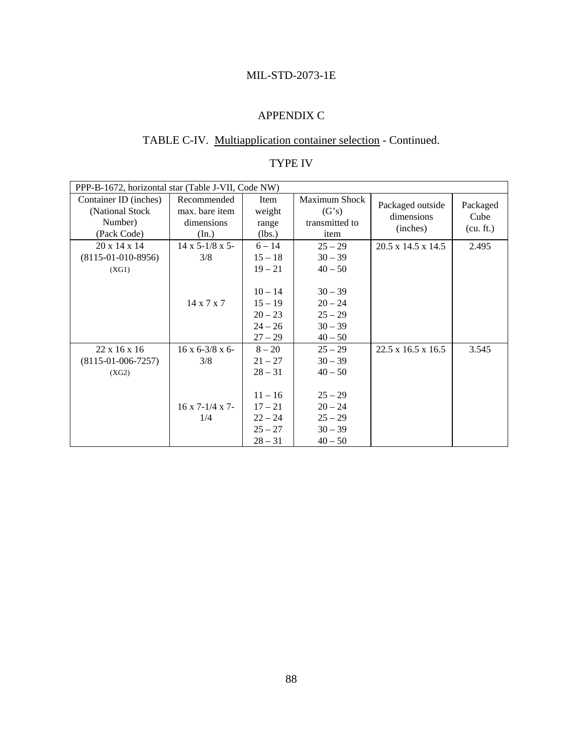# APPENDIX C

# TABLE C-IV. Multiapplication container selection - Continued.

# TYPE IV

| PPP-B-1672, horizontal star (Table J-VII, Code NW)                  |                                                      |                                                               |                                                               |                                            |                               |
|---------------------------------------------------------------------|------------------------------------------------------|---------------------------------------------------------------|---------------------------------------------------------------|--------------------------------------------|-------------------------------|
| Container ID (inches)<br>(National Stock)<br>Number)<br>(Pack Code) | Recommended<br>max. bare item<br>dimensions<br>(In.) | Item<br>weight<br>range<br>(lbs.)                             | Maximum Shock<br>(G's)<br>transmitted to<br>item              | Packaged outside<br>dimensions<br>(inches) | Packaged<br>Cube<br>(cu. ft.) |
| $20 \times 14 \times 14$<br>$(8115-01-010-8956)$<br>(XG1)           | $14 \times 5 - 1/8 \times 5$<br>3/8                  | $6 - 14$<br>$15 - 18$<br>$19 - 21$                            | $25 - 29$<br>$30 - 39$<br>$40 - 50$                           | 20.5 x 14.5 x 14.5                         | 2.495                         |
|                                                                     | $14 \times 7 \times 7$                               | $10 - 14$<br>$15 - 19$<br>$20 - 23$<br>$24 - 26$<br>$27 - 29$ | $30 - 39$<br>$20 - 24$<br>$25 - 29$<br>$30 - 39$<br>$40 - 50$ |                                            |                               |
| 22 x 16 x 16<br>$(8115-01-006-7257)$<br>(XG2)                       | $16 \times 6 - \frac{3}{8} \times 6 -$<br>3/8        | $8 - 20$<br>$21 - 27$<br>$28 - 31$                            | $25 - 29$<br>$30 - 39$<br>$40 - 50$                           | $22.5 \times 16.5 \times 16.5$             | 3.545                         |
|                                                                     | $16 \times 7 - 1/4 \times 7 -$<br>1/4                | $11 - 16$<br>$17 - 21$<br>$22 - 24$<br>$25 - 27$<br>$28 - 31$ | $25 - 29$<br>$20 - 24$<br>$25 - 29$<br>$30 - 39$<br>$40 - 50$ |                                            |                               |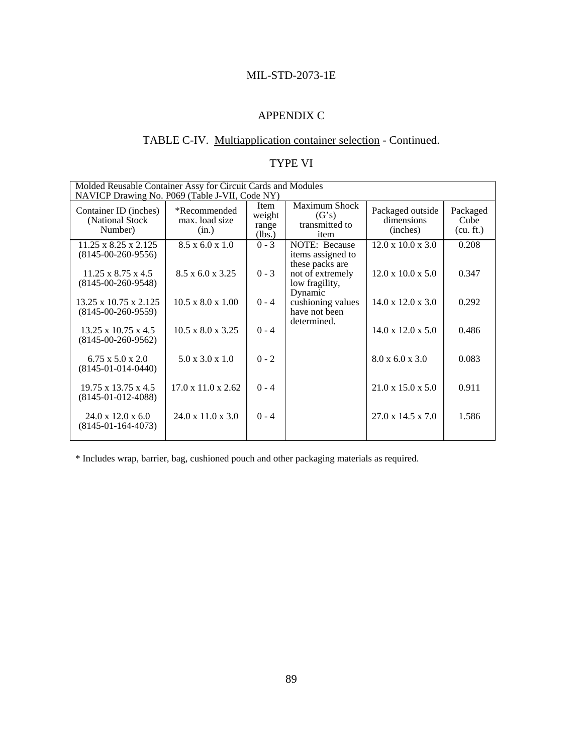### APPENDIX C

### TABLE C-IV. Multiapplication container selection - Continued.

### TYPE VI

| Molded Reusable Container Assy for Circuit Cards and Modules<br>NAVICP Drawing No. P069 (Table J-VII, Code NY) |                                         |                                   |                                                       |                                            |                               |  |  |  |
|----------------------------------------------------------------------------------------------------------------|-----------------------------------------|-----------------------------------|-------------------------------------------------------|--------------------------------------------|-------------------------------|--|--|--|
| Container ID (inches)<br>(National Stock)<br>Number)                                                           | *Recommended<br>max. load size<br>(in.) | Item<br>weight<br>range<br>(lbs.) | Maximum Shock<br>(G's)<br>transmitted to<br>item      | Packaged outside<br>dimensions<br>(inches) | Packaged<br>Cube<br>(cu. ft.) |  |  |  |
| $11.25 \times 8.25 \times 2.125$<br>$(8145-00-260-9556)$                                                       | $8.5 \times 6.0 \times 1.0$             | $0 - 3$                           | NOTE: Because<br>items assigned to<br>these packs are | $12.0 \times 10.0 \times 3.0$              | 0.208                         |  |  |  |
| $11.25 \times 8.75 \times 4.5$<br>$(8145-00-260-9548)$                                                         | 8.5 x 6.0 x 3.25                        | $0 - 3$                           | not of extremely<br>low fragility,<br>Dynamic         | $12.0 \times 10.0 \times 5.0$              | 0.347                         |  |  |  |
| $13.25 \times 10.75 \times 2.125$<br>$(8145-00-260-9559)$                                                      | $10.5 \times 8.0 \times 1.00$           | $0 - 4$                           | cushioning values<br>have not been<br>determined.     | $14.0 \times 12.0 \times 3.0$              | 0.292                         |  |  |  |
| $13.25 \times 10.75 \times 4.5$<br>$(8145-00-260-9562)$                                                        | $10.5 \times 8.0 \times 3.25$           | $0 - 4$                           |                                                       | $14.0 \times 12.0 \times 5.0$              | 0.486                         |  |  |  |
| $6.75 \times 5.0 \times 2.0$<br>$(8145-01-014-0440)$                                                           | $5.0 \times 3.0 \times 1.0$             | $0 - 2$                           |                                                       | $8.0 \times 6.0 \times 3.0$                | 0.083                         |  |  |  |
| $19.75 \times 13.75 \times 4.5$<br>$(8145-01-012-4088)$                                                        | $17.0 \times 11.0 \times 2.62$          | $0 - 4$                           |                                                       | $21.0 \times 15.0 \times 5.0$              | 0.911                         |  |  |  |
| $24.0 \times 12.0 \times 6.0$<br>$(8145-01-164-4073)$                                                          | $24.0 \times 11.0 \times 3.0$           | $0 - 4$                           |                                                       | $27.0 \times 14.5 \times 7.0$              | 1.586                         |  |  |  |

\* Includes wrap, barrier, bag, cushioned pouch and other packaging materials as required.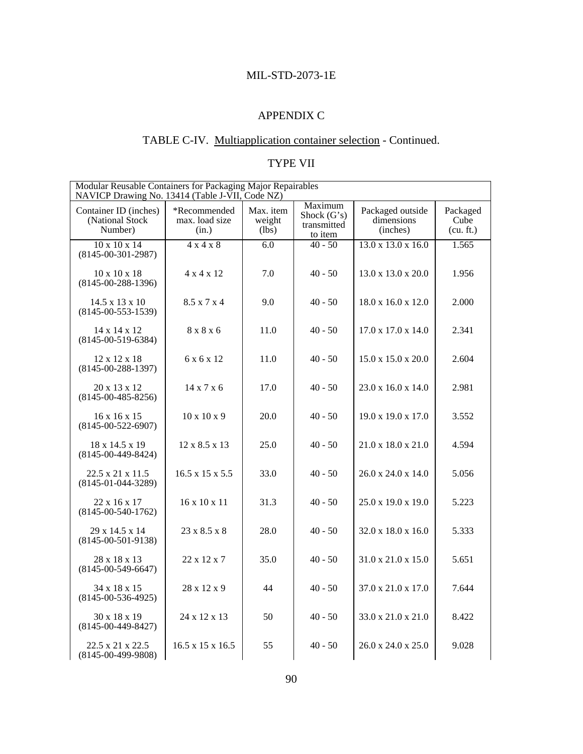### APPENDIX C

# TABLE C-IV. Multiapplication container selection - Continued.

### TYPE VII

| Modular Reusable Containers for Packaging Major Repairables<br>NAVICP Drawing No. 13414 (Table J-VII, Code NZ) |                                         |                              |                                                    |                                            |                               |  |  |  |
|----------------------------------------------------------------------------------------------------------------|-----------------------------------------|------------------------------|----------------------------------------------------|--------------------------------------------|-------------------------------|--|--|--|
| Container ID (inches)<br>(National Stock)<br>Number)                                                           | *Recommended<br>max. load size<br>(in.) | Max. item<br>weight<br>(lbs) | Maximum<br>Shock $(G's)$<br>transmitted<br>to item | Packaged outside<br>dimensions<br>(inches) | Packaged<br>Cube<br>(cu. ft.) |  |  |  |
| $10 \times 10 \times 14$<br>$(8145 - 00 - 301 - 2987)$                                                         | 4x4x8                                   | 6.0                          | $40 - 50$                                          | $13.0 \times 13.0 \times 16.0$             | 1.565                         |  |  |  |
| 10 x 10 x 18<br>$(8145 - 00 - 288 - 1396)$                                                                     | 4 x 4 x 12                              | 7.0                          | $40 - 50$                                          | 13.0 x 13.0 x 20.0                         | 1.956                         |  |  |  |
| 14.5 x 13 x 10<br>$(8145 - 00 - 553 - 1539)$                                                                   | 8.5 x 7 x 4                             | 9.0                          | $40 - 50$                                          | 18.0 x 16.0 x 12.0                         | 2.000                         |  |  |  |
| 14 x 14 x 12<br>$(8145-00-519-6384)$                                                                           | 8 x 8 x 6                               | 11.0                         | $40 - 50$                                          | 17.0 x 17.0 x 14.0                         | 2.341                         |  |  |  |
| 12 x 12 x 18<br>$(8145 - 00 - 288 - 1397)$                                                                     | 6 x 6 x 12                              | 11.0                         | $40 - 50$                                          | 15.0 x 15.0 x 20.0                         | 2.604                         |  |  |  |
| 20 x 13 x 12<br>$(8145 - 00 - 485 - 8256)$                                                                     | 14 x 7 x 6                              | 17.0                         | $40 - 50$                                          | 23.0 x 16.0 x 14.0                         | 2.981                         |  |  |  |
| 16 x 16 x 15<br>$(8145 - 00 - 522 - 6907)$                                                                     | $10 \times 10 \times 9$                 | 20.0                         | $40 - 50$                                          | 19.0 x 19.0 x 17.0                         | 3.552                         |  |  |  |
| 18 x 14.5 x 19<br>$(8145-00-449-8424)$                                                                         | 12 x 8.5 x 13                           | 25.0                         | $40 - 50$                                          | 21.0 x 18.0 x 21.0                         | 4.594                         |  |  |  |
| 22.5 x 21 x 11.5<br>$(8145 - 01 - 044 - 3289)$                                                                 | $16.5 \times 15 \times 5.5$             | 33.0                         | $40 - 50$                                          | $26.0 \times 24.0 \times 14.0$             | 5.056                         |  |  |  |
| 22 x 16 x 17<br>$(8145 - 00 - 540 - 1762)$                                                                     | 16 x 10 x 11                            | 31.3                         | $40 - 50$                                          | 25.0 x 19.0 x 19.0                         | 5.223                         |  |  |  |
| 29 x 14.5 x 14<br>$(8145 - 00 - 501 - 9138)$                                                                   | 23 x 8.5 x 8                            | 28.0                         | $40 - 50$                                          | 32.0 x 18.0 x 16.0                         | 5.333                         |  |  |  |
| 28 x 18 x 13<br>$(8145 - 00 - 549 - 6647)$                                                                     | 22 x 12 x 7                             | 35.0                         | $40 - 50$                                          | 31.0 x 21.0 x 15.0                         | 5.651                         |  |  |  |
| 34 x 18 x 15<br>$(8145-00-536-4925)$                                                                           | 28 x 12 x 9                             | 44                           | $40 - 50$                                          | 37.0 x 21.0 x 17.0                         | 7.644                         |  |  |  |
| 30 x 18 x 19<br>$(8145 - 00 - 449 - 8427)$                                                                     | 24 x 12 x 13                            | 50                           | $40 - 50$                                          | 33.0 x 21.0 x 21.0                         | 8.422                         |  |  |  |
| 22.5 x 21 x 22.5<br>$(8145-00-499-9808)$                                                                       | $16.5 \times 15 \times 16.5$            | 55                           | $40 - 50$                                          | 26.0 x 24.0 x 25.0                         | 9.028                         |  |  |  |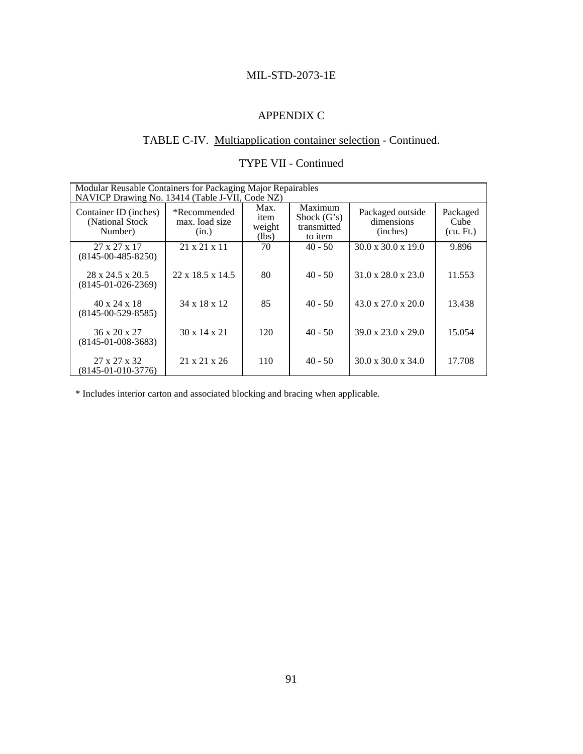# APPENDIX C

# TABLE C-IV. Multiapplication container selection - Continued.

## TYPE VII - Continued

| Modular Reusable Containers for Packaging Major Repairables<br>NAVICP Drawing No. 13414 (Table J-VII, Code NZ) |                                         |                                 |                                                    |                                            |                               |
|----------------------------------------------------------------------------------------------------------------|-----------------------------------------|---------------------------------|----------------------------------------------------|--------------------------------------------|-------------------------------|
| Container ID (inches)<br>(National Stock)<br>Number)                                                           | *Recommended<br>max. load size<br>(in.) | Max.<br>item<br>weight<br>(lbs) | Maximum<br>Shock $(G's)$<br>transmitted<br>to item | Packaged outside<br>dimensions<br>(inches) | Packaged<br>Cube<br>(cu. Ft.) |
| $27 \times 27 \times 17$<br>$(8145 - 00 - 485 - 8250)$                                                         | $21 \times 21 \times 11$                | 70                              | $40 - 50$                                          | $30.0 \times 30.0 \times 19.0$             | 9.896                         |
| $28 \times 24.5 \times 20.5$<br>$(8145-01-026-2369)$                                                           | $22 \times 18.5 \times 14.5$            | 80                              | $40 - 50$                                          | $31.0 \times 28.0 \times 23.0$             | 11.553                        |
| $40 \times 24 \times 18$<br>$(8145-00-529-8585)$                                                               | $34 \times 18 \times 12$                | 85                              | $40 - 50$                                          | $43.0 \times 27.0 \times 20.0$             | 13.438                        |
| $36 \times 20 \times 27$<br>$(8145-01-008-3683)$                                                               | $30 \times 14 \times 21$                | 120                             | $40 - 50$                                          | $39.0 \times 23.0 \times 29.0$             | 15.054                        |
| 27 x 27 x 32<br>(8145-01-010-3776)                                                                             | 21 x 21 x 26                            | 110                             | $40 - 50$                                          | $30.0 \times 30.0 \times 34.0$             | 17.708                        |

\* Includes interior carton and associated blocking and bracing when applicable.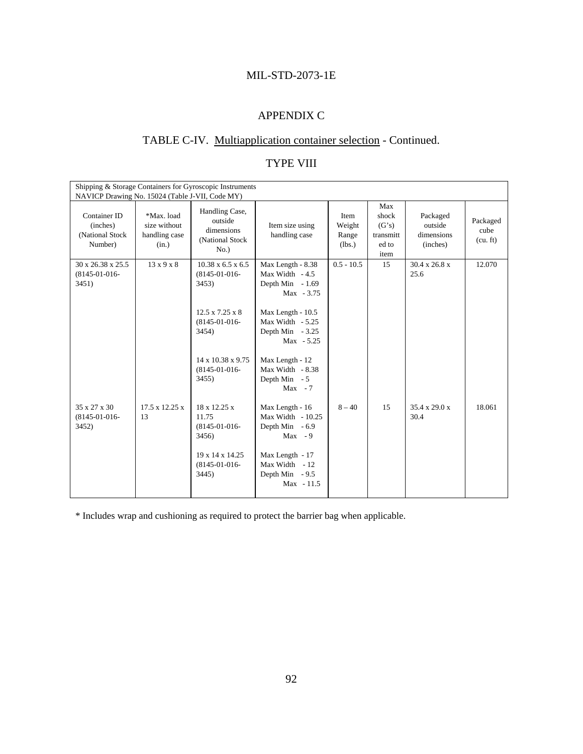# APPENDIX C

# TABLE C-IV. Multiapplication container selection - Continued.

# TYPE VIII

| Shipping & Storage Containers for Gyroscopic Instruments<br>NAVICP Drawing No. 15024 (Table J-VII, Code MY) |                                                      |                                                                     |                                                                           |                                   |                                                     |                                               |                              |
|-------------------------------------------------------------------------------------------------------------|------------------------------------------------------|---------------------------------------------------------------------|---------------------------------------------------------------------------|-----------------------------------|-----------------------------------------------------|-----------------------------------------------|------------------------------|
| Container ID<br>(inches)<br>(National Stock)<br>Number)                                                     | *Max. load<br>size without<br>handling case<br>(in.) | Handling Case,<br>outside<br>dimensions<br>(National Stock)<br>No.) | Item size using<br>handling case                                          | Item<br>Weight<br>Range<br>(lbs.) | Max<br>shock<br>(G's)<br>transmitt<br>ed to<br>item | Packaged<br>outside<br>dimensions<br>(inches) | Packaged<br>cube<br>(cu. ft) |
| 30 x 26.38 x 25.5<br>$(8145-01-016-$<br>3451)                                                               | $13 \times 9 \times 8$                               | $10.38 \times 6.5 \times 6.5$<br>$(8145-01-016-$<br>3453)           | Max Length - 8.38<br>Max Width $-4.5$<br>Depth Min $-1.69$<br>Max - 3.75  | $0.5 - 10.5$                      | 15                                                  | $30.4 \times 26.8 \times$<br>25.6             | 12.070                       |
|                                                                                                             |                                                      | $12.5 \times 7.25 \times 8$<br>$(8145-01-016-$<br>3454)             | Max Length - 10.5<br>Max Width $-5.25$<br>Depth Min $-3.25$<br>Max - 5.25 |                                   |                                                     |                                               |                              |
|                                                                                                             |                                                      | 14 x 10.38 x 9.75<br>$(8145-01-016-$<br>3455)                       | Max Length - 12<br>Max Width - 8.38<br>Depth Min - 5<br>$Max - 7$         |                                   |                                                     |                                               |                              |
| 35 x 27 x 30<br>$(8145-01-016-$<br>3452)                                                                    | $17.5 \times 12.25 \times$<br>13                     | 18 x 12.25 x<br>11.75<br>$(8145-01-016-$<br>3456)                   | Max Length - 16<br>Max Width - 10.25<br>Depth Min - 6.9<br>$Max - 9$      | $8 - 40$                          | 15                                                  | 35.4 x 29.0 x<br>30.4                         | 18.061                       |
|                                                                                                             |                                                      | 19 x 14 x 14.25<br>$(8145-01-016-$<br>3445)                         | Max Length - 17<br>$Max Width - 12$<br>Depth Min $-9.5$<br>Max - 11.5     |                                   |                                                     |                                               |                              |

\* Includes wrap and cushioning as required to protect the barrier bag when applicable.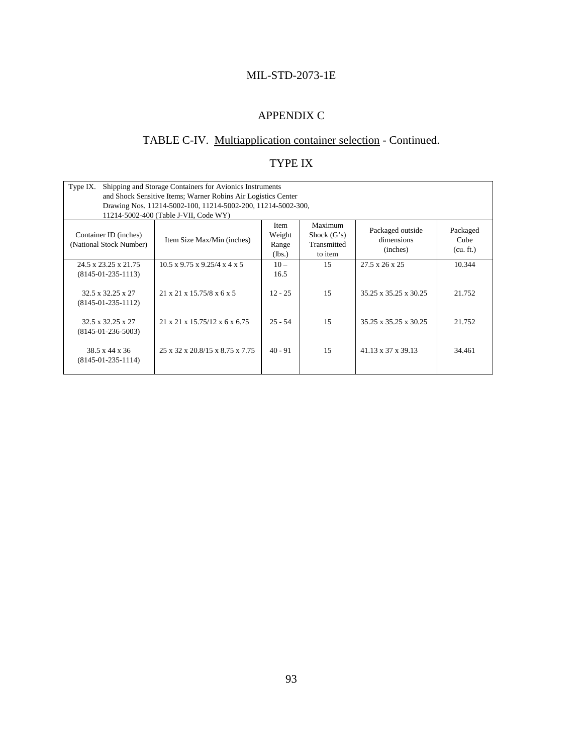# APPENDIX C

# TABLE C-IV. Multiapplication container selection - Continued.

# TYPE IX

| Type IX.                                              | Shipping and Storage Containers for Avionics Instruments      |                                   |                                                    |                                            |                               |
|-------------------------------------------------------|---------------------------------------------------------------|-----------------------------------|----------------------------------------------------|--------------------------------------------|-------------------------------|
|                                                       | and Shock Sensitive Items; Warner Robins Air Logistics Center |                                   |                                                    |                                            |                               |
|                                                       | Drawing Nos. 11214-5002-100, 11214-5002-200, 11214-5002-300,  |                                   |                                                    |                                            |                               |
|                                                       | 11214-5002-400 (Table J-VII, Code WY)                         |                                   |                                                    |                                            |                               |
| Container ID (inches)<br>(National Stock Number)      | Item Size Max/Min (inches)                                    | Item<br>Weight<br>Range<br>(lbs.) | Maximum<br>Shock $(G's)$<br>Transmitted<br>to item | Packaged outside<br>dimensions<br>(inches) | Packaged<br>Cube<br>(cu. ft.) |
| 24.5 x 23.25 x 21.75                                  | $10.5 \times 9.75 \times 9.25/4 \times 4 \times 5$            | $10 -$                            | 15                                                 | $27.5 \times 26 \times 25$                 | 10.344                        |
| $(8145-01-235-1113)$                                  |                                                               | 16.5                              |                                                    |                                            |                               |
| $32.5 \times 32.25 \times 27$<br>$(8145-01-235-1112)$ | $21 \times 21 \times 15.75/8 \times 6 \times 5$               | $12 - 25$                         | 15                                                 | 35.25 x 35.25 x 30.25                      | 21.752                        |
| $32.5 \times 32.25 \times 27$<br>$(8145-01-236-5003)$ | $21 \times 21 \times 15.75/12 \times 6 \times 6.75$           | $25 - 54$                         | 15                                                 | 35.25 x 35.25 x 30.25                      | 21.752                        |
| $38.5 \times 44 \times 36$<br>$(8145-01-235-1114)$    | $25 \times 32 \times 20.8/15 \times 8.75 \times 7.75$         | $40 - 91$                         | 15                                                 | 41.13 x 37 x 39.13                         | 34.461                        |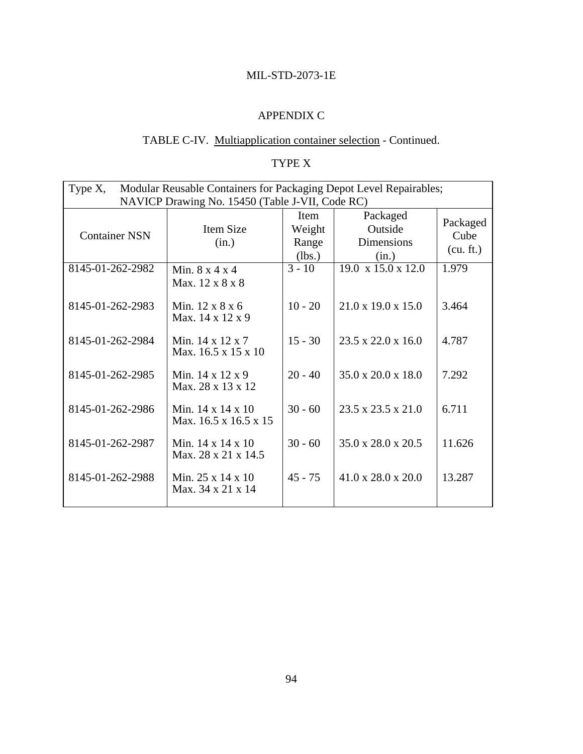# APPENDIX C

# TABLE C-IV. Multiapplication container selection - Continued.

# TYPE X

| Modular Reusable Containers for Packaging Depot Level Repairables;<br>Type X, |                                                        |                                |                                          |                               |  |
|-------------------------------------------------------------------------------|--------------------------------------------------------|--------------------------------|------------------------------------------|-------------------------------|--|
|                                                                               | NAVICP Drawing No. 15450 (Table J-VII, Code RC)        |                                |                                          |                               |  |
| <b>Container NSN</b>                                                          | Item Size<br>(in.)                                     | <b>Item</b><br>Weight<br>Range | Packaged<br>Outside<br><b>Dimensions</b> | Packaged<br>Cube<br>(cu. ft.) |  |
|                                                                               |                                                        | (lbs.)                         | (in.)                                    |                               |  |
| 8145-01-262-2982                                                              | Min. $8 \times 4 \times 4$<br>Max. 12 x 8 x 8          | $\overline{3} - 10$            | $19.0 \times 15.0 \times 12.0$           | 1.979                         |  |
| 8145-01-262-2983                                                              | Min. 12 x 8 x 6<br>Max. 14 x 12 x 9                    | $10 - 20$                      | $21.0 \times 19.0 \times 15.0$           | 3.464                         |  |
| 8145-01-262-2984                                                              | Min. $14 \times 12 \times 7$<br>Max. 16.5 x 15 x 10    | $15 - 30$                      | $23.5 \times 22.0 \times 16.0$           | 4.787                         |  |
| 8145-01-262-2985                                                              | Min. $14 \times 12 \times 9$<br>Max. 28 x 13 x 12      | $20 - 40$                      | $35.0 \times 20.0 \times 18.0$           | 7.292                         |  |
| 8145-01-262-2986                                                              | Min. $14 \times 14 \times 10$<br>Max. 16.5 x 16.5 x 15 | $30 - 60$                      | $23.5 \times 23.5 \times 21.0$           | 6.711                         |  |
| 8145-01-262-2987                                                              | Min. $14 \times 14 \times 10$<br>Max. 28 x 21 x 14.5   | $30 - 60$                      | 35.0 x 28.0 x 20.5                       | 11.626                        |  |
| 8145-01-262-2988                                                              | Min. $25 \times 14 \times 10$<br>Max. 34 x 21 x 14     | $45 - 75$                      | $41.0 \times 28.0 \times 20.0$           | 13.287                        |  |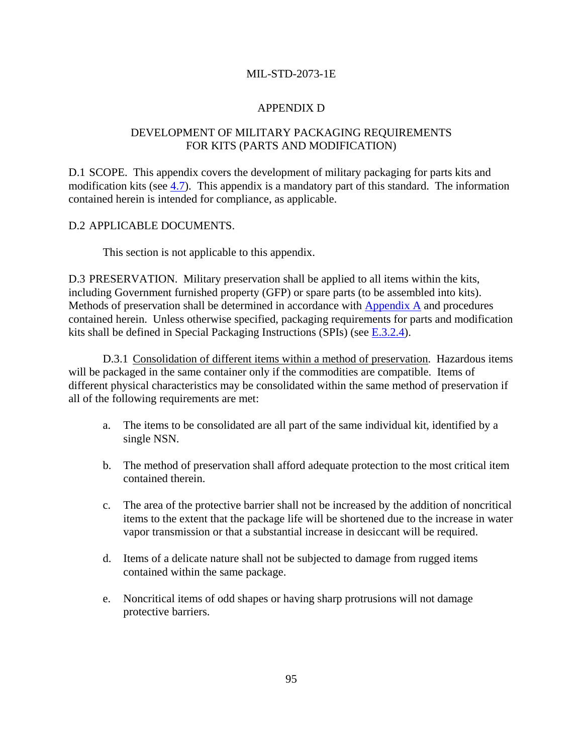## APPENDIX D

## DEVELOPMENT OF MILITARY PACKAGING REQUIREMENTS FOR KITS (PARTS AND MODIFICATION)

D.1 SCOPE. This appendix covers the development of military packaging for parts kits and modification kits (see [4.7](#page-27-0)). This appendix is a mandatory part of this standard. The information contained herein is intended for compliance, as applicable.

## D.2 APPLICABLE DOCUMENTS.

This section is not applicable to this appendix.

D.3 PRESERVATION. Military preservation shall be applied to all items within the kits, including Government furnished property (GFP) or spare parts (to be assembled into kits). Methods of preservation shall be determined in accordance with [Appendix A](#page-48-0) and procedures contained herein. Unless otherwise specified, packaging requirements for parts and modification kits shall be defined in Special Packaging Instructions (SPIs) (see [E.3.2.4\)](#page-118-0).

 D.3.1 Consolidation of different items within a method of preservation. Hazardous items will be packaged in the same container only if the commodities are compatible. Items of different physical characteristics may be consolidated within the same method of preservation if all of the following requirements are met:

- a. The items to be consolidated are all part of the same individual kit, identified by a single NSN.
- b. The method of preservation shall afford adequate protection to the most critical item contained therein.
- c. The area of the protective barrier shall not be increased by the addition of noncritical items to the extent that the package life will be shortened due to the increase in water vapor transmission or that a substantial increase in desiccant will be required.
- d. Items of a delicate nature shall not be subjected to damage from rugged items contained within the same package.
- e. Noncritical items of odd shapes or having sharp protrusions will not damage protective barriers.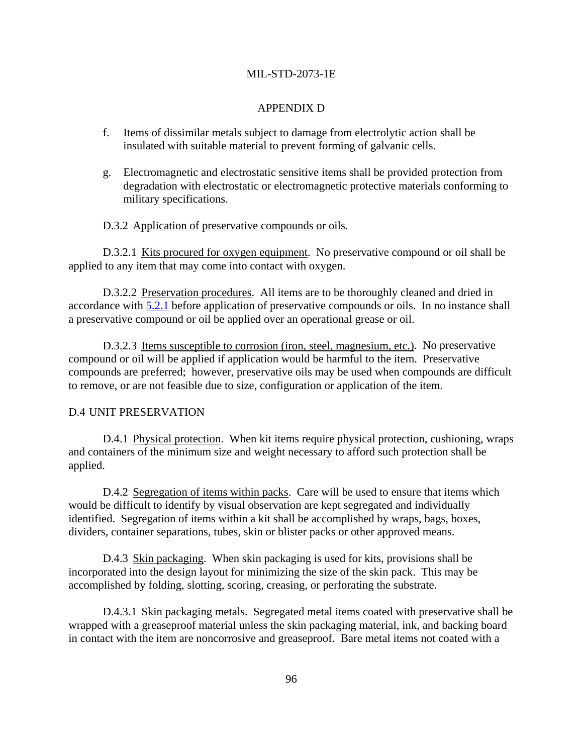### APPENDIX D

- f. Items of dissimilar metals subject to damage from electrolytic action shall be insulated with suitable material to prevent forming of galvanic cells.
- g. Electromagnetic and electrostatic sensitive items shall be provided protection from degradation with electrostatic or electromagnetic protective materials conforming to military specifications.

### D.3.2 Application of preservative compounds or oils.

 D.3.2.1 Kits procured for oxygen equipment. No preservative compound or oil shall be applied to any item that may come into contact with oxygen.

D.3.2.2 Preservation procedures. All items are to be thoroughly cleaned and dried in accordance with [5.2.1](#page-29-0) before application of preservative compounds or oils. In no instance shall a preservative compound or oil be applied over an operational grease or oil.

 D.3.2.3 Items susceptible to corrosion (iron, steel, magnesium, etc.). No preservative compound or oil will be applied if application would be harmful to the item. Preservative compounds are preferred; however, preservative oils may be used when compounds are difficult to remove, or are not feasible due to size, configuration or application of the item.

### D.4 UNIT PRESERVATION

D.4.1 Physical protection. When kit items require physical protection, cushioning, wraps and containers of the minimum size and weight necessary to afford such protection shall be applied.

D.4.2 Segregation of items within packs. Care will be used to ensure that items which would be difficult to identify by visual observation are kept segregated and individually identified. Segregation of items within a kit shall be accomplished by wraps, bags, boxes, dividers, container separations, tubes, skin or blister packs or other approved means.

D.4.3 Skin packaging. When skin packaging is used for kits, provisions shall be incorporated into the design layout for minimizing the size of the skin pack. This may be accomplished by folding, slotting, scoring, creasing, or perforating the substrate.

D.4.3.1 Skin packaging metals. Segregated metal items coated with preservative shall be wrapped with a greaseproof material unless the skin packaging material, ink, and backing board in contact with the item are noncorrosive and greaseproof. Bare metal items not coated with a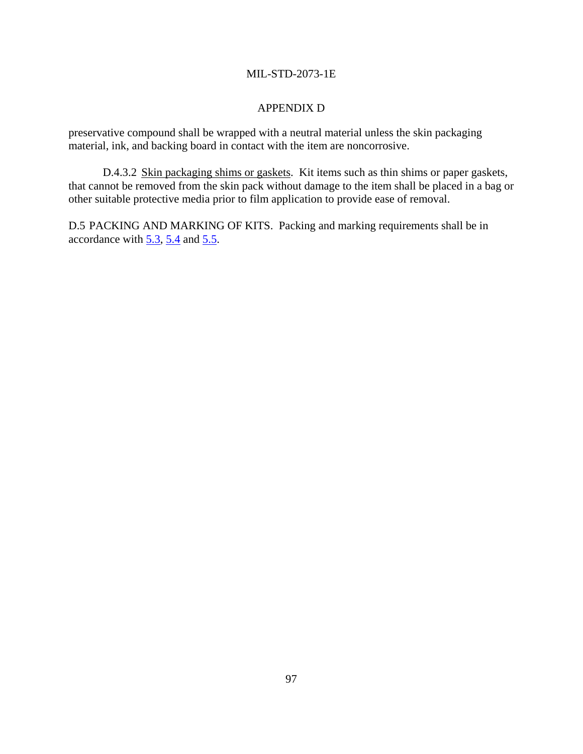## APPENDIX D

preservative compound shall be wrapped with a neutral material unless the skin packaging material, ink, and backing board in contact with the item are noncorrosive.

D.4.3.2 Skin packaging shims or gaskets. Kit items such as thin shims or paper gaskets, that cannot be removed from the skin pack without damage to the item shall be placed in a bag or other suitable protective media prior to film application to provide ease of removal.

D.5 PACKING AND MARKING OF KITS. Packing and marking requirements shall be in accordance with  $5.\overline{3}$ ,  $5.\overline{4}$  and  $5.\overline{5}$ .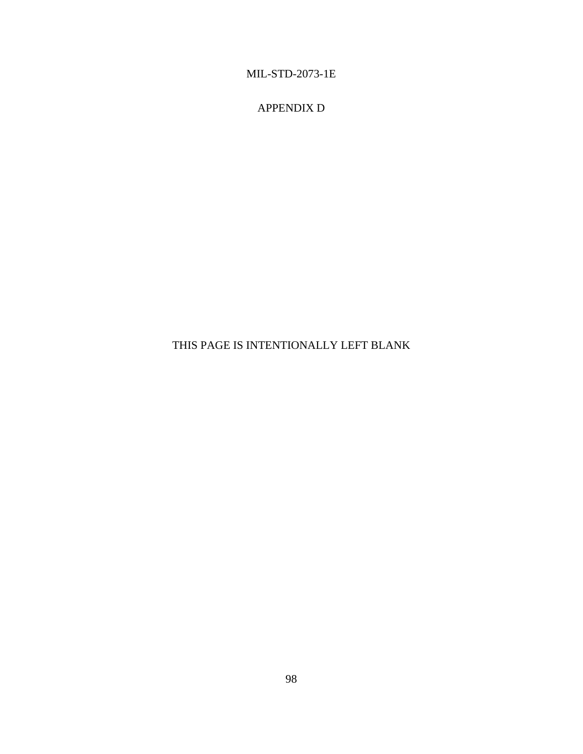# APPENDIX D

# THIS PAGE IS INTENTIONALLY LEFT BLANK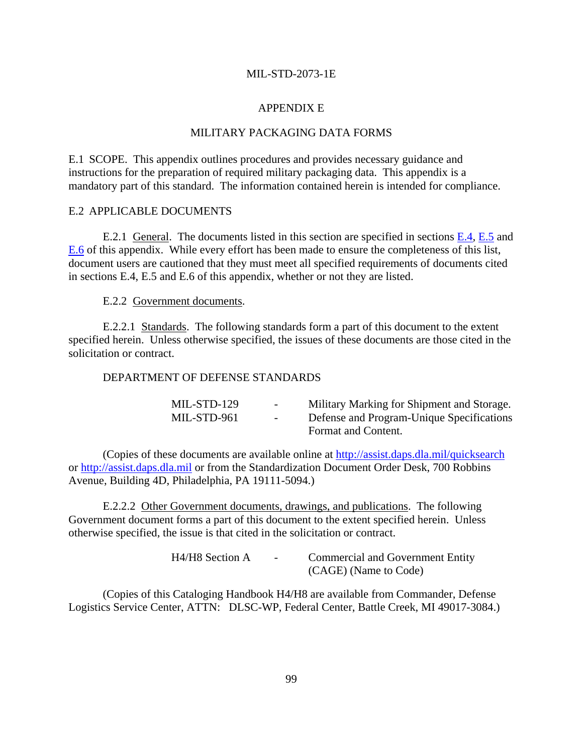#### APPENDIX E

## MILITARY PACKAGING DATA FORMS

E.1 SCOPE. This appendix outlines procedures and provides necessary guidance and instructions for the preparation of required military packaging data. This appendix is a mandatory part of this standard. The information contained herein is intended for compliance.

## E.2 APPLICABLE DOCUMENTS

 E.2.1 General. The documents listed in this section are specified in sections [E.4,](#page-118-0) [E.5](#page-120-0) and [E.6](#page-123-0) of this appendix. While every effort has been made to ensure the completeness of this list, document users are cautioned that they must meet all specified requirements of documents cited in sections E.4, E.5 and E.6 of this appendix, whether or not they are listed.

E.2.2 Government documents.

 E.2.2.1 Standards. The following standards form a part of this document to the extent specified herein. Unless otherwise specified, the issues of these documents are those cited in the solicitation or contract.

### DEPARTMENT OF DEFENSE STANDARDS

| MIL-STD-129 |                  | Military Marking for Shipment and Storage. |
|-------------|------------------|--------------------------------------------|
| MIL-STD-961 | $\sim$ 100 $\mu$ | Defense and Program-Unique Specifications  |
|             |                  | Format and Content.                        |

 (Copies of these documents are available online at <http://assist.daps.dla.mil/quicksearch> or [http://assist.daps.dla.mil](http://assist.daps.dla.mil/) or from the Standardization Document Order Desk, 700 Robbins Avenue, Building 4D, Philadelphia, PA 19111-5094.)

 E.2.2.2 Other Government documents, drawings, and publications. The following Government document forms a part of this document to the extent specified herein. Unless otherwise specified, the issue is that cited in the solicitation or contract.

> H4/H8 Section A - Commercial and Government Entity (CAGE) (Name to Code)

(Copies of this Cataloging Handbook H4/H8 are available from Commander, Defense Logistics Service Center, ATTN: DLSC-WP, Federal Center, Battle Creek, MI 49017-3084.)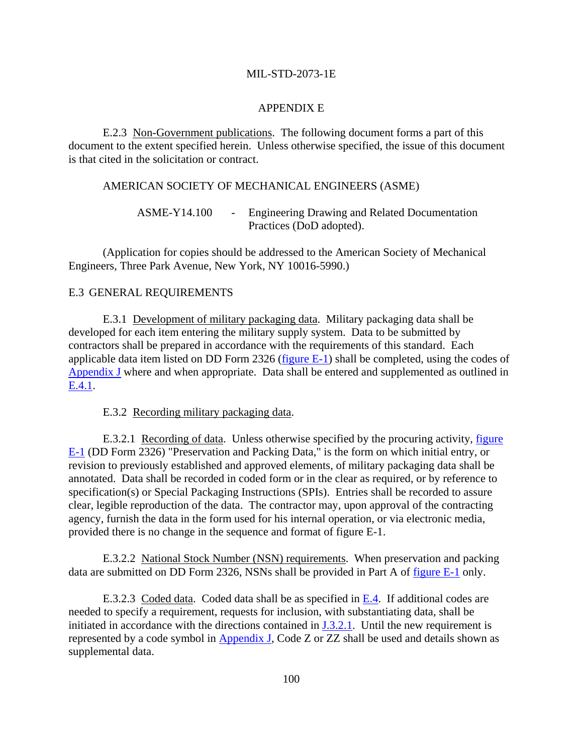### APPENDIX E

 E.2.3 Non-Government publications. The following document forms a part of this document to the extent specified herein. Unless otherwise specified, the issue of this document is that cited in the solicitation or contract.

### AMERICAN SOCIETY OF MECHANICAL ENGINEERS (ASME)

 ASME-Y14.100 - Engineering Drawing and Related Documentation Practices (DoD adopted).

 (Application for copies should be addressed to the American Society of Mechanical Engineers, Three Park Avenue, New York, NY 10016-5990.)

### E.3 GENERAL REQUIREMENTS

 E.3.1 Development of military packaging data. Military packaging data shall be developed for each item entering the military supply system. Data to be submitted by contractors shall be prepared in accordance with the requirements of this standard. Each applicable data item listed on DD Form 2326 [\(figure E-1](#page-134-0)) shall be completed, using the codes of [Appendix J](#page-152-0) where and when appropriate. Data shall be entered and supplemented as outlined in [E.4.1](#page-118-0).

#### E.3.2 Recording military packaging data.

E.3.2.1 Recording of data. Unless otherwise specified by the procuring activity, figure [E-1](#page-134-0) (DD Form 2326) "Preservation and Packing Data," is the form on which initial entry, or revision to previously established and approved elements, of military packaging data shall be annotated. Data shall be recorded in coded form or in the clear as required, or by reference to specification(s) or Special Packaging Instructions (SPIs). Entries shall be recorded to assure clear, legible reproduction of the data. The contractor may, upon approval of the contracting agency, furnish the data in the form used for his internal operation, or via electronic media, provided there is no change in the sequence and format of figure E-1.

E.3.2.2 National Stock Number (NSN) requirements. When preservation and packing data are submitted on DD Form 2326, NSNs shall be provided in Part A of [figure E-1](#page-134-0) only.

E.3.2.3 Coded data. Coded data shall be as specified in  $E.4$ . If additional codes are needed to specify a requirement, requests for inclusion, with substantiating data, shall be initiated in accordance with the directions contained in [J.3.2.1](#page-158-0). Until the new requirement is represented by a code symbol in [Appendix J](#page-152-0), Code Z or ZZ shall be used and details shown as supplemental data.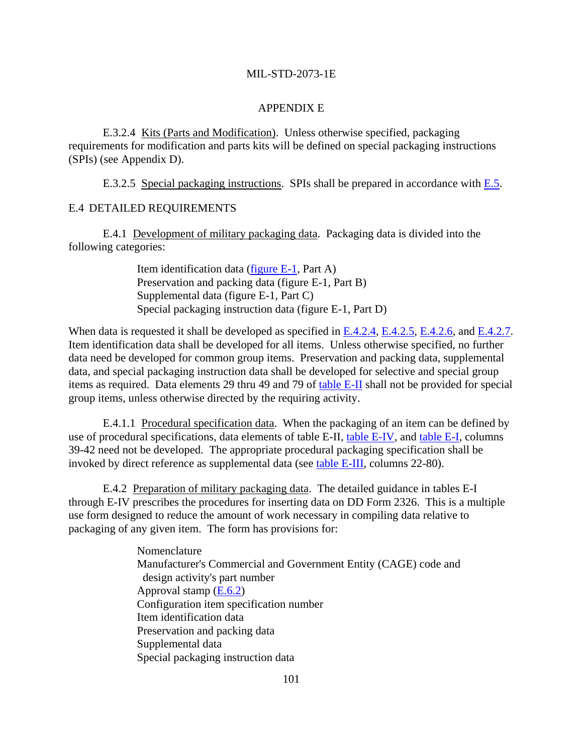### APPENDIX E

<span id="page-118-0"></span> E.3.2.4 Kits (Parts and Modification). Unless otherwise specified, packaging requirements for modification and parts kits will be defined on special packaging instructions (SPIs) (see Appendix D).

E.3.2.5 Special packaging instructions. SPIs shall be prepared in accordance with  $E_{.5}$ .

### E.4 DETAILED REQUIREMENTS

 E.4.1 Development of military packaging data. Packaging data is divided into the following categories:

> Item identification data [\(figure E-1](#page-134-0), Part A) Preservation and packing data (figure E-1, Part B) Supplemental data (figure E-1, Part C) Special packaging instruction data (figure E-1, Part D)

When data is requested it shall be developed as specified in [E.4.2.4,](#page-119-0) [E.4.2.5](#page-119-0), [E.4.2.6,](#page-119-0) and [E.4.2.7](#page-119-0). Item identification data shall be developed for all items. Unless otherwise specified, no further data need be developed for common group items. Preservation and packing data, supplemental data, and special packaging instruction data shall be developed for selective and special group items as required. Data elements 29 thru 49 and 79 of [table E-II](#page-128-0) shall not be provided for special group items, unless otherwise directed by the requiring activity.

 E.4.1.1 Procedural specification data. When the packaging of an item can be defined by use of procedural specifications, data elements of table E-II, [table E-IV](#page-133-0), and [table E-I](#page-125-0), columns 39-42 need not be developed. The appropriate procedural packaging specification shall be invoked by direct reference as supplemental data (see [table E-III](#page-131-0), columns 22-80).

 E.4.2 Preparation of military packaging data. The detailed guidance in tables E-I through E-IV prescribes the procedures for inserting data on DD Form 2326. This is a multiple use form designed to reduce the amount of work necessary in compiling data relative to packaging of any given item. The form has provisions for:

> Nomenclature Manufacturer's Commercial and Government Entity (CAGE) code and design activity's part number Approval stamp ([E.6.2](#page-123-0)) Configuration item specification number Item identification data Preservation and packing data Supplemental data Special packaging instruction data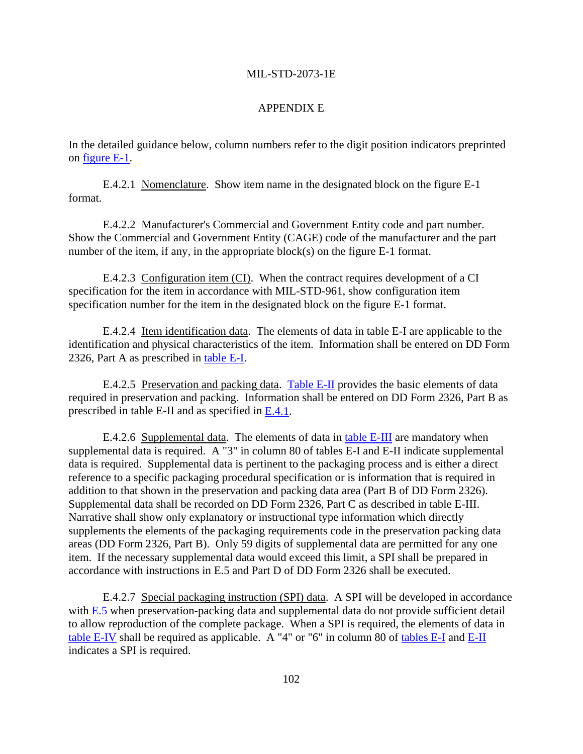#### APPENDIX E

<span id="page-119-0"></span>In the detailed guidance below, column numbers refer to the digit position indicators preprinted on [figure E-1](#page-134-0).

 E.4.2.1 Nomenclature. Show item name in the designated block on the figure E-1 format.

 E.4.2.2 Manufacturer's Commercial and Government Entity code and part number. Show the Commercial and Government Entity (CAGE) code of the manufacturer and the part number of the item, if any, in the appropriate block(s) on the figure E-1 format.

 E.4.2.3 Configuration item (CI). When the contract requires development of a CI specification for the item in accordance with MIL-STD-961, show configuration item specification number for the item in the designated block on the figure E-1 format.

 E.4.2.4 Item identification data. The elements of data in table E-I are applicable to the identification and physical characteristics of the item. Information shall be entered on DD Form 2326, Part A as prescribed in [table E-I](#page-125-0).

 E.4.2.5 Preservation and packing data. [Table E-II](#page-128-0) provides the basic elements of data required in preservation and packing. Information shall be entered on DD Form 2326, Part B as prescribed in table E-II and as specified in [E.4.1.](#page-118-0)

E.4.2.6 Supplemental data. The elements of data in [table E-III](#page-131-0) are mandatory when supplemental data is required. A "3" in column 80 of tables E-I and E-II indicate supplemental data is required. Supplemental data is pertinent to the packaging process and is either a direct reference to a specific packaging procedural specification or is information that is required in addition to that shown in the preservation and packing data area (Part B of DD Form 2326). Supplemental data shall be recorded on DD Form 2326, Part C as described in table E-III. Narrative shall show only explanatory or instructional type information which directly supplements the elements of the packaging requirements code in the preservation packing data areas (DD Form 2326, Part B). Only 59 digits of supplemental data are permitted for any one item. If the necessary supplemental data would exceed this limit, a SPI shall be prepared in accordance with instructions in E.5 and Part D of DD Form 2326 shall be executed.

 E.4.2.7 Special packaging instruction (SPI) data. A SPI will be developed in accordance with [E.5](#page-120-0) when preservation-packing data and supplemental data do not provide sufficient detail to allow reproduction of the complete package. When a SPI is required, the elements of data in [table E-IV](#page-133-0) shall be required as applicable. A "4" or "6" in column 80 of [tables E-I](#page-125-0) and [E-II](#page-128-0) indicates a SPI is required.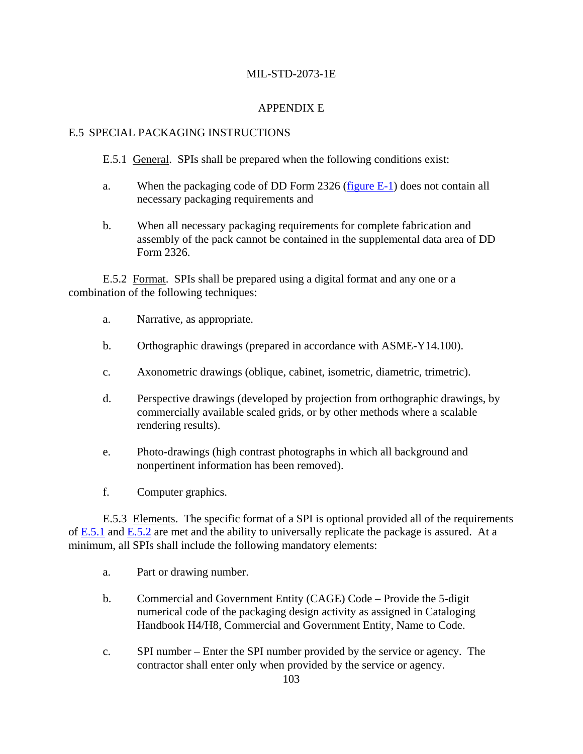## APPENDIX E

## <span id="page-120-0"></span>E.5 SPECIAL PACKAGING INSTRUCTIONS

## E.5.1 General. SPIs shall be prepared when the following conditions exist:

- a. When the packaging code of DD Form 2326 [\(figure E-1\)](#page-134-0) does not contain all necessary packaging requirements and
- b. When all necessary packaging requirements for complete fabrication and assembly of the pack cannot be contained in the supplemental data area of DD Form 2326.

 E.5.2 Format. SPIs shall be prepared using a digital format and any one or a combination of the following techniques:

- a. Narrative, as appropriate.
- b. Orthographic drawings (prepared in accordance with ASME-Y14.100).
- c. Axonometric drawings (oblique, cabinet, isometric, diametric, trimetric).
- d. Perspective drawings (developed by projection from orthographic drawings, by commercially available scaled grids, or by other methods where a scalable rendering results).
- e. Photo-drawings (high contrast photographs in which all background and nonpertinent information has been removed).
- f. Computer graphics.

 E.5.3 Elements. The specific format of a SPI is optional provided all of the requirements of [E.5.1](#page-120-0) and [E.5.2](#page-120-0) are met and the ability to universally replicate the package is assured. At a minimum, all SPIs shall include the following mandatory elements:

- a. Part or drawing number.
- b. Commercial and Government Entity (CAGE) Code Provide the 5-digit numerical code of the packaging design activity as assigned in Cataloging Handbook H4/H8, Commercial and Government Entity, Name to Code.
- c. SPI number Enter the SPI number provided by the service or agency. The contractor shall enter only when provided by the service or agency.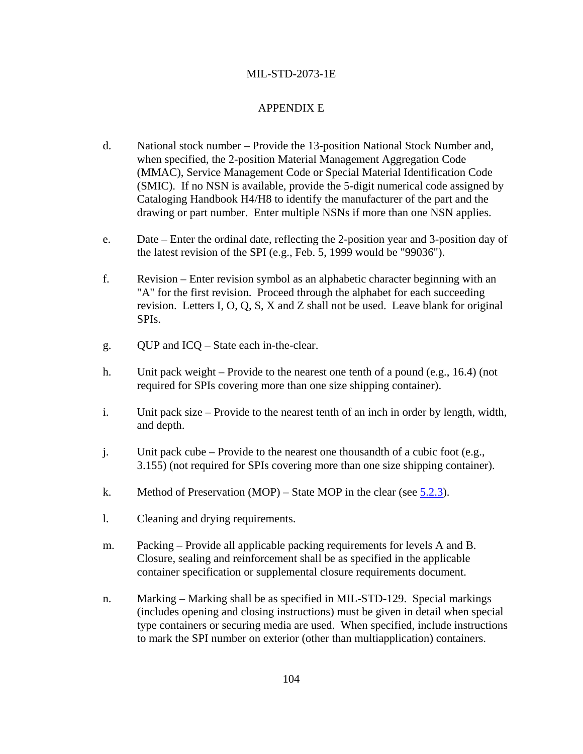## APPENDIX E

- d. National stock number Provide the 13-position National Stock Number and, when specified, the 2-position Material Management Aggregation Code (MMAC), Service Management Code or Special Material Identification Code (SMIC). If no NSN is available, provide the 5-digit numerical code assigned by Cataloging Handbook H4/H8 to identify the manufacturer of the part and the drawing or part number. Enter multiple NSNs if more than one NSN applies.
- e. Date Enter the ordinal date, reflecting the 2-position year and 3-position day of the latest revision of the SPI (e.g., Feb. 5, 1999 would be "99036").
- f. Revision Enter revision symbol as an alphabetic character beginning with an "A" for the first revision. Proceed through the alphabet for each succeeding revision. Letters I, O, Q, S, X and Z shall not be used. Leave blank for original SPIs.
- g. QUP and ICQ State each in-the-clear.
- h. Unit pack weight Provide to the nearest one tenth of a pound (e.g., 16.4) (not required for SPIs covering more than one size shipping container).
- i. Unit pack size Provide to the nearest tenth of an inch in order by length, width, and depth.
- j. Unit pack cube Provide to the nearest one thousandth of a cubic foot (e.g., 3.155) (not required for SPIs covering more than one size shipping container).
- k. Method of Preservation (MOP) State MOP in the clear (see  $5.2.3$ ).
- l. Cleaning and drying requirements.
- m. Packing Provide all applicable packing requirements for levels A and B. Closure, sealing and reinforcement shall be as specified in the applicable container specification or supplemental closure requirements document.
- n. Marking Marking shall be as specified in MIL-STD-129. Special markings (includes opening and closing instructions) must be given in detail when special type containers or securing media are used. When specified, include instructions to mark the SPI number on exterior (other than multiapplication) containers.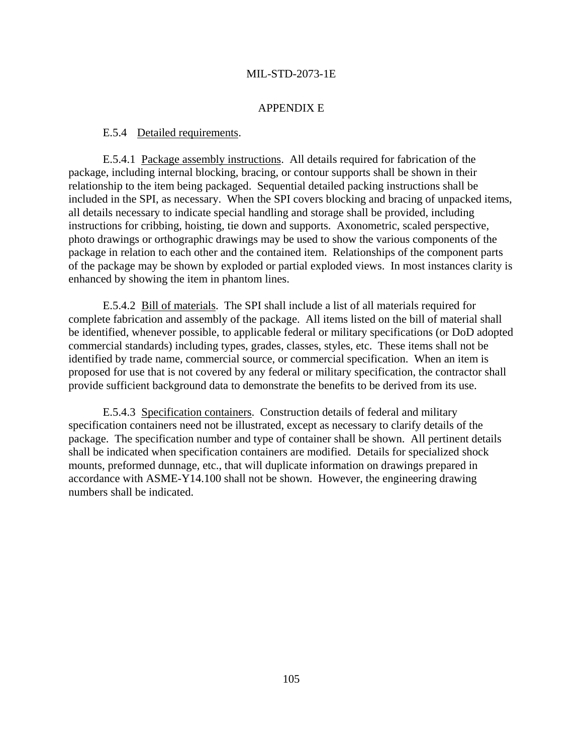#### APPENDIX E

### E.5.4 Detailed requirements.

 E.5.4.1 Package assembly instructions. All details required for fabrication of the package, including internal blocking, bracing, or contour supports shall be shown in their relationship to the item being packaged. Sequential detailed packing instructions shall be included in the SPI, as necessary. When the SPI covers blocking and bracing of unpacked items, all details necessary to indicate special handling and storage shall be provided, including instructions for cribbing, hoisting, tie down and supports. Axonometric, scaled perspective, photo drawings or orthographic drawings may be used to show the various components of the package in relation to each other and the contained item. Relationships of the component parts of the package may be shown by exploded or partial exploded views. In most instances clarity is enhanced by showing the item in phantom lines.

 E.5.4.2 Bill of materials. The SPI shall include a list of all materials required for complete fabrication and assembly of the package. All items listed on the bill of material shall be identified, whenever possible, to applicable federal or military specifications (or DoD adopted commercial standards) including types, grades, classes, styles, etc. These items shall not be identified by trade name, commercial source, or commercial specification. When an item is proposed for use that is not covered by any federal or military specification, the contractor shall provide sufficient background data to demonstrate the benefits to be derived from its use.

 E.5.4.3 Specification containers. Construction details of federal and military specification containers need not be illustrated, except as necessary to clarify details of the package. The specification number and type of container shall be shown. All pertinent details shall be indicated when specification containers are modified. Details for specialized shock mounts, preformed dunnage, etc., that will duplicate information on drawings prepared in accordance with ASME-Y14.100 shall not be shown. However, the engineering drawing numbers shall be indicated.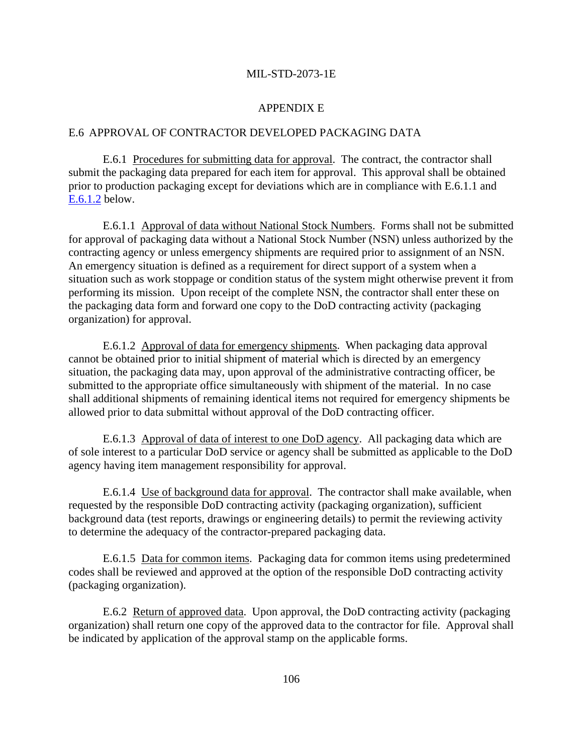### APPENDIX E

## <span id="page-123-0"></span>E.6 APPROVAL OF CONTRACTOR DEVELOPED PACKAGING DATA

 E.6.1 Procedures for submitting data for approval. The contract, the contractor shall submit the packaging data prepared for each item for approval. This approval shall be obtained prior to production packaging except for deviations which are in compliance with E.6.1.1 and [E.6.1.2](#page-123-0) below.

 E.6.1.1 Approval of data without National Stock Numbers. Forms shall not be submitted for approval of packaging data without a National Stock Number (NSN) unless authorized by the contracting agency or unless emergency shipments are required prior to assignment of an NSN. An emergency situation is defined as a requirement for direct support of a system when a situation such as work stoppage or condition status of the system might otherwise prevent it from performing its mission. Upon receipt of the complete NSN, the contractor shall enter these on the packaging data form and forward one copy to the DoD contracting activity (packaging organization) for approval.

 E.6.1.2 Approval of data for emergency shipments. When packaging data approval cannot be obtained prior to initial shipment of material which is directed by an emergency situation, the packaging data may, upon approval of the administrative contracting officer, be submitted to the appropriate office simultaneously with shipment of the material. In no case shall additional shipments of remaining identical items not required for emergency shipments be allowed prior to data submittal without approval of the DoD contracting officer.

 E.6.1.3 Approval of data of interest to one DoD agency. All packaging data which are of sole interest to a particular DoD service or agency shall be submitted as applicable to the DoD agency having item management responsibility for approval.

 E.6.1.4 Use of background data for approval. The contractor shall make available, when requested by the responsible DoD contracting activity (packaging organization), sufficient background data (test reports, drawings or engineering details) to permit the reviewing activity to determine the adequacy of the contractor-prepared packaging data.

 E.6.1.5 Data for common items. Packaging data for common items using predetermined codes shall be reviewed and approved at the option of the responsible DoD contracting activity (packaging organization).

 E.6.2 Return of approved data. Upon approval, the DoD contracting activity (packaging organization) shall return one copy of the approved data to the contractor for file. Approval shall be indicated by application of the approval stamp on the applicable forms.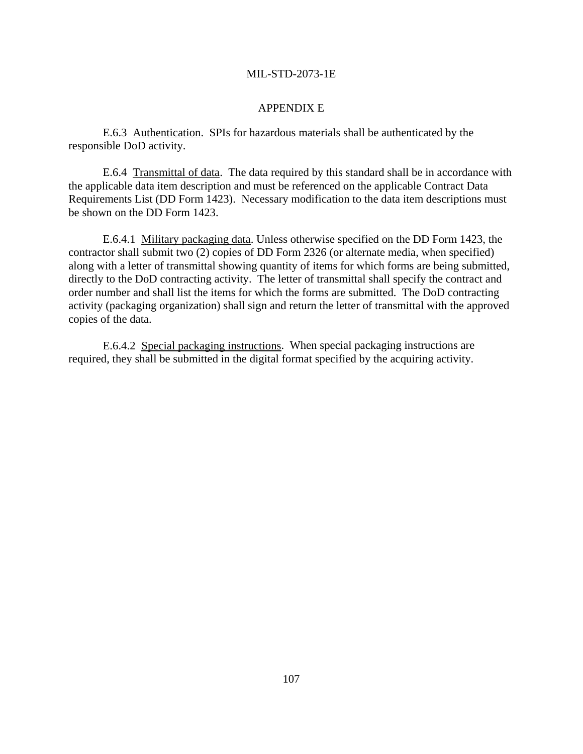### APPENDIX E

 E.6.3 Authentication. SPIs for hazardous materials shall be authenticated by the responsible DoD activity.

 E.6.4 Transmittal of data. The data required by this standard shall be in accordance with the applicable data item description and must be referenced on the applicable Contract Data Requirements List (DD Form 1423). Necessary modification to the data item descriptions must be shown on the DD Form 1423.

 E.6.4.1 Military packaging data. Unless otherwise specified on the DD Form 1423, the contractor shall submit two (2) copies of DD Form 2326 (or alternate media, when specified) along with a letter of transmittal showing quantity of items for which forms are being submitted, directly to the DoD contracting activity. The letter of transmittal shall specify the contract and order number and shall list the items for which the forms are submitted. The DoD contracting activity (packaging organization) shall sign and return the letter of transmittal with the approved copies of the data.

 E.6.4.2 Special packaging instructions. When special packaging instructions are required, they shall be submitted in the digital format specified by the acquiring activity.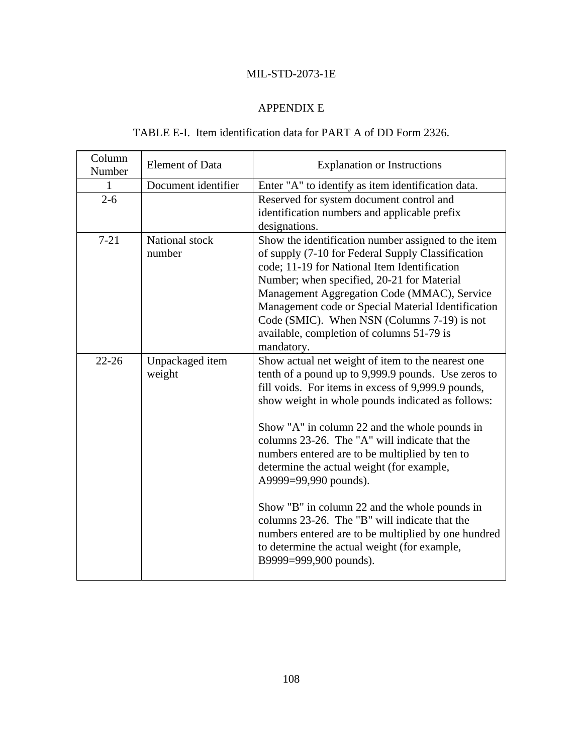# APPENDIX E

# TABLE E-I. Item identification data for PART A of DD Form 2326.

<span id="page-125-0"></span>

| Column<br>Number | <b>Element of Data</b>    | <b>Explanation or Instructions</b>                                                                                                                                                                                                                                                                                                                                                                                                                                                                                                                                                                                                                                               |
|------------------|---------------------------|----------------------------------------------------------------------------------------------------------------------------------------------------------------------------------------------------------------------------------------------------------------------------------------------------------------------------------------------------------------------------------------------------------------------------------------------------------------------------------------------------------------------------------------------------------------------------------------------------------------------------------------------------------------------------------|
| 1                | Document identifier       | Enter "A" to identify as item identification data.                                                                                                                                                                                                                                                                                                                                                                                                                                                                                                                                                                                                                               |
| $2 - 6$          |                           | Reserved for system document control and<br>identification numbers and applicable prefix<br>designations.                                                                                                                                                                                                                                                                                                                                                                                                                                                                                                                                                                        |
| $7 - 21$         | National stock<br>number  | Show the identification number assigned to the item<br>of supply (7-10 for Federal Supply Classification<br>code; 11-19 for National Item Identification<br>Number; when specified, 20-21 for Material<br>Management Aggregation Code (MMAC), Service<br>Management code or Special Material Identification<br>Code (SMIC). When NSN (Columns 7-19) is not<br>available, completion of columns 51-79 is<br>mandatory.                                                                                                                                                                                                                                                            |
| $22 - 26$        | Unpackaged item<br>weight | Show actual net weight of item to the nearest one<br>tenth of a pound up to 9,999.9 pounds. Use zeros to<br>fill voids. For items in excess of 9,999.9 pounds,<br>show weight in whole pounds indicated as follows:<br>Show "A" in column 22 and the whole pounds in<br>columns 23-26. The "A" will indicate that the<br>numbers entered are to be multiplied by ten to<br>determine the actual weight (for example,<br>A9999=99,990 pounds).<br>Show "B" in column 22 and the whole pounds in<br>columns 23-26. The "B" will indicate that the<br>numbers entered are to be multiplied by one hundred<br>to determine the actual weight (for example,<br>B9999=999,900 pounds). |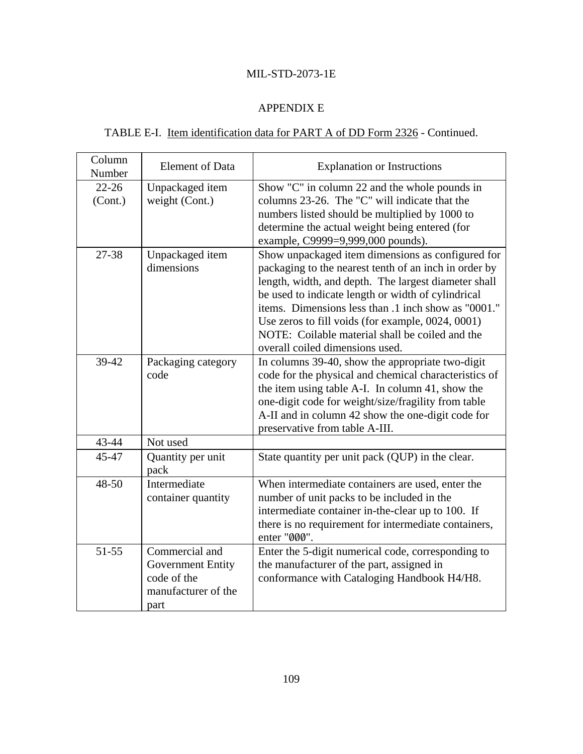# APPENDIX E

# TABLE E-I. Item identification data for PART A of DD Form 2326 - Continued.

| Column<br>Number     | <b>Element of Data</b>                                                                   | <b>Explanation or Instructions</b>                                                                                                                                                                                                                                                                                                                                                                                         |
|----------------------|------------------------------------------------------------------------------------------|----------------------------------------------------------------------------------------------------------------------------------------------------------------------------------------------------------------------------------------------------------------------------------------------------------------------------------------------------------------------------------------------------------------------------|
| $22 - 26$<br>(Cont.) | Unpackaged item<br>weight (Cont.)                                                        | Show "C" in column 22 and the whole pounds in<br>columns 23-26. The "C" will indicate that the<br>numbers listed should be multiplied by 1000 to<br>determine the actual weight being entered (for<br>example, C9999=9,999,000 pounds).                                                                                                                                                                                    |
| 27-38                | Unpackaged item<br>dimensions                                                            | Show unpackaged item dimensions as configured for<br>packaging to the nearest tenth of an inch in order by<br>length, width, and depth. The largest diameter shall<br>be used to indicate length or width of cylindrical<br>items. Dimensions less than .1 inch show as "0001."<br>Use zeros to fill voids (for example, 0024, 0001)<br>NOTE: Coilable material shall be coiled and the<br>overall coiled dimensions used. |
| 39-42                | Packaging category<br>code                                                               | In columns 39-40, show the appropriate two-digit<br>code for the physical and chemical characteristics of<br>the item using table A-I. In column 41, show the<br>one-digit code for weight/size/fragility from table<br>A-II and in column 42 show the one-digit code for<br>preservative from table A-III.                                                                                                                |
| 43-44                | Not used                                                                                 |                                                                                                                                                                                                                                                                                                                                                                                                                            |
| 45-47                | Quantity per unit<br>pack                                                                | State quantity per unit pack (QUP) in the clear.                                                                                                                                                                                                                                                                                                                                                                           |
| $48 - 50$            | Intermediate<br>container quantity                                                       | When intermediate containers are used, enter the<br>number of unit packs to be included in the<br>intermediate container in-the-clear up to 100. If<br>there is no requirement for intermediate containers,<br>enter "000".                                                                                                                                                                                                |
| $51 - 55$            | Commercial and<br><b>Government Entity</b><br>code of the<br>manufacturer of the<br>part | Enter the 5-digit numerical code, corresponding to<br>the manufacturer of the part, assigned in<br>conformance with Cataloging Handbook H4/H8.                                                                                                                                                                                                                                                                             |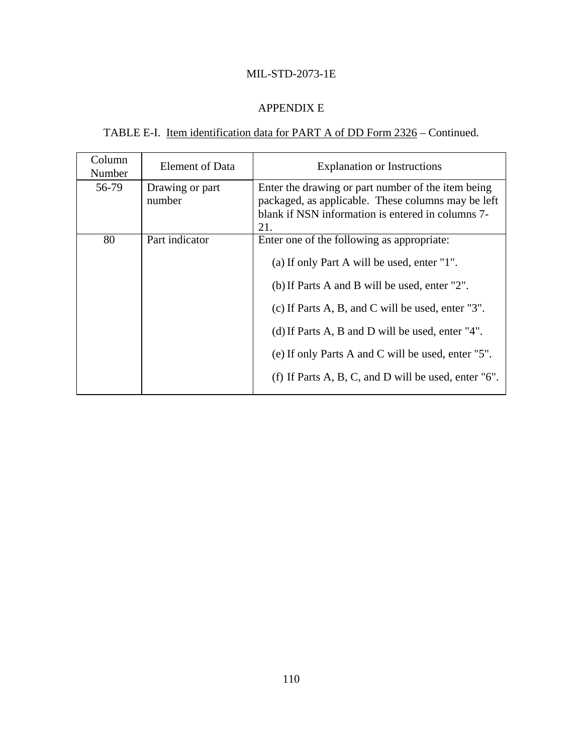# APPENDIX E

# TABLE E-I. Item identification data for PART A of DD Form 2326 – Continued.

| Column<br>Number | <b>Element of Data</b>    | <b>Explanation or Instructions</b>                                                                       |
|------------------|---------------------------|----------------------------------------------------------------------------------------------------------|
| 56-79            | Drawing or part<br>number | Enter the drawing or part number of the item being<br>packaged, as applicable. These columns may be left |
|                  |                           | blank if NSN information is entered in columns 7-<br>21.                                                 |
| 80               | Part indicator            | Enter one of the following as appropriate:                                                               |
|                  |                           | (a) If only Part A will be used, enter "1".                                                              |
|                  |                           | (b) If Parts A and B will be used, enter "2".                                                            |
|                  |                           | (c) If Parts A, B, and C will be used, enter "3".                                                        |
|                  |                           | (d) If Parts A, B and D will be used, enter "4".                                                         |
|                  |                           | (e) If only Parts A and C will be used, enter "5".                                                       |
|                  |                           | (f) If Parts A, B, C, and D will be used, enter $"6"$ .                                                  |
|                  |                           |                                                                                                          |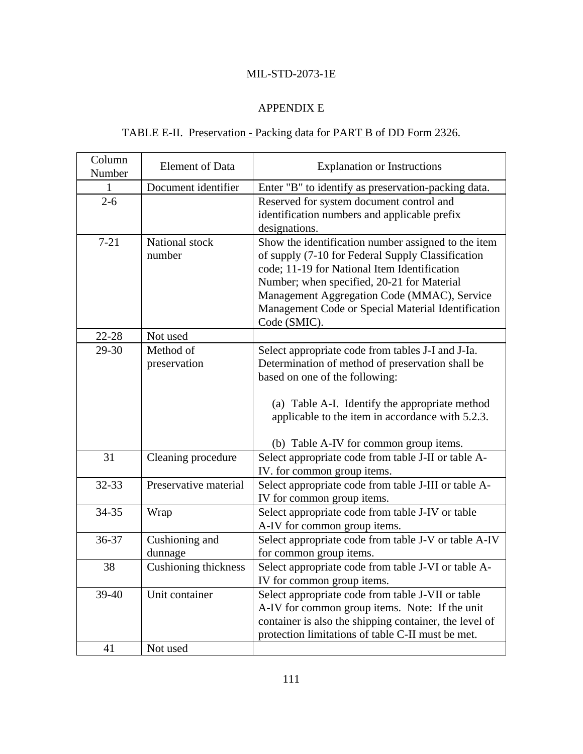# APPENDIX E

# TABLE E-II. Preservation - Packing data for PART B of DD Form 2326.

<span id="page-128-0"></span>

| Column<br>Number | <b>Element</b> of Data    | <b>Explanation or Instructions</b>                                                                                                                                                                                                                                                                                          |
|------------------|---------------------------|-----------------------------------------------------------------------------------------------------------------------------------------------------------------------------------------------------------------------------------------------------------------------------------------------------------------------------|
| 1                | Document identifier       | Enter "B" to identify as preservation-packing data.                                                                                                                                                                                                                                                                         |
| $2 - 6$          |                           | Reserved for system document control and<br>identification numbers and applicable prefix<br>designations.                                                                                                                                                                                                                   |
| $7 - 21$         | National stock<br>number  | Show the identification number assigned to the item<br>of supply (7-10 for Federal Supply Classification<br>code; 11-19 for National Item Identification<br>Number; when specified, 20-21 for Material<br>Management Aggregation Code (MMAC), Service<br>Management Code or Special Material Identification<br>Code (SMIC). |
| 22-28            | Not used                  |                                                                                                                                                                                                                                                                                                                             |
| 29-30            | Method of<br>preservation | Select appropriate code from tables J-I and J-Ia.<br>Determination of method of preservation shall be<br>based on one of the following:<br>(a) Table A-I. Identify the appropriate method<br>applicable to the item in accordance with 5.2.3.<br>(b) Table A-IV for common group items.                                     |
| 31               | Cleaning procedure        | Select appropriate code from table J-II or table A-<br>IV. for common group items.                                                                                                                                                                                                                                          |
| 32-33            | Preservative material     | Select appropriate code from table J-III or table A-<br>IV for common group items.                                                                                                                                                                                                                                          |
| $34 - 35$        | Wrap                      | Select appropriate code from table J-IV or table<br>A-IV for common group items.                                                                                                                                                                                                                                            |
| 36-37            | Cushioning and<br>dunnage | Select appropriate code from table J-V or table A-IV<br>for common group items.                                                                                                                                                                                                                                             |
| 38               | Cushioning thickness      | Select appropriate code from table J-VI or table A-<br>IV for common group items.                                                                                                                                                                                                                                           |
| 39-40            | Unit container            | Select appropriate code from table J-VII or table<br>A-IV for common group items. Note: If the unit<br>container is also the shipping container, the level of<br>protection limitations of table C-II must be met.                                                                                                          |
| 41               | Not used                  |                                                                                                                                                                                                                                                                                                                             |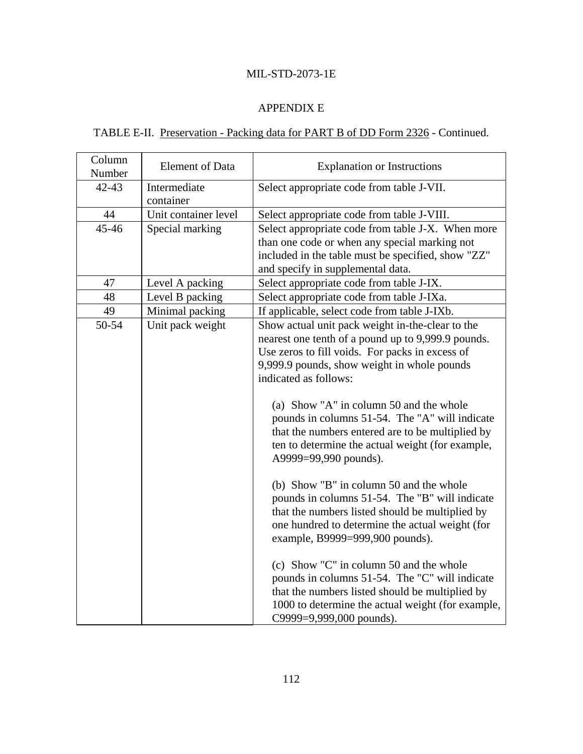# APPENDIX E

# TABLE E-II. Preservation - Packing data for PART B of DD Form 2326 - Continued.

| Column<br>Number | <b>Element of Data</b>    | <b>Explanation or Instructions</b>                                                                                                                                                                                                 |
|------------------|---------------------------|------------------------------------------------------------------------------------------------------------------------------------------------------------------------------------------------------------------------------------|
| $42 - 43$        | Intermediate<br>container | Select appropriate code from table J-VII.                                                                                                                                                                                          |
| 44               | Unit container level      | Select appropriate code from table J-VIII.                                                                                                                                                                                         |
| $45 - 46$        | Special marking           | Select appropriate code from table J-X. When more                                                                                                                                                                                  |
|                  |                           | than one code or when any special marking not                                                                                                                                                                                      |
|                  |                           | included in the table must be specified, show "ZZ"                                                                                                                                                                                 |
|                  |                           | and specify in supplemental data.                                                                                                                                                                                                  |
| 47               | Level A packing           | Select appropriate code from table J-IX.                                                                                                                                                                                           |
| 48               | Level B packing           | Select appropriate code from table J-IXa.                                                                                                                                                                                          |
| 49               | Minimal packing           | If applicable, select code from table J-IXb.                                                                                                                                                                                       |
| 50-54            | Unit pack weight          | Show actual unit pack weight in-the-clear to the                                                                                                                                                                                   |
|                  |                           | nearest one tenth of a pound up to 9,999.9 pounds.                                                                                                                                                                                 |
|                  |                           | Use zeros to fill voids. For packs in excess of                                                                                                                                                                                    |
|                  |                           | 9,999.9 pounds, show weight in whole pounds                                                                                                                                                                                        |
|                  |                           | indicated as follows:                                                                                                                                                                                                              |
|                  |                           | (a) Show "A" in column 50 and the whole<br>pounds in columns 51-54. The "A" will indicate<br>that the numbers entered are to be multiplied by<br>ten to determine the actual weight (for example,<br>A9999=99,990 pounds).         |
|                  |                           | (b) Show "B" in column 50 and the whole<br>pounds in columns 51-54. The "B" will indicate<br>that the numbers listed should be multiplied by<br>one hundred to determine the actual weight (for<br>example, B9999=999,900 pounds). |
|                  |                           | (c) Show "C" in column 50 and the whole<br>pounds in columns 51-54. The "C" will indicate<br>that the numbers listed should be multiplied by<br>1000 to determine the actual weight (for example,<br>C9999=9,999,000 pounds).      |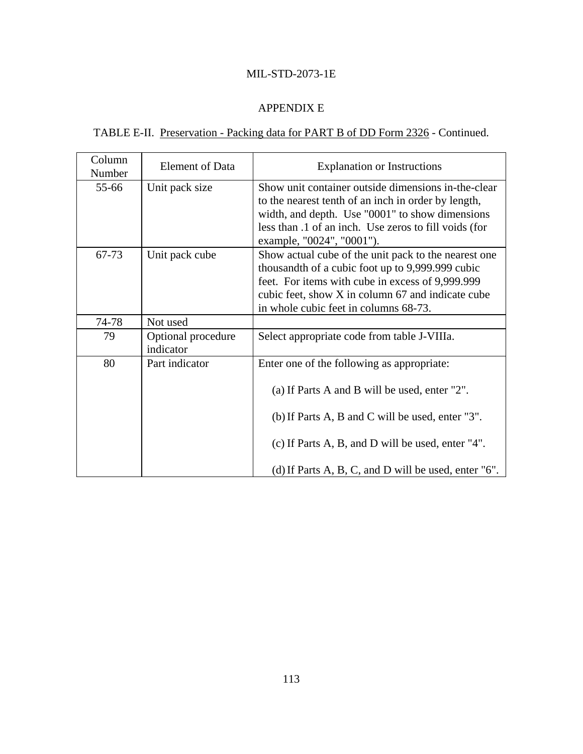# APPENDIX E

# TABLE E-II. Preservation - Packing data for PART B of DD Form 2326 - Continued.

| Column<br>Number | <b>Element of Data</b>          | <b>Explanation or Instructions</b>                                                                                                                                                                                                                              |
|------------------|---------------------------------|-----------------------------------------------------------------------------------------------------------------------------------------------------------------------------------------------------------------------------------------------------------------|
| 55-66            | Unit pack size                  | Show unit container outside dimensions in-the-clear<br>to the nearest tenth of an inch in order by length,<br>width, and depth. Use "0001" to show dimensions<br>less than $\alpha$ 1 of an inch. Use zeros to fill voids (for<br>example, "0024", "0001").     |
| $67 - 73$        | Unit pack cube                  | Show actual cube of the unit pack to the nearest one<br>thousandth of a cubic foot up to 9,999.999 cubic<br>feet. For items with cube in excess of 9,999.999<br>cubic feet, show X in column 67 and indicate cube<br>in whole cubic feet in columns 68-73.      |
| 74-78            | Not used                        |                                                                                                                                                                                                                                                                 |
| 79               | Optional procedure<br>indicator | Select appropriate code from table J-VIIIa.                                                                                                                                                                                                                     |
| 80               | Part indicator                  | Enter one of the following as appropriate:<br>(a) If Parts A and B will be used, enter "2".<br>(b) If Parts A, B and C will be used, enter "3".<br>(c) If Parts A, B, and D will be used, enter $"4"$ .<br>(d) If Parts A, B, C, and D will be used, enter "6". |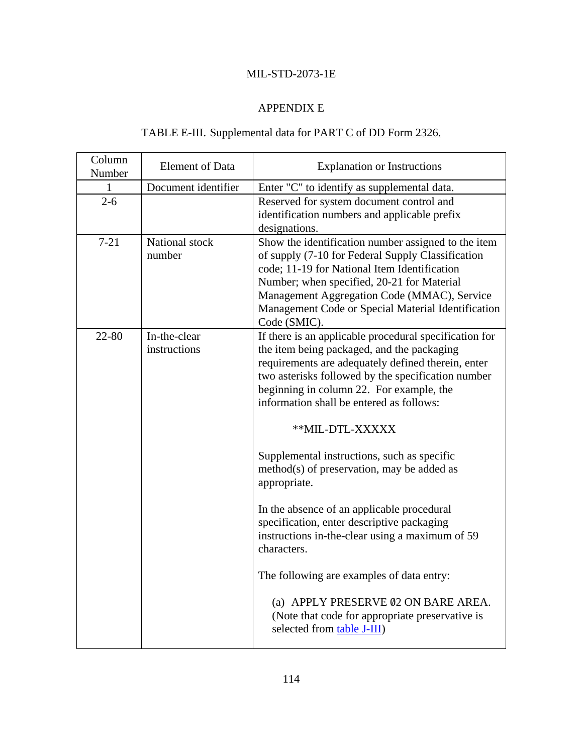# APPENDIX E

# TABLE E-III. Supplemental data for PART C of DD Form 2326.

<span id="page-131-0"></span>

| Column<br>Number | <b>Element</b> of Data       | <b>Explanation or Instructions</b>                                                                                                                                                                                                                                                                                                                                                                                         |
|------------------|------------------------------|----------------------------------------------------------------------------------------------------------------------------------------------------------------------------------------------------------------------------------------------------------------------------------------------------------------------------------------------------------------------------------------------------------------------------|
| 1                | Document identifier          | Enter "C" to identify as supplemental data.                                                                                                                                                                                                                                                                                                                                                                                |
| $2 - 6$          |                              | Reserved for system document control and<br>identification numbers and applicable prefix<br>designations.                                                                                                                                                                                                                                                                                                                  |
| $7 - 21$         | National stock<br>number     | Show the identification number assigned to the item<br>of supply (7-10 for Federal Supply Classification<br>code; 11-19 for National Item Identification<br>Number; when specified, 20-21 for Material<br>Management Aggregation Code (MMAC), Service<br>Management Code or Special Material Identification<br>Code (SMIC).                                                                                                |
| 22-80            | In-the-clear<br>instructions | If there is an applicable procedural specification for<br>the item being packaged, and the packaging<br>requirements are adequately defined therein, enter<br>two asterisks followed by the specification number<br>beginning in column 22. For example, the<br>information shall be entered as follows:<br>**MIL-DTL-XXXXX<br>Supplemental instructions, such as specific<br>$method(s)$ of preservation, may be added as |
|                  |                              | appropriate.<br>In the absence of an applicable procedural<br>specification, enter descriptive packaging<br>instructions in-the-clear using a maximum of 59<br>characters.<br>The following are examples of data entry:<br>(a) APPLY PRESERVE 02 ON BARE AREA.<br>(Note that code for appropriate preservative is<br>selected from table J-III)                                                                            |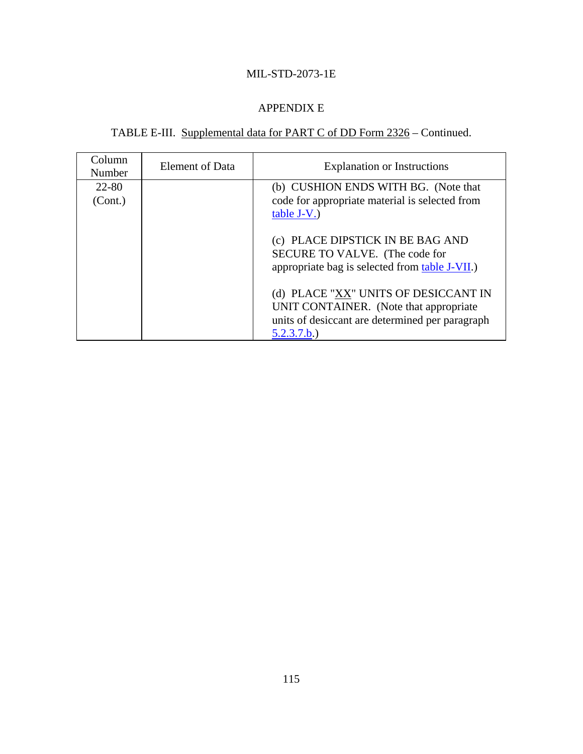# APPENDIX E

# TABLE E-III. Supplemental data for PART C of DD Form 2326 – Continued.

| Column<br>Number | <b>Element of Data</b> | <b>Explanation or Instructions</b>                                                                                                              |
|------------------|------------------------|-------------------------------------------------------------------------------------------------------------------------------------------------|
| 22-80<br>(Cont.) |                        | (b) CUSHION ENDS WITH BG. (Note that<br>code for appropriate material is selected from<br>table J-V.)                                           |
|                  |                        | (c) PLACE DIPSTICK IN BE BAG AND<br>SECURE TO VALVE. (The code for<br>appropriate bag is selected from table J-VII.)                            |
|                  |                        | (d) PLACE "XX" UNITS OF DESICCANT IN<br>UNIT CONTAINER. (Note that appropriate<br>units of desiccant are determined per paragraph<br>5.2.3.7.b. |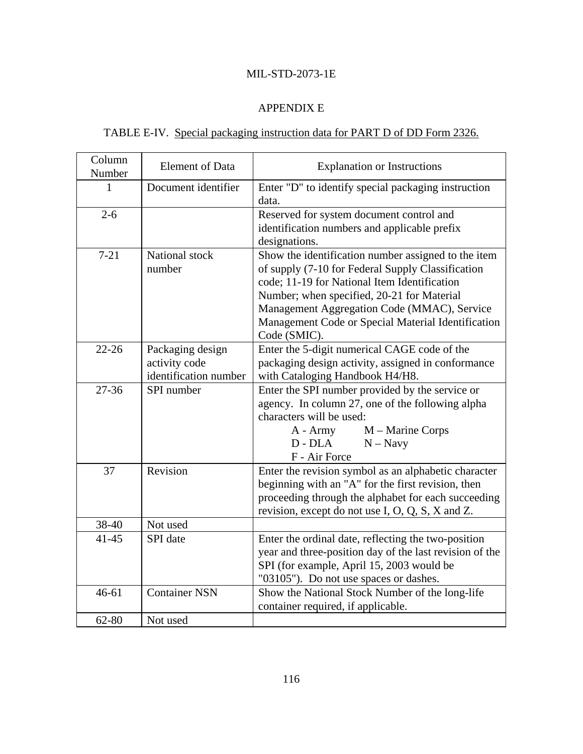# APPENDIX E

# <span id="page-133-0"></span>TABLE E-IV. Special packaging instruction data for PART D of DD Form 2326.

| Column<br>Number | <b>Element</b> of Data                                     | <b>Explanation or Instructions</b>                                                                                                                                                                                                                                                                                          |  |
|------------------|------------------------------------------------------------|-----------------------------------------------------------------------------------------------------------------------------------------------------------------------------------------------------------------------------------------------------------------------------------------------------------------------------|--|
| L                | Document identifier                                        | Enter "D" to identify special packaging instruction<br>data.                                                                                                                                                                                                                                                                |  |
| $2 - 6$          |                                                            | Reserved for system document control and<br>identification numbers and applicable prefix<br>designations.                                                                                                                                                                                                                   |  |
| $7 - 21$         | National stock<br>number                                   | Show the identification number assigned to the item<br>of supply (7-10 for Federal Supply Classification<br>code; 11-19 for National Item Identification<br>Number; when specified, 20-21 for Material<br>Management Aggregation Code (MMAC), Service<br>Management Code or Special Material Identification<br>Code (SMIC). |  |
| $22 - 26$        | Packaging design<br>activity code<br>identification number | Enter the 5-digit numerical CAGE code of the<br>packaging design activity, assigned in conformance<br>with Cataloging Handbook H4/H8.                                                                                                                                                                                       |  |
| $27 - 36$        | SPI number                                                 | Enter the SPI number provided by the service or<br>agency. In column 27, one of the following alpha<br>characters will be used:<br>A - Army<br>M – Marine Corps<br>$D$ - $DLA$<br>$N - Navy$<br>F - Air Force                                                                                                               |  |
| 37               | Revision                                                   | Enter the revision symbol as an alphabetic character<br>beginning with an "A" for the first revision, then<br>proceeding through the alphabet for each succeeding<br>revision, except do not use I, O, Q, S, X and Z.                                                                                                       |  |
| 38-40            | Not used                                                   |                                                                                                                                                                                                                                                                                                                             |  |
| $41 - 45$        | SPI date                                                   | Enter the ordinal date, reflecting the two-position<br>year and three-position day of the last revision of the<br>SPI (for example, April 15, 2003 would be<br>"03105"). Do not use spaces or dashes.                                                                                                                       |  |
| $46 - 61$        | <b>Container NSN</b>                                       | Show the National Stock Number of the long-life<br>container required, if applicable.                                                                                                                                                                                                                                       |  |
| $62 - 80$        | Not used                                                   |                                                                                                                                                                                                                                                                                                                             |  |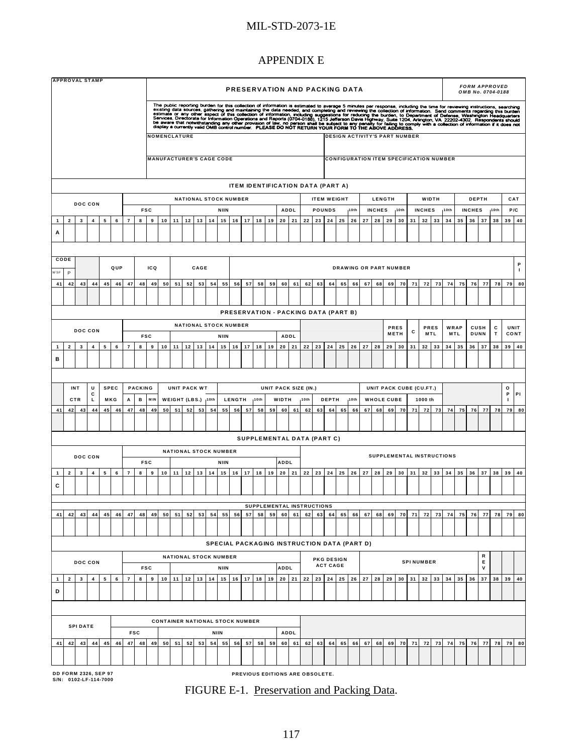# APPENDIX E

<span id="page-134-0"></span>

| <b>APPROVAL STAMP</b><br><b>PRESERVATION AND PACKING DATA</b>                                                                                                                                                                                                                                                                                                                                             |                                            |                                               |                                                                |                                                | <b>FORM APPROVED</b><br>OMB No. 0704-0188                    |
|-----------------------------------------------------------------------------------------------------------------------------------------------------------------------------------------------------------------------------------------------------------------------------------------------------------------------------------------------------------------------------------------------------------|--------------------------------------------|-----------------------------------------------|----------------------------------------------------------------|------------------------------------------------|--------------------------------------------------------------|
| The public reporting burden for this collection of information is estimated to average 5 minutes per response, including the time for reviewing instructions, searching<br>The public reporting unrors increased on a summative is summated to average o matters prosponse, include men or reviewing and mandaming the data needed, and completing and reviewing the collection of information. Send comm |                                            |                                               |                                                                |                                                |                                                              |
|                                                                                                                                                                                                                                                                                                                                                                                                           | <b>NOMENCLATURE</b>                        |                                               |                                                                | <b>DESIGN ACTIVITY'S PART NUMBER</b>           |                                                              |
|                                                                                                                                                                                                                                                                                                                                                                                                           | <b>MANUFACTURER'S CAGE CODE</b>            |                                               |                                                                | CONFIGURATION ITEM SPECIFICATION NUMBER        |                                                              |
|                                                                                                                                                                                                                                                                                                                                                                                                           |                                            |                                               |                                                                |                                                |                                                              |
|                                                                                                                                                                                                                                                                                                                                                                                                           | <b>NATIONAL STOCK NUMBER</b>               |                                               | <b>ITEM IDENTIFICATION DATA (PART A)</b><br><b>ITEM WEIGHT</b> | WIDTH<br>LENGTH                                | <b>DEPTH</b><br><b>CAT</b>                                   |
| DOC CON                                                                                                                                                                                                                                                                                                                                                                                                   | <b>FSC</b>                                 | <b>NIIN</b>                                   | <b>ADDL</b><br><b>POUNDS</b><br>10th                           | <b>INCHES</b><br><b>INCHES</b><br>10th         | <b>INCHES</b><br>P/C<br>10th<br>10th                         |
| $\overline{7}$<br>$\overline{2}$<br>5<br>6<br>8<br>4<br>A                                                                                                                                                                                                                                                                                                                                                 | 9<br>10<br>11<br>12<br>13<br>14            | 15<br>16<br>17<br>18<br>19<br>20              | 23<br>21<br>22<br>24<br>25<br>26                               | 27<br>28<br>29<br>30<br>31<br>32<br>33         | 34<br>35<br>36<br>37<br>38<br>39<br>40                       |
|                                                                                                                                                                                                                                                                                                                                                                                                           |                                            |                                               |                                                                |                                                |                                                              |
| CODE<br>QUP<br><b>NSF</b><br>P                                                                                                                                                                                                                                                                                                                                                                            | ICQ<br><b>CAGE</b>                         |                                               |                                                                | <b>DRAWING OR PART NUMBER</b>                  | P<br>п                                                       |
| 41<br>43<br>45<br>46<br>48<br>42<br>44<br>47                                                                                                                                                                                                                                                                                                                                                              | 49<br>50<br>51<br>52<br>53<br>54           | 55<br>56<br>57<br>58<br>59<br>60              | 61<br>63<br>64<br>65<br>66<br>62                               | 67<br>70<br>71<br>72<br>73<br>68<br>69         | 74<br>75<br>76<br>77<br>78<br>79<br>80                       |
|                                                                                                                                                                                                                                                                                                                                                                                                           |                                            |                                               |                                                                |                                                |                                                              |
|                                                                                                                                                                                                                                                                                                                                                                                                           |                                            |                                               | <b>PRESERVATION - PACKING DATA (PART B)</b>                    |                                                |                                                              |
| DOC CON                                                                                                                                                                                                                                                                                                                                                                                                   | <b>NATIONAL STOCK NUMBER</b><br><b>FSC</b> | <b>NIIN</b>                                   | ADDL                                                           | <b>PRES</b><br><b>PRES</b><br>с<br>METH<br>MTL | WRAP<br><b>CUSH</b><br>С<br>UNIT<br>DUNN<br>T<br>CONT<br>MTL |
| $\overline{\mathbf{2}}$<br>5<br>6<br>$\overline{7}$<br>8<br>$\overline{4}$<br>1<br>3                                                                                                                                                                                                                                                                                                                      | 9<br>10<br>11<br>12<br>13<br>14            | 16<br>15<br>17<br>18<br>19<br>20              | 21<br>23<br>22<br>24<br>25<br>26                               | 27<br>28<br>29<br>30<br>31<br>32<br>33         | 35<br>36<br>37<br>38<br>39<br>40<br>34                       |
| в                                                                                                                                                                                                                                                                                                                                                                                                         |                                            |                                               |                                                                |                                                |                                                              |
| <b>SPEC</b><br><b>PACKING</b><br><b>INT</b><br>U                                                                                                                                                                                                                                                                                                                                                          | <b>UNIT PACK WT</b>                        |                                               | UNIT PACK SIZE (IN.)                                           | UNIT PACK CUBE (CU.FT.)                        | o                                                            |
| С<br>CTR<br>MKG<br>в<br>A<br>г                                                                                                                                                                                                                                                                                                                                                                            | <b>WEIGHT (LBS.)</b><br><b>MIN</b><br>10th | LENGTH<br><b>WIDTH</b><br>10th                | <b>DEPTH</b><br>10th<br>10th                                   | <b>WHOLE CUBE</b><br>1000 th                   | P<br>PI                                                      |
| 41<br>42<br>43<br>44<br>45<br>46<br>47<br>48                                                                                                                                                                                                                                                                                                                                                              | 51<br>50<br>52<br>53<br>49<br>54           | 56<br>58<br>60<br>55<br>57<br>59              | 66<br>62<br>64<br>65<br>61<br>63                               | 70<br>71<br>72<br>73<br>67<br>68<br>69         | 74<br>75<br>77<br>78<br>79<br>80<br>76                       |
|                                                                                                                                                                                                                                                                                                                                                                                                           |                                            |                                               |                                                                |                                                |                                                              |
|                                                                                                                                                                                                                                                                                                                                                                                                           |                                            |                                               | SUPPLEMENTAL DATA (PART C)                                     |                                                |                                                              |
| DOC CON                                                                                                                                                                                                                                                                                                                                                                                                   | <b>NATIONAL STOCK NUMBER</b><br><b>FSC</b> | <b>NIIN</b>                                   | ADDL                                                           | <b>SUPPLEMENTAL INSTRUCTIONS</b>               |                                                              |
| $\mathbf 2$<br>5<br>6<br>$\overline{7}$<br>3<br>4<br>8                                                                                                                                                                                                                                                                                                                                                    | 9<br>10<br>11<br>12<br>13<br>14            | 15<br>16<br>17<br>18<br>19<br>20 <sub>1</sub> | 23<br>21<br>22<br>24<br>25<br>26                               | 27<br>30<br>33<br>28<br>29<br>31<br>32         | 37<br>40<br>35<br>36<br>38<br>39<br>34                       |
| c                                                                                                                                                                                                                                                                                                                                                                                                         |                                            |                                               |                                                                |                                                |                                                              |
|                                                                                                                                                                                                                                                                                                                                                                                                           |                                            |                                               | <b>SUPPLEMENTAL INSTRUCTIONS</b>                               |                                                |                                                              |
| 46<br>47<br>41<br>42<br>43<br>44<br>45<br>48                                                                                                                                                                                                                                                                                                                                                              | 50<br>51<br>52<br>53<br>54<br>49           | 55<br>56<br>57<br>58<br>59                    | 65 66<br>60 61 62<br>63<br>64                                  | 71<br>73<br>67<br>68<br>70<br>69<br>72         | 78<br>79<br>80<br>74<br>75<br>77<br>76                       |
|                                                                                                                                                                                                                                                                                                                                                                                                           |                                            |                                               |                                                                |                                                |                                                              |
| <b>SPECIAL PACKAGING INSTRUCTION DATA (PART D)</b>                                                                                                                                                                                                                                                                                                                                                        |                                            |                                               |                                                                |                                                |                                                              |
| DOC CON                                                                                                                                                                                                                                                                                                                                                                                                   | <b>NATIONAL STOCK NUMBER</b><br><b>FSC</b> | <b>NIIN</b>                                   | <b>PKG DESIGN</b><br><b>ACT CAGE</b><br>ADDL                   | <b>SPINUMBER</b>                               | R<br>Е<br>v                                                  |
| $\overline{\mathbf{2}}$<br>3<br>5<br>$\overline{7}$<br>8<br>4<br>6<br>1                                                                                                                                                                                                                                                                                                                                   | 9<br>10<br>11<br>12<br>13<br>14            | 15<br>16<br>17<br>18<br>19                    | 23<br>25<br>26<br>$20$ 21<br>22<br>24                          | 27<br>28<br>29<br>30 31<br>32<br>33            | 34<br>35<br>38<br>39<br>40<br>36<br>37                       |
| D                                                                                                                                                                                                                                                                                                                                                                                                         |                                            |                                               |                                                                |                                                |                                                              |
|                                                                                                                                                                                                                                                                                                                                                                                                           | <b>CONTAINER NATIONAL STOCK NUMBER</b>     |                                               |                                                                |                                                |                                                              |
| <b>SPI DATE</b><br><b>FSC</b>                                                                                                                                                                                                                                                                                                                                                                             |                                            | <b>NIIN</b>                                   | ADDL                                                           |                                                |                                                              |
| 42<br>46<br>47<br>41<br>43<br>44<br>45<br>48                                                                                                                                                                                                                                                                                                                                                              | 49<br>50<br>51<br>53<br>54<br>52           | 56<br>57<br>58<br>59<br>60<br>55              | 65<br>61<br>62<br>63<br>64<br>66                               | 70<br>71<br>73<br>67<br>68<br>69<br>72         | 79<br>75<br>77<br>78<br>80<br>74<br>76                       |
|                                                                                                                                                                                                                                                                                                                                                                                                           |                                            |                                               |                                                                |                                                |                                                              |
| DD FORM 2326, SEP 97<br>S/N: 0102-LF-114-7000                                                                                                                                                                                                                                                                                                                                                             |                                            | PREVIOUS EDITIONS ARE OBSOLETE.               |                                                                |                                                |                                                              |

FIGURE E-1. Preservation and Packing Data.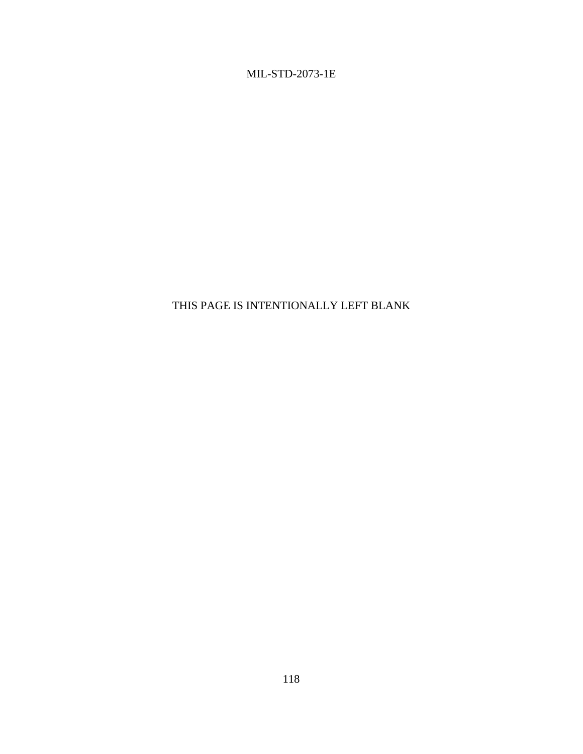# THIS PAGE IS INTENTIONALLY LEFT BLANK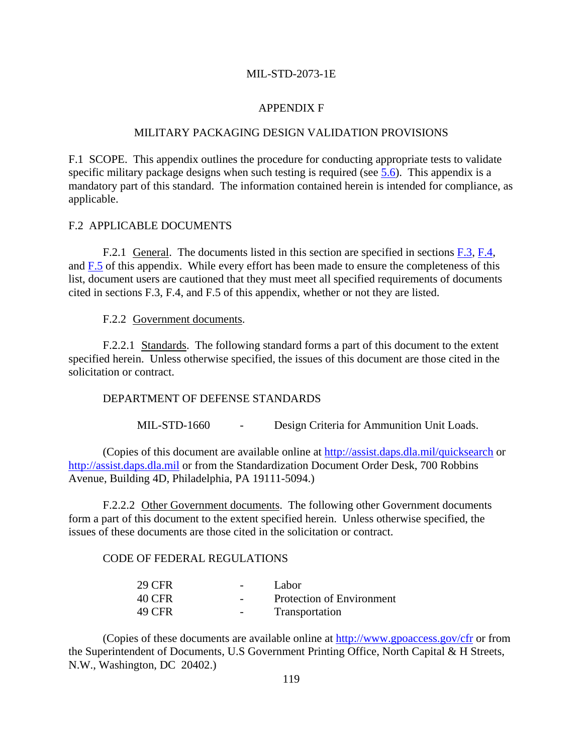### APPENDIX F

## MILITARY PACKAGING DESIGN VALIDATION PROVISIONS

F.1 SCOPE. This appendix outlines the procedure for conducting appropriate tests to validate specific military package designs when such testing is required (see  $\overline{5.6}$ ). This appendix is a mandatory part of this standard. The information contained herein is intended for compliance, as applicable.

## F.2 APPLICABLE DOCUMENTS

 F.2.1 General. The documents listed in this section are specified in sections [F.3,](#page-137-0) [F.4,](#page-138-0) and [F.5](#page-138-0) of this appendix. While every effort has been made to ensure the completeness of this list, document users are cautioned that they must meet all specified requirements of documents cited in sections F.3, F.4, and F.5 of this appendix, whether or not they are listed.

F.2.2 Government documents.

 F.2.2.1 Standards. The following standard forms a part of this document to the extent specified herein. Unless otherwise specified, the issues of this document are those cited in the solicitation or contract.

## DEPARTMENT OF DEFENSE STANDARDS

MIL-STD-1660 - Design Criteria for Ammunition Unit Loads.

 (Copies of this document are available online at <http://assist.daps.dla.mil/quicksearch> or [http://assist.daps.dla.mil](http://assist.daps.dla.mil/) or from the Standardization Document Order Desk, 700 Robbins Avenue, Building 4D, Philadelphia, PA 19111-5094.)

F.2.2.2 Other Government documents. The following other Government documents form a part of this document to the extent specified herein. Unless otherwise specified, the issues of these documents are those cited in the solicitation or contract.

### CODE OF FEDERAL REGULATIONS

| <b>29 CFR</b> | Labor                            |
|---------------|----------------------------------|
| 40 CFR        | <b>Protection of Environment</b> |
| 49 CFR        | Transportation                   |

 (Copies of these documents are available online at [http://www.gpoaccess.gov/cfr](http://www.qpoaccess.gov/cfr) or from the Superintendent of Documents, U.S Government Printing Office, North Capital & H Streets, N.W., Washington, DC 20402.)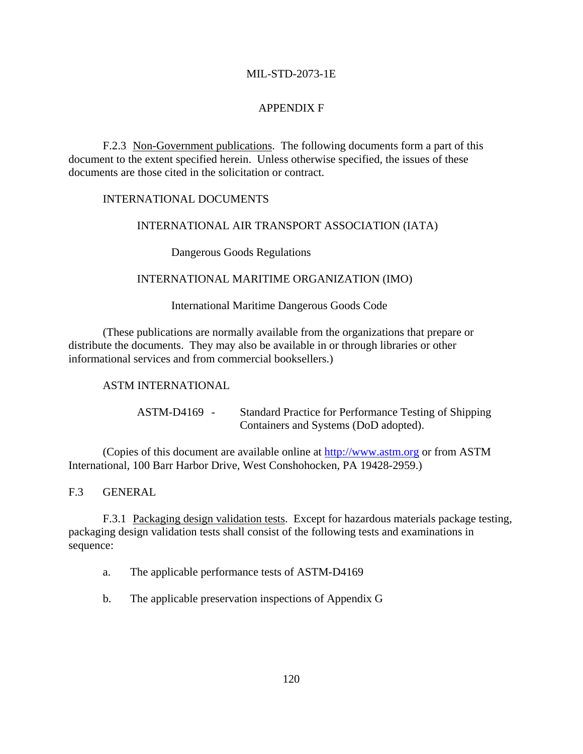## APPENDIX F

<span id="page-137-0"></span>F.2.3 Non-Government publications. The following documents form a part of this document to the extent specified herein. Unless otherwise specified, the issues of these documents are those cited in the solicitation or contract.

## INTERNATIONAL DOCUMENTS

## INTERNATIONAL AIR TRANSPORT ASSOCIATION (IATA)

Dangerous Goods Regulations

## INTERNATIONAL MARITIME ORGANIZATION (IMO)

International Maritime Dangerous Goods Code

 (These publications are normally available from the organizations that prepare or distribute the documents. They may also be available in or through libraries or other informational services and from commercial booksellers.)

ASTM INTERNATIONAL

 ASTM-D4169 - Standard Practice for Performance Testing of Shipping Containers and Systems (DoD adopted).

 (Copies of this document are available online at [http://www.astm.org](http://www.astm.org/) or from ASTM International, 100 Barr Harbor Drive, West Conshohocken, PA 19428-2959.)

## F.3 GENERAL

 F.3.1 Packaging design validation tests. Except for hazardous materials package testing, packaging design validation tests shall consist of the following tests and examinations in sequence:

- a. The applicable performance tests of ASTM-D4169
- b. The applicable preservation inspections of Appendix G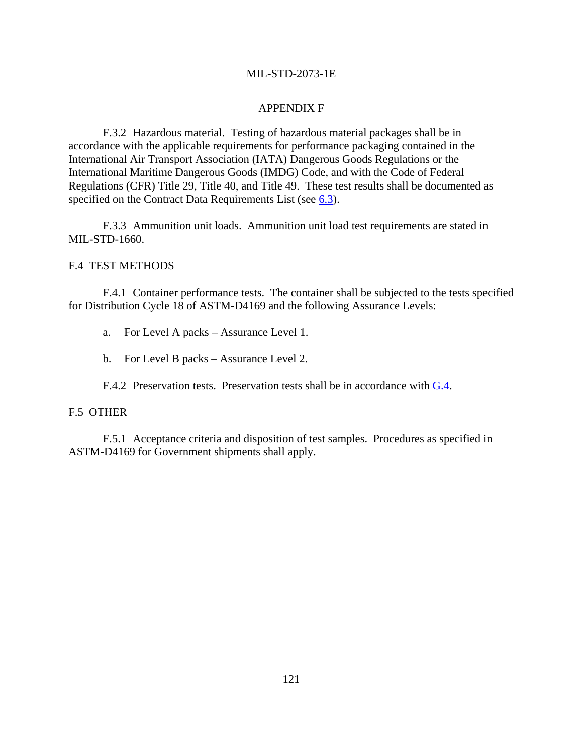### APPENDIX F

<span id="page-138-0"></span> F.3.2 Hazardous material. Testing of hazardous material packages shall be in accordance with the applicable requirements for performance packaging contained in the International Air Transport Association (IATA) Dangerous Goods Regulations or the International Maritime Dangerous Goods (IMDG) Code, and with the Code of Federal Regulations (CFR) Title 29, Title 40, and Title 49. These test results shall be documented as specified on the Contract Data Requirements List (see [6.3\)](#page-41-0).

 F.3.3 Ammunition unit loads. Ammunition unit load test requirements are stated in MIL-STD-1660.

### F.4 TEST METHODS

 F.4.1 Container performance tests. The container shall be subjected to the tests specified for Distribution Cycle 18 of ASTM-D4169 and the following Assurance Levels:

- a. For Level A packs Assurance Level 1.
- b. For Level B packs Assurance Level 2.
- F.4.2 Preservation tests. Preservation tests shall be in accordance with [G.4](#page-141-0).

## F.5 OTHER

 F.5.1 Acceptance criteria and disposition of test samples. Procedures as specified in ASTM-D4169 for Government shipments shall apply.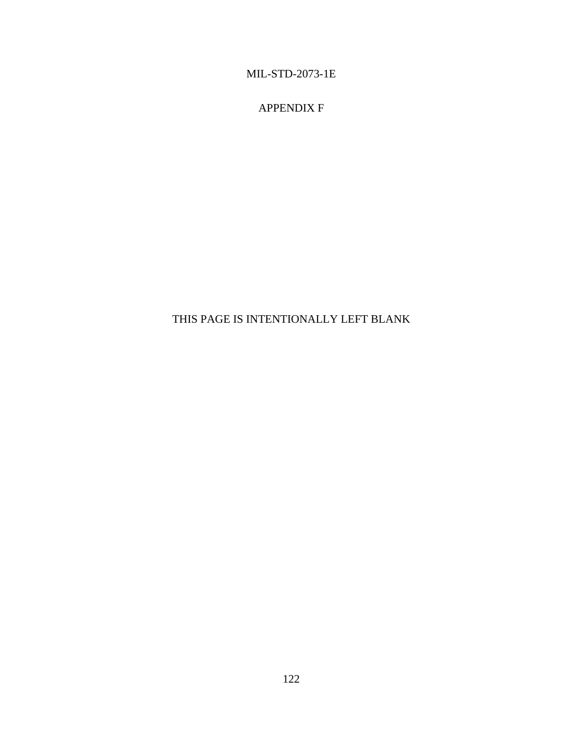APPENDIX F

# THIS PAGE IS INTENTIONALLY LEFT BLANK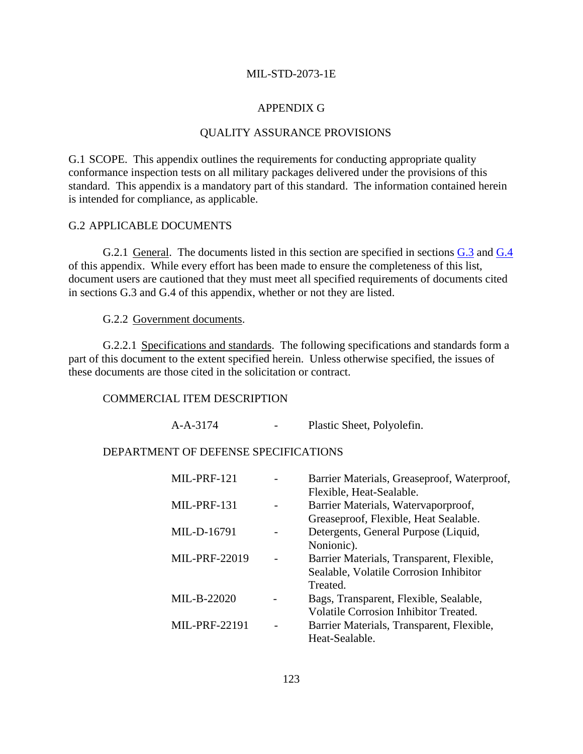### APPENDIX G

## QUALITY ASSURANCE PROVISIONS

G.1 SCOPE. This appendix outlines the requirements for conducting appropriate quality conformance inspection tests on all military packages delivered under the provisions of this standard. This appendix is a mandatory part of this standard. The information contained herein is intended for compliance, as applicable.

## G.2 APPLICABLE DOCUMENTS

 G.2.1 General. The documents listed in this section are specified in sections [G.3](#page-141-0) and [G.4](#page-141-0) of this appendix. While every effort has been made to ensure the completeness of this list, document users are cautioned that they must meet all specified requirements of documents cited in sections G.3 and G.4 of this appendix, whether or not they are listed.

G.2.2 Government documents.

 G.2.2.1 Specifications and standards. The following specifications and standards form a part of this document to the extent specified herein. Unless otherwise specified, the issues of these documents are those cited in the solicitation or contract.

## COMMERCIAL ITEM DESCRIPTION

A-A-3174 - Plastic Sheet, Polyolefin.

### DEPARTMENT OF DEFENSE SPECIFICATIONS

| MIL-PRF-121          |                | Barrier Materials, Greaseproof, Waterproof,  |
|----------------------|----------------|----------------------------------------------|
|                      |                | Flexible, Heat-Sealable.                     |
| MIL-PRF-131          |                | Barrier Materials, Watervaporproof,          |
|                      |                | Greaseproof, Flexible, Heat Sealable.        |
| MIL-D-16791          |                | Detergents, General Purpose (Liquid,         |
|                      |                | Nonionic).                                   |
| <b>MIL-PRF-22019</b> |                | Barrier Materials, Transparent, Flexible,    |
|                      |                | Sealable, Volatile Corrosion Inhibitor       |
|                      |                | Treated.                                     |
| MIL-B-22020          | $\overline{a}$ | Bags, Transparent, Flexible, Sealable,       |
|                      |                | <b>Volatile Corrosion Inhibitor Treated.</b> |
| <b>MIL-PRF-22191</b> |                | Barrier Materials, Transparent, Flexible,    |
|                      |                | Heat-Sealable.                               |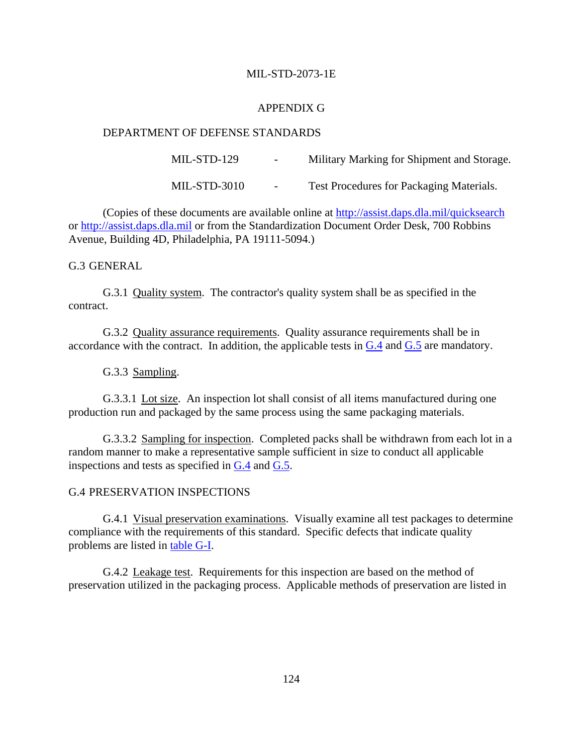### APPENDIX G

## <span id="page-141-0"></span>DEPARTMENT OF DEFENSE STANDARDS

| MIL-STD-129         | $\sim$ 10 $\,$ | Military Marking for Shipment and Storage. |
|---------------------|----------------|--------------------------------------------|
| <b>MIL-STD-3010</b> | $\sim$ 10 $\,$ | Test Procedures for Packaging Materials.   |

 (Copies of these documents are available online at <http://assist.daps.dla.mil/quicksearch> or [http://assist.daps.dla.mil](http://assist.daps.dla.mil/) or from the Standardization Document Order Desk, 700 Robbins Avenue, Building 4D, Philadelphia, PA 19111-5094.)

G.3 GENERAL

 G.3.1 Quality system. The contractor's quality system shall be as specified in the contract.

 G.3.2 Quality assurance requirements. Quality assurance requirements shall be in accordance with the contract. In addition, the applicable tests in [G.4](#page-141-0) and [G.5](#page-144-0) are mandatory.

G.3.3 Sampling.

 G.3.3.1 Lot size. An inspection lot shall consist of all items manufactured during one production run and packaged by the same process using the same packaging materials.

 G.3.3.2 Sampling for inspection. Completed packs shall be withdrawn from each lot in a random manner to make a representative sample sufficient in size to conduct all applicable inspections and tests as specified in  $G.4$  and  $G.5$ .

### G.4 PRESERVATION INSPECTIONS

 G.4.1 Visual preservation examinations. Visually examine all test packages to determine compliance with the requirements of this standard. Specific defects that indicate quality problems are listed in [table G-I.](#page-145-0)

 G.4.2 Leakage test. Requirements for this inspection are based on the method of preservation utilized in the packaging process. Applicable methods of preservation are listed in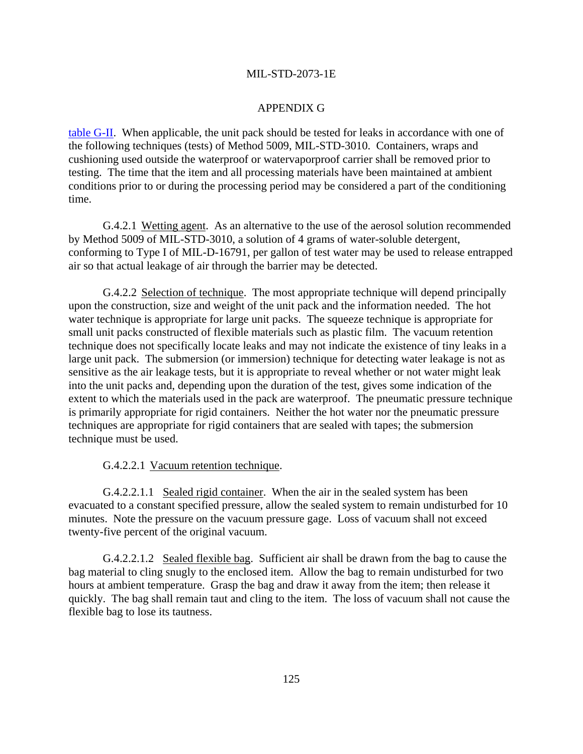#### APPENDIX G

[table G-II](#page-146-0). When applicable, the unit pack should be tested for leaks in accordance with one of the following techniques (tests) of Method 5009, MIL-STD-3010. Containers, wraps and cushioning used outside the waterproof or watervaporproof carrier shall be removed prior to testing. The time that the item and all processing materials have been maintained at ambient conditions prior to or during the processing period may be considered a part of the conditioning time.

 G.4.2.1 Wetting agent. As an alternative to the use of the aerosol solution recommended by Method 5009 of MIL-STD-3010, a solution of 4 grams of water-soluble detergent, conforming to Type I of MIL-D-16791, per gallon of test water may be used to release entrapped air so that actual leakage of air through the barrier may be detected.

 G.4.2.2 Selection of technique. The most appropriate technique will depend principally upon the construction, size and weight of the unit pack and the information needed. The hot water technique is appropriate for large unit packs. The squeeze technique is appropriate for small unit packs constructed of flexible materials such as plastic film. The vacuum retention technique does not specifically locate leaks and may not indicate the existence of tiny leaks in a large unit pack. The submersion (or immersion) technique for detecting water leakage is not as sensitive as the air leakage tests, but it is appropriate to reveal whether or not water might leak into the unit packs and, depending upon the duration of the test, gives some indication of the extent to which the materials used in the pack are waterproof. The pneumatic pressure technique is primarily appropriate for rigid containers. Neither the hot water nor the pneumatic pressure techniques are appropriate for rigid containers that are sealed with tapes; the submersion technique must be used.

### G.4.2.2.1 Vacuum retention technique.

 G.4.2.2.1.1 Sealed rigid container. When the air in the sealed system has been evacuated to a constant specified pressure, allow the sealed system to remain undisturbed for 10 minutes. Note the pressure on the vacuum pressure gage. Loss of vacuum shall not exceed twenty-five percent of the original vacuum.

G.4.2.2.1.2 Sealed flexible bag. Sufficient air shall be drawn from the bag to cause the bag material to cling snugly to the enclosed item. Allow the bag to remain undisturbed for two hours at ambient temperature. Grasp the bag and draw it away from the item; then release it quickly. The bag shall remain taut and cling to the item. The loss of vacuum shall not cause the flexible bag to lose its tautness.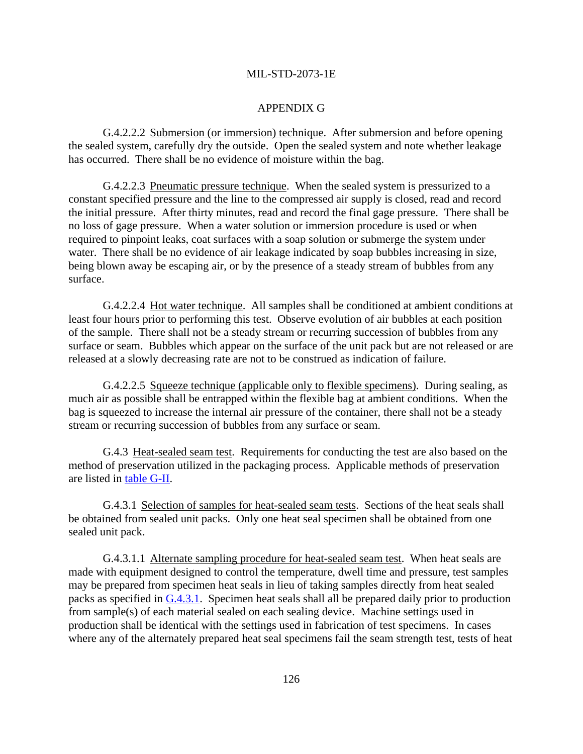#### APPENDIX G

<span id="page-143-0"></span> G.4.2.2.2 Submersion (or immersion) technique. After submersion and before opening the sealed system, carefully dry the outside. Open the sealed system and note whether leakage has occurred. There shall be no evidence of moisture within the bag.

 G.4.2.2.3 Pneumatic pressure technique. When the sealed system is pressurized to a constant specified pressure and the line to the compressed air supply is closed, read and record the initial pressure. After thirty minutes, read and record the final gage pressure. There shall be no loss of gage pressure. When a water solution or immersion procedure is used or when required to pinpoint leaks, coat surfaces with a soap solution or submerge the system under water. There shall be no evidence of air leakage indicated by soap bubbles increasing in size, being blown away be escaping air, or by the presence of a steady stream of bubbles from any surface.

 G.4.2.2.4 Hot water technique. All samples shall be conditioned at ambient conditions at least four hours prior to performing this test. Observe evolution of air bubbles at each position of the sample. There shall not be a steady stream or recurring succession of bubbles from any surface or seam. Bubbles which appear on the surface of the unit pack but are not released or are released at a slowly decreasing rate are not to be construed as indication of failure.

 G.4.2.2.5 Squeeze technique (applicable only to flexible specimens). During sealing, as much air as possible shall be entrapped within the flexible bag at ambient conditions. When the bag is squeezed to increase the internal air pressure of the container, there shall not be a steady stream or recurring succession of bubbles from any surface or seam.

 G.4.3 Heat-sealed seam test. Requirements for conducting the test are also based on the method of preservation utilized in the packaging process. Applicable methods of preservation are listed in [table G-II](#page-146-0).

 G.4.3.1 Selection of samples for heat-sealed seam tests. Sections of the heat seals shall be obtained from sealed unit packs. Only one heat seal specimen shall be obtained from one sealed unit pack.

 G.4.3.1.1 Alternate sampling procedure for heat-sealed seam test. When heat seals are made with equipment designed to control the temperature, dwell time and pressure, test samples may be prepared from specimen heat seals in lieu of taking samples directly from heat sealed packs as specified in [G.4.3.1.](#page-143-0) Specimen heat seals shall all be prepared daily prior to production from sample(s) of each material sealed on each sealing device. Machine settings used in production shall be identical with the settings used in fabrication of test specimens. In cases where any of the alternately prepared heat seal specimens fail the seam strength test, tests of heat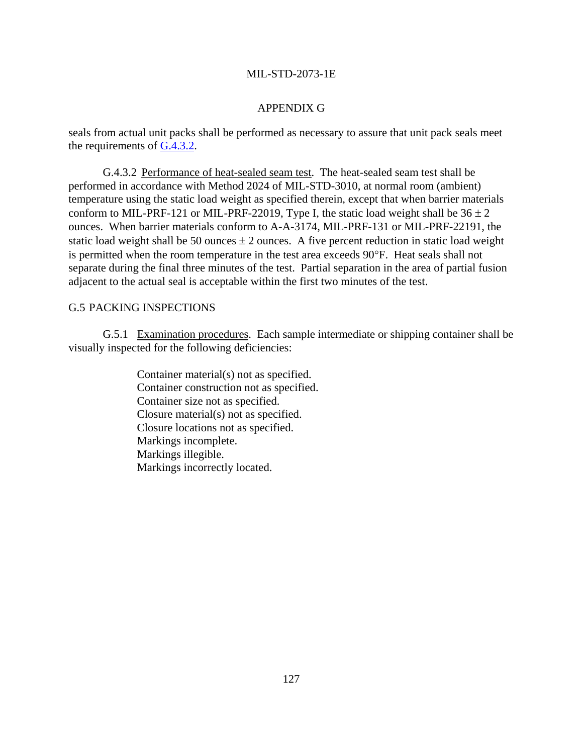#### APPENDIX G

<span id="page-144-0"></span>seals from actual unit packs shall be performed as necessary to assure that unit pack seals meet the requirements of [G.4.3.2](#page-144-0).

 G.4.3.2 Performance of heat-sealed seam test. The heat-sealed seam test shall be performed in accordance with Method 2024 of MIL-STD-3010, at normal room (ambient) temperature using the static load weight as specified therein, except that when barrier materials conform to MIL-PRF-121 or MIL-PRF-22019, Type I, the static load weight shall be  $36 \pm 2$ ounces. When barrier materials conform to A-A-3174, MIL-PRF-131 or MIL-PRF-22191, the static load weight shall be 50 ounces  $\pm$  2 ounces. A five percent reduction in static load weight is permitted when the room temperature in the test area exceeds 90°F. Heat seals shall not separate during the final three minutes of the test. Partial separation in the area of partial fusion adjacent to the actual seal is acceptable within the first two minutes of the test.

#### G.5 PACKING INSPECTIONS

 G.5.1 Examination procedures. Each sample intermediate or shipping container shall be visually inspected for the following deficiencies:

> Container material(s) not as specified. Container construction not as specified. Container size not as specified. Closure material(s) not as specified. Closure locations not as specified. Markings incomplete. Markings illegible. Markings incorrectly located.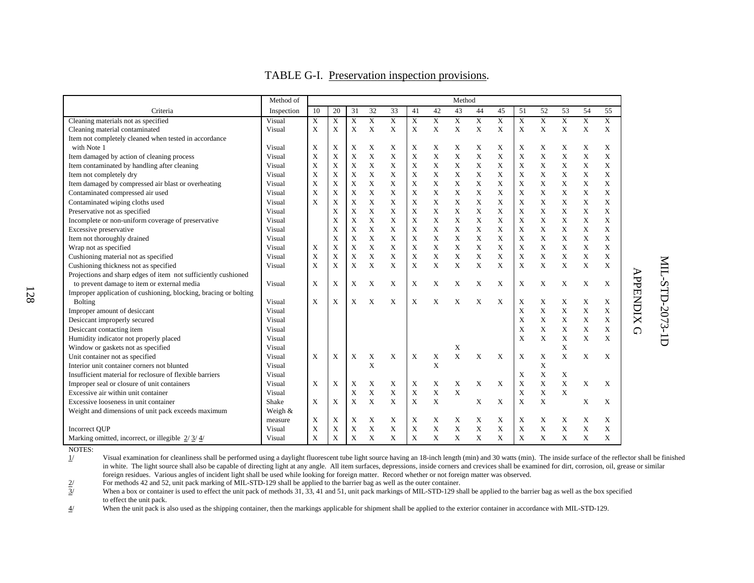|                                                                  | Method of  |             |                           |                           |             |             |             |             | Method |             |             |    |             |             |             |    |          |
|------------------------------------------------------------------|------------|-------------|---------------------------|---------------------------|-------------|-------------|-------------|-------------|--------|-------------|-------------|----|-------------|-------------|-------------|----|----------|
| Criteria                                                         | Inspection | 10          | 20                        | 31                        | 32          | 33          | 41          | 42          | 43     | 44          | 45          | 51 | 52          | 53          | 54          | 55 |          |
| Cleaning materials not as specified                              | Visual     | $\mathbf X$ | $\mathbf X$               | $\boldsymbol{\mathrm{X}}$ | $\mathbf X$ | X           | X           | X           | X      | $\mathbf X$ | X           | X  | $\mathbf X$ | X           | X           | X  |          |
| Cleaning material contaminated                                   | Visual     | X           | $\mathbf X$               | $\boldsymbol{\mathrm{X}}$ | $\mathbf X$ | X           | X           | X           | X      | X           | X           | X  | X           | $\mathbf X$ | X           | X  |          |
| Item not completely cleaned when tested in accordance            |            |             |                           |                           |             |             |             |             |        |             |             |    |             |             |             |    |          |
| with Note 1                                                      | Visual     | X           | X                         | $\mathbf X$               | X           | X           | X           | X           | X      | X           | X           | X  | X           | X           | X           | X  |          |
| Item damaged by action of cleaning process                       | Visual     | X           | $\boldsymbol{\mathrm{X}}$ | $\boldsymbol{\mathrm{X}}$ | $\mathbf X$ | X           | X           | X           | X      | X           | X           | X  | X           | X           | X           | X  |          |
| Item contaminated by handling after cleaning                     | Visual     | X           | $\boldsymbol{\mathrm{X}}$ | $\boldsymbol{\mathrm{X}}$ | X           | X           | X           | X           | X      | X           | X           | X  | X           | X           | X           | X  |          |
| Item not completely dry                                          | Visual     | X           | X                         | $\boldsymbol{\mathrm{X}}$ | X           | X           | X           | X           | X      | X           | X           | X  | X           | X           | X           | X  |          |
| Item damaged by compressed air blast or overheating              | Visual     | X           | X                         | $\mathbf X$               | X           | X           | X           | X           | X      | X           | X           | X  | X           | X           | X           | X  |          |
| Contaminated compressed air used                                 | Visual     | X           | $\boldsymbol{\mathrm{X}}$ | $\boldsymbol{\mathrm{X}}$ | X           | X           | X           | X           | X      | X           | X           | X  | X           | X           | X           | X  |          |
| Contaminated wiping cloths used                                  | Visual     | X           | X                         | $\mathbf X$               | X           | X           | X           | X           | X      | X           | X           | X  | X           | X           | X           | X  |          |
| Preservative not as specified                                    | Visual     |             | $\mathbf X$               | $\mathbf X$               | X           | X           | X           | X           | X      | X           | X           | X  | X           | X           | X           | X  |          |
| Incomplete or non-uniform coverage of preservative               | Visual     |             | X                         | X                         | X           | X           | X           | X           | X      | X           | X           | X  | X           | X           | X           | X  |          |
| Excessive preservative                                           | Visual     |             | X                         | X                         | X           | X           | X           | X           | X      | X           | X           | X  | X           | X           | X           | X  |          |
| Item not thoroughly drained                                      | Visual     |             | X                         | $\mathbf X$               | $\mathbf X$ | X           | X           | X           | X      | X           | X           | X  | X           | X           | X           | X  |          |
| Wrap not as specified                                            | Visual     | X           | $\boldsymbol{\mathrm{X}}$ | $\mathbf X$               | X           | $\mathbf X$ | X           | X           | X      | X           | X           | X  | X           | X           | X           | X  |          |
| Cushioning material not as specified                             | Visual     | X           | X                         | $\boldsymbol{\mathrm{X}}$ | X           | X           | X           | X           | X      | X           | X           | X  | X           | X           | X           | X  |          |
| Cushioning thickness not as specified                            | Visual     | X           | X                         | X                         | X           | $\mathbf x$ | $\mathbf x$ | X           | X      | $\mathbf x$ | $\mathbf x$ | X  | X           | $\mathbf x$ | $\mathbf x$ | X  |          |
| Projections and sharp edges of item not sufficiently cushioned   |            |             |                           |                           |             |             |             |             |        |             |             |    |             |             |             |    | APPENDIX |
| to prevent damage to item or external media                      | Visual     | X           | X                         | $\mathbf X$               | X           | X           | X           | X           | X      | X           | X           | X  | X           | X           | X           | X  |          |
| Improper application of cushioning, blocking, bracing or bolting |            |             |                           |                           |             |             |             |             |        |             |             |    |             |             |             |    |          |
| <b>Bolting</b>                                                   | Visual     | X           | X                         | X                         | X           | X           | X           | X           | X      | X           | X           | X  | X           | $\mathbf X$ | X           | X  |          |
| Improper amount of desiccant                                     | Visual     |             |                           |                           |             |             |             |             |        |             |             | X  | X           | X           | X           | X  |          |
| Desiccant improperly secured                                     | Visual     |             |                           |                           |             |             |             |             |        |             |             | X  | X           | X           | X           | X  |          |
| Desiccant contacting item                                        | Visual     |             |                           |                           |             |             |             |             |        |             |             | X  | X           | X           | X           | X  | $\Omega$ |
| Humidity indicator not properly placed                           | Visual     |             |                           |                           |             |             |             |             |        |             |             | X  | X           | X           | X           | X  |          |
| Window or gaskets not as specified                               | Visual     |             |                           |                           |             |             |             |             | X      |             |             |    |             | X           |             |    |          |
| Unit container not as specified                                  | Visual     | X           | X                         | X                         | X           | X           | X           | X           | X      | X           | X           | X  | X           | X           | X           | X  |          |
| Interior unit container corners not blunted                      | Visual     |             |                           |                           | X           |             |             | X           |        |             |             |    | X           |             |             |    |          |
| Insufficient material for reclosure of flexible barriers         | Visual     |             |                           |                           |             |             |             |             |        |             |             | X  | X           | X           |             |    |          |
| Improper seal or closure of unit containers                      | Visual     | X           | X                         | X                         | X           | X           | X           | X           | X      | X           | X           | X  | X           | X           | X           | X  |          |
| Excessive air within unit container                              | Visual     |             |                           | X                         | $\mathbf X$ | $\mathbf X$ | X           | $\mathbf X$ | X      |             |             | X  | X           | X           |             |    |          |
| Excessive looseness in unit container                            | Shake      | X           | X                         | X                         | X           | X           | X           | X           |        | X           | X           | X  | X           |             | X           | X  |          |
| Weight and dimensions of unit pack exceeds maximum               | Weigh &    |             |                           |                           |             |             |             |             |        |             |             |    |             |             |             |    |          |
|                                                                  | measure    | X           | X                         | X                         | X           | X           | X           | X           | X      | X           | X           | X  | X           | X           | X           | X  |          |
| Incorrect QUP                                                    | Visual     | X           | X                         | X                         | X           | X           | X           | X           | X      | X           | X           | X  | X           | X           | X           | X  |          |
| Marking omitted, incorrect, or illegible 2/3/4/                  | Visual     | X           | X                         | X                         | X           | X           | X           | X           | X      | X           | X           | X  | X           | X           | X           | X  |          |

TABLE G-I. Preservation inspection provisions.

NOTES:

 $1/$  Visual examination for cleanliness shall be performed using a daylight fluorescent tube light source having an 18-inch length (min) and 30 watts (min). The inside surface of the reflector shall be finished in white. The light source shall also be capable of directing light at any angle. All item surfaces, depressions, inside corners and crevices shall be examined for dirt, corrosion, oil, grease or similar foreign residues. Various angles of incident light shall be used while looking for foreign matter. Record whether or not foreign matter was observed.

MIL-STD-2073-1D

MIL-STD-2073-1D

2/ For methods 42 and 52, unit pack marking of MIL-STD-129 shall be applied to the barrier bag as well as the outer container.<br>When a box or container is used to effect the unit pack of methods 31, 33, 41 and 51, unit pack

When a box or container is used to effect the unit pack of methods 31, 33, 41 and 51, unit pack markings of MIL-STD-129 shall be applied to the barrier bag as well as the box specified to effect the unit pack.<br>4/ When the unit pack is a

When the unit pack is also used as the shipping container, then the markings applicable for shipment shall be applied to the exterior container in accordance with MIL-STD-129.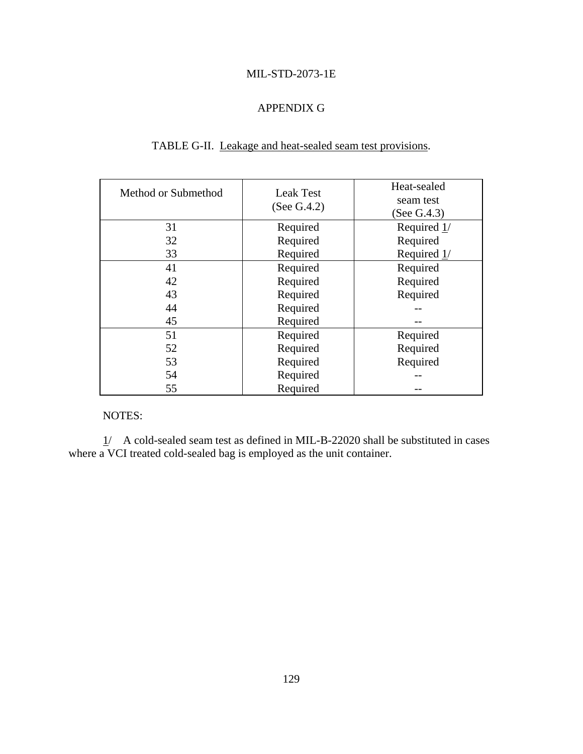### APPENDIX G

| Method or Submethod | <b>Leak Test</b><br>(See $G.4.2$ ) | Heat-sealed<br>seam test<br>(See $G.4.3$ ) |
|---------------------|------------------------------------|--------------------------------------------|
| 31                  | Required                           | Required 1/                                |
| 32                  | Required                           | Required                                   |
| 33                  | Required                           | Required 1/                                |
| 41                  | Required                           | Required                                   |
| 42                  | Required                           | Required                                   |
| 43                  | Required                           | Required                                   |
| 44                  | Required                           |                                            |
| 45                  | Required                           |                                            |
| 51                  | Required                           | Required                                   |
| 52                  | Required                           | Required                                   |
| 53                  | Required                           | Required                                   |
| 54                  | Required                           |                                            |
| 55                  | Required                           |                                            |

## TABLE G-II. Leakage and heat-sealed seam test provisions.

### NOTES:

 $1/$  A cold-sealed seam test as defined in MIL-B-22020 shall be substituted in cases where a VCI treated cold-sealed bag is employed as the unit container.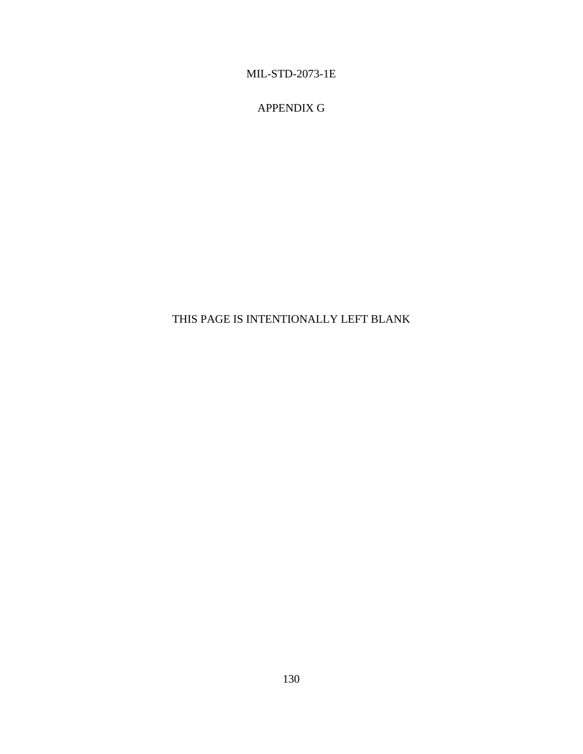APPENDIX G

# THIS PAGE IS INTENTIONALLY LEFT BLANK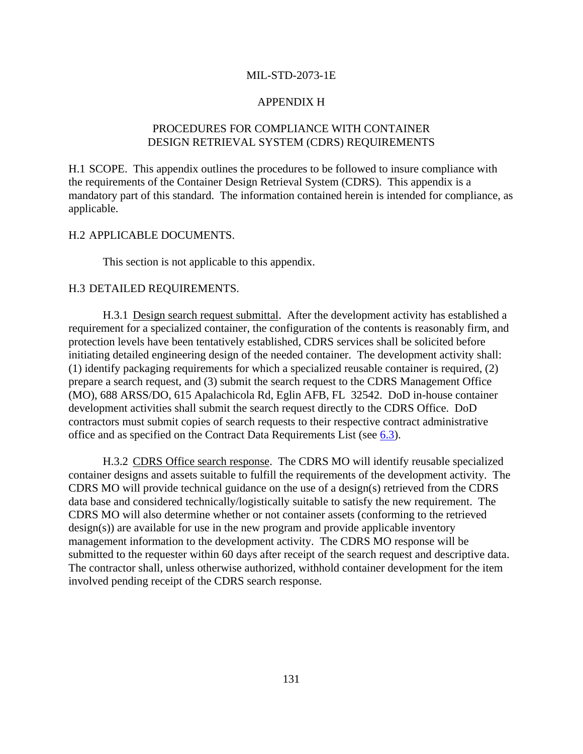#### APPENDIX H

### PROCEDURES FOR COMPLIANCE WITH CONTAINER DESIGN RETRIEVAL SYSTEM (CDRS) REQUIREMENTS

H.1 SCOPE. This appendix outlines the procedures to be followed to insure compliance with the requirements of the Container Design Retrieval System (CDRS). This appendix is a mandatory part of this standard. The information contained herein is intended for compliance, as applicable.

#### H.2 APPLICABLE DOCUMENTS.

This section is not applicable to this appendix.

#### H.3 DETAILED REQUIREMENTS.

 H.3.1 Design search request submittal. After the development activity has established a requirement for a specialized container, the configuration of the contents is reasonably firm, and protection levels have been tentatively established, CDRS services shall be solicited before initiating detailed engineering design of the needed container. The development activity shall: (1) identify packaging requirements for which a specialized reusable container is required, (2) prepare a search request, and (3) submit the search request to the CDRS Management Office (MO), 688 ARSS/DO, 615 Apalachicola Rd, Eglin AFB, FL 32542. DoD in-house container development activities shall submit the search request directly to the CDRS Office. DoD contractors must submit copies of search requests to their respective contract administrative office and as specified on the Contract Data Requirements List (see [6.3](#page-41-0)).

 H.3.2 CDRS Office search response. The CDRS MO will identify reusable specialized container designs and assets suitable to fulfill the requirements of the development activity. The CDRS MO will provide technical guidance on the use of a design(s) retrieved from the CDRS data base and considered technically/logistically suitable to satisfy the new requirement. The CDRS MO will also determine whether or not container assets (conforming to the retrieved design(s)) are available for use in the new program and provide applicable inventory management information to the development activity. The CDRS MO response will be submitted to the requester within 60 days after receipt of the search request and descriptive data. The contractor shall, unless otherwise authorized, withhold container development for the item involved pending receipt of the CDRS search response.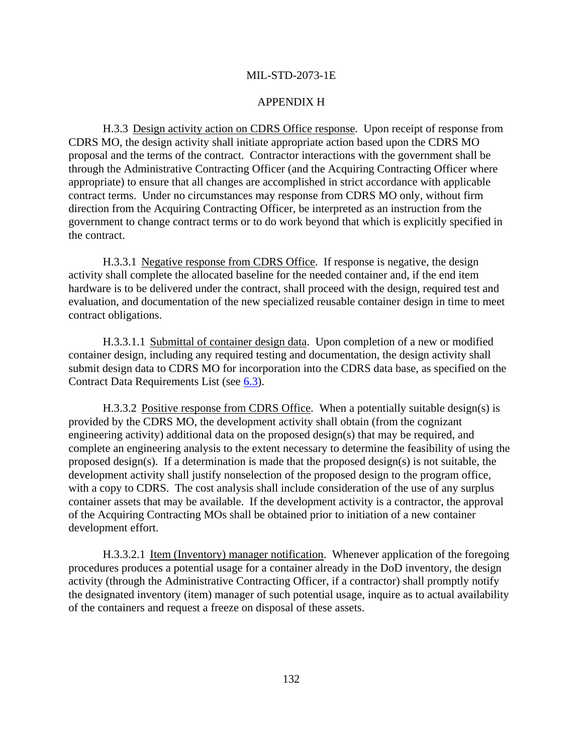#### APPENDIX H

 H.3.3 Design activity action on CDRS Office response. Upon receipt of response from CDRS MO, the design activity shall initiate appropriate action based upon the CDRS MO proposal and the terms of the contract. Contractor interactions with the government shall be through the Administrative Contracting Officer (and the Acquiring Contracting Officer where appropriate) to ensure that all changes are accomplished in strict accordance with applicable contract terms. Under no circumstances may response from CDRS MO only, without firm direction from the Acquiring Contracting Officer, be interpreted as an instruction from the government to change contract terms or to do work beyond that which is explicitly specified in the contract.

 H.3.3.1 Negative response from CDRS Office. If response is negative, the design activity shall complete the allocated baseline for the needed container and, if the end item hardware is to be delivered under the contract, shall proceed with the design, required test and evaluation, and documentation of the new specialized reusable container design in time to meet contract obligations.

 H.3.3.1.1 Submittal of container design data. Upon completion of a new or modified container design, including any required testing and documentation, the design activity shall submit design data to CDRS MO for incorporation into the CDRS data base, as specified on the Contract Data Requirements List (see [6.3\)](#page-41-0).

 H.3.3.2 Positive response from CDRS Office. When a potentially suitable design(s) is provided by the CDRS MO, the development activity shall obtain (from the cognizant engineering activity) additional data on the proposed design(s) that may be required, and complete an engineering analysis to the extent necessary to determine the feasibility of using the proposed design(s). If a determination is made that the proposed design(s) is not suitable, the development activity shall justify nonselection of the proposed design to the program office, with a copy to CDRS. The cost analysis shall include consideration of the use of any surplus container assets that may be available. If the development activity is a contractor, the approval of the Acquiring Contracting MOs shall be obtained prior to initiation of a new container development effort.

 H.3.3.2.1 Item (Inventory) manager notification. Whenever application of the foregoing procedures produces a potential usage for a container already in the DoD inventory, the design activity (through the Administrative Contracting Officer, if a contractor) shall promptly notify the designated inventory (item) manager of such potential usage, inquire as to actual availability of the containers and request a freeze on disposal of these assets.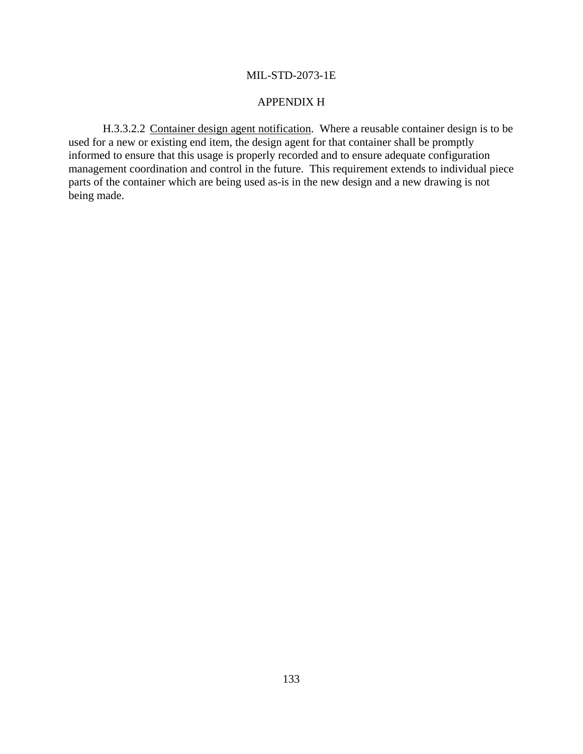#### APPENDIX H

 H.3.3.2.2 Container design agent notification. Where a reusable container design is to be used for a new or existing end item, the design agent for that container shall be promptly informed to ensure that this usage is properly recorded and to ensure adequate configuration management coordination and control in the future. This requirement extends to individual piece parts of the container which are being used as-is in the new design and a new drawing is not being made.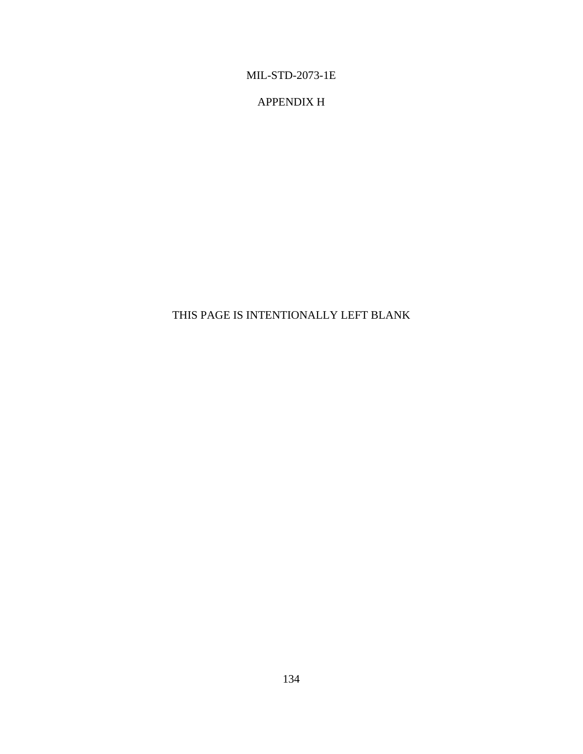## APPENDIX H

# THIS PAGE IS INTENTIONALLY LEFT BLANK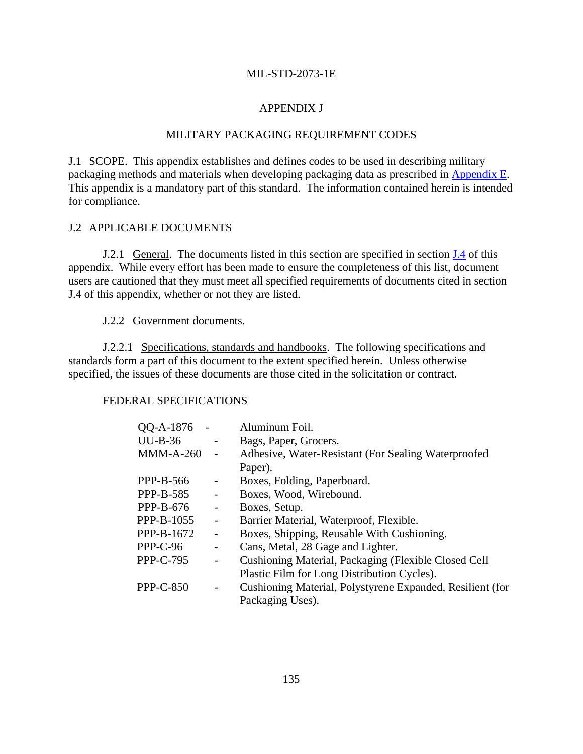#### APPENDIX J

#### MILITARY PACKAGING REQUIREMENT CODES

<span id="page-152-0"></span>J.1 SCOPE. This appendix establishes and defines codes to be used in describing military packaging methods and materials when developing packaging data as prescribed in [Appendix E](#page-116-0). This appendix is a mandatory part of this standard. The information contained herein is intended for compliance.

### J.2 APPLICABLE DOCUMENTS

 J.2.1 General. The documents listed in this section are specified in section [J.4](#page-158-0) of this appendix. While every effort has been made to ensure the completeness of this list, document users are cautioned that they must meet all specified requirements of documents cited in section J.4 of this appendix, whether or not they are listed.

J.2.2 Government documents.

 J.2.2.1 Specifications, standards and handbooks. The following specifications and standards form a part of this document to the extent specified herein. Unless otherwise specified, the issues of these documents are those cited in the solicitation or contract.

#### FEDERAL SPECIFICATIONS

| QQ-A-1876        |                          | Aluminum Foil.                                            |
|------------------|--------------------------|-----------------------------------------------------------|
| $UU-B-36$        | $\blacksquare$           | Bags, Paper, Grocers.                                     |
| $MMM-A-260$      | $\overline{\phantom{a}}$ | Adhesive, Water-Resistant (For Sealing Waterproofed       |
|                  |                          | Paper).                                                   |
| <b>PPP-B-566</b> | $\overline{\phantom{a}}$ | Boxes, Folding, Paperboard.                               |
| <b>PPP-B-585</b> | $\overline{\phantom{a}}$ | Boxes, Wood, Wirebound.                                   |
| PPP-B-676        | $\overline{\phantom{a}}$ | Boxes, Setup.                                             |
| PPP-B-1055       | $\blacksquare$           | Barrier Material, Waterproof, Flexible.                   |
| PPP-B-1672       | $\overline{\phantom{a}}$ | Boxes, Shipping, Reusable With Cushioning.                |
| $PPP-C-96$       | $\overline{\phantom{a}}$ | Cans, Metal, 28 Gage and Lighter.                         |
| <b>PPP-C-795</b> | $\overline{\phantom{a}}$ | Cushioning Material, Packaging (Flexible Closed Cell      |
|                  |                          | Plastic Film for Long Distribution Cycles).               |
| <b>PPP-C-850</b> | $\overline{\phantom{a}}$ | Cushioning Material, Polystyrene Expanded, Resilient (for |
|                  |                          | Packaging Uses).                                          |
|                  |                          |                                                           |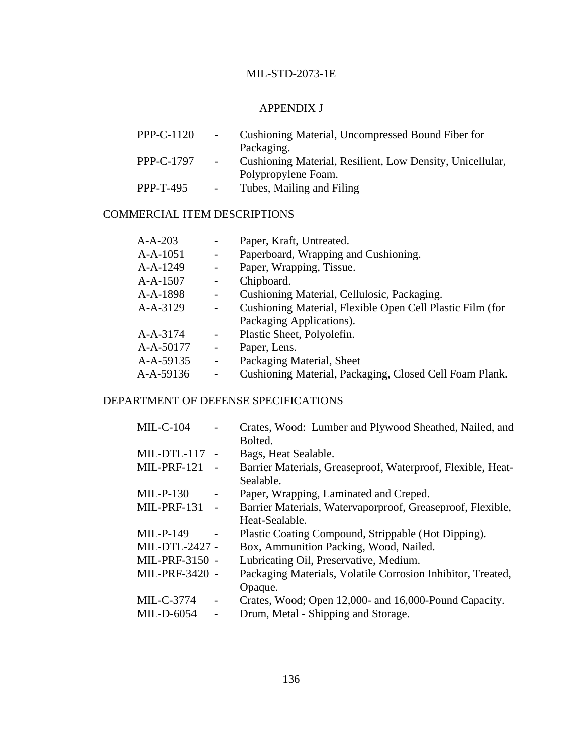## APPENDIX J

| Cushioning Material, Uncompressed Bound Fiber for         |
|-----------------------------------------------------------|
|                                                           |
| Cushioning Material, Resilient, Low Density, Unicellular, |
|                                                           |
|                                                           |
|                                                           |

## COMMERCIAL ITEM DESCRIPTIONS

| $A-A-203$  |                          | Paper, Kraft, Untreated.                                  |
|------------|--------------------------|-----------------------------------------------------------|
| $A-A-1051$ | $\overline{\phantom{a}}$ | Paperboard, Wrapping and Cushioning.                      |
| $A-A-1249$ | $\overline{\phantom{a}}$ | Paper, Wrapping, Tissue.                                  |
| $A-A-1507$ | $\overline{\phantom{a}}$ | Chipboard.                                                |
| A-A-1898   | $\overline{\phantom{a}}$ | Cushioning Material, Cellulosic, Packaging.               |
| A-A-3129   | $\overline{\phantom{a}}$ | Cushioning Material, Flexible Open Cell Plastic Film (for |
|            |                          | Packaging Applications).                                  |
| $A-A-3174$ | $\overline{\phantom{a}}$ | Plastic Sheet, Polyolefin.                                |
| A-A-50177  | $\overline{\phantom{0}}$ | Paper, Lens.                                              |
| A-A-59135  | $\overline{\phantom{a}}$ | Packaging Material, Sheet                                 |
| A-A-59136  | $\overline{\phantom{a}}$ | Cushioning Material, Packaging, Closed Cell Foam Plank.   |
|            |                          |                                                           |

## DEPARTMENT OF DEFENSE SPECIFICATIONS

| $MIL-C-104$           |                          | Crates, Wood: Lumber and Plywood Sheathed, Nailed, and<br>Bolted.        |
|-----------------------|--------------------------|--------------------------------------------------------------------------|
| MIL-DTL-117           |                          | Bags, Heat Sealable.                                                     |
| MIL-PRF-121           | $\overline{\phantom{a}}$ | Barrier Materials, Greaseproof, Waterproof, Flexible, Heat-<br>Sealable. |
| <b>MIL-P-130</b>      | $\overline{\phantom{a}}$ | Paper, Wrapping, Laminated and Creped.                                   |
| MIL-PRF-131           | $\blacksquare$           | Barrier Materials, Watervaporproof, Greaseproof, Flexible,               |
|                       |                          | Heat-Sealable.                                                           |
| <b>MIL-P-149</b>      | $\overline{a}$           | Plastic Coating Compound, Strippable (Hot Dipping).                      |
| <b>MIL-DTL-2427 -</b> |                          | Box, Ammunition Packing, Wood, Nailed.                                   |
| MIL-PRF-3150 -        |                          | Lubricating Oil, Preservative, Medium.                                   |
| MIL-PRF-3420 -        |                          | Packaging Materials, Volatile Corrosion Inhibitor, Treated,              |
|                       |                          | Opaque.                                                                  |
| MIL-C-3774            | $\overline{\phantom{a}}$ | Crates, Wood; Open 12,000- and 16,000-Pound Capacity.                    |
| MIL-D-6054            | $\qquad \qquad -$        | Drum, Metal - Shipping and Storage.                                      |
|                       |                          |                                                                          |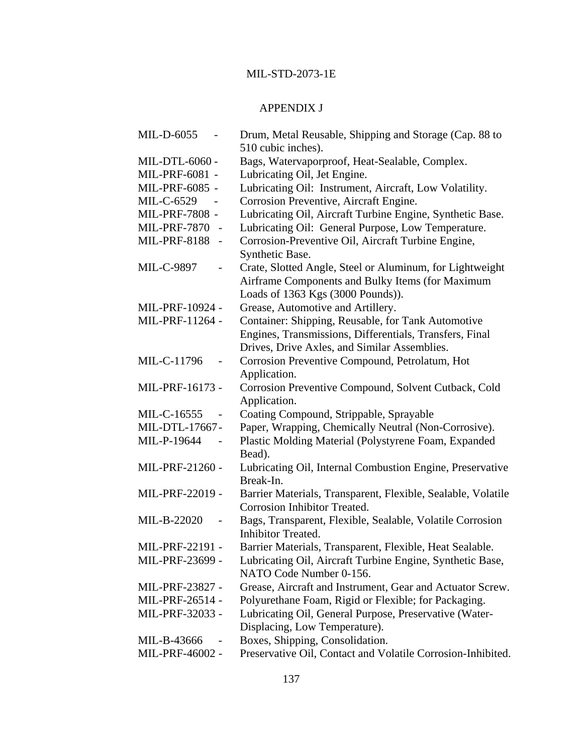## APPENDIX J

| MIL-D-6055      |                          | Drum, Metal Reusable, Shipping and Storage (Cap. 88 to<br>510 cubic inches). |
|-----------------|--------------------------|------------------------------------------------------------------------------|
| MIL-DTL-6060 -  |                          | Bags, Watervaporproof, Heat-Sealable, Complex.                               |
| MIL-PRF-6081 -  |                          | Lubricating Oil, Jet Engine.                                                 |
| MIL-PRF-6085 -  |                          | Lubricating Oil: Instrument, Aircraft, Low Volatility.                       |
| MIL-C-6529      |                          | Corrosion Preventive, Aircraft Engine.                                       |
|                 |                          |                                                                              |
| MIL-PRF-7808 -  |                          | Lubricating Oil, Aircraft Turbine Engine, Synthetic Base.                    |
| MIL-PRF-7870 -  |                          | Lubricating Oil: General Purpose, Low Temperature.                           |
| MIL-PRF-8188 -  |                          | Corrosion-Preventive Oil, Aircraft Turbine Engine,<br>Synthetic Base.        |
| MIL-C-9897      | $\overline{\phantom{a}}$ | Crate, Slotted Angle, Steel or Aluminum, for Lightweight                     |
|                 |                          | Airframe Components and Bulky Items (for Maximum                             |
|                 |                          | Loads of 1363 Kgs (3000 Pounds)).                                            |
| MIL-PRF-10924 - |                          | Grease, Automotive and Artillery.                                            |
| MIL-PRF-11264 - |                          | Container: Shipping, Reusable, for Tank Automotive                           |
|                 |                          | Engines, Transmissions, Differentials, Transfers, Final                      |
|                 |                          | Drives, Drive Axles, and Similar Assemblies.                                 |
| MIL-C-11796     | $\overline{\phantom{m}}$ | Corrosion Preventive Compound, Petrolatum, Hot                               |
|                 |                          | Application.                                                                 |
| MIL-PRF-16173 - |                          | Corrosion Preventive Compound, Solvent Cutback, Cold                         |
|                 |                          | Application.                                                                 |
| MIL-C-16555     | $\overline{\phantom{a}}$ | Coating Compound, Strippable, Sprayable                                      |
| MIL-DTL-17667-  |                          | Paper, Wrapping, Chemically Neutral (Non-Corrosive).                         |
| MIL-P-19644     |                          | Plastic Molding Material (Polystyrene Foam, Expanded                         |
|                 |                          | Bead).                                                                       |
| MIL-PRF-21260 - |                          | Lubricating Oil, Internal Combustion Engine, Preservative                    |
|                 |                          | Break-In.                                                                    |
| MIL-PRF-22019 - |                          | Barrier Materials, Transparent, Flexible, Sealable, Volatile                 |
|                 |                          | Corrosion Inhibitor Treated.                                                 |
| MIL-B-22020     | $\qquad \qquad -$        | Bags, Transparent, Flexible, Sealable, Volatile Corrosion                    |
|                 |                          | Inhibitor Treated.                                                           |
| MIL-PRF-22191 - |                          | Barrier Materials, Transparent, Flexible, Heat Sealable.                     |
| MIL-PRF-23699 - |                          | Lubricating Oil, Aircraft Turbine Engine, Synthetic Base,                    |
|                 |                          | NATO Code Number 0-156.                                                      |
| MIL-PRF-23827 - |                          | Grease, Aircraft and Instrument, Gear and Actuator Screw.                    |
| MIL-PRF-26514 - |                          | Polyurethane Foam, Rigid or Flexible; for Packaging.                         |
| MIL-PRF-32033 - |                          | Lubricating Oil, General Purpose, Preservative (Water-                       |
|                 |                          | Displacing, Low Temperature).                                                |
| MIL-B-43666     |                          | Boxes, Shipping, Consolidation.                                              |
| MIL-PRF-46002 - |                          | Preservative Oil, Contact and Volatile Corrosion-Inhibited.                  |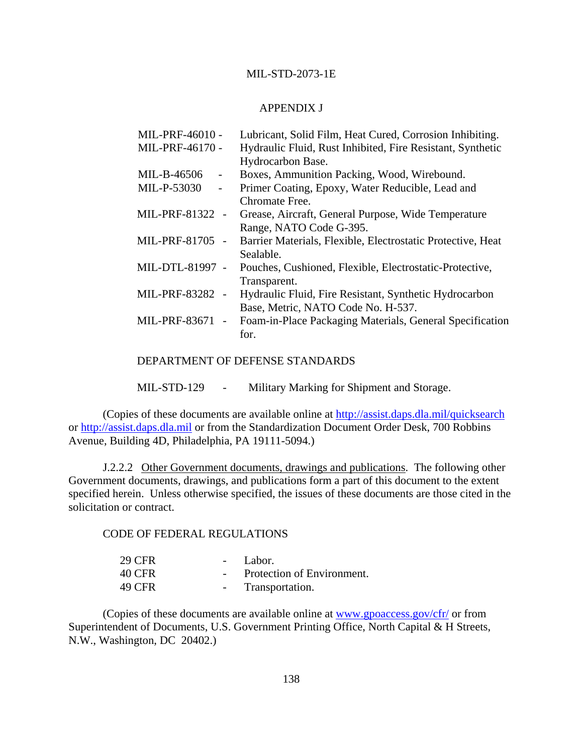#### APPENDIX J

| MIL-PRF-46010 -                         | Lubricant, Solid Film, Heat Cured, Corrosion Inhibiting.    |
|-----------------------------------------|-------------------------------------------------------------|
| MIL-PRF-46170 -                         | Hydraulic Fluid, Rust Inhibited, Fire Resistant, Synthetic  |
|                                         | Hydrocarbon Base.                                           |
| MIL-B-46506<br>$\overline{\phantom{a}}$ | Boxes, Ammunition Packing, Wood, Wirebound.                 |
| MIL-P-53030<br>$\blacksquare$           | Primer Coating, Epoxy, Water Reducible, Lead and            |
|                                         | Chromate Free.                                              |
| MIL-PRF-81322                           | Grease, Aircraft, General Purpose, Wide Temperature         |
|                                         | Range, NATO Code G-395.                                     |
| MIL-PRF-81705                           | Barrier Materials, Flexible, Electrostatic Protective, Heat |
|                                         | Sealable.                                                   |
| MIL-DTL-81997 -                         | Pouches, Cushioned, Flexible, Electrostatic-Protective,     |
|                                         | Transparent.                                                |
| <b>MIL-PRF-83282</b>                    | Hydraulic Fluid, Fire Resistant, Synthetic Hydrocarbon      |
|                                         | Base, Metric, NATO Code No. H-537.                          |
| MIL-PRF-83671                           | Foam-in-Place Packaging Materials, General Specification    |
|                                         | for.                                                        |
|                                         |                                                             |

DEPARTMENT OF DEFENSE STANDARDS

MIL-STD-129 - Military Marking for Shipment and Storage.

(Copies of these documents are available online at <http://assist.daps.dla.mil/quicksearch> or [http://assist.daps.dla.mil](http://assist.daps.dla.mil/) or from the Standardization Document Order Desk, 700 Robbins Avenue, Building 4D, Philadelphia, PA 19111-5094.)

 J.2.2.2 Other Government documents, drawings and publications. The following other Government documents, drawings, and publications form a part of this document to the extent specified herein. Unless otherwise specified, the issues of these documents are those cited in the solicitation or contract.

CODE OF FEDERAL REGULATIONS

| <b>29 CFR</b> | $-L$ abor.                   |
|---------------|------------------------------|
| 40 CFR        | - Protection of Environment. |
| 49 CFR        | Transportation.              |

 (Copies of these documents are available online at [www.gpoaccess.gov/cfr/](http://www.gpoaccess.gov/cfr/) or from Superintendent of Documents, U.S. Government Printing Office, North Capital & H Streets, N.W., Washington, DC 20402.)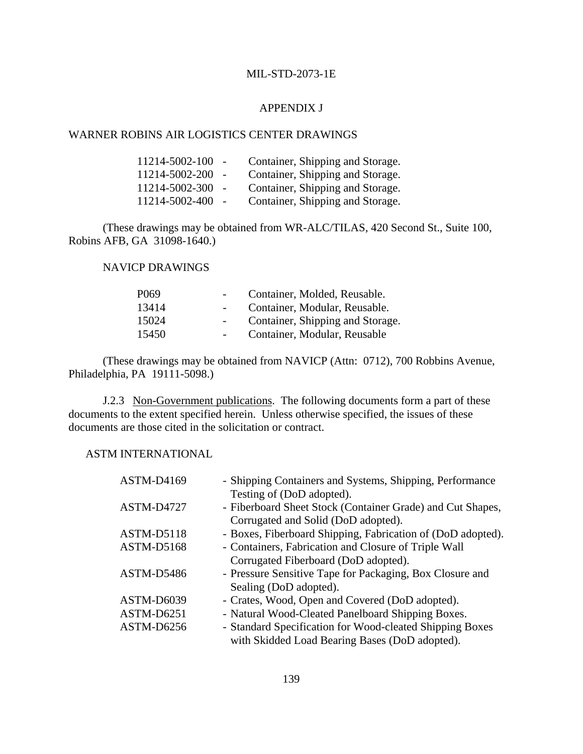#### APPENDIX J

#### WARNER ROBINS AIR LOGISTICS CENTER DRAWINGS

| $11214 - 5002 - 100$ - | Container, Shipping and Storage. |
|------------------------|----------------------------------|
| 11214-5002-200 -       | Container, Shipping and Storage. |
| $11214 - 5002 - 300$ - | Container, Shipping and Storage. |
| $11214 - 5002 - 400$ - | Container, Shipping and Storage. |

 (These drawings may be obtained from WR-ALC/TILAS, 420 Second St., Suite 100, Robins AFB, GA 31098-1640.)

### NAVICP DRAWINGS

|                  | Container, Molded, Reusable.     |
|------------------|----------------------------------|
|                  | Container, Modular, Reusable.    |
| $\sim$ 100 $\mu$ | Container, Shipping and Storage. |
|                  | Container, Modular, Reusable     |
|                  |                                  |

 (These drawings may be obtained from NAVICP (Attn: 0712), 700 Robbins Avenue, Philadelphia, PA 19111-5098.)

 J.2.3 Non-Government publications. The following documents form a part of these documents to the extent specified herein. Unless otherwise specified, the issues of these documents are those cited in the solicitation or contract.

#### ASTM INTERNATIONAL

| ASTM-D4169 | - Shipping Containers and Systems, Shipping, Performance    |
|------------|-------------------------------------------------------------|
|            | Testing of (DoD adopted).                                   |
| ASTM-D4727 | - Fiberboard Sheet Stock (Container Grade) and Cut Shapes,  |
|            | Corrugated and Solid (DoD adopted).                         |
| ASTM-D5118 | - Boxes, Fiberboard Shipping, Fabrication of (DoD adopted). |
| ASTM-D5168 | - Containers, Fabrication and Closure of Triple Wall        |
|            | Corrugated Fiberboard (DoD adopted).                        |
| ASTM-D5486 | - Pressure Sensitive Tape for Packaging, Box Closure and    |
|            | Sealing (DoD adopted).                                      |
| ASTM-D6039 | - Crates, Wood, Open and Covered (DoD adopted).             |
| ASTM-D6251 | - Natural Wood-Cleated Panelboard Shipping Boxes.           |
| ASTM-D6256 | - Standard Specification for Wood-cleated Shipping Boxes    |
|            | with Skidded Load Bearing Bases (DoD adopted).              |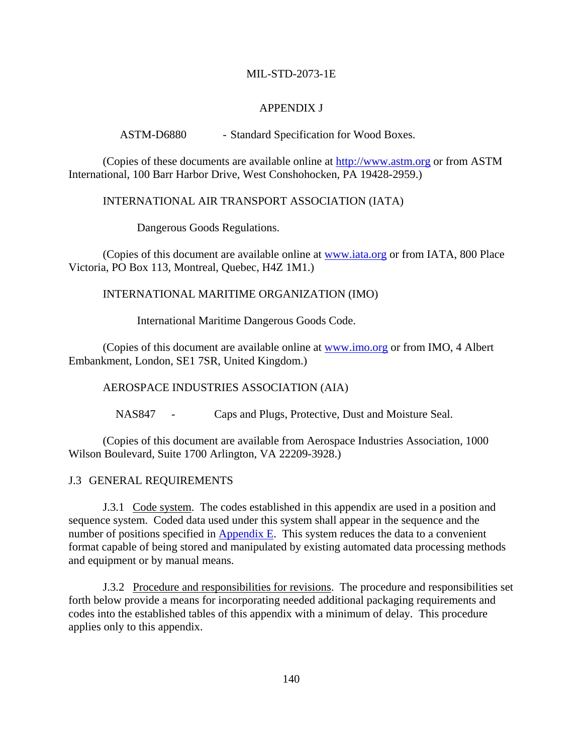#### APPENDIX J

#### ASTM-D6880 - Standard Specification for Wood Boxes.

 (Copies of these documents are available online at [http://www.astm.org](http://www.astm.org/) or from ASTM International, 100 Barr Harbor Drive, West Conshohocken, PA 19428-2959.)

#### INTERNATIONAL AIR TRANSPORT ASSOCIATION (IATA)

Dangerous Goods Regulations.

 (Copies of this document are available online at [www.iata.org](http://www.iata.org/) or from IATA, 800 Place Victoria, PO Box 113, Montreal, Quebec, H4Z 1M1.)

#### INTERNATIONAL MARITIME ORGANIZATION (IMO)

International Maritime Dangerous Goods Code.

 (Copies of this document are available online at [www.imo.org](http://www.imo.org/) or from IMO, 4 Albert Embankment, London, SE1 7SR, United Kingdom.)

#### AEROSPACE INDUSTRIES ASSOCIATION (AIA)

NAS847 - Caps and Plugs, Protective, Dust and Moisture Seal.

 (Copies of this document are available from Aerospace Industries Association, 1000 Wilson Boulevard, Suite 1700 Arlington, VA 22209-3928.)

### J.3 GENERAL REQUIREMENTS

 J.3.1 Code system. The codes established in this appendix are used in a position and sequence system. Coded data used under this system shall appear in the sequence and the number of positions specified in  $\Delta$ ppendix E. This system reduces the data to a convenient format capable of being stored and manipulated by existing automated data processing methods and equipment or by manual means.

 J.3.2 Procedure and responsibilities for revisions. The procedure and responsibilities set forth below provide a means for incorporating needed additional packaging requirements and codes into the established tables of this appendix with a minimum of delay. This procedure applies only to this appendix.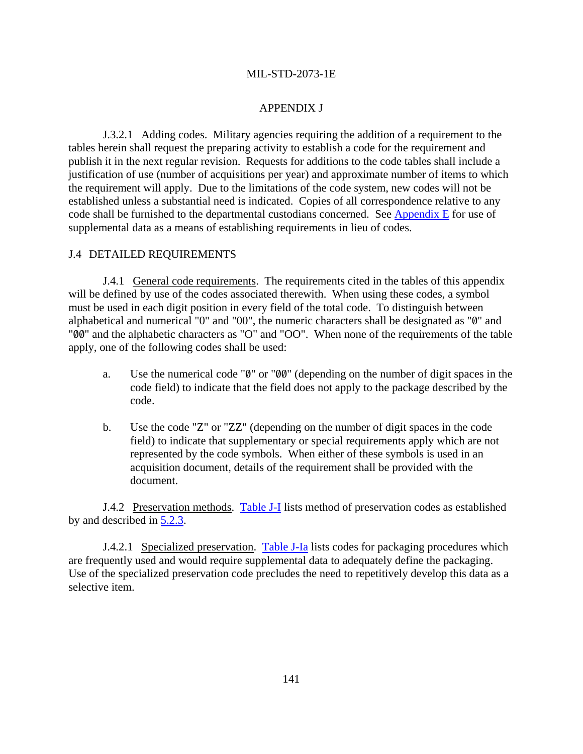#### APPENDIX J

<span id="page-158-0"></span> J.3.2.1 Adding codes. Military agencies requiring the addition of a requirement to the tables herein shall request the preparing activity to establish a code for the requirement and publish it in the next regular revision. Requests for additions to the code tables shall include a justification of use (number of acquisitions per year) and approximate number of items to which the requirement will apply. Due to the limitations of the code system, new codes will not be established unless a substantial need is indicated. Copies of all correspondence relative to any code shall be furnished to the departmental custodians concerned. See [Appendix E](#page-116-0) for use of supplemental data as a means of establishing requirements in lieu of codes.

#### J.4 DETAILED REQUIREMENTS

 J.4.1 General code requirements. The requirements cited in the tables of this appendix will be defined by use of the codes associated therewith. When using these codes, a symbol must be used in each digit position in every field of the total code. To distinguish between alphabetical and numerical "0" and "00", the numeric characters shall be designated as " $\theta$ " and "00" and the alphabetic characters as "O" and "OO". When none of the requirements of the table apply, one of the following codes shall be used:

- a. Use the numerical code " $\emptyset$ " or " $\emptyset\emptyset$ " (depending on the number of digit spaces in the code field) to indicate that the field does not apply to the package described by the code.
- b. Use the code "Z" or "ZZ" (depending on the number of digit spaces in the code field) to indicate that supplementary or special requirements apply which are not represented by the code symbols. When either of these symbols is used in an acquisition document, details of the requirement shall be provided with the document.

J.4.2 Preservation methods. [Table J-I](#page-161-0) lists method of preservation codes as established by and described in [5.2.3.](#page-30-0)

J.4.2.1 Specialized preservation. [Table J-Ia](#page-162-0) lists codes for packaging procedures which are frequently used and would require supplemental data to adequately define the packaging. Use of the specialized preservation code precludes the need to repetitively develop this data as a selective item.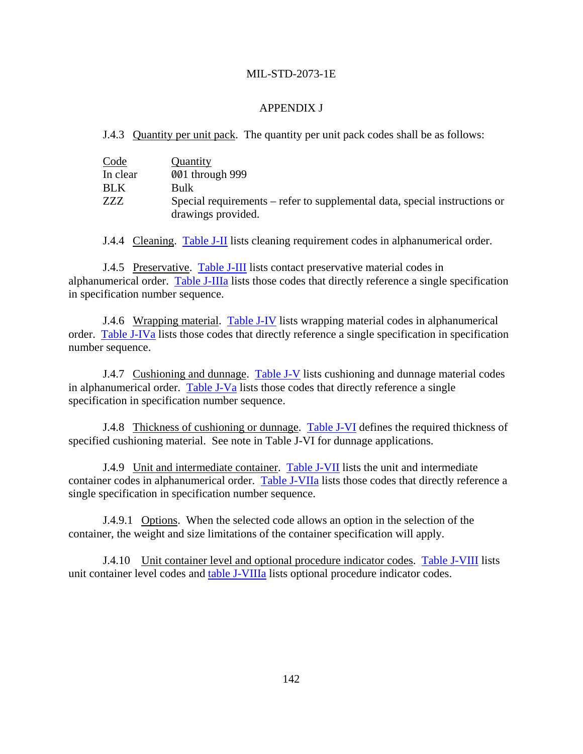#### APPENDIX J

J.4.3 Quantity per unit pack. The quantity per unit pack codes shall be as follows:

| Code     | Quantity                                                                   |
|----------|----------------------------------------------------------------------------|
| In clear | 001 through 999                                                            |
| BL K     | Bulk                                                                       |
| 777.     | Special requirements – refer to supplemental data, special instructions or |
|          | drawings provided.                                                         |

J.4.4 Cleaning. [Table J-II](#page-168-0) lists cleaning requirement codes in alphanumerical order.

 J.4.5 Preservative. [Table J-III](#page-169-0) lists contact preservative material codes in alphanumerical order. [Table J-IIIa](#page-171-0) lists those codes that directly reference a single specification in specification number sequence.

 J.4.6 Wrapping material. [Table J-IV](#page-173-0) lists wrapping material codes in alphanumerical order. [Table J-IVa](#page-174-0) lists those codes that directly reference a single specification in specification number sequence.

 J.4.7 Cushioning and dunnage. [Table J-V](#page-175-0) lists cushioning and dunnage material codes in alphanumerical order. Table  $J-Va$  lists those codes that directly reference a single specification in specification number sequence.

J.4.8 Thickness of cushioning or dunnage. [Table J-VI](#page-178-0) defines the required thickness of specified cushioning material. See note in Table J-VI for dunnage applications.

 J.4.9 Unit and intermediate container. [Table J-VII](#page-179-0) lists the unit and intermediate container codes in alphanumerical order. [Table J-VIIa](#page-183-0) lists those codes that directly reference a single specification in specification number sequence.

 J.4.9.1 Options. When the selected code allows an option in the selection of the container, the weight and size limitations of the container specification will apply.

 J.4.10 Unit container level and optional procedure indicator codes. [Table J-VIII](#page-186-0) lists unit container level codes and [table J-VIIIa](#page-187-0) lists optional procedure indicator codes.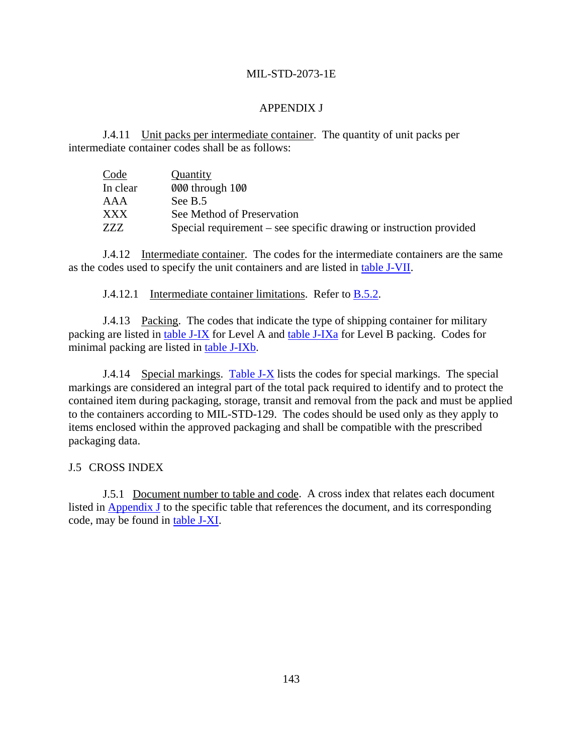### APPENDIX J

 J.4.11 Unit packs per intermediate container. The quantity of unit packs per intermediate container codes shall be as follows:

| Code       | Quantity                                                           |
|------------|--------------------------------------------------------------------|
| In clear   | 000 through 100                                                    |
| AAA        | See B.5                                                            |
| <b>XXX</b> | See Method of Preservation                                         |
| 777.       | Special requirement – see specific drawing or instruction provided |

 J.4.12 Intermediate container. The codes for the intermediate containers are the same as the codes used to specify the unit containers and are listed in [table J-VII](#page-179-0).

J.4.12.1 Intermediate container limitations. Refer to [B.5.2](#page-85-0).

 J.4.13 Packing. The codes that indicate the type of shipping container for military packing are listed in [table J-IX](#page-188-0) for Level A and [table J-IXa](#page-189-0) for Level B packing. Codes for minimal packing are listed in [table J-IXb.](#page-190-0)

 J.4.14 Special markings. [Table J-X](#page-192-0) lists the codes for special markings. The special markings are considered an integral part of the total pack required to identify and to protect the contained item during packaging, storage, transit and removal from the pack and must be applied to the containers according to MIL-STD-129. The codes should be used only as they apply to items enclosed within the approved packaging and shall be compatible with the prescribed packaging data.

#### J.5 CROSS INDEX

 J.5.1 Document number to table and code. A cross index that relates each document listed in [Appendix J](#page-152-0) to the specific table that references the document, and its corresponding code, may be found in [table J-XI.](#page-193-0)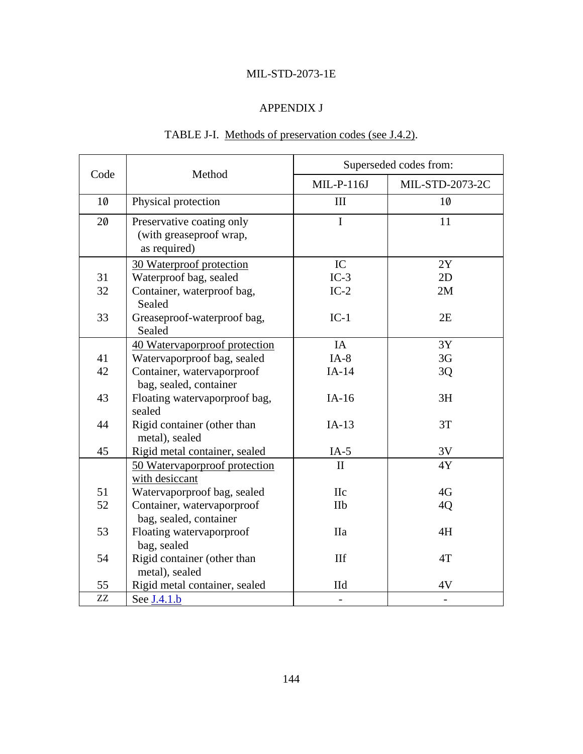# APPENDIX J

# TABLE J-I. Methods of preservation codes (see J.4.2).

<span id="page-161-0"></span>

|          | Method                                                                                     | Superseded codes from: |                 |
|----------|--------------------------------------------------------------------------------------------|------------------------|-----------------|
| Code     |                                                                                            | $MIL-P-116J$           | MIL-STD-2073-2C |
| 10       | Physical protection                                                                        | III                    | 10              |
| 20       | Preservative coating only<br>(with greaseproof wrap,<br>as required)                       | I                      | 11              |
| 31<br>32 | 30 Waterproof protection<br>Waterproof bag, sealed<br>Container, waterproof bag,<br>Sealed | IC<br>$IC-3$<br>$IC-2$ | 2Y<br>2D<br>2M  |
| 33       | Greaseproof-waterproof bag,<br>Sealed                                                      | $IC-1$                 | 2E              |
|          | 40 Watervaporproof protection                                                              | IA                     | 3Y              |
| 41       | Watervaporproof bag, sealed                                                                | $IA-8$                 | 3G              |
| 42       | Container, watervaporproof<br>bag, sealed, container                                       | $IA-14$                | 3Q              |
| 43       | Floating watervaporproof bag,<br>sealed                                                    | $IA-16$                | 3H              |
| 44       | Rigid container (other than<br>metal), sealed                                              | $IA-13$                | 3T              |
| 45       | Rigid metal container, sealed                                                              | $IA-5$                 | 3V              |
|          | 50 Watervaporproof protection<br>with desiccant                                            | $\mathbf{I}$           | 4Y              |
| 51       | Watervaporproof bag, sealed                                                                | <b>IIc</b>             | 4G              |
| 52       | Container, watervaporproof<br>bag, sealed, container                                       | IIb                    | 4Q              |
| 53       | Floating watervaporproof<br>bag, sealed                                                    | <b>IIa</b>             | 4H              |
| 54       | Rigid container (other than<br>metal), sealed                                              | <b>IIf</b>             | 4T              |
| 55       | Rigid metal container, sealed                                                              | IId                    | 4V              |
| ZZ       | See J.4.1.b                                                                                |                        |                 |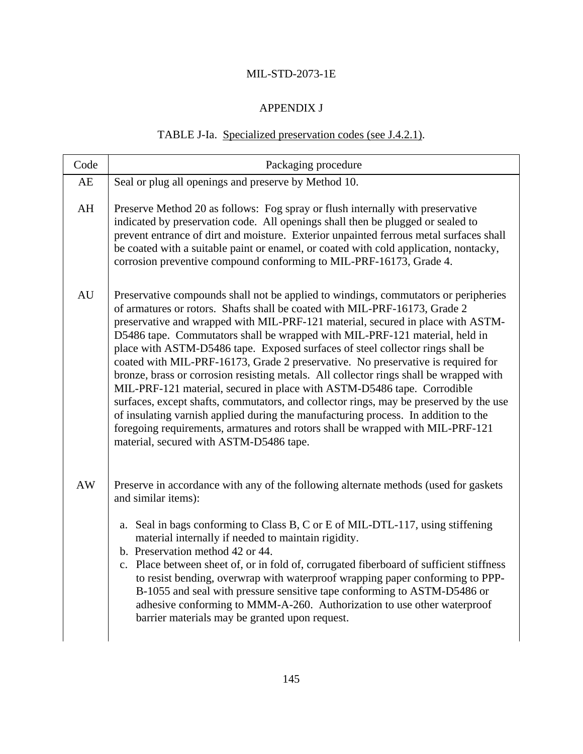# APPENDIX J

<span id="page-162-0"></span>

| Code      | Packaging procedure                                                                                                                                                                                                                                                                                                                                                                                                                                                                                                                                                                                                                                                                                                                                                                                                                                                                                                                                                                         |
|-----------|---------------------------------------------------------------------------------------------------------------------------------------------------------------------------------------------------------------------------------------------------------------------------------------------------------------------------------------------------------------------------------------------------------------------------------------------------------------------------------------------------------------------------------------------------------------------------------------------------------------------------------------------------------------------------------------------------------------------------------------------------------------------------------------------------------------------------------------------------------------------------------------------------------------------------------------------------------------------------------------------|
| AE        | Seal or plug all openings and preserve by Method 10.                                                                                                                                                                                                                                                                                                                                                                                                                                                                                                                                                                                                                                                                                                                                                                                                                                                                                                                                        |
| AH        | Preserve Method 20 as follows: Fog spray or flush internally with preservative<br>indicated by preservation code. All openings shall then be plugged or sealed to<br>prevent entrance of dirt and moisture. Exterior unpainted ferrous metal surfaces shall<br>be coated with a suitable paint or enamel, or coated with cold application, nontacky,<br>corrosion preventive compound conforming to MIL-PRF-16173, Grade 4.                                                                                                                                                                                                                                                                                                                                                                                                                                                                                                                                                                 |
| AU        | Preservative compounds shall not be applied to windings, commutators or peripheries<br>of armatures or rotors. Shafts shall be coated with MIL-PRF-16173, Grade 2<br>preservative and wrapped with MIL-PRF-121 material, secured in place with ASTM-<br>D5486 tape. Commutators shall be wrapped with MIL-PRF-121 material, held in<br>place with ASTM-D5486 tape. Exposed surfaces of steel collector rings shall be<br>coated with MIL-PRF-16173, Grade 2 preservative. No preservative is required for<br>bronze, brass or corrosion resisting metals. All collector rings shall be wrapped with<br>MIL-PRF-121 material, secured in place with ASTM-D5486 tape. Corrodible<br>surfaces, except shafts, commutators, and collector rings, may be preserved by the use<br>of insulating varnish applied during the manufacturing process. In addition to the<br>foregoing requirements, armatures and rotors shall be wrapped with MIL-PRF-121<br>material, secured with ASTM-D5486 tape. |
| <b>AW</b> | Preserve in accordance with any of the following alternate methods (used for gaskets<br>and similar items):<br>a. Seal in bags conforming to Class B, C or E of MIL-DTL-117, using stiffening<br>material internally if needed to maintain rigidity.<br>b. Preservation method 42 or 44.<br>c. Place between sheet of, or in fold of, corrugated fiberboard of sufficient stiffness<br>to resist bending, overwrap with waterproof wrapping paper conforming to PPP-<br>B-1055 and seal with pressure sensitive tape conforming to ASTM-D5486 or<br>adhesive conforming to MMM-A-260. Authorization to use other waterproof<br>barrier materials may be granted upon request.                                                                                                                                                                                                                                                                                                               |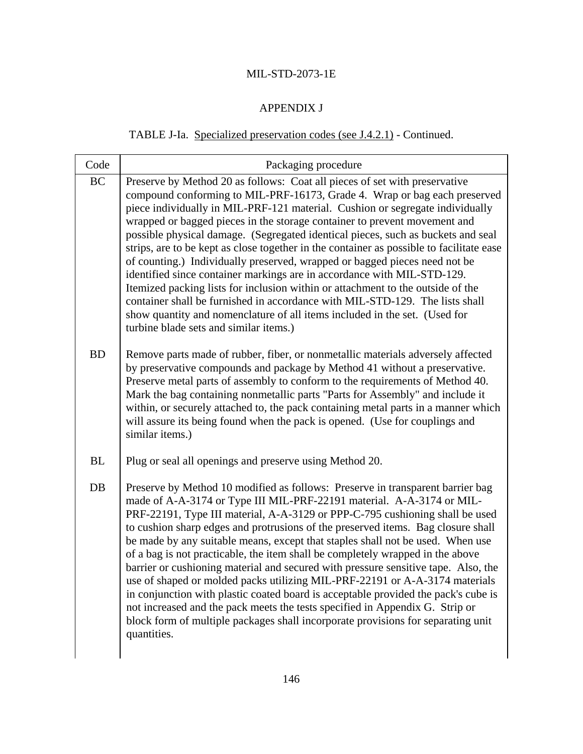# APPENDIX J

| Code      | Packaging procedure                                                                                                                                                                                                                                                                                                                                                                                                                                                                                                                                                                                                                                                                                                                                                                                                                                                                                                                                       |
|-----------|-----------------------------------------------------------------------------------------------------------------------------------------------------------------------------------------------------------------------------------------------------------------------------------------------------------------------------------------------------------------------------------------------------------------------------------------------------------------------------------------------------------------------------------------------------------------------------------------------------------------------------------------------------------------------------------------------------------------------------------------------------------------------------------------------------------------------------------------------------------------------------------------------------------------------------------------------------------|
| <b>BC</b> | Preserve by Method 20 as follows: Coat all pieces of set with preservative<br>compound conforming to MIL-PRF-16173, Grade 4. Wrap or bag each preserved<br>piece individually in MIL-PRF-121 material. Cushion or segregate individually<br>wrapped or bagged pieces in the storage container to prevent movement and<br>possible physical damage. (Segregated identical pieces, such as buckets and seal<br>strips, are to be kept as close together in the container as possible to facilitate ease<br>of counting.) Individually preserved, wrapped or bagged pieces need not be<br>identified since container markings are in accordance with MIL-STD-129.<br>Itemized packing lists for inclusion within or attachment to the outside of the<br>container shall be furnished in accordance with MIL-STD-129. The lists shall<br>show quantity and nomenclature of all items included in the set. (Used for<br>turbine blade sets and similar items.) |
| <b>BD</b> | Remove parts made of rubber, fiber, or nonmetallic materials adversely affected<br>by preservative compounds and package by Method 41 without a preservative.<br>Preserve metal parts of assembly to conform to the requirements of Method 40.<br>Mark the bag containing nonmetallic parts "Parts for Assembly" and include it<br>within, or securely attached to, the pack containing metal parts in a manner which<br>will assure its being found when the pack is opened. (Use for couplings and<br>similar items.)                                                                                                                                                                                                                                                                                                                                                                                                                                   |
| <b>BL</b> | Plug or seal all openings and preserve using Method 20.                                                                                                                                                                                                                                                                                                                                                                                                                                                                                                                                                                                                                                                                                                                                                                                                                                                                                                   |
| DB        | Preserve by Method 10 modified as follows: Preserve in transparent barrier bag<br>made of A-A-3174 or Type III MIL-PRF-22191 material. A-A-3174 or MIL-<br>PRF-22191, Type III material, A-A-3129 or PPP-C-795 cushioning shall be used<br>to cushion sharp edges and protrusions of the preserved items. Bag closure shall<br>be made by any suitable means, except that staples shall not be used. When use<br>of a bag is not practicable, the item shall be completely wrapped in the above<br>barrier or cushioning material and secured with pressure sensitive tape. Also, the<br>use of shaped or molded packs utilizing MIL-PRF-22191 or A-A-3174 materials<br>in conjunction with plastic coated board is acceptable provided the pack's cube is<br>not increased and the pack meets the tests specified in Appendix G. Strip or<br>block form of multiple packages shall incorporate provisions for separating unit<br>quantities.             |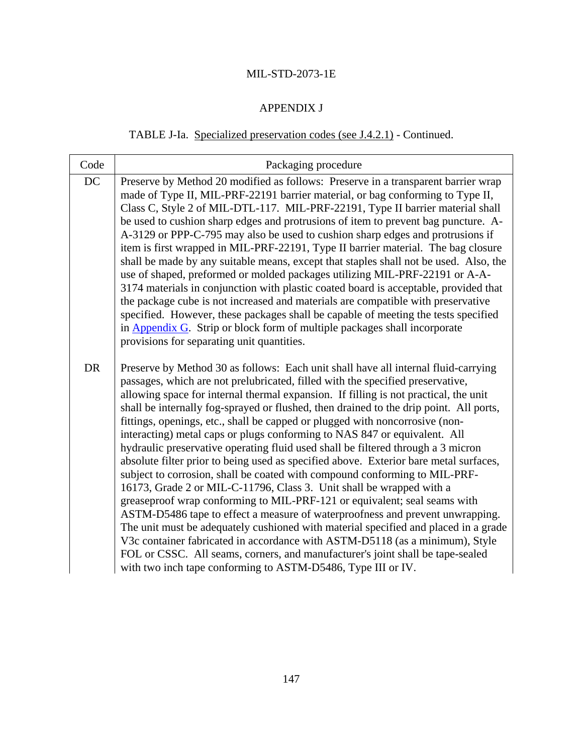# APPENDIX J

| Code      | Packaging procedure                                                                                                                                                                                                                                                                                                                                                                                                                                                                                                                                                                                                                                                                                                                                                                                                                                                                                                                                                                                                                                                                                                                                                                                                                                                                                                                           |
|-----------|-----------------------------------------------------------------------------------------------------------------------------------------------------------------------------------------------------------------------------------------------------------------------------------------------------------------------------------------------------------------------------------------------------------------------------------------------------------------------------------------------------------------------------------------------------------------------------------------------------------------------------------------------------------------------------------------------------------------------------------------------------------------------------------------------------------------------------------------------------------------------------------------------------------------------------------------------------------------------------------------------------------------------------------------------------------------------------------------------------------------------------------------------------------------------------------------------------------------------------------------------------------------------------------------------------------------------------------------------|
| DC        | Preserve by Method 20 modified as follows: Preserve in a transparent barrier wrap<br>made of Type II, MIL-PRF-22191 barrier material, or bag conforming to Type II,<br>Class C, Style 2 of MIL-DTL-117. MIL-PRF-22191, Type II barrier material shall<br>be used to cushion sharp edges and protrusions of item to prevent bag puncture. A-<br>A-3129 or PPP-C-795 may also be used to cushion sharp edges and protrusions if<br>item is first wrapped in MIL-PRF-22191, Type II barrier material. The bag closure<br>shall be made by any suitable means, except that staples shall not be used. Also, the<br>use of shaped, preformed or molded packages utilizing MIL-PRF-22191 or A-A-<br>3174 materials in conjunction with plastic coated board is acceptable, provided that<br>the package cube is not increased and materials are compatible with preservative<br>specified. However, these packages shall be capable of meeting the tests specified<br>in Appendix G. Strip or block form of multiple packages shall incorporate<br>provisions for separating unit quantities.                                                                                                                                                                                                                                                       |
| <b>DR</b> | Preserve by Method 30 as follows: Each unit shall have all internal fluid-carrying<br>passages, which are not prelubricated, filled with the specified preservative,<br>allowing space for internal thermal expansion. If filling is not practical, the unit<br>shall be internally fog-sprayed or flushed, then drained to the drip point. All ports,<br>fittings, openings, etc., shall be capped or plugged with noncorrosive (non-<br>interacting) metal caps or plugs conforming to NAS 847 or equivalent. All<br>hydraulic preservative operating fluid used shall be filtered through a 3 micron<br>absolute filter prior to being used as specified above. Exterior bare metal surfaces,<br>subject to corrosion, shall be coated with compound conforming to MIL-PRF-<br>16173, Grade 2 or MIL-C-11796, Class 3. Unit shall be wrapped with a<br>greaseproof wrap conforming to MIL-PRF-121 or equivalent; seal seams with<br>ASTM-D5486 tape to effect a measure of waterproofness and prevent unwrapping.<br>The unit must be adequately cushioned with material specified and placed in a grade<br>V3c container fabricated in accordance with ASTM-D5118 (as a minimum), Style<br>FOL or CSSC. All seams, corners, and manufacturer's joint shall be tape-sealed<br>with two inch tape conforming to ASTM-D5486, Type III or IV. |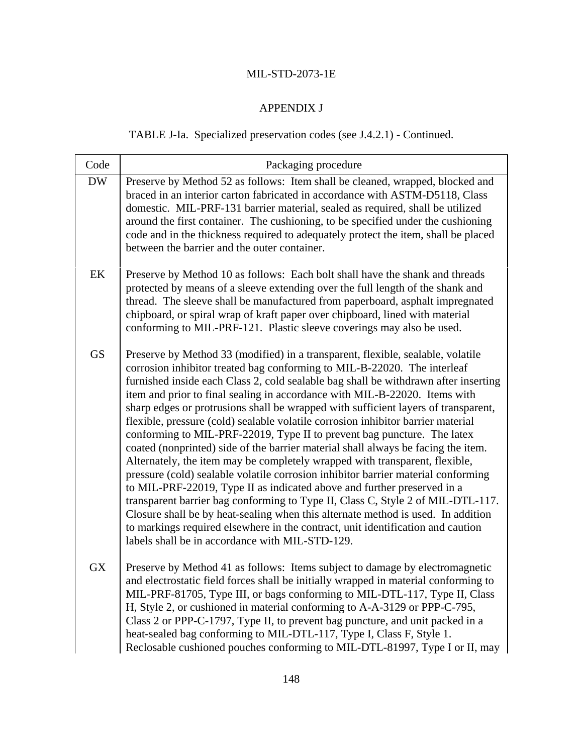# APPENDIX J

| Code      | Packaging procedure                                                                                                                                                                                                                                                                                                                                                                                                                                                                                                                                                                                                                                                                                                                                                                                                                                                                                                                                                                                                                                                                                                                                                                                                                    |
|-----------|----------------------------------------------------------------------------------------------------------------------------------------------------------------------------------------------------------------------------------------------------------------------------------------------------------------------------------------------------------------------------------------------------------------------------------------------------------------------------------------------------------------------------------------------------------------------------------------------------------------------------------------------------------------------------------------------------------------------------------------------------------------------------------------------------------------------------------------------------------------------------------------------------------------------------------------------------------------------------------------------------------------------------------------------------------------------------------------------------------------------------------------------------------------------------------------------------------------------------------------|
| <b>DW</b> | Preserve by Method 52 as follows: Item shall be cleaned, wrapped, blocked and<br>braced in an interior carton fabricated in accordance with ASTM-D5118, Class<br>domestic. MIL-PRF-131 barrier material, sealed as required, shall be utilized<br>around the first container. The cushioning, to be specified under the cushioning<br>code and in the thickness required to adequately protect the item, shall be placed<br>between the barrier and the outer container.                                                                                                                                                                                                                                                                                                                                                                                                                                                                                                                                                                                                                                                                                                                                                               |
| EK        | Preserve by Method 10 as follows: Each bolt shall have the shank and threads<br>protected by means of a sleeve extending over the full length of the shank and<br>thread. The sleeve shall be manufactured from paperboard, asphalt impregnated<br>chipboard, or spiral wrap of kraft paper over chipboard, lined with material<br>conforming to MIL-PRF-121. Plastic sleeve coverings may also be used.                                                                                                                                                                                                                                                                                                                                                                                                                                                                                                                                                                                                                                                                                                                                                                                                                               |
| <b>GS</b> | Preserve by Method 33 (modified) in a transparent, flexible, sealable, volatile<br>corrosion inhibitor treated bag conforming to MIL-B-22020. The interleaf<br>furnished inside each Class 2, cold sealable bag shall be withdrawn after inserting<br>item and prior to final sealing in accordance with MIL-B-22020. Items with<br>sharp edges or protrusions shall be wrapped with sufficient layers of transparent,<br>flexible, pressure (cold) sealable volatile corrosion inhibitor barrier material<br>conforming to MIL-PRF-22019, Type II to prevent bag puncture. The latex<br>coated (nonprinted) side of the barrier material shall always be facing the item.<br>Alternately, the item may be completely wrapped with transparent, flexible,<br>pressure (cold) sealable volatile corrosion inhibitor barrier material conforming<br>to MIL-PRF-22019, Type II as indicated above and further preserved in a<br>transparent barrier bag conforming to Type II, Class C, Style 2 of MIL-DTL-117.<br>Closure shall be by heat-sealing when this alternate method is used. In addition<br>to markings required elsewhere in the contract, unit identification and caution<br>labels shall be in accordance with MIL-STD-129. |
| <b>GX</b> | Preserve by Method 41 as follows: Items subject to damage by electromagnetic<br>and electrostatic field forces shall be initially wrapped in material conforming to<br>MIL-PRF-81705, Type III, or bags conforming to MIL-DTL-117, Type II, Class<br>H, Style 2, or cushioned in material conforming to A-A-3129 or PPP-C-795,<br>Class 2 or PPP-C-1797, Type II, to prevent bag puncture, and unit packed in a<br>heat-sealed bag conforming to MIL-DTL-117, Type I, Class F, Style 1.<br>Reclosable cushioned pouches conforming to MIL-DTL-81997, Type I or II, may                                                                                                                                                                                                                                                                                                                                                                                                                                                                                                                                                                                                                                                                 |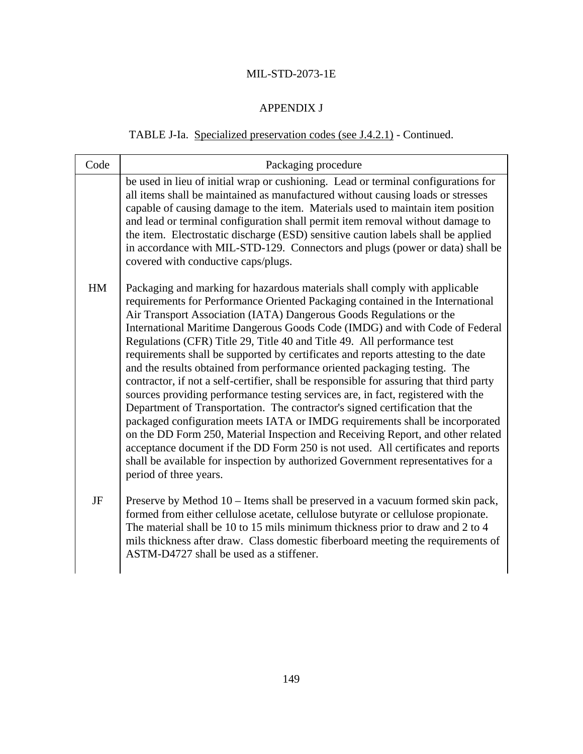# APPENDIX J

| Code | Packaging procedure                                                                                                                                                                                                                                                                                                                                                                                                                                                                                                                                                                                                                                                                                                                                                                                                                                                                                                                                                                                                                                                                                                                                                                                 |
|------|-----------------------------------------------------------------------------------------------------------------------------------------------------------------------------------------------------------------------------------------------------------------------------------------------------------------------------------------------------------------------------------------------------------------------------------------------------------------------------------------------------------------------------------------------------------------------------------------------------------------------------------------------------------------------------------------------------------------------------------------------------------------------------------------------------------------------------------------------------------------------------------------------------------------------------------------------------------------------------------------------------------------------------------------------------------------------------------------------------------------------------------------------------------------------------------------------------|
|      | be used in lieu of initial wrap or cushioning. Lead or terminal configurations for<br>all items shall be maintained as manufactured without causing loads or stresses<br>capable of causing damage to the item. Materials used to maintain item position<br>and lead or terminal configuration shall permit item removal without damage to<br>the item. Electrostatic discharge (ESD) sensitive caution labels shall be applied<br>in accordance with MIL-STD-129. Connectors and plugs (power or data) shall be<br>covered with conductive caps/plugs.                                                                                                                                                                                                                                                                                                                                                                                                                                                                                                                                                                                                                                             |
| HM   | Packaging and marking for hazardous materials shall comply with applicable<br>requirements for Performance Oriented Packaging contained in the International<br>Air Transport Association (IATA) Dangerous Goods Regulations or the<br>International Maritime Dangerous Goods Code (IMDG) and with Code of Federal<br>Regulations (CFR) Title 29, Title 40 and Title 49. All performance test<br>requirements shall be supported by certificates and reports attesting to the date<br>and the results obtained from performance oriented packaging testing. The<br>contractor, if not a self-certifier, shall be responsible for assuring that third party<br>sources providing performance testing services are, in fact, registered with the<br>Department of Transportation. The contractor's signed certification that the<br>packaged configuration meets IATA or IMDG requirements shall be incorporated<br>on the DD Form 250, Material Inspection and Receiving Report, and other related<br>acceptance document if the DD Form 250 is not used. All certificates and reports<br>shall be available for inspection by authorized Government representatives for a<br>period of three years. |
| JF   | Preserve by Method 10 – Items shall be preserved in a vacuum formed skin pack,<br>formed from either cellulose acetate, cellulose butyrate or cellulose propionate.<br>The material shall be 10 to 15 mils minimum thickness prior to draw and 2 to 4<br>mils thickness after draw. Class domestic fiberboard meeting the requirements of<br>ASTM-D4727 shall be used as a stiffener.                                                                                                                                                                                                                                                                                                                                                                                                                                                                                                                                                                                                                                                                                                                                                                                                               |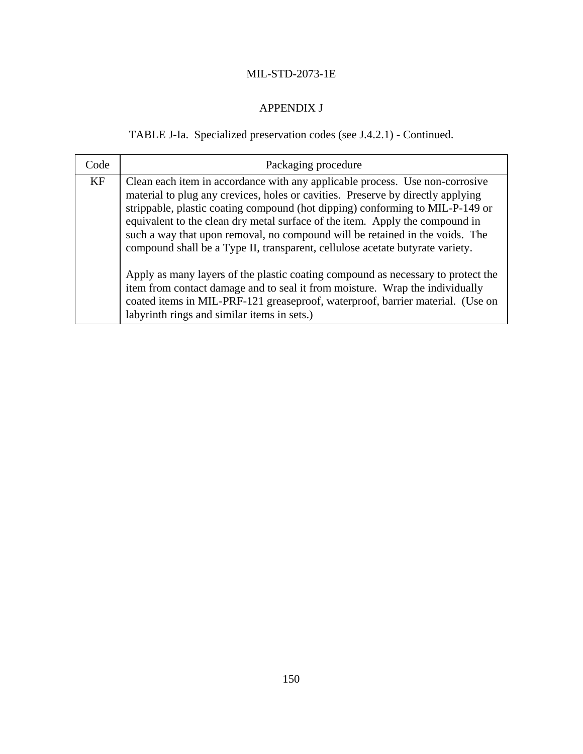## APPENDIX J

| Code | Packaging procedure                                                                                                                                                                                                                                                                                                                                                                                                                                                                               |
|------|---------------------------------------------------------------------------------------------------------------------------------------------------------------------------------------------------------------------------------------------------------------------------------------------------------------------------------------------------------------------------------------------------------------------------------------------------------------------------------------------------|
| KF   | Clean each item in accordance with any applicable process. Use non-corrosive<br>material to plug any crevices, holes or cavities. Preserve by directly applying<br>strippable, plastic coating compound (hot dipping) conforming to MIL-P-149 or<br>equivalent to the clean dry metal surface of the item. Apply the compound in<br>such a way that upon removal, no compound will be retained in the voids. The<br>compound shall be a Type II, transparent, cellulose acetate butyrate variety. |
|      | Apply as many layers of the plastic coating compound as necessary to protect the<br>item from contact damage and to seal it from moisture. Wrap the individually<br>coated items in MIL-PRF-121 greaseproof, waterproof, barrier material. (Use on<br>labyrinth rings and similar items in sets.)                                                                                                                                                                                                 |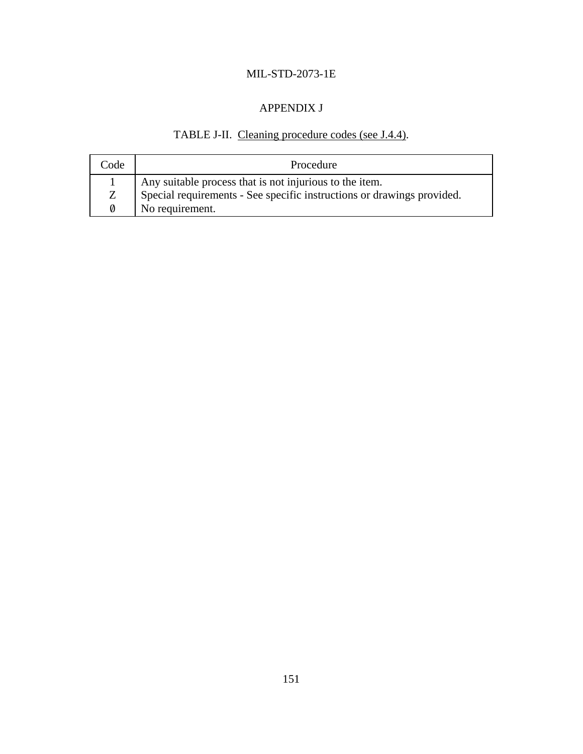# APPENDIX J

# TABLE J-II. Cleaning procedure codes (see J.4.4).

<span id="page-168-0"></span>

| Code | Procedure                                                              |
|------|------------------------------------------------------------------------|
|      | Any suitable process that is not injurious to the item.                |
|      | Special requirements - See specific instructions or drawings provided. |
| Ø    | No requirement.                                                        |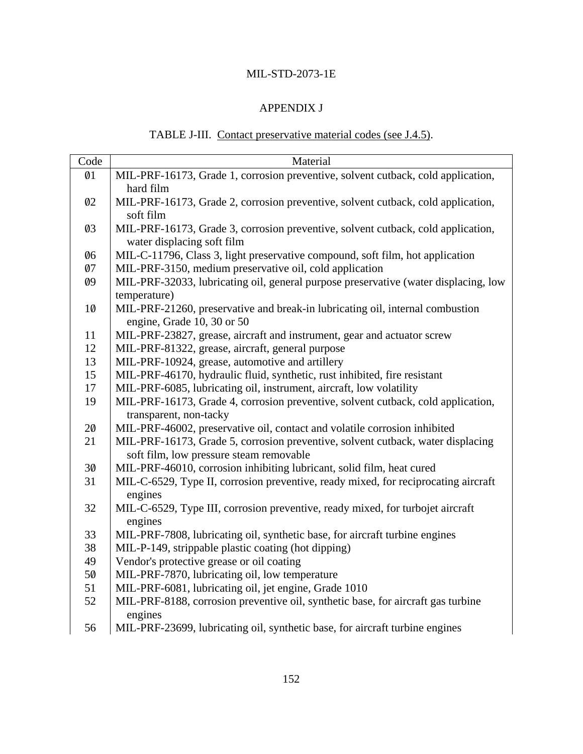## APPENDIX J

# TABLE J-III. Contact preservative material codes (see J.4.5).

<span id="page-169-0"></span>

| Code | Material                                                                                            |
|------|-----------------------------------------------------------------------------------------------------|
| 01   | MIL-PRF-16173, Grade 1, corrosion preventive, solvent cutback, cold application,                    |
|      | hard film                                                                                           |
| 02   | MIL-PRF-16173, Grade 2, corrosion preventive, solvent cutback, cold application,                    |
|      | soft film                                                                                           |
| 03   | MIL-PRF-16173, Grade 3, corrosion preventive, solvent cutback, cold application,                    |
|      | water displacing soft film                                                                          |
| 06   | MIL-C-11796, Class 3, light preservative compound, soft film, hot application                       |
| 07   | MIL-PRF-3150, medium preservative oil, cold application                                             |
| 09   | MIL-PRF-32033, lubricating oil, general purpose preservative (water displacing, low                 |
|      | temperature)                                                                                        |
| 10   | MIL-PRF-21260, preservative and break-in lubricating oil, internal combustion                       |
|      | engine, Grade 10, 30 or 50                                                                          |
| 11   | MIL-PRF-23827, grease, aircraft and instrument, gear and actuator screw                             |
| 12   | MIL-PRF-81322, grease, aircraft, general purpose                                                    |
| 13   | MIL-PRF-10924, grease, automotive and artillery                                                     |
| 15   | MIL-PRF-46170, hydraulic fluid, synthetic, rust inhibited, fire resistant                           |
| 17   | MIL-PRF-6085, lubricating oil, instrument, aircraft, low volatility                                 |
| 19   | MIL-PRF-16173, Grade 4, corrosion preventive, solvent cutback, cold application,                    |
| 20   | transparent, non-tacky<br>MIL-PRF-46002, preservative oil, contact and volatile corrosion inhibited |
| 21   | MIL-PRF-16173, Grade 5, corrosion preventive, solvent cutback, water displacing                     |
|      | soft film, low pressure steam removable                                                             |
| 30   | MIL-PRF-46010, corrosion inhibiting lubricant, solid film, heat cured                               |
| 31   | MIL-C-6529, Type II, corrosion preventive, ready mixed, for reciprocating aircraft                  |
|      | engines                                                                                             |
| 32   | MIL-C-6529, Type III, corrosion preventive, ready mixed, for turbojet aircraft                      |
|      | engines                                                                                             |
| 33   | MIL-PRF-7808, lubricating oil, synthetic base, for aircraft turbine engines                         |
| 38   | MIL-P-149, strippable plastic coating (hot dipping)                                                 |
| 49   | Vendor's protective grease or oil coating                                                           |
| 50   | MIL-PRF-7870, lubricating oil, low temperature                                                      |
| 51   | MIL-PRF-6081, lubricating oil, jet engine, Grade 1010                                               |
| 52   | MIL-PRF-8188, corrosion preventive oil, synthetic base, for aircraft gas turbine                    |
|      | engines                                                                                             |
| 56   | MIL-PRF-23699, lubricating oil, synthetic base, for aircraft turbine engines                        |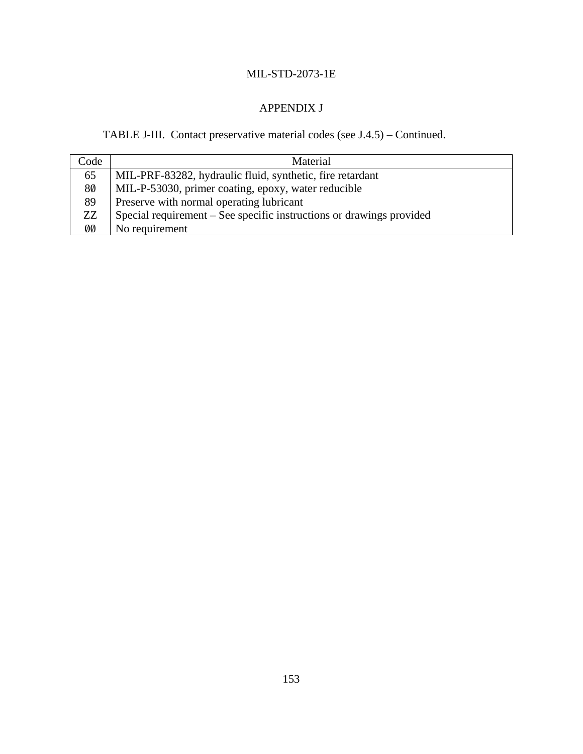## APPENDIX J

# TABLE J-III. Contact preservative material codes (see J.4.5) – Continued.

| Code | Material                                                             |
|------|----------------------------------------------------------------------|
| 65   | MIL-PRF-83282, hydraulic fluid, synthetic, fire retardant            |
| 80   | MIL-P-53030, primer coating, epoxy, water reducible                  |
| 89   | Preserve with normal operating lubricant                             |
| ZZ   | Special requirement – See specific instructions or drawings provided |
| ØØ   | No requirement                                                       |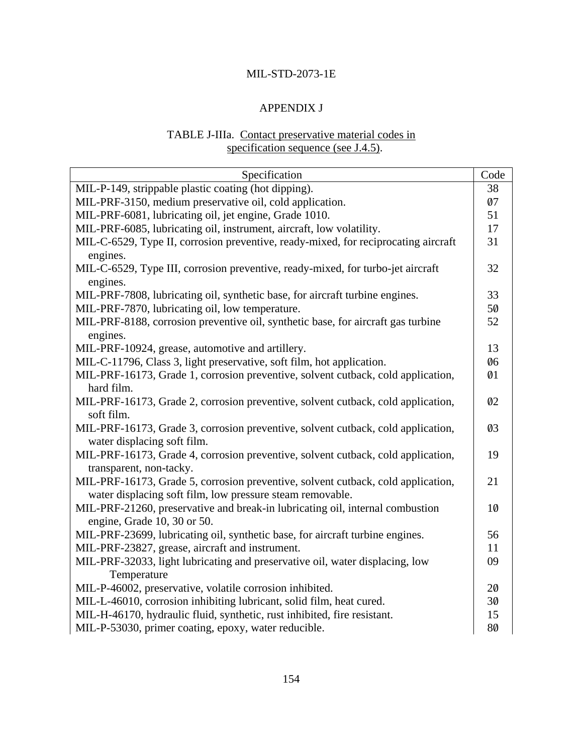### APPENDIX J

### <span id="page-171-0"></span>TABLE J-IIIa. Contact preservative material codes in specification sequence (see J.4.5).

| Specification                                                                                                                                 | Code            |
|-----------------------------------------------------------------------------------------------------------------------------------------------|-----------------|
| MIL-P-149, strippable plastic coating (hot dipping).                                                                                          | 38              |
| MIL-PRF-3150, medium preservative oil, cold application.                                                                                      | 07              |
| MIL-PRF-6081, lubricating oil, jet engine, Grade 1010.                                                                                        | 51              |
| MIL-PRF-6085, lubricating oil, instrument, aircraft, low volatility.                                                                          | 17              |
| MIL-C-6529, Type II, corrosion preventive, ready-mixed, for reciprocating aircraft                                                            | 31              |
| engines.                                                                                                                                      |                 |
| MIL-C-6529, Type III, corrosion preventive, ready-mixed, for turbo-jet aircraft<br>engines.                                                   | 32              |
| MIL-PRF-7808, lubricating oil, synthetic base, for aircraft turbine engines.                                                                  | 33              |
| MIL-PRF-7870, lubricating oil, low temperature.                                                                                               | 50              |
| MIL-PRF-8188, corrosion preventive oil, synthetic base, for aircraft gas turbine<br>engines.                                                  | 52              |
| MIL-PRF-10924, grease, automotive and artillery.                                                                                              | 13              |
| MIL-C-11796, Class 3, light preservative, soft film, hot application.                                                                         | 06              |
| MIL-PRF-16173, Grade 1, corrosion preventive, solvent cutback, cold application,                                                              | $\varnothing$ 1 |
| hard film.                                                                                                                                    |                 |
| MIL-PRF-16173, Grade 2, corrosion preventive, solvent cutback, cold application,<br>soft film.                                                | 02              |
| MIL-PRF-16173, Grade 3, corrosion preventive, solvent cutback, cold application,                                                              | 03              |
| water displacing soft film.                                                                                                                   |                 |
| MIL-PRF-16173, Grade 4, corrosion preventive, solvent cutback, cold application,                                                              | 19              |
| transparent, non-tacky.                                                                                                                       |                 |
| MIL-PRF-16173, Grade 5, corrosion preventive, solvent cutback, cold application,<br>water displacing soft film, low pressure steam removable. | 21              |
| MIL-PRF-21260, preservative and break-in lubricating oil, internal combustion                                                                 | 10              |
| engine, Grade 10, 30 or 50.                                                                                                                   |                 |
| MIL-PRF-23699, lubricating oil, synthetic base, for aircraft turbine engines.                                                                 | 56              |
| MIL-PRF-23827, grease, aircraft and instrument.                                                                                               | 11              |
| MIL-PRF-32033, light lubricating and preservative oil, water displacing, low                                                                  | 09              |
| Temperature                                                                                                                                   |                 |
| MIL-P-46002, preservative, volatile corrosion inhibited.                                                                                      | 20              |
| MIL-L-46010, corrosion inhibiting lubricant, solid film, heat cured.                                                                          | 30              |
| MIL-H-46170, hydraulic fluid, synthetic, rust inhibited, fire resistant.                                                                      | 15              |
| MIL-P-53030, primer coating, epoxy, water reducible.                                                                                          | 80              |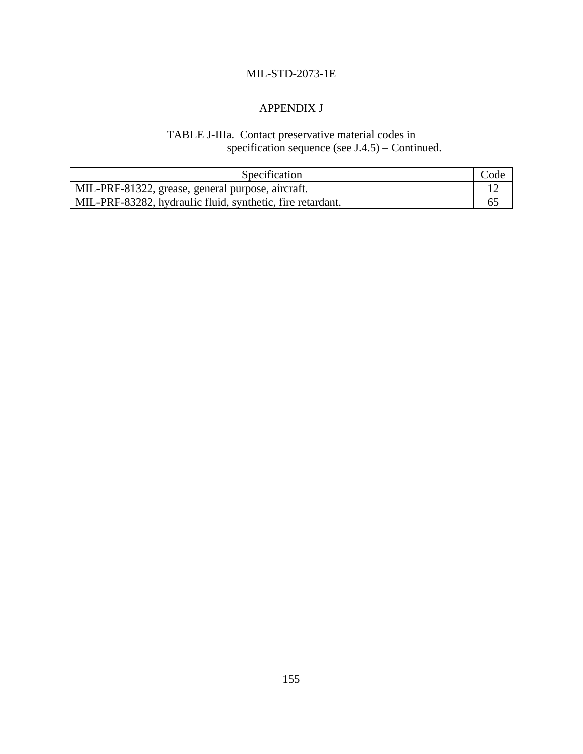### APPENDIX J

### TABLE J-IIIa. Contact preservative material codes in specification sequence (see J.4.5) – Continued.

| Specification                                              | Code |
|------------------------------------------------------------|------|
| MIL-PRF-81322, grease, general purpose, aircraft.          |      |
| MIL-PRF-83282, hydraulic fluid, synthetic, fire retardant. |      |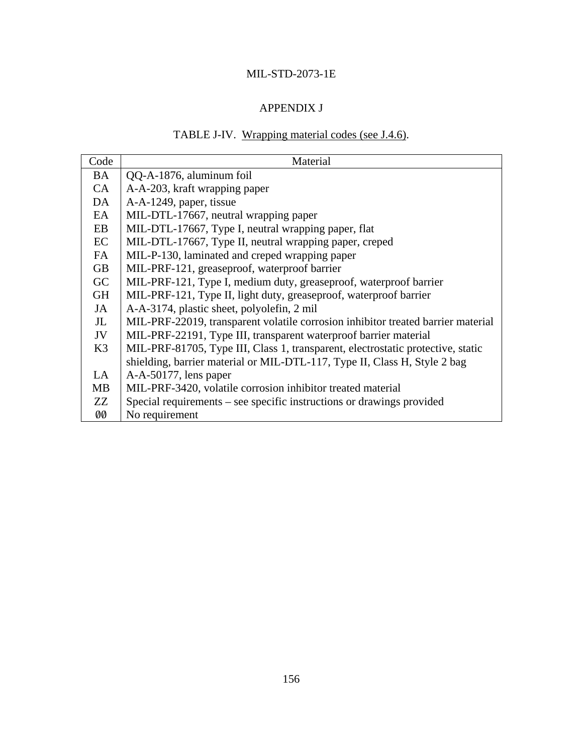# APPENDIX J

# TABLE J-IV. Wrapping material codes (see J.4.6).

<span id="page-173-0"></span>

| Code        | Material                                                                         |
|-------------|----------------------------------------------------------------------------------|
| <b>BA</b>   | QQ-A-1876, aluminum foil                                                         |
| CA          | A-A-203, kraft wrapping paper                                                    |
| DA          | A-A-1249, paper, tissue                                                          |
| EA          | MIL-DTL-17667, neutral wrapping paper                                            |
| EB          | MIL-DTL-17667, Type I, neutral wrapping paper, flat                              |
| EC          | MIL-DTL-17667, Type II, neutral wrapping paper, creped                           |
| <b>FA</b>   | MIL-P-130, laminated and creped wrapping paper                                   |
| <b>GB</b>   | MIL-PRF-121, greaseproof, waterproof barrier                                     |
| GC          | MIL-PRF-121, Type I, medium duty, greaseproof, waterproof barrier                |
| <b>GH</b>   | MIL-PRF-121, Type II, light duty, greaseproof, waterproof barrier                |
| JA          | A-A-3174, plastic sheet, polyolefin, 2 mil                                       |
| $J_{\rm L}$ | MIL-PRF-22019, transparent volatile corrosion inhibitor treated barrier material |
| JV          | MIL-PRF-22191, Type III, transparent waterproof barrier material                 |
| K3          | MIL-PRF-81705, Type III, Class 1, transparent, electrostatic protective, static  |
|             | shielding, barrier material or MIL-DTL-117, Type II, Class H, Style 2 bag        |
| <b>LA</b>   | A-A-50177, lens paper                                                            |
| <b>MB</b>   | MIL-PRF-3420, volatile corrosion inhibitor treated material                      |
| ZZ          | Special requirements – see specific instructions or drawings provided            |
| ØØ          | No requirement                                                                   |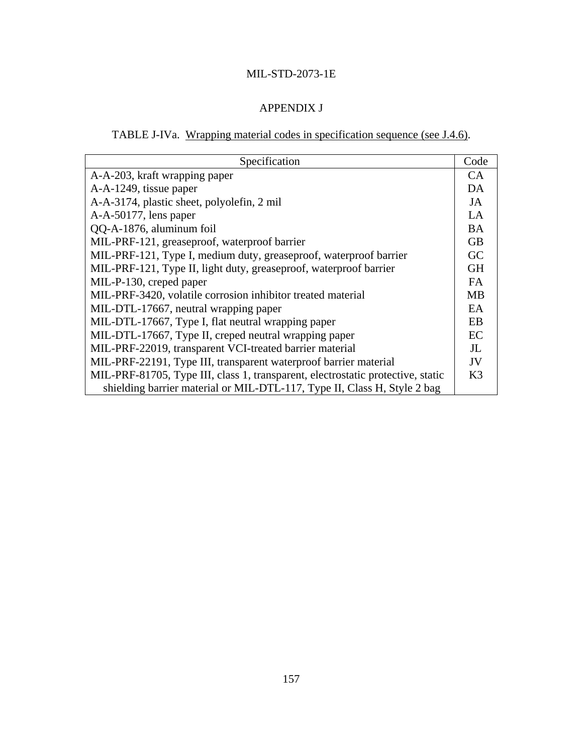# APPENDIX J

# <span id="page-174-0"></span>TABLE J-IVa. Wrapping material codes in specification sequence (see J.4.6).

| Specification                                                                   | Code        |
|---------------------------------------------------------------------------------|-------------|
| A-A-203, kraft wrapping paper                                                   | <b>CA</b>   |
| A-A-1249, tissue paper                                                          | DA          |
| A-A-3174, plastic sheet, polyolefin, 2 mil                                      | JA          |
| A-A-50177, lens paper                                                           | LA          |
| QQ-A-1876, aluminum foil                                                        | <b>BA</b>   |
| MIL-PRF-121, greaseproof, waterproof barrier                                    | <b>GB</b>   |
| MIL-PRF-121, Type I, medium duty, greaseproof, waterproof barrier               | GC          |
| MIL-PRF-121, Type II, light duty, greaseproof, waterproof barrier               | <b>GH</b>   |
| MIL-P-130, creped paper                                                         | <b>FA</b>   |
| MIL-PRF-3420, volatile corrosion inhibitor treated material                     | MВ          |
| MIL-DTL-17667, neutral wrapping paper                                           | EA          |
| MIL-DTL-17667, Type I, flat neutral wrapping paper                              | EB          |
| MIL-DTL-17667, Type II, creped neutral wrapping paper                           | EC          |
| MIL-PRF-22019, transparent VCI-treated barrier material                         | $_{\rm JL}$ |
| MIL-PRF-22191, Type III, transparent waterproof barrier material                | JV          |
| MIL-PRF-81705, Type III, class 1, transparent, electrostatic protective, static | K3          |
| shielding barrier material or MIL-DTL-117, Type II, Class H, Style 2 bag        |             |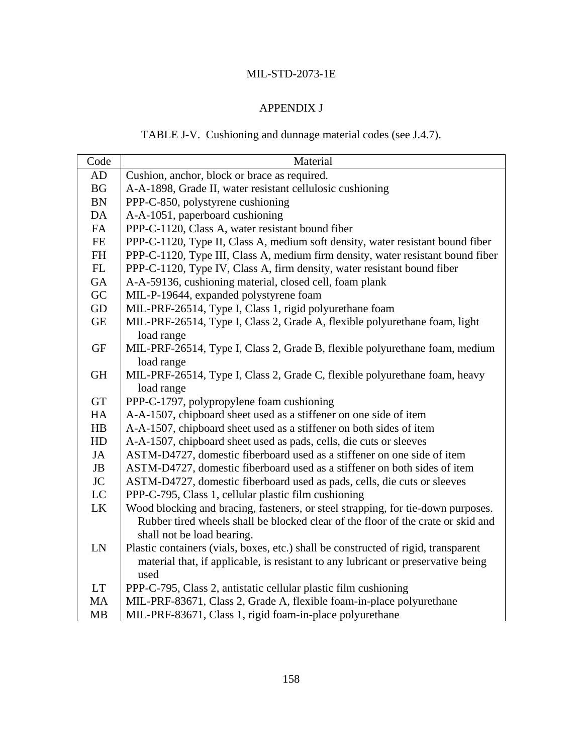## APPENDIX J

# TABLE J-V. Cushioning and dunnage material codes (see J.4.7).

<span id="page-175-0"></span>

| Code       | Material                                                                                  |  |  |
|------------|-------------------------------------------------------------------------------------------|--|--|
| AD         | Cushion, anchor, block or brace as required.                                              |  |  |
| <b>BG</b>  | A-A-1898, Grade II, water resistant cellulosic cushioning                                 |  |  |
| <b>BN</b>  | PPP-C-850, polystyrene cushioning                                                         |  |  |
| DA         | A-A-1051, paperboard cushioning                                                           |  |  |
| <b>FA</b>  | PPP-C-1120, Class A, water resistant bound fiber                                          |  |  |
| FE         | PPP-C-1120, Type II, Class A, medium soft density, water resistant bound fiber            |  |  |
| <b>FH</b>  | PPP-C-1120, Type III, Class A, medium firm density, water resistant bound fiber           |  |  |
| ${\rm FL}$ | PPP-C-1120, Type IV, Class A, firm density, water resistant bound fiber                   |  |  |
| <b>GA</b>  | A-A-59136, cushioning material, closed cell, foam plank                                   |  |  |
| GC         | MIL-P-19644, expanded polystyrene foam                                                    |  |  |
| GD         | MIL-PRF-26514, Type I, Class 1, rigid polyurethane foam                                   |  |  |
| <b>GE</b>  | MIL-PRF-26514, Type I, Class 2, Grade A, flexible polyurethane foam, light<br>load range  |  |  |
| <b>GF</b>  | MIL-PRF-26514, Type I, Class 2, Grade B, flexible polyurethane foam, medium               |  |  |
|            | load range                                                                                |  |  |
| <b>GH</b>  | MIL-PRF-26514, Type I, Class 2, Grade C, flexible polyurethane foam, heavy                |  |  |
|            | load range                                                                                |  |  |
| <b>GT</b>  | PPP-C-1797, polypropylene foam cushioning                                                 |  |  |
| HA         | A-A-1507, chipboard sheet used as a stiffener on one side of item                         |  |  |
| HB         | A-A-1507, chipboard sheet used as a stiffener on both sides of item                       |  |  |
| HD         | A-A-1507, chipboard sheet used as pads, cells, die cuts or sleeves                        |  |  |
| JA         | ASTM-D4727, domestic fiberboard used as a stiffener on one side of item                   |  |  |
| <b>JB</b>  | ASTM-D4727, domestic fiberboard used as a stiffener on both sides of item                 |  |  |
| JC         | ASTM-D4727, domestic fiberboard used as pads, cells, die cuts or sleeves                  |  |  |
| LC         | PPP-C-795, Class 1, cellular plastic film cushioning                                      |  |  |
| <b>LK</b>  | Wood blocking and bracing, fasteners, or steel strapping, for tie-down purposes.          |  |  |
|            | Rubber tired wheels shall be blocked clear of the floor of the crate or skid and          |  |  |
|            | shall not be load bearing.                                                                |  |  |
| LN         | Plastic containers (vials, boxes, etc.) shall be constructed of rigid, transparent        |  |  |
|            | material that, if applicable, is resistant to any lubricant or preservative being<br>used |  |  |
| <b>LT</b>  | PPP-C-795, Class 2, antistatic cellular plastic film cushioning                           |  |  |
| <b>MA</b>  | MIL-PRF-83671, Class 2, Grade A, flexible foam-in-place polyurethane                      |  |  |
| <b>MB</b>  | MIL-PRF-83671, Class 1, rigid foam-in-place polyurethane                                  |  |  |
|            |                                                                                           |  |  |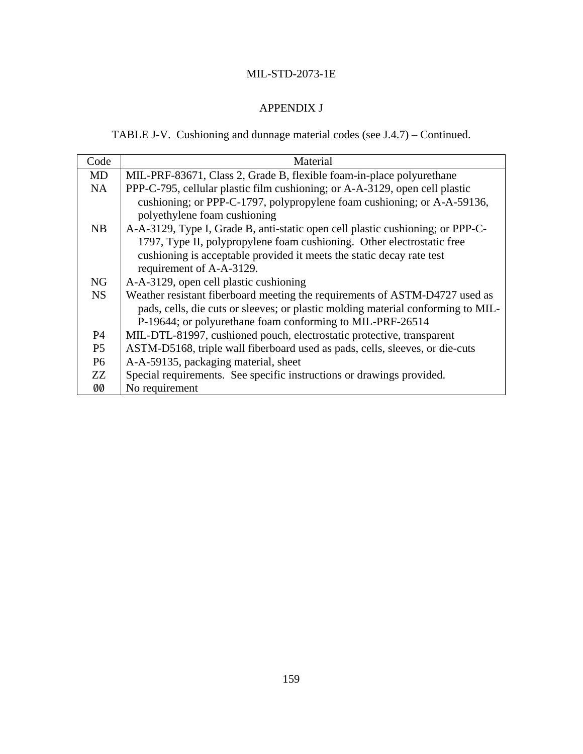## APPENDIX J

# TABLE J-V. Cushioning and dunnage material codes (see J.4.7) – Continued.

| Code           | Material                                                                         |
|----------------|----------------------------------------------------------------------------------|
| <b>MD</b>      | MIL-PRF-83671, Class 2, Grade B, flexible foam-in-place polyurethane             |
| <b>NA</b>      | PPP-C-795, cellular plastic film cushioning; or A-A-3129, open cell plastic      |
|                | cushioning; or PPP-C-1797, polypropylene foam cushioning; or A-A-59136,          |
|                | polyethylene foam cushioning                                                     |
| NB             | A-A-3129, Type I, Grade B, anti-static open cell plastic cushioning; or PPP-C-   |
|                | 1797, Type II, polypropylene foam cushioning. Other electrostatic free           |
|                | cushioning is acceptable provided it meets the static decay rate test            |
|                | requirement of A-A-3129.                                                         |
| N <sub>G</sub> | A-A-3129, open cell plastic cushioning                                           |
| <b>NS</b>      | Weather resistant fiberboard meeting the requirements of ASTM-D4727 used as      |
|                | pads, cells, die cuts or sleeves; or plastic molding material conforming to MIL- |
|                | P-19644; or polyurethane foam conforming to MIL-PRF-26514                        |
| <b>P4</b>      | MIL-DTL-81997, cushioned pouch, electrostatic protective, transparent            |
| P <sub>5</sub> | ASTM-D5168, triple wall fiberboard used as pads, cells, sleeves, or die-cuts     |
| P <sub>6</sub> | A-A-59135, packaging material, sheet                                             |
| ZZ             | Special requirements. See specific instructions or drawings provided.            |
| 00             | No requirement                                                                   |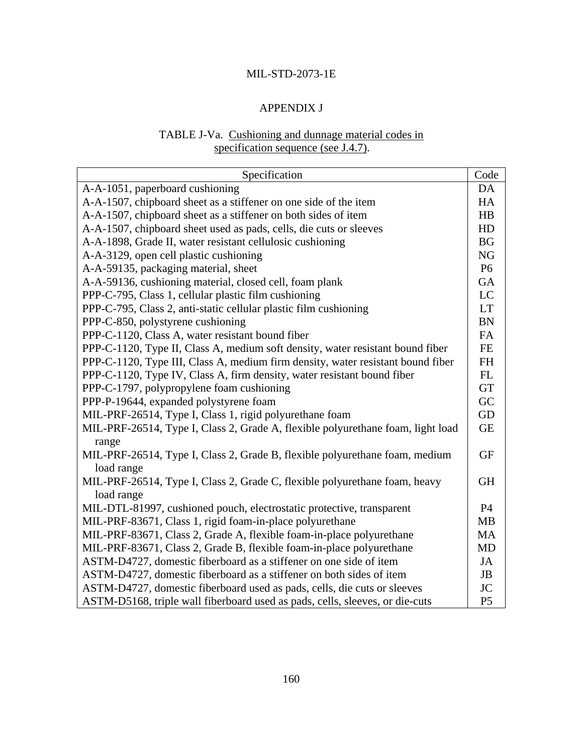## APPENDIX J

## TABLE J-Va. Cushioning and dunnage material codes in specification sequence (see J.4.7).

| Specification                                                                   | Code           |
|---------------------------------------------------------------------------------|----------------|
| A-A-1051, paperboard cushioning                                                 | DA             |
| A-A-1507, chipboard sheet as a stiffener on one side of the item                | HA             |
| A-A-1507, chipboard sheet as a stiffener on both sides of item                  | HB             |
| A-A-1507, chipboard sheet used as pads, cells, die cuts or sleeves              | HD             |
| A-A-1898, Grade II, water resistant cellulosic cushioning                       | <b>BG</b>      |
| A-A-3129, open cell plastic cushioning                                          | <b>NG</b>      |
| A-A-59135, packaging material, sheet                                            | P <sub>6</sub> |
| A-A-59136, cushioning material, closed cell, foam plank                         | <b>GA</b>      |
| PPP-C-795, Class 1, cellular plastic film cushioning                            | LC             |
| PPP-C-795, Class 2, anti-static cellular plastic film cushioning                | <b>LT</b>      |
| PPP-C-850, polystyrene cushioning                                               | <b>BN</b>      |
| PPP-C-1120, Class A, water resistant bound fiber                                | FA             |
| PPP-C-1120, Type II, Class A, medium soft density, water resistant bound fiber  | <b>FE</b>      |
| PPP-C-1120, Type III, Class A, medium firm density, water resistant bound fiber | <b>FH</b>      |
| PPP-C-1120, Type IV, Class A, firm density, water resistant bound fiber         | FL             |
| PPP-C-1797, polypropylene foam cushioning                                       |                |
| PPP-P-19644, expanded polystyrene foam                                          |                |
| MIL-PRF-26514, Type I, Class 1, rigid polyurethane foam                         |                |
| MIL-PRF-26514, Type I, Class 2, Grade A, flexible polyurethane foam, light load |                |
| range                                                                           |                |
| MIL-PRF-26514, Type I, Class 2, Grade B, flexible polyurethane foam, medium     | <b>GF</b>      |
| load range                                                                      |                |
| MIL-PRF-26514, Type I, Class 2, Grade C, flexible polyurethane foam, heavy      | <b>GH</b>      |
| load range                                                                      |                |
| MIL-DTL-81997, cushioned pouch, electrostatic protective, transparent           | <b>P4</b>      |
| MIL-PRF-83671, Class 1, rigid foam-in-place polyurethane                        | <b>MB</b>      |
| MIL-PRF-83671, Class 2, Grade A, flexible foam-in-place polyurethane            | <b>MA</b>      |
| MIL-PRF-83671, Class 2, Grade B, flexible foam-in-place polyurethane            | <b>MD</b>      |
| ASTM-D4727, domestic fiberboard as a stiffener on one side of item              | JA             |
| ASTM-D4727, domestic fiberboard as a stiffener on both sides of item            | JB             |
| ASTM-D4727, domestic fiberboard used as pads, cells, die cuts or sleeves        | <b>JC</b>      |
| ASTM-D5168, triple wall fiberboard used as pads, cells, sleeves, or die-cuts    | P <sub>5</sub> |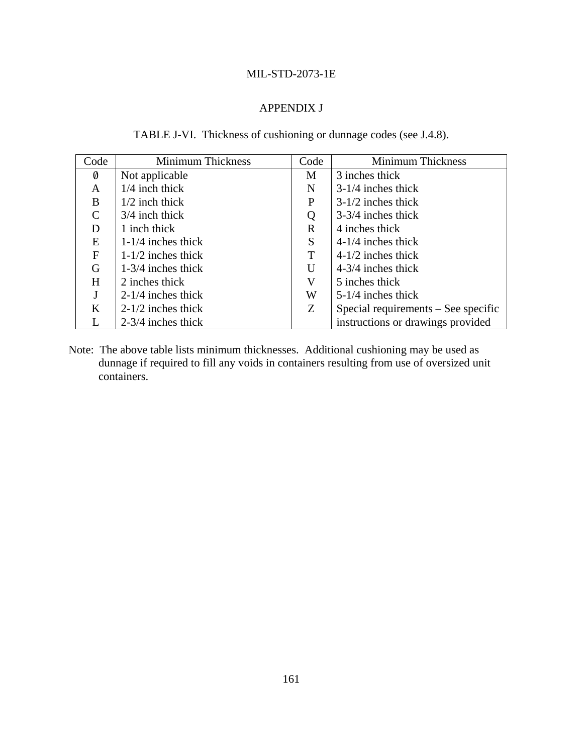#### APPENDIX J

## TABLE J-VI. Thickness of cushioning or dunnage codes (see J.4.8).

<span id="page-178-0"></span>

| Code | <b>Minimum Thickness</b> | Code | <b>Minimum Thickness</b>            |
|------|--------------------------|------|-------------------------------------|
| Ø    | Not applicable           | M    | 3 inches thick                      |
| A    | $1/4$ inch thick         | N    | $3-1/4$ inches thick                |
| B    | $1/2$ inch thick         | P    | $3-1/2$ inches thick                |
| C    | $3/4$ inch thick         | Q    | 3-3/4 inches thick                  |
| D    | 1 inch thick             | R    | 4 inches thick                      |
| E    | $1-1/4$ inches thick     | S    | $4-1/4$ inches thick                |
| F    | $1-1/2$ inches thick     | T    | $4-1/2$ inches thick                |
| G    | $1-3/4$ inches thick     | U    | 4-3/4 inches thick                  |
| H    | 2 inches thick           | V    | 5 inches thick                      |
|      | $2-1/4$ inches thick     | W    | $5-1/4$ inches thick                |
| K    | $2-1/2$ inches thick     | Z    | Special requirements – See specific |
|      | $2-3/4$ inches thick     |      | instructions or drawings provided   |

Note: The above table lists minimum thicknesses. Additional cushioning may be used as dunnage if required to fill any voids in containers resulting from use of oversized unit containers.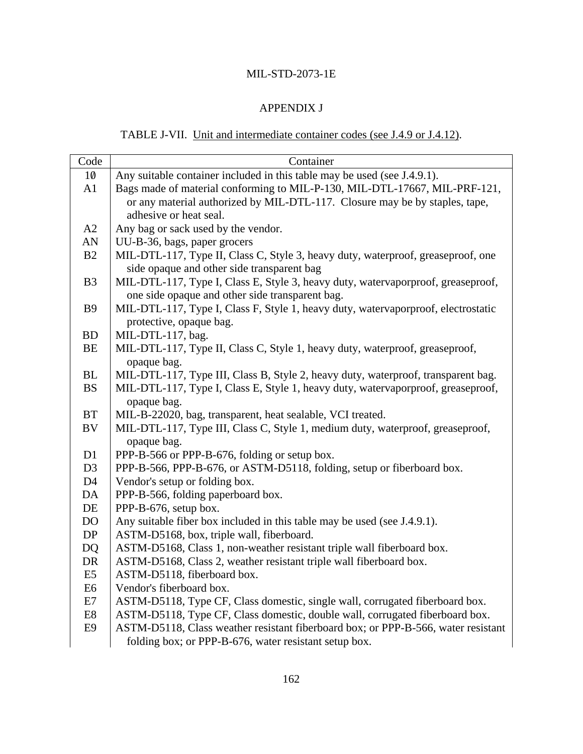### APPENDIX J

## TABLE J-VII. Unit and intermediate container codes (see J.4.9 or J.4.12).

<span id="page-179-0"></span>

| Code                | Container                                                                                                                                    |
|---------------------|----------------------------------------------------------------------------------------------------------------------------------------------|
| 10                  | Any suitable container included in this table may be used (see J.4.9.1).                                                                     |
| A1                  | Bags made of material conforming to MIL-P-130, MIL-DTL-17667, MIL-PRF-121,                                                                   |
|                     | or any material authorized by MIL-DTL-117. Closure may be by staples, tape,                                                                  |
|                     | adhesive or heat seal.                                                                                                                       |
| A2                  | Any bag or sack used by the vendor.                                                                                                          |
| AN                  | UU-B-36, bags, paper grocers                                                                                                                 |
| B2                  | MIL-DTL-117, Type II, Class C, Style 3, heavy duty, waterproof, greaseproof, one                                                             |
|                     | side opaque and other side transparent bag                                                                                                   |
| B <sub>3</sub>      | MIL-DTL-117, Type I, Class E, Style 3, heavy duty, watervaporproof, greaseproof,                                                             |
|                     | one side opaque and other side transparent bag.                                                                                              |
| <b>B</b> 9          | MIL-DTL-117, Type I, Class F, Style 1, heavy duty, watervaporproof, electrostatic                                                            |
|                     | protective, opaque bag.                                                                                                                      |
| <b>BD</b>           | MIL-DTL-117, bag.                                                                                                                            |
| $\rm BE$            | MIL-DTL-117, Type II, Class C, Style 1, heavy duty, waterproof, greaseproof,                                                                 |
|                     | opaque bag.                                                                                                                                  |
| BL                  | MIL-DTL-117, Type III, Class B, Style 2, heavy duty, waterproof, transparent bag.                                                            |
| <b>BS</b>           | MIL-DTL-117, Type I, Class E, Style 1, heavy duty, watervaporproof, greaseproof,                                                             |
| $\operatorname{BT}$ | opaque bag.                                                                                                                                  |
| BV                  | MIL-B-22020, bag, transparent, heat sealable, VCI treated.<br>MIL-DTL-117, Type III, Class C, Style 1, medium duty, waterproof, greaseproof, |
|                     | opaque bag.                                                                                                                                  |
| D1                  | PPP-B-566 or PPP-B-676, folding or setup box.                                                                                                |
| D <sub>3</sub>      | PPP-B-566, PPP-B-676, or ASTM-D5118, folding, setup or fiberboard box.                                                                       |
| D <sub>4</sub>      | Vendor's setup or folding box.                                                                                                               |
| DA                  | PPP-B-566, folding paperboard box.                                                                                                           |
| DE                  | PPP-B-676, setup box.                                                                                                                        |
| DO                  | Any suitable fiber box included in this table may be used (see J.4.9.1).                                                                     |
| ${\rm DP}$          | ASTM-D5168, box, triple wall, fiberboard.                                                                                                    |
| <b>DQ</b>           | ASTM-D5168, Class 1, non-weather resistant triple wall fiberboard box.                                                                       |
| ${\rm DR}$          | ASTM-D5168, Class 2, weather resistant triple wall fiberboard box.                                                                           |
| E <sub>5</sub>      | ASTM-D5118, fiberboard box.                                                                                                                  |
| E <sub>6</sub>      | Vendor's fiberboard box.                                                                                                                     |
| E7                  | ASTM-D5118, Type CF, Class domestic, single wall, corrugated fiberboard box.                                                                 |
| $\rm E8$            | ASTM-D5118, Type CF, Class domestic, double wall, corrugated fiberboard box.                                                                 |
| E <sub>9</sub>      | ASTM-D5118, Class weather resistant fiberboard box; or PPP-B-566, water resistant                                                            |
|                     | folding box; or PPP-B-676, water resistant setup box.                                                                                        |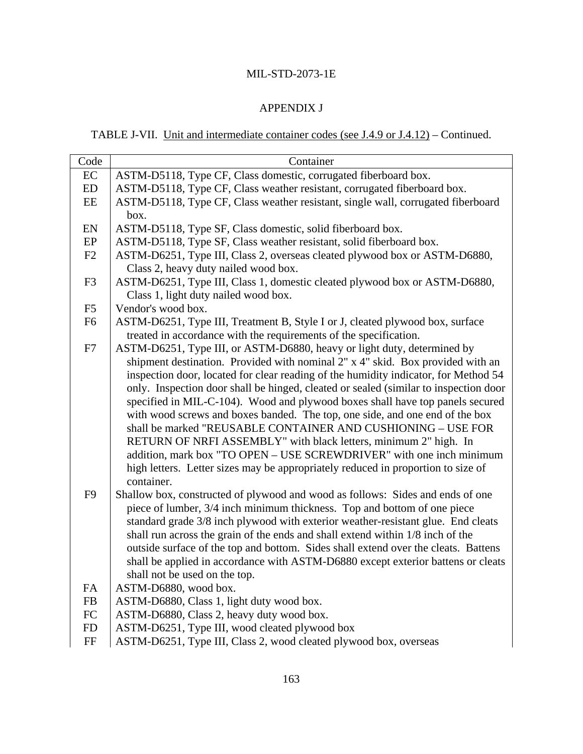### APPENDIX J

TABLE J-VII. Unit and intermediate container codes (see J.4.9 or J.4.12) – Continued.

| Code                       | Container                                                                                                                                                               |
|----------------------------|-------------------------------------------------------------------------------------------------------------------------------------------------------------------------|
| EC                         | ASTM-D5118, Type CF, Class domestic, corrugated fiberboard box.                                                                                                         |
| ${\rm ED}$                 | ASTM-D5118, Type CF, Class weather resistant, corrugated fiberboard box.                                                                                                |
| EE                         | ASTM-D5118, Type CF, Class weather resistant, single wall, corrugated fiberboard                                                                                        |
|                            | box.                                                                                                                                                                    |
| $\mathop{\rm EN}\nolimits$ | ASTM-D5118, Type SF, Class domestic, solid fiberboard box.                                                                                                              |
| $\rm EP$                   | ASTM-D5118, Type SF, Class weather resistant, solid fiberboard box.                                                                                                     |
| F2                         | ASTM-D6251, Type III, Class 2, overseas cleated plywood box or ASTM-D6880,                                                                                              |
|                            | Class 2, heavy duty nailed wood box.                                                                                                                                    |
| F <sub>3</sub>             | ASTM-D6251, Type III, Class 1, domestic cleated plywood box or ASTM-D6880,                                                                                              |
|                            | Class 1, light duty nailed wood box.                                                                                                                                    |
| F <sub>5</sub>             | Vendor's wood box.                                                                                                                                                      |
| F <sub>6</sub>             | ASTM-D6251, Type III, Treatment B, Style I or J, cleated plywood box, surface                                                                                           |
|                            | treated in accordance with the requirements of the specification.                                                                                                       |
| F7                         | ASTM-D6251, Type III, or ASTM-D6880, heavy or light duty, determined by                                                                                                 |
|                            | shipment destination. Provided with nominal 2" x 4" skid. Box provided with an                                                                                          |
|                            | inspection door, located for clear reading of the humidity indicator, for Method 54                                                                                     |
|                            | only. Inspection door shall be hinged, cleated or sealed (similar to inspection door                                                                                    |
|                            | specified in MIL-C-104). Wood and plywood boxes shall have top panels secured                                                                                           |
|                            | with wood screws and boxes banded. The top, one side, and one end of the box                                                                                            |
|                            | shall be marked "REUSABLE CONTAINER AND CUSHIONING - USE FOR                                                                                                            |
|                            | RETURN OF NRFI ASSEMBLY" with black letters, minimum 2" high. In                                                                                                        |
|                            | addition, mark box "TO OPEN - USE SCREWDRIVER" with one inch minimum                                                                                                    |
|                            | high letters. Letter sizes may be appropriately reduced in proportion to size of                                                                                        |
|                            | container.                                                                                                                                                              |
| F <sub>9</sub>             | Shallow box, constructed of plywood and wood as follows: Sides and ends of one                                                                                          |
|                            | piece of lumber, 3/4 inch minimum thickness. Top and bottom of one piece                                                                                                |
|                            | standard grade 3/8 inch plywood with exterior weather-resistant glue. End cleats                                                                                        |
|                            | shall run across the grain of the ends and shall extend within 1/8 inch of the                                                                                          |
|                            | outside surface of the top and bottom. Sides shall extend over the cleats. Battens                                                                                      |
|                            | shall be applied in accordance with ASTM-D6880 except exterior battens or cleats                                                                                        |
|                            | shall not be used on the top.                                                                                                                                           |
| ${\rm FA}$                 | ASTM-D6880, wood box.                                                                                                                                                   |
| ${\rm FB}$                 | ASTM-D6880, Class 1, light duty wood box.                                                                                                                               |
| ${\rm FC}$                 | ASTM-D6880, Class 2, heavy duty wood box.                                                                                                                               |
| ${\rm FD}$                 | ASTM-D6251, Type III, wood cleated plywood box                                                                                                                          |
| $\blacksquare$             | $\mathbf{H} \times \mathbf{A}$ $\mathbf{H}$ $\mathbf{H} \times \mathbf{H}$ $\mathbf{H} \times \mathbf{H}$ $\mathbf{H} \times \mathbf{H}$ $\mathbf{H} \times \mathbf{H}$ |

FF ASTM-D6251, Type III, Class 2, wood cleated plywood box, overseas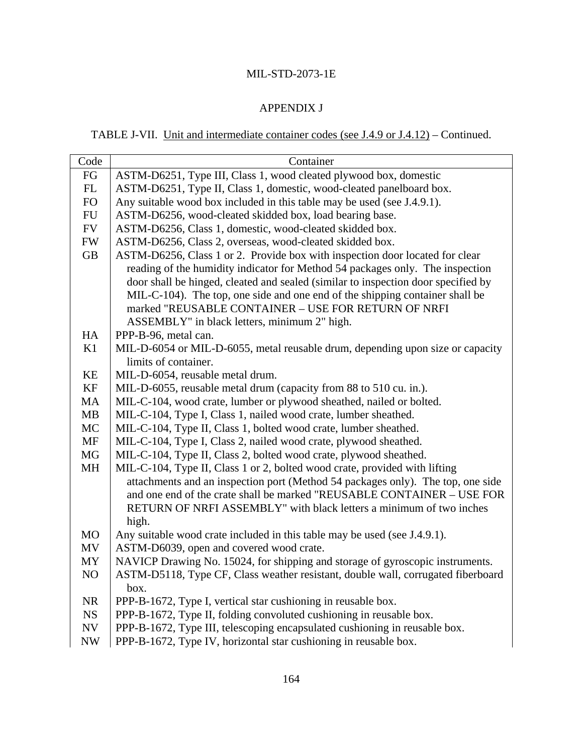# APPENDIX J

TABLE J-VII. Unit and intermediate container codes (see J.4.9 or J.4.12) – Continued.

| Code       | Container                                                                          |
|------------|------------------------------------------------------------------------------------|
| FG         | ASTM-D6251, Type III, Class 1, wood cleated plywood box, domestic                  |
| FL         | ASTM-D6251, Type II, Class 1, domestic, wood-cleated panelboard box.               |
| FO         | Any suitable wood box included in this table may be used (see J.4.9.1).            |
| ${\rm FU}$ | ASTM-D6256, wood-cleated skidded box, load bearing base.                           |
| <b>FV</b>  | ASTM-D6256, Class 1, domestic, wood-cleated skidded box.                           |
| ${\rm FW}$ | ASTM-D6256, Class 2, overseas, wood-cleated skidded box.                           |
| GB         | ASTM-D6256, Class 1 or 2. Provide box with inspection door located for clear       |
|            | reading of the humidity indicator for Method 54 packages only. The inspection      |
|            | door shall be hinged, cleated and sealed (similar to inspection door specified by  |
|            | MIL-C-104). The top, one side and one end of the shipping container shall be       |
|            | marked "REUSABLE CONTAINER - USE FOR RETURN OF NRFI                                |
|            | ASSEMBLY" in black letters, minimum 2" high.                                       |
| HA         | PPP-B-96, metal can.                                                               |
| K1         | MIL-D-6054 or MIL-D-6055, metal reusable drum, depending upon size or capacity     |
|            | limits of container.                                                               |
| KE         | MIL-D-6054, reusable metal drum.                                                   |
| KF         | MIL-D-6055, reusable metal drum (capacity from 88 to 510 cu. in.).                 |
| MA         | MIL-C-104, wood crate, lumber or plywood sheathed, nailed or bolted.               |
| MB         | MIL-C-104, Type I, Class 1, nailed wood crate, lumber sheathed.                    |
| MC         | MIL-C-104, Type II, Class 1, bolted wood crate, lumber sheathed.                   |
| MF         | MIL-C-104, Type I, Class 2, nailed wood crate, plywood sheathed.                   |
| <b>MG</b>  | MIL-C-104, Type II, Class 2, bolted wood crate, plywood sheathed.                  |
| <b>MH</b>  | MIL-C-104, Type II, Class 1 or 2, bolted wood crate, provided with lifting         |
|            | attachments and an inspection port (Method 54 packages only). The top, one side    |
|            | and one end of the crate shall be marked "REUSABLE CONTAINER - USE FOR             |
|            | RETURN OF NRFI ASSEMBLY" with black letters a minimum of two inches                |
| <b>MO</b>  | high.<br>Any suitable wood crate included in this table may be used (see J.4.9.1). |
| <b>MV</b>  | ASTM-D6039, open and covered wood crate.                                           |
| MY         | NAVICP Drawing No. 15024, for shipping and storage of gyroscopic instruments.      |
| NO         | ASTM-D5118, Type CF, Class weather resistant, double wall, corrugated fiberboard   |
|            | box.                                                                               |
| NR         | PPP-B-1672, Type I, vertical star cushioning in reusable box.                      |
| <b>NS</b>  | PPP-B-1672, Type II, folding convoluted cushioning in reusable box.                |
| <b>NV</b>  | PPP-B-1672, Type III, telescoping encapsulated cushioning in reusable box.         |
| <b>NW</b>  | PPP-B-1672, Type IV, horizontal star cushioning in reusable box.                   |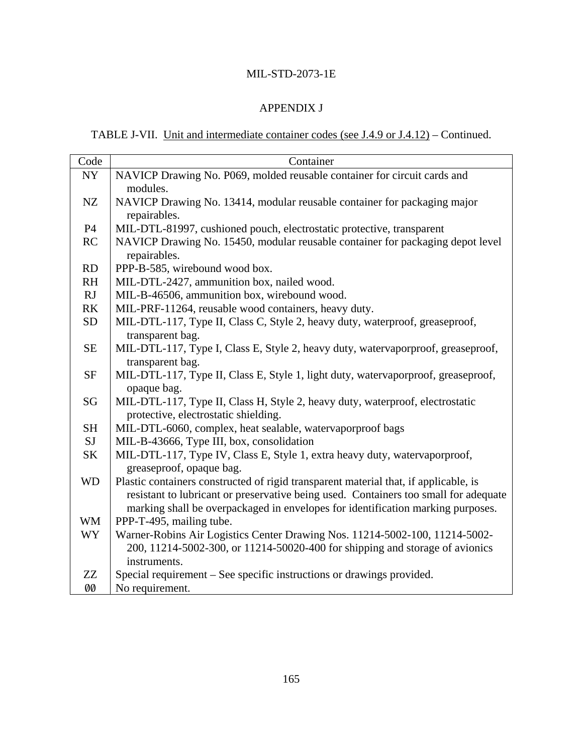# APPENDIX J

TABLE J-VII. Unit and intermediate container codes (see J.4.9 or J.4.12) – Continued.

| Code           | Container                                                                                                        |
|----------------|------------------------------------------------------------------------------------------------------------------|
| NY             | NAVICP Drawing No. P069, molded reusable container for circuit cards and                                         |
|                | modules.                                                                                                         |
| ${\rm NZ}$     | NAVICP Drawing No. 13414, modular reusable container for packaging major                                         |
|                | repairables.                                                                                                     |
| <b>P4</b>      | MIL-DTL-81997, cushioned pouch, electrostatic protective, transparent                                            |
| RC             | NAVICP Drawing No. 15450, modular reusable container for packaging depot level                                   |
|                | repairables.                                                                                                     |
| RD             | PPP-B-585, wirebound wood box.                                                                                   |
| R <sub>H</sub> | MIL-DTL-2427, ammunition box, nailed wood.                                                                       |
| RJ             | MIL-B-46506, ammunition box, wirebound wood.                                                                     |
| RK             | MIL-PRF-11264, reusable wood containers, heavy duty.                                                             |
| <b>SD</b>      | MIL-DTL-117, Type II, Class C, Style 2, heavy duty, waterproof, greaseproof,                                     |
|                | transparent bag.                                                                                                 |
| SE             | MIL-DTL-117, Type I, Class E, Style 2, heavy duty, watervaporproof, greaseproof,                                 |
|                | transparent bag.                                                                                                 |
| <b>SF</b>      | MIL-DTL-117, Type II, Class E, Style 1, light duty, watervaporproof, greaseproof,                                |
|                | opaque bag.                                                                                                      |
| SG             | MIL-DTL-117, Type II, Class H, Style 2, heavy duty, waterproof, electrostatic                                    |
|                | protective, electrostatic shielding.                                                                             |
| <b>SH</b>      | MIL-DTL-6060, complex, heat sealable, watervaporproof bags                                                       |
| SJ             | MIL-B-43666, Type III, box, consolidation                                                                        |
| <b>SK</b>      | MIL-DTL-117, Type IV, Class E, Style 1, extra heavy duty, watervaporproof,                                       |
| <b>WD</b>      | greaseproof, opaque bag.<br>Plastic containers constructed of rigid transparent material that, if applicable, is |
|                | resistant to lubricant or preservative being used. Containers too small for adequate                             |
|                | marking shall be overpackaged in envelopes for identification marking purposes.                                  |
| <b>WM</b>      | PPP-T-495, mailing tube.                                                                                         |
| WY             | Warner-Robins Air Logistics Center Drawing Nos. 11214-5002-100, 11214-5002-                                      |
|                | 200, 11214-5002-300, or 11214-50020-400 for shipping and storage of avionics                                     |
|                | instruments.                                                                                                     |
| ZZ             | Special requirement – See specific instructions or drawings provided.                                            |
| ØØ             | No requirement.                                                                                                  |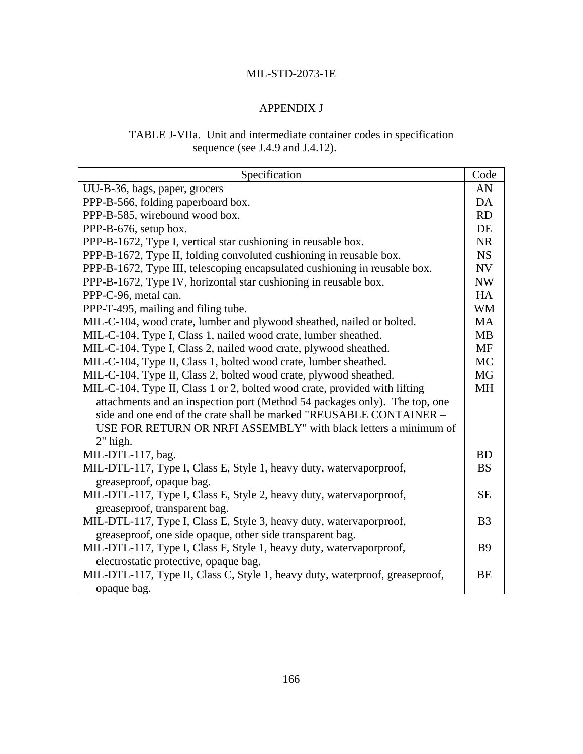# APPENDIX J

#### TABLE J-VIIa. Unit and intermediate container codes in specification sequence (see J.4.9 and J.4.12).

| Specification                                                                | Code           |
|------------------------------------------------------------------------------|----------------|
| UU-B-36, bags, paper, grocers                                                | AN             |
| PPP-B-566, folding paperboard box.                                           | DA             |
| PPP-B-585, wirebound wood box.                                               | RD             |
| PPP-B-676, setup box.                                                        | DE             |
| PPP-B-1672, Type I, vertical star cushioning in reusable box.                | <b>NR</b>      |
| PPP-B-1672, Type II, folding convoluted cushioning in reusable box.          | <b>NS</b>      |
| PPP-B-1672, Type III, telescoping encapsulated cushioning in reusable box.   | NV             |
| PPP-B-1672, Type IV, horizontal star cushioning in reusable box.             | <b>NW</b>      |
| PPP-C-96, metal can.                                                         | <b>HA</b>      |
| PPP-T-495, mailing and filing tube.                                          | <b>WM</b>      |
| MIL-C-104, wood crate, lumber and plywood sheathed, nailed or bolted.        | <b>MA</b>      |
| MIL-C-104, Type I, Class 1, nailed wood crate, lumber sheathed.              | MB             |
| MIL-C-104, Type I, Class 2, nailed wood crate, plywood sheathed.             | <b>MF</b>      |
| MIL-C-104, Type II, Class 1, bolted wood crate, lumber sheathed.             | <b>MC</b>      |
| MIL-C-104, Type II, Class 2, bolted wood crate, plywood sheathed.            | <b>MG</b>      |
| MIL-C-104, Type II, Class 1 or 2, bolted wood crate, provided with lifting   |                |
| attachments and an inspection port (Method 54 packages only). The top, one   |                |
| side and one end of the crate shall be marked "REUSABLE CONTAINER -          |                |
| USE FOR RETURN OR NRFI ASSEMBLY" with black letters a minimum of             |                |
| $2$ " high.                                                                  |                |
| MIL-DTL-117, bag.                                                            | <b>BD</b>      |
| MIL-DTL-117, Type I, Class E, Style 1, heavy duty, watervaporproof,          | <b>BS</b>      |
| greaseproof, opaque bag.                                                     |                |
| MIL-DTL-117, Type I, Class E, Style 2, heavy duty, watervaporproof,          | <b>SE</b>      |
| greaseproof, transparent bag.                                                |                |
| MIL-DTL-117, Type I, Class E, Style 3, heavy duty, watervaporproof,          | B <sub>3</sub> |
| greaseproof, one side opaque, other side transparent bag.                    |                |
| MIL-DTL-117, Type I, Class F, Style 1, heavy duty, watervaporproof,          | <b>B9</b>      |
| electrostatic protective, opaque bag.                                        |                |
| MIL-DTL-117, Type II, Class C, Style 1, heavy duty, waterproof, greaseproof, | <b>BE</b>      |
| opaque bag.                                                                  |                |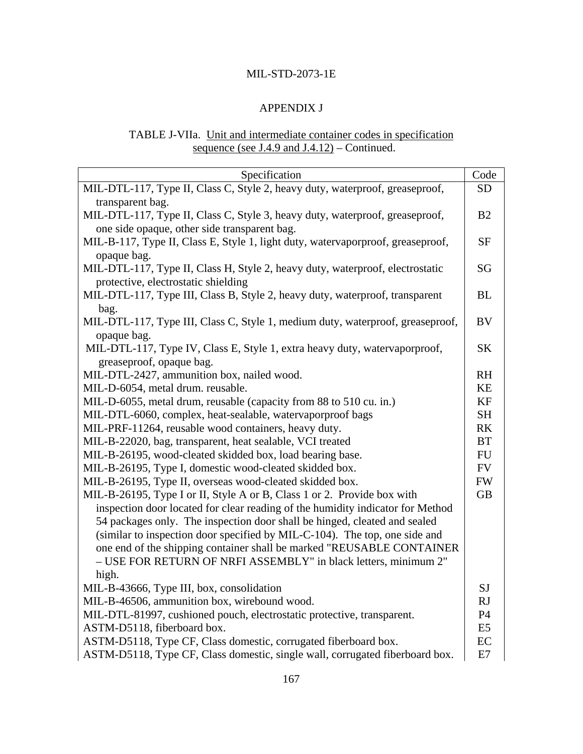# APPENDIX J

### TABLE J-VIIa. Unit and intermediate container codes in specification sequence (see J.4.9 and J.4.12) – Continued.

| Specification                                                                                                                            | Code           |
|------------------------------------------------------------------------------------------------------------------------------------------|----------------|
| MIL-DTL-117, Type II, Class C, Style 2, heavy duty, waterproof, greaseproof,                                                             | <b>SD</b>      |
| transparent bag.                                                                                                                         |                |
| MIL-DTL-117, Type II, Class C, Style 3, heavy duty, waterproof, greaseproof,                                                             | B2             |
| one side opaque, other side transparent bag.                                                                                             |                |
| MIL-B-117, Type II, Class E, Style 1, light duty, watervaporproof, greaseproof,                                                          | <b>SF</b>      |
| opaque bag.                                                                                                                              |                |
| MIL-DTL-117, Type II, Class H, Style 2, heavy duty, waterproof, electrostatic                                                            | SG             |
| protective, electrostatic shielding<br>MIL-DTL-117, Type III, Class B, Style 2, heavy duty, waterproof, transparent                      | <b>BL</b>      |
| bag.                                                                                                                                     |                |
| MIL-DTL-117, Type III, Class C, Style 1, medium duty, waterproof, greaseproof,                                                           | <b>BV</b>      |
| opaque bag.                                                                                                                              |                |
| MIL-DTL-117, Type IV, Class E, Style 1, extra heavy duty, watervaporproof,                                                               | <b>SK</b>      |
| greaseproof, opaque bag.                                                                                                                 |                |
| MIL-DTL-2427, ammunition box, nailed wood.                                                                                               | <b>RH</b>      |
| MIL-D-6054, metal drum. reusable.                                                                                                        | <b>KE</b>      |
| MIL-D-6055, metal drum, reusable (capacity from 88 to 510 cu. in.)                                                                       | KF             |
| MIL-DTL-6060, complex, heat-sealable, watervaporproof bags                                                                               | <b>SH</b>      |
| MIL-PRF-11264, reusable wood containers, heavy duty.                                                                                     | R <sub>K</sub> |
| MIL-B-22020, bag, transparent, heat sealable, VCI treated                                                                                | <b>BT</b>      |
| MIL-B-26195, wood-cleated skidded box, load bearing base.                                                                                | ${\rm FU}$     |
| MIL-B-26195, Type I, domestic wood-cleated skidded box.                                                                                  | <b>FV</b>      |
| MIL-B-26195, Type II, overseas wood-cleated skidded box.                                                                                 | <b>FW</b>      |
| MIL-B-26195, Type I or II, Style A or B, Class 1 or 2. Provide box with                                                                  | <b>GB</b>      |
| inspection door located for clear reading of the humidity indicator for Method                                                           |                |
| 54 packages only. The inspection door shall be hinged, cleated and sealed                                                                |                |
| (similar to inspection door specified by MIL-C-104). The top, one side and                                                               |                |
| one end of the shipping container shall be marked "REUSABLE CONTAINER<br>- USE FOR RETURN OF NRFI ASSEMBLY" in black letters, minimum 2" |                |
| high.                                                                                                                                    |                |
| MIL-B-43666, Type III, box, consolidation                                                                                                | SJ             |
| MIL-B-46506, ammunition box, wirebound wood.                                                                                             | <b>RJ</b>      |
| MIL-DTL-81997, cushioned pouch, electrostatic protective, transparent.                                                                   | <b>P4</b>      |
| ASTM-D5118, fiberboard box.                                                                                                              | E <sub>5</sub> |
| ASTM-D5118, Type CF, Class domestic, corrugated fiberboard box.                                                                          | EC             |
| ASTM-D5118, Type CF, Class domestic, single wall, corrugated fiberboard box.                                                             | E7             |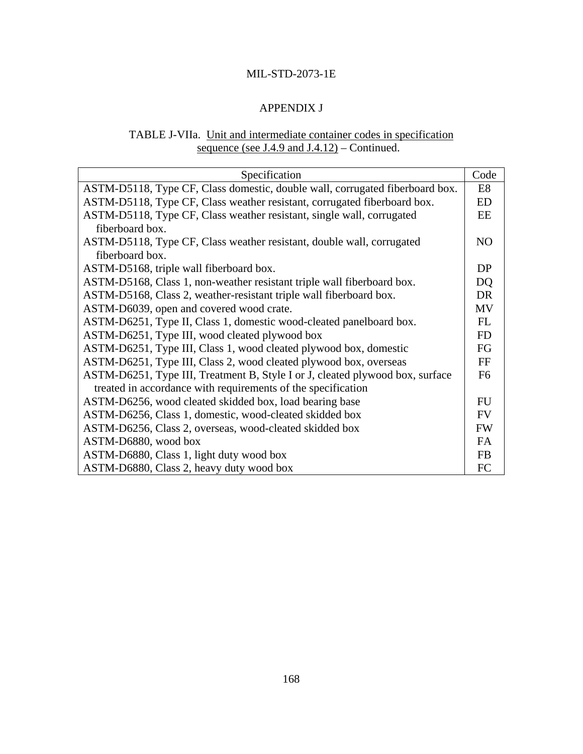# APPENDIX J

#### TABLE J-VIIa. Unit and intermediate container codes in specification sequence (see J.4.9 and  $J.4.12$ ) – Continued.

| Specification                                                                 | Code           |
|-------------------------------------------------------------------------------|----------------|
| ASTM-D5118, Type CF, Class domestic, double wall, corrugated fiberboard box.  | E <sub>8</sub> |
| ASTM-D5118, Type CF, Class weather resistant, corrugated fiberboard box.      | <b>ED</b>      |
| ASTM-D5118, Type CF, Class weather resistant, single wall, corrugated         | EE             |
| fiberboard box.                                                               |                |
| ASTM-D5118, Type CF, Class weather resistant, double wall, corrugated         | NO.            |
| fiberboard box.                                                               |                |
| ASTM-D5168, triple wall fiberboard box.                                       | DP             |
| ASTM-D5168, Class 1, non-weather resistant triple wall fiberboard box.        | <b>DQ</b>      |
| ASTM-D5168, Class 2, weather-resistant triple wall fiberboard box.            | DR             |
| ASTM-D6039, open and covered wood crate.                                      | <b>MV</b>      |
| ASTM-D6251, Type II, Class 1, domestic wood-cleated panelboard box.           | FL             |
| ASTM-D6251, Type III, wood cleated plywood box                                | <b>FD</b>      |
| ASTM-D6251, Type III, Class 1, wood cleated plywood box, domestic             | FG             |
| ASTM-D6251, Type III, Class 2, wood cleated plywood box, overseas             | FF             |
| ASTM-D6251, Type III, Treatment B, Style I or J, cleated plywood box, surface | F <sub>6</sub> |
| treated in accordance with requirements of the specification                  |                |
| ASTM-D6256, wood cleated skidded box, load bearing base                       | <b>FU</b>      |
| ASTM-D6256, Class 1, domestic, wood-cleated skidded box                       | <b>FV</b>      |
| ASTM-D6256, Class 2, overseas, wood-cleated skidded box                       | <b>FW</b>      |
| ASTM-D6880, wood box                                                          | <b>FA</b>      |
| ASTM-D6880, Class 1, light duty wood box                                      | <b>FB</b>      |
| ASTM-D6880, Class 2, heavy duty wood box                                      | FC             |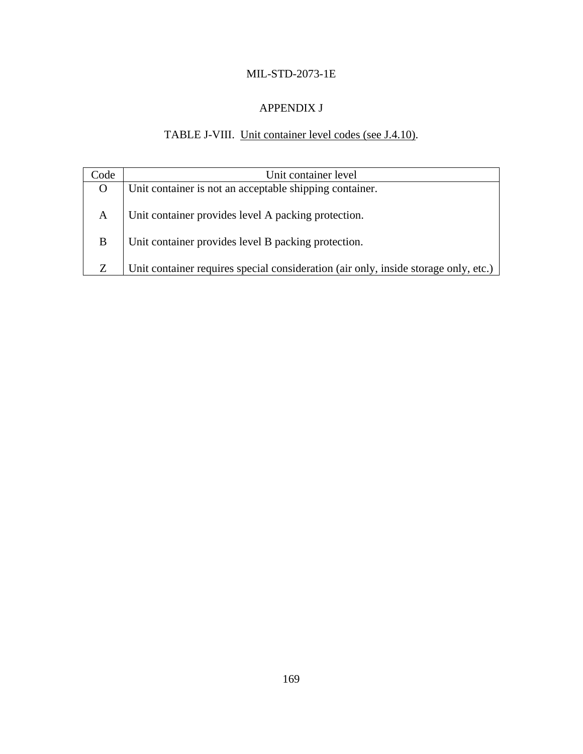# APPENDIX J

# TABLE J-VIII. Unit container level codes (see J.4.10).

| Code | Unit container level                                                                |
|------|-------------------------------------------------------------------------------------|
| O    | Unit container is not an acceptable shipping container.                             |
|      |                                                                                     |
| A    | Unit container provides level A packing protection.                                 |
|      |                                                                                     |
| B    | Unit container provides level B packing protection.                                 |
|      |                                                                                     |
| Ζ    | Unit container requires special consideration (air only, inside storage only, etc.) |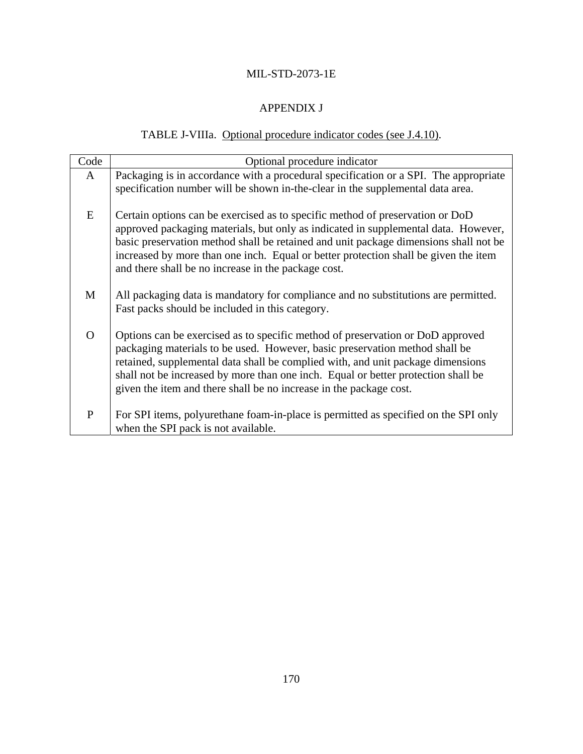# APPENDIX J

# TABLE J-VIIIa. Optional procedure indicator codes (see J.4.10).

| Code     | Optional procedure indicator                                                                                                                                                                                                                                                                                                                                                                                |
|----------|-------------------------------------------------------------------------------------------------------------------------------------------------------------------------------------------------------------------------------------------------------------------------------------------------------------------------------------------------------------------------------------------------------------|
| A        | Packaging is in accordance with a procedural specification or a SPI. The appropriate<br>specification number will be shown in-the-clear in the supplemental data area.                                                                                                                                                                                                                                      |
| E        | Certain options can be exercised as to specific method of preservation or DoD<br>approved packaging materials, but only as indicated in supplemental data. However,<br>basic preservation method shall be retained and unit package dimensions shall not be<br>increased by more than one inch. Equal or better protection shall be given the item<br>and there shall be no increase in the package cost.   |
| M        | All packaging data is mandatory for compliance and no substitutions are permitted.<br>Fast packs should be included in this category.                                                                                                                                                                                                                                                                       |
| $\Omega$ | Options can be exercised as to specific method of preservation or DoD approved<br>packaging materials to be used. However, basic preservation method shall be<br>retained, supplemental data shall be complied with, and unit package dimensions<br>shall not be increased by more than one inch. Equal or better protection shall be<br>given the item and there shall be no increase in the package cost. |
| P        | For SPI items, polyurethane foam-in-place is permitted as specified on the SPI only<br>when the SPI pack is not available.                                                                                                                                                                                                                                                                                  |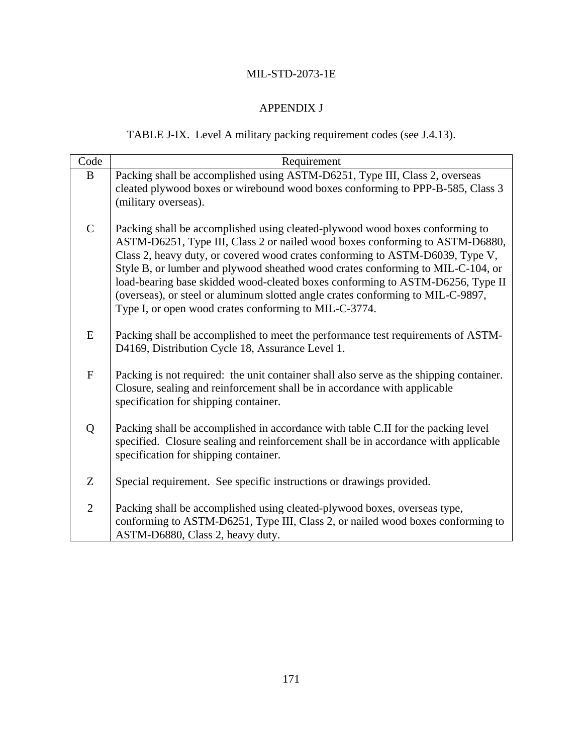# APPENDIX J

# TABLE J-IX. Level A military packing requirement codes (see J.4.13).

| Code           | Requirement                                                                                                                                                                                                                                                                                                                                                                                                                                                                                                                                                    |
|----------------|----------------------------------------------------------------------------------------------------------------------------------------------------------------------------------------------------------------------------------------------------------------------------------------------------------------------------------------------------------------------------------------------------------------------------------------------------------------------------------------------------------------------------------------------------------------|
| $\bf{B}$       | Packing shall be accomplished using ASTM-D6251, Type III, Class 2, overseas<br>cleated plywood boxes or wirebound wood boxes conforming to PPP-B-585, Class 3<br>(military overseas).                                                                                                                                                                                                                                                                                                                                                                          |
| $\mathbf C$    | Packing shall be accomplished using cleated-plywood wood boxes conforming to<br>ASTM-D6251, Type III, Class 2 or nailed wood boxes conforming to ASTM-D6880,<br>Class 2, heavy duty, or covered wood crates conforming to ASTM-D6039, Type V,<br>Style B, or lumber and plywood sheathed wood crates conforming to MIL-C-104, or<br>load-bearing base skidded wood-cleated boxes conforming to ASTM-D6256, Type II<br>(overseas), or steel or aluminum slotted angle crates conforming to MIL-C-9897,<br>Type I, or open wood crates conforming to MIL-C-3774. |
| ${\bf E}$      | Packing shall be accomplished to meet the performance test requirements of ASTM-<br>D4169, Distribution Cycle 18, Assurance Level 1.                                                                                                                                                                                                                                                                                                                                                                                                                           |
| $\mathbf{F}$   | Packing is not required: the unit container shall also serve as the shipping container.<br>Closure, sealing and reinforcement shall be in accordance with applicable<br>specification for shipping container.                                                                                                                                                                                                                                                                                                                                                  |
| Q              | Packing shall be accomplished in accordance with table C.II for the packing level<br>specified. Closure sealing and reinforcement shall be in accordance with applicable<br>specification for shipping container.                                                                                                                                                                                                                                                                                                                                              |
| Z              | Special requirement. See specific instructions or drawings provided.                                                                                                                                                                                                                                                                                                                                                                                                                                                                                           |
| $\overline{2}$ | Packing shall be accomplished using cleated-plywood boxes, overseas type,<br>conforming to ASTM-D6251, Type III, Class 2, or nailed wood boxes conforming to<br>ASTM-D6880, Class 2, heavy duty.                                                                                                                                                                                                                                                                                                                                                               |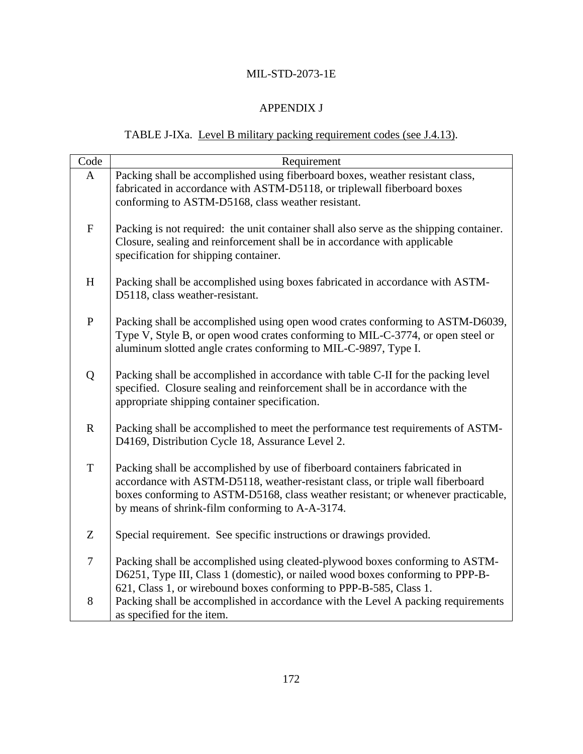# APPENDIX J

# TABLE J-IXa. Level B military packing requirement codes (see J.4.13).

| Code                      | Requirement                                                                                                                                                                                                                                                                                           |
|---------------------------|-------------------------------------------------------------------------------------------------------------------------------------------------------------------------------------------------------------------------------------------------------------------------------------------------------|
| $\mathbf{A}$              | Packing shall be accomplished using fiberboard boxes, weather resistant class,<br>fabricated in accordance with ASTM-D5118, or triplewall fiberboard boxes                                                                                                                                            |
|                           | conforming to ASTM-D5168, class weather resistant.                                                                                                                                                                                                                                                    |
| $\boldsymbol{\mathrm{F}}$ | Packing is not required: the unit container shall also serve as the shipping container.<br>Closure, sealing and reinforcement shall be in accordance with applicable<br>specification for shipping container.                                                                                         |
| H                         | Packing shall be accomplished using boxes fabricated in accordance with ASTM-<br>D5118, class weather-resistant.                                                                                                                                                                                      |
| ${\bf P}$                 | Packing shall be accomplished using open wood crates conforming to ASTM-D6039,<br>Type V, Style B, or open wood crates conforming to MIL-C-3774, or open steel or<br>aluminum slotted angle crates conforming to MIL-C-9897, Type I.                                                                  |
| Q                         | Packing shall be accomplished in accordance with table C-II for the packing level<br>specified. Closure sealing and reinforcement shall be in accordance with the<br>appropriate shipping container specification.                                                                                    |
| $\mathbf R$               | Packing shall be accomplished to meet the performance test requirements of ASTM-<br>D4169, Distribution Cycle 18, Assurance Level 2.                                                                                                                                                                  |
| $\mathbf T$               | Packing shall be accomplished by use of fiberboard containers fabricated in<br>accordance with ASTM-D5118, weather-resistant class, or triple wall fiberboard<br>boxes conforming to ASTM-D5168, class weather resistant; or whenever practicable,<br>by means of shrink-film conforming to A-A-3174. |
| Z                         | Special requirement. See specific instructions or drawings provided.                                                                                                                                                                                                                                  |
| $\boldsymbol{7}$          | Packing shall be accomplished using cleated-plywood boxes conforming to ASTM-<br>D6251, Type III, Class 1 (domestic), or nailed wood boxes conforming to PPP-B-<br>621, Class 1, or wirebound boxes conforming to PPP-B-585, Class 1.                                                                 |
| 8                         | Packing shall be accomplished in accordance with the Level A packing requirements<br>as specified for the item.                                                                                                                                                                                       |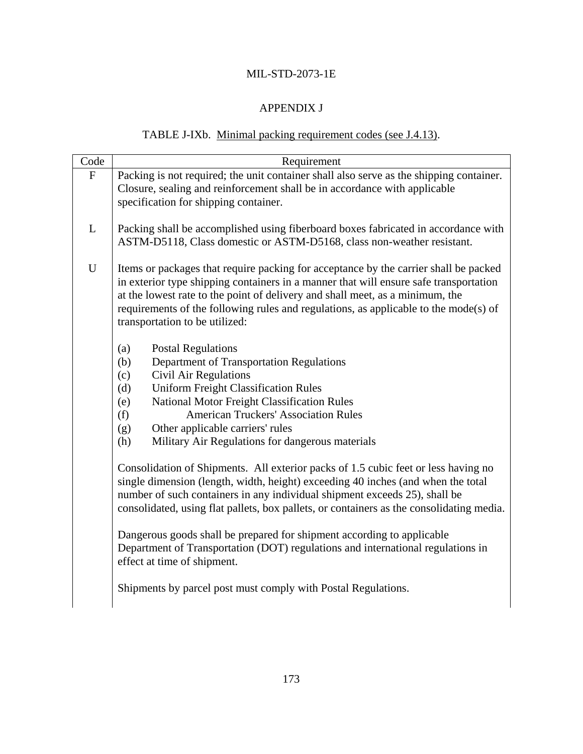# APPENDIX J

# TABLE J-IXb. Minimal packing requirement codes (see J.4.13).

| Code      | Requirement                                                                                                                                                                                                                                                                                                                                                                              |
|-----------|------------------------------------------------------------------------------------------------------------------------------------------------------------------------------------------------------------------------------------------------------------------------------------------------------------------------------------------------------------------------------------------|
| ${\bf F}$ | Packing is not required; the unit container shall also serve as the shipping container.<br>Closure, sealing and reinforcement shall be in accordance with applicable                                                                                                                                                                                                                     |
|           | specification for shipping container.                                                                                                                                                                                                                                                                                                                                                    |
| L         | Packing shall be accomplished using fiberboard boxes fabricated in accordance with<br>ASTM-D5118, Class domestic or ASTM-D5168, class non-weather resistant.                                                                                                                                                                                                                             |
| U         | Items or packages that require packing for acceptance by the carrier shall be packed<br>in exterior type shipping containers in a manner that will ensure safe transportation<br>at the lowest rate to the point of delivery and shall meet, as a minimum, the<br>requirements of the following rules and regulations, as applicable to the mode(s) of<br>transportation to be utilized: |
|           | <b>Postal Regulations</b><br>(a)                                                                                                                                                                                                                                                                                                                                                         |
|           | Department of Transportation Regulations<br>(b)                                                                                                                                                                                                                                                                                                                                          |
|           | Civil Air Regulations<br>(c)<br><b>Uniform Freight Classification Rules</b><br>(d)                                                                                                                                                                                                                                                                                                       |
|           | National Motor Freight Classification Rules<br>(e)                                                                                                                                                                                                                                                                                                                                       |
|           | <b>American Truckers' Association Rules</b><br>(f)                                                                                                                                                                                                                                                                                                                                       |
|           | Other applicable carriers' rules<br>(g)                                                                                                                                                                                                                                                                                                                                                  |
|           | (h)<br>Military Air Regulations for dangerous materials                                                                                                                                                                                                                                                                                                                                  |
|           | Consolidation of Shipments. All exterior packs of 1.5 cubic feet or less having no<br>single dimension (length, width, height) exceeding 40 inches (and when the total<br>number of such containers in any individual shipment exceeds 25), shall be<br>consolidated, using flat pallets, box pallets, or containers as the consolidating media.                                         |
|           | Dangerous goods shall be prepared for shipment according to applicable<br>Department of Transportation (DOT) regulations and international regulations in<br>effect at time of shipment.                                                                                                                                                                                                 |
|           | Shipments by parcel post must comply with Postal Regulations.                                                                                                                                                                                                                                                                                                                            |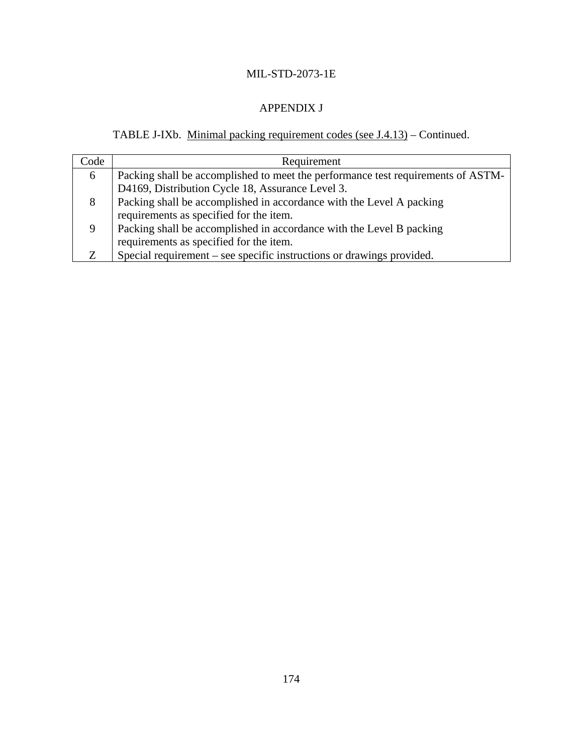# APPENDIX J

# TABLE J-IXb. Minimal packing requirement codes (see J.4.13) – Continued.

| Code | Requirement                                                                      |
|------|----------------------------------------------------------------------------------|
| 6    | Packing shall be accomplished to meet the performance test requirements of ASTM- |
|      | D4169, Distribution Cycle 18, Assurance Level 3.                                 |
| 8    | Packing shall be accomplished in accordance with the Level A packing             |
|      | requirements as specified for the item.                                          |
| 9    | Packing shall be accomplished in accordance with the Level B packing             |
|      | requirements as specified for the item.                                          |
| Z    | Special requirement – see specific instructions or drawings provided.            |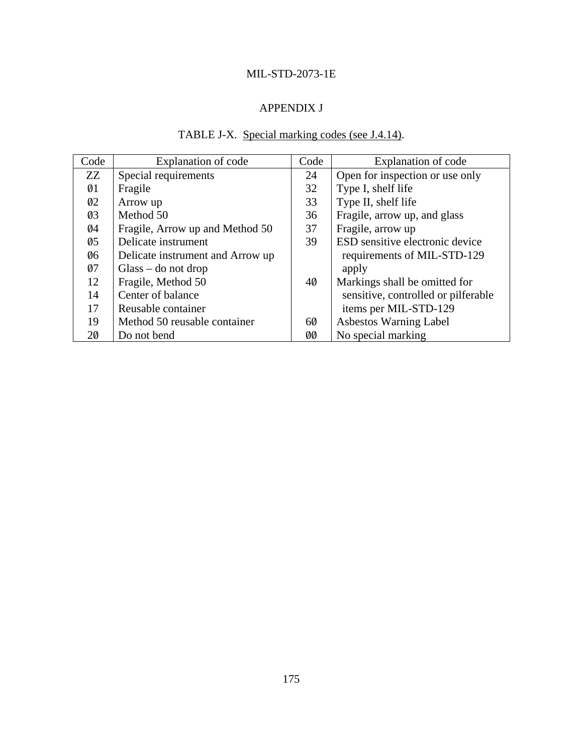# APPENDIX J

| TABLE J-X. Special marking codes (see J.4.14). |  |  |  |
|------------------------------------------------|--|--|--|
|                                                |  |  |  |

| Code     | Explanation of code              | Code | <b>Explanation of code</b>          |
|----------|----------------------------------|------|-------------------------------------|
| ZZ       | Special requirements             | 24   | Open for inspection or use only     |
| 01       | Fragile                          | 32   | Type I, shelf life                  |
| 02       | Arrow up                         | 33   | Type II, shelf life                 |
| 03       | Method 50                        | 36   | Fragile, arrow up, and glass        |
| 04       | Fragile, Arrow up and Method 50  | 37   | Fragile, arrow up                   |
| 05       | Delicate instrument              | 39   | ESD sensitive electronic device     |
| 06       | Delicate instrument and Arrow up |      | requirements of MIL-STD-129         |
| $\omega$ | $Class - do not drop$            |      | apply                               |
| 12       | Fragile, Method 50               | 40   | Markings shall be omitted for       |
| 14       | Center of balance                |      | sensitive, controlled or pilferable |
| 17       | Reusable container               |      | items per MIL-STD-129               |
| 19       | Method 50 reusable container     | 60   | Asbestos Warning Label              |
| 20       | Do not bend                      | ØØ   | No special marking                  |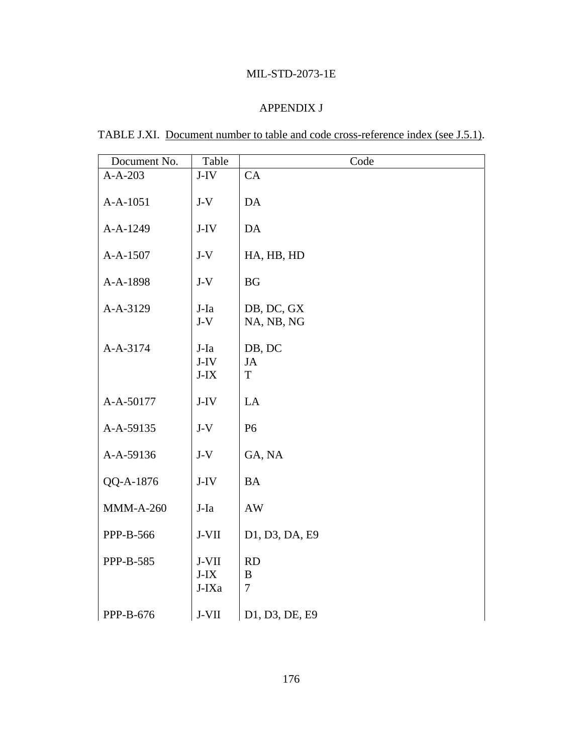# APPENDIX J

| TABLE J.XI. Document number to table and code cross-reference index (see J.5.1). |  |
|----------------------------------------------------------------------------------|--|
|----------------------------------------------------------------------------------|--|

| Document No.     | Table                    | Code                                    |
|------------------|--------------------------|-----------------------------------------|
| $A - A - 203$    | $J-IV$                   | CA                                      |
| A-A-1051         | $J-V$                    | DA                                      |
| A-A-1249         | J-IV                     | DA                                      |
| A-A-1507         | $J-V$                    | HA, HB, HD                              |
| A-A-1898         | $J-V$                    | <b>BG</b>                               |
| A-A-3129         | $J-Ia$<br>$J-V$          | DB, DC, GX<br>NA, NB, NG                |
| A-A-3174         | J-Ia<br>$J-IV$<br>$J-IX$ | DB, DC<br><b>JA</b><br>$\mathbf T$      |
| A-A-50177        | J-IV                     | LA                                      |
| A-A-59135        | $J-V$                    | <b>P6</b>                               |
| A-A-59136        | $J-V$                    | GA, NA                                  |
| QQ-A-1876        | $J-IV$                   | <b>BA</b>                               |
| <b>MMM-A-260</b> | $J-Ia$                   | AW                                      |
| PPP-B-566        | J-VII                    | D1, D3, DA, E9                          |
| PPP-B-585        | J-VII<br>$J-IX$<br>J-IXa | <b>RD</b><br>$\bf{B}$<br>$\overline{7}$ |
| PPP-B-676        | J-VII                    | D1, D3, DE, E9                          |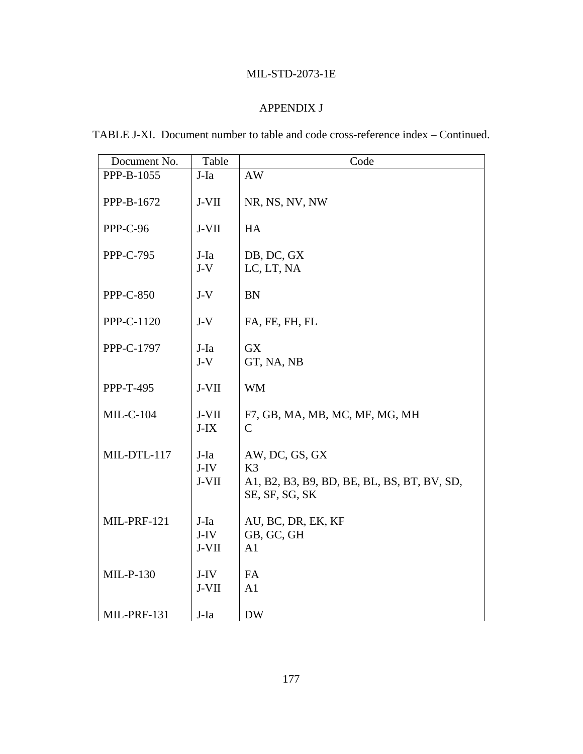# APPENDIX J

| TABLE J-XI. Document number to table and code cross-reference index – Continued. |
|----------------------------------------------------------------------------------|
|----------------------------------------------------------------------------------|

| Document No.     | Table                     | Code                                                                                  |
|------------------|---------------------------|---------------------------------------------------------------------------------------|
| PPP-B-1055       | $J-Ia$                    | AW                                                                                    |
| PPP-B-1672       | J-VII                     | NR, NS, NV, NW                                                                        |
| PPP-C-96         | J-VII                     | HA                                                                                    |
| <b>PPP-C-795</b> | J-Ia<br>$J-V$             | DB, DC, GX<br>LC, LT, NA                                                              |
| <b>PPP-C-850</b> | $J-V$                     | <b>BN</b>                                                                             |
| PPP-C-1120       | $J-V$                     | FA, FE, FH, FL                                                                        |
| PPP-C-1797       | J-Ia<br>$J-V$             | <b>GX</b><br>GT, NA, NB                                                               |
| PPP-T-495        | J-VII                     | <b>WM</b>                                                                             |
| <b>MIL-C-104</b> | J-VII<br>$J-IX$           | F7, GB, MA, MB, MC, MF, MG, MH<br>$\mathsf{C}$                                        |
| MIL-DTL-117      | J-Ia<br>$J-IV$<br>J-VII   | AW, DC, GS, GX<br>K3<br>A1, B2, B3, B9, BD, BE, BL, BS, BT, BV, SD,<br>SE, SF, SG, SK |
| MIL-PRF-121      | $J-Ia$<br>$J-IV$<br>J-VII | AU, BC, DR, EK, KF<br>GB, GC, GH<br>A1                                                |
| MIL-P-130        | J-IV<br>J-VII             | FA<br>A1                                                                              |
| MIL-PRF-131      | J-Ia                      | <b>DW</b>                                                                             |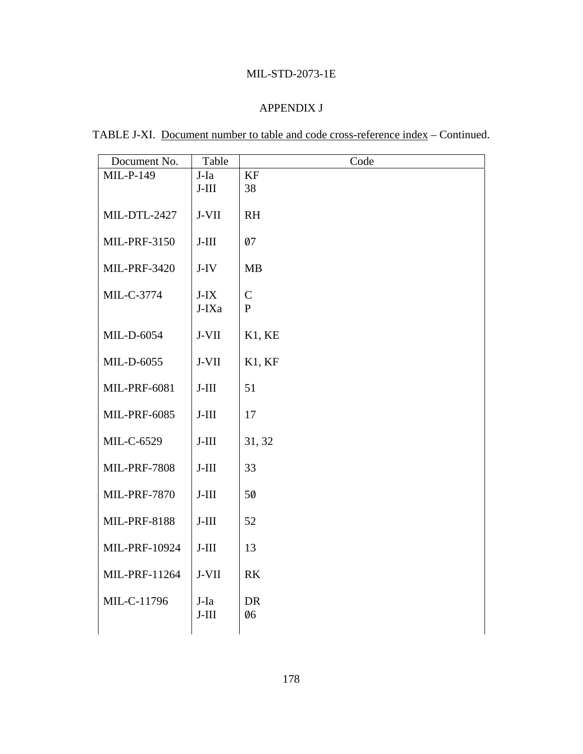# APPENDIX J

| Document No.        | Table             | Code                     |
|---------------------|-------------------|--------------------------|
| MIL-P-149           | $J-Ia$            | KF                       |
|                     | $J-III$           | 38                       |
| MIL-DTL-2427        | J-VII             | <b>RH</b>                |
| <b>MIL-PRF-3150</b> | $J-III$           | 07                       |
| <b>MIL-PRF-3420</b> | $J-IV$            | <b>MB</b>                |
| MIL-C-3774          | $J-IX$<br>J-IXa   | $\mathbf C$<br>${\bf P}$ |
| MIL-D-6054          | $J-VII$           | K1, KE                   |
| MIL-D-6055          | J-VII             | K1, KF                   |
| <b>MIL-PRF-6081</b> | $J-III$           | 51                       |
| <b>MIL-PRF-6085</b> | $J-III$           | 17                       |
| MIL-C-6529          | $J-III$           | 31, 32                   |
| <b>MIL-PRF-7808</b> | $J-III$           | 33                       |
| <b>MIL-PRF-7870</b> | $J-III$           | 50                       |
| <b>MIL-PRF-8188</b> | $J-III$           | 52                       |
| MIL-PRF-10924       | $\text{J-III}$    | 13                       |
| MIL-PRF-11264       | J-VII             | <b>RK</b>                |
| MIL-C-11796         | $J-Ia$<br>$J-III$ | <b>DR</b><br>06          |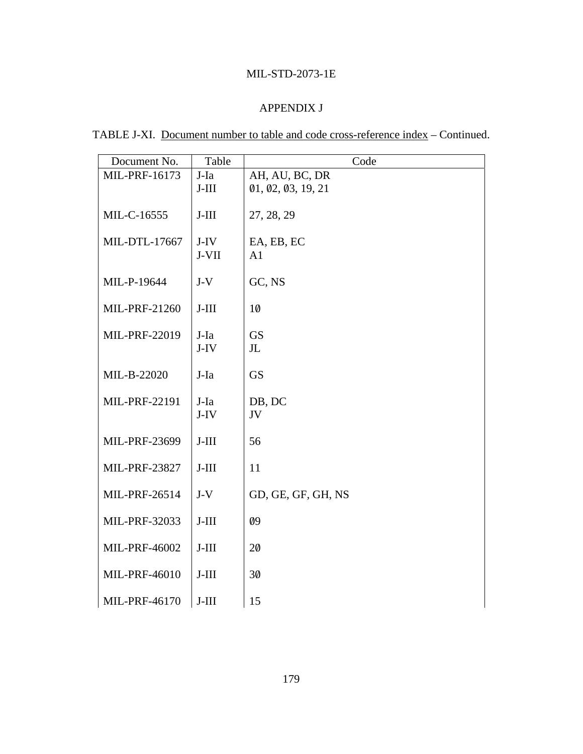# APPENDIX J

| Document No.         | Table            | Code                                 |
|----------------------|------------------|--------------------------------------|
| MIL-PRF-16173        | J-Ia<br>$J-III$  | AH, AU, BC, DR<br>01, 02, 03, 19, 21 |
| MIL-C-16555          | $J-III$          | 27, 28, 29                           |
| MIL-DTL-17667        | J-IV<br>J-VII    | EA, EB, EC<br>A1                     |
| MIL-P-19644          | $J-V$            | GC, NS                               |
| MIL-PRF-21260        | $J-III$          | 10                                   |
| MIL-PRF-22019        | J-Ia<br>J-IV     | <b>GS</b><br>J <sub>L</sub>          |
| MIL-B-22020          | $J-Ia$           | <b>GS</b>                            |
| <b>MIL-PRF-22191</b> | $J-Ia$<br>$J-IV$ | DB, DC<br>JV                         |
| MIL-PRF-23699        | $J-III$          | 56                                   |
| <b>MIL-PRF-23827</b> | $J-III$          | 11                                   |
| MIL-PRF-26514        | $J-V$            | GD, GE, GF, GH, NS                   |
| MIL-PRF-32033        | $J-III$          | 09                                   |
| MIL-PRF-46002        | $J-III$          | 20                                   |
| MIL-PRF-46010        | $J-III$          | 30                                   |
| MIL-PRF-46170        | $J-III$          | 15                                   |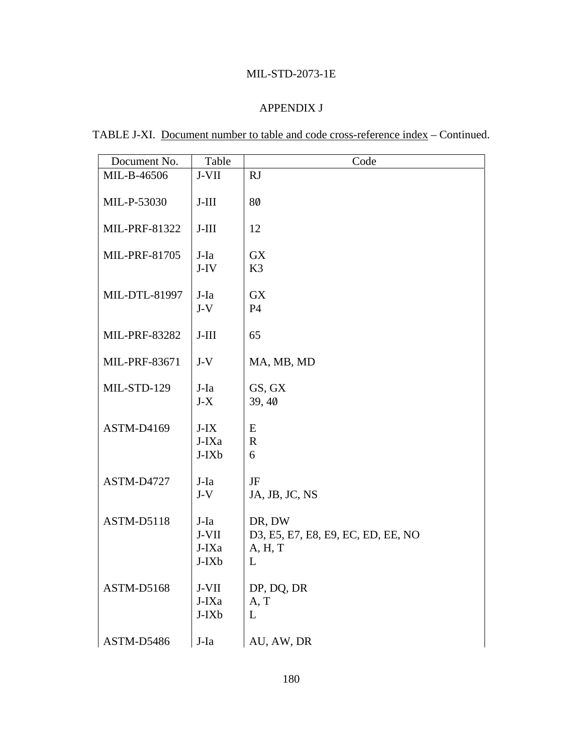# APPENDIX J

| Document No.         | Table                                       | Code                                                         |
|----------------------|---------------------------------------------|--------------------------------------------------------------|
| MIL-B-46506          | J-VII                                       | <b>RJ</b>                                                    |
| MIL-P-53030          | $J-III$                                     | 80                                                           |
| MIL-PRF-81322        | $J-III$                                     | 12                                                           |
| MIL-PRF-81705        | $J-Ia$<br>$J-IV$                            | <b>GX</b><br>K3                                              |
| MIL-DTL-81997        | J-Ia<br>$J-V$                               | <b>GX</b><br><b>P4</b>                                       |
| <b>MIL-PRF-83282</b> | $J-III$                                     | 65                                                           |
| MIL-PRF-83671        | $J-V$                                       | MA, MB, MD                                                   |
| MIL-STD-129          | $J-Ia$<br>$J-X$                             | GS, GX<br>39,40                                              |
| <b>ASTM-D4169</b>    | $J-IX$<br>J-IXa<br>J-IX <sub>b</sub>        | E<br>$\mathbf R$<br>6                                        |
| ASTM-D4727           | $J-Ia$<br>$J-V$                             | JF<br>JA, JB, JC, NS                                         |
| ASTM-D5118           | J-Ia<br>J-VII<br>J-IXa<br>J-IX <sub>b</sub> | DR, DW<br>D3, E5, E7, E8, E9, EC, ED, EE, NO<br>A, H, T<br>L |
| <b>ASTM-D5168</b>    | J-VII<br>J-IXa<br>J-IX <sub>b</sub>         | DP, DQ, DR<br>A, T<br>L                                      |
| ASTM-D5486           | J-Ia                                        | AU, AW, DR                                                   |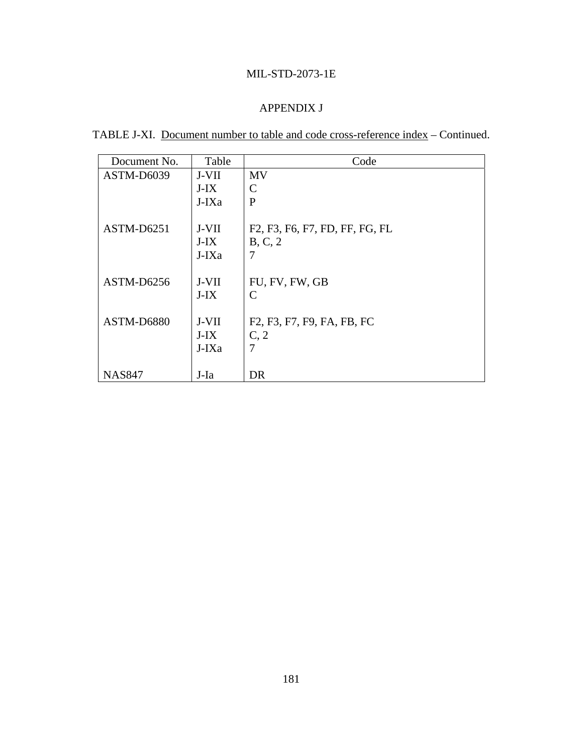# APPENDIX J

| Document No.  | Table    | Code                                                                                                                                  |
|---------------|----------|---------------------------------------------------------------------------------------------------------------------------------------|
| ASTM-D6039    | J-VII    | <b>MV</b>                                                                                                                             |
|               | $J-IX$   | $\mathcal{C}$                                                                                                                         |
|               | J-IXa    | P                                                                                                                                     |
|               |          |                                                                                                                                       |
| ASTM-D6251    | J-VII    | F <sub>2</sub> , F <sub>3</sub> , F <sub>6</sub> , F <sub>7</sub> , F <sub>D</sub> , F <sub>F</sub> , F <sub>G</sub> , F <sub>L</sub> |
|               | $J-IX$   | B, C, 2                                                                                                                               |
|               | $J$ -IXa | 7                                                                                                                                     |
|               |          |                                                                                                                                       |
| ASTM-D6256    | J-VII    | FU, FV, FW, GB                                                                                                                        |
|               | $J-IX$   | $\mathcal{C}$                                                                                                                         |
|               |          |                                                                                                                                       |
| ASTM-D6880    | J-VII    | F <sub>2</sub> , F <sub>3</sub> , F <sub>7</sub> , F <sub>9</sub> , F <sub>A</sub> , F <sub>B</sub> , F <sub>C</sub>                  |
|               | $J-IX$   | C, 2                                                                                                                                  |
|               | J-IXa    | 7                                                                                                                                     |
|               |          |                                                                                                                                       |
| <b>NAS847</b> | J-Ia     | DR                                                                                                                                    |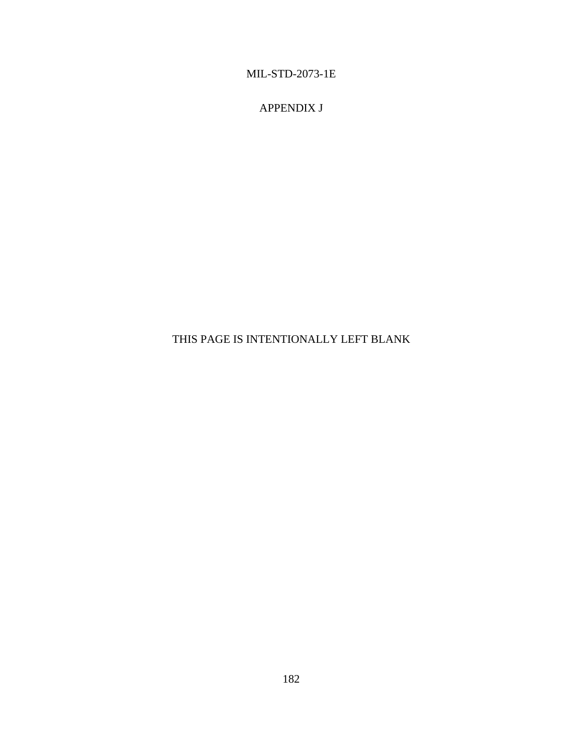APPENDIX J

# THIS PAGE IS INTENTIONALLY LEFT BLANK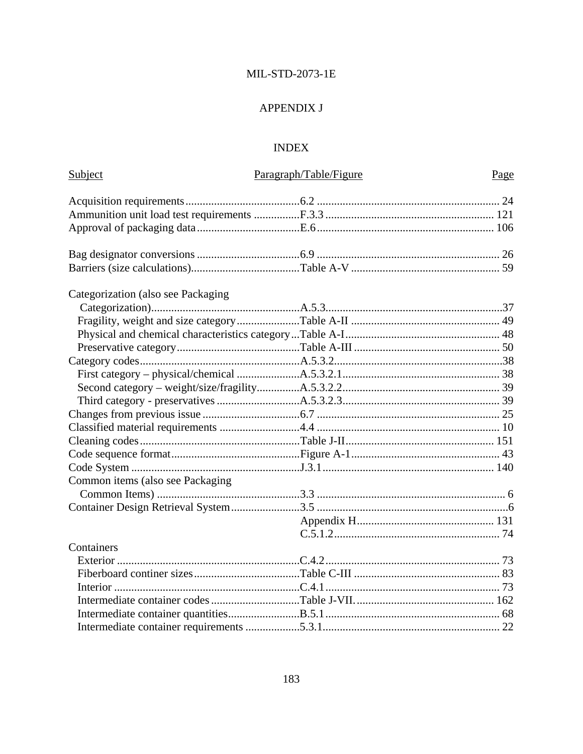# **APPENDIX J**

# **INDEX**

| <b>Subject</b>                     | Paragraph/Table/Figure | Page |
|------------------------------------|------------------------|------|
|                                    |                        |      |
|                                    |                        |      |
|                                    |                        |      |
|                                    |                        |      |
|                                    |                        |      |
| Categorization (also see Packaging |                        |      |
|                                    |                        |      |
|                                    |                        |      |
|                                    |                        |      |
|                                    |                        |      |
|                                    |                        |      |
|                                    |                        |      |
|                                    |                        |      |
|                                    |                        |      |
|                                    |                        |      |
|                                    |                        |      |
|                                    |                        |      |
|                                    |                        |      |
|                                    |                        |      |
| Common items (also see Packaging   |                        |      |
|                                    |                        |      |
|                                    |                        |      |
|                                    |                        |      |
|                                    |                        |      |
| Containers                         |                        |      |
|                                    |                        |      |
|                                    |                        |      |
|                                    |                        |      |
|                                    |                        |      |
|                                    |                        |      |
|                                    |                        |      |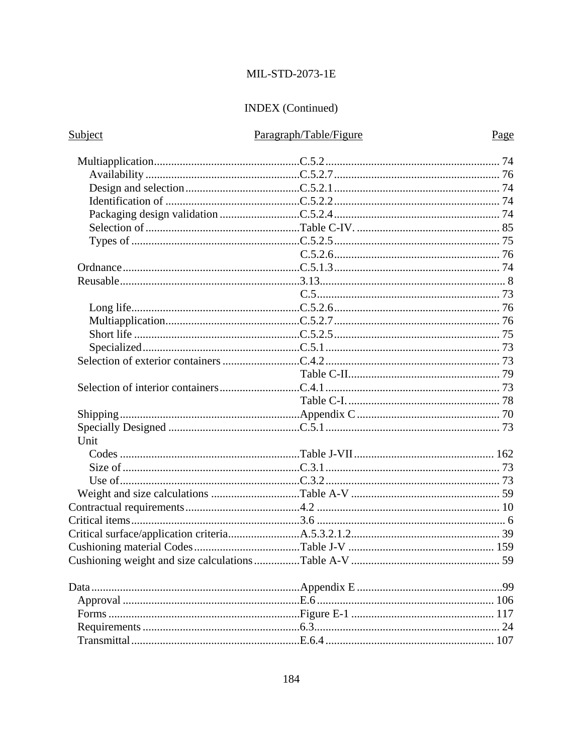| Subject | Paragraph/Table/Figure | Page |
|---------|------------------------|------|
|         |                        |      |
|         |                        |      |
|         |                        |      |
|         |                        |      |
|         |                        |      |
|         |                        |      |
|         |                        |      |
|         |                        |      |
|         |                        |      |
|         |                        |      |
|         |                        |      |
|         |                        |      |
|         |                        |      |
|         |                        |      |
|         |                        |      |
|         |                        |      |
|         |                        |      |
|         |                        |      |
|         |                        |      |
|         |                        |      |
|         |                        |      |
| Unit    |                        |      |
|         |                        |      |
|         |                        |      |
|         |                        |      |
|         |                        |      |
|         |                        |      |
|         |                        |      |
|         |                        |      |
|         |                        |      |
|         |                        |      |
|         |                        |      |
|         |                        |      |
|         |                        |      |
|         |                        |      |
|         |                        |      |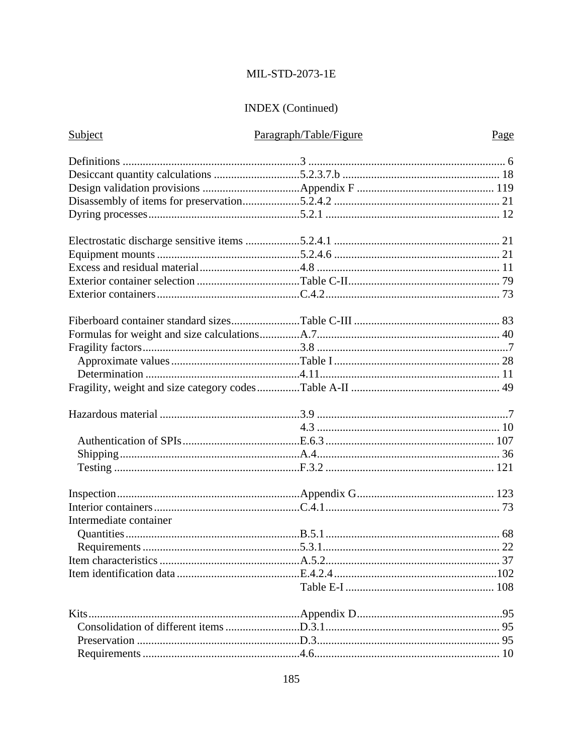| Subject                | Paragraph/Table/Figure | Page |
|------------------------|------------------------|------|
|                        |                        |      |
|                        |                        |      |
|                        |                        |      |
|                        |                        |      |
|                        |                        |      |
|                        |                        |      |
|                        |                        |      |
|                        |                        |      |
|                        |                        |      |
|                        |                        |      |
|                        |                        |      |
|                        |                        |      |
|                        |                        |      |
|                        |                        |      |
|                        |                        |      |
|                        |                        |      |
|                        |                        |      |
|                        |                        |      |
|                        |                        |      |
|                        |                        |      |
|                        |                        |      |
|                        |                        |      |
|                        |                        |      |
| Intermediate container |                        |      |
|                        |                        |      |
|                        |                        |      |
|                        |                        |      |
|                        |                        |      |
|                        |                        |      |
|                        |                        |      |
|                        |                        |      |
|                        |                        |      |
|                        |                        |      |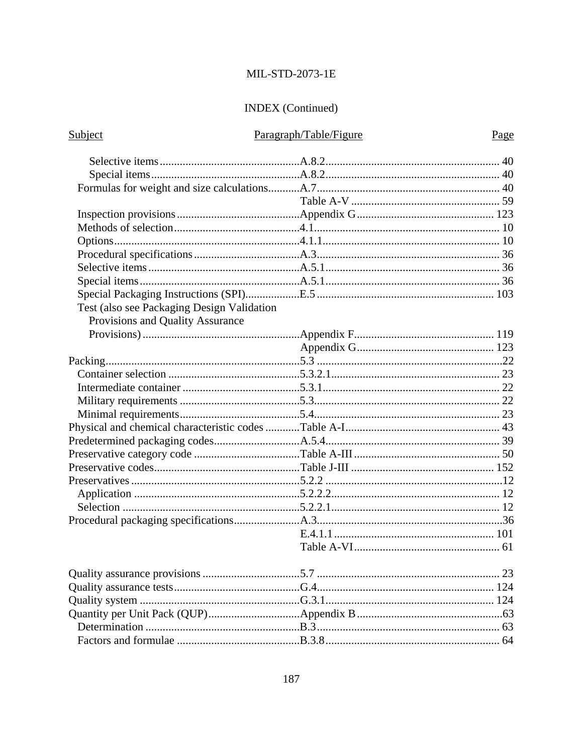| Test (also see Packaging Design Validation<br>Provisions and Quality Assurance | Subject | Paragraph/Table/Figure | Page |
|--------------------------------------------------------------------------------|---------|------------------------|------|
|                                                                                |         |                        |      |
|                                                                                |         |                        |      |
|                                                                                |         |                        |      |
|                                                                                |         |                        |      |
|                                                                                |         |                        |      |
|                                                                                |         |                        |      |
|                                                                                |         |                        |      |
|                                                                                |         |                        |      |
|                                                                                |         |                        |      |
|                                                                                |         |                        |      |
|                                                                                |         |                        |      |
|                                                                                |         |                        |      |
|                                                                                |         |                        |      |
|                                                                                |         |                        |      |
|                                                                                |         |                        |      |
|                                                                                |         |                        |      |
|                                                                                |         |                        |      |
|                                                                                |         |                        |      |
|                                                                                |         |                        |      |
|                                                                                |         |                        |      |
|                                                                                |         |                        |      |
|                                                                                |         |                        |      |
|                                                                                |         |                        |      |
|                                                                                |         |                        |      |
|                                                                                |         |                        |      |
|                                                                                |         |                        |      |
|                                                                                |         |                        |      |
|                                                                                |         |                        |      |
|                                                                                |         |                        |      |
|                                                                                |         |                        |      |
|                                                                                |         |                        |      |
|                                                                                |         |                        |      |
|                                                                                |         |                        |      |
|                                                                                |         |                        |      |
|                                                                                |         |                        |      |
|                                                                                |         |                        |      |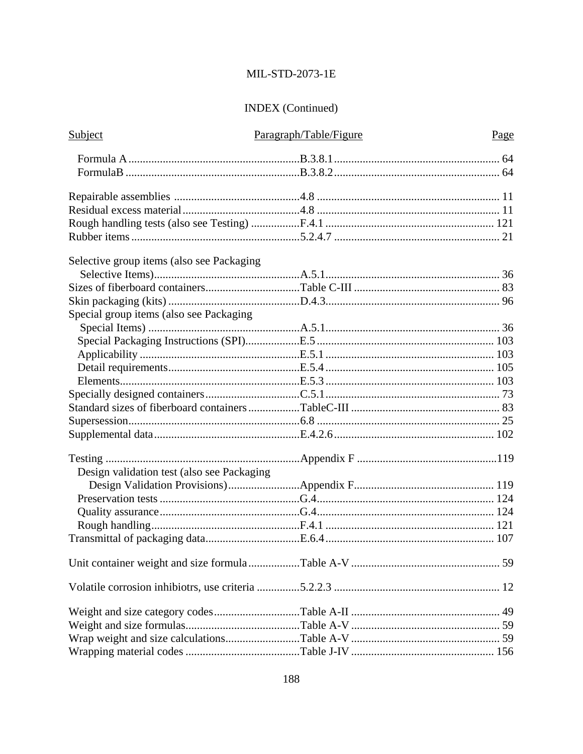| Subject                                    | Paragraph/Table/Figure | Page |
|--------------------------------------------|------------------------|------|
|                                            |                        |      |
|                                            |                        |      |
|                                            |                        |      |
|                                            |                        |      |
|                                            |                        |      |
|                                            |                        |      |
| Selective group items (also see Packaging  |                        |      |
|                                            |                        |      |
|                                            |                        |      |
|                                            |                        |      |
| Special group items (also see Packaging    |                        |      |
|                                            |                        |      |
|                                            |                        |      |
|                                            |                        |      |
|                                            |                        |      |
|                                            |                        |      |
|                                            |                        |      |
|                                            |                        |      |
|                                            |                        |      |
|                                            |                        |      |
|                                            |                        |      |
| Design validation test (also see Packaging |                        |      |
|                                            |                        |      |
|                                            |                        |      |
|                                            |                        |      |
|                                            |                        |      |
|                                            |                        |      |
|                                            |                        |      |
|                                            |                        |      |
|                                            |                        |      |
|                                            |                        |      |
|                                            |                        |      |
|                                            |                        |      |